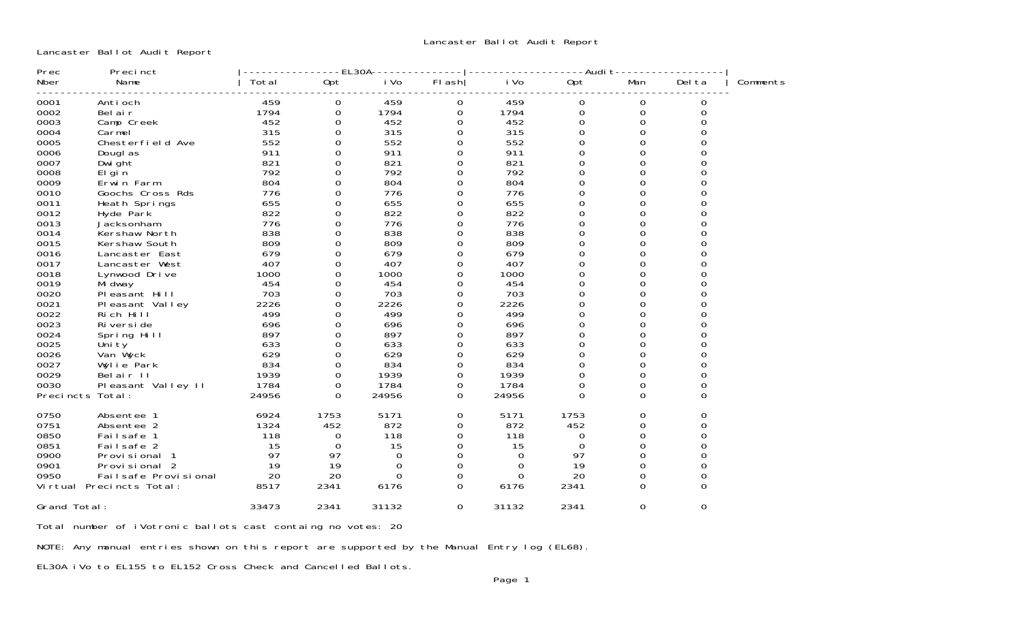Lancaster Ballot Audit Report

| Prec             | Precinct                 |       |                  | $-EL30A - -$ |                  |          | ----Audi t- |             |          |          |
|------------------|--------------------------|-------|------------------|--------------|------------------|----------|-------------|-------------|----------|----------|
| Nber             | Name                     | Total | Opt              | i Vo         | $FI$ ash         | i Vo     | Opt         | Man         | Del ta   | Comments |
| 0001             | Anti och                 | 459   | 0                | 459          | 0                | 459      | 0           | 0           | 0        |          |
| 0002             | Bel air                  | 1794  | $\boldsymbol{0}$ | 1794         | $\mathbf 0$      | 1794     | $\mathbf 0$ | $\mathbf 0$ | 0        |          |
| 0003             | Camp Creek               | 452   | 0                | 452          | 0                | 452      | $\mathbf 0$ | 0           | 0        |          |
| 0004             | Carmel                   | 315   | $\Omega$         | 315          | $\Omega$         | 315      | $\Omega$    | $\Omega$    | $\Omega$ |          |
| 0005             | Chesterfield Ave         | 552   | 0                | 552          | 0                | 552      | 0           | 0           |          |          |
| 0006             | Dougl as                 | 911   | 0                | 911          | 0                | 911      | $\Omega$    | 0           |          |          |
| 0007             | Dwi ght                  | 821   | 0                | 821          | 0                | 821      | $\Omega$    | $\Omega$    |          |          |
| 0008             | El gi n                  | 792   | 0                | 792          | 0                | 792      | 0           | 0           |          |          |
| 0009             | Erwin Farm               | 804   | 0                | 804          | 0                | 804      | 0           | 0           |          |          |
| 0010             | Goochs Cross Rds         | 776   | 0                | 776          | 0                | 776      | $\Omega$    | $\Omega$    |          |          |
| 0011             | Heath Springs            | 655   | 0                | 655          | 0                | 655      | 0           | 0           |          |          |
| 0012             | Hyde Park                | 822   | 0                | 822          | 0                | 822      | $\Omega$    | 0           |          |          |
| 0013             | Jacksonham               | 776   | $\Omega$         | 776          | 0                | 776      | 0           | $\Omega$    |          |          |
| 0014             | Kershaw North            | 838   | 0                | 838          | 0                | 838      | $\Omega$    | $\Omega$    | ი        |          |
| 0015             | Kershaw South            | 809   | 0                | 809          | 0                | 809      | $\mathsf 0$ | 0           |          |          |
| 0016             | Lancaster East           | 679   | 0                | 679          | 0                | 679      | $\Omega$    | $\Omega$    | 0        |          |
| 0017             | Lancaster West           | 407   | 0                | 407          | 0                | 407      | $\Omega$    | $\Omega$    | ი        |          |
| 0018             | Lynwood Drive            | 1000  | 0                | 1000         | 0                | 1000     | 0           | 0           |          |          |
| 0019             | Mi dway                  | 454   | 0                | 454          | 0                | 454      | 0           | 0           | 0        |          |
| 0020             | Pleasant Hill            | 703   | 0                | 703          | 0                | 703      | $\Omega$    | $\Omega$    | 0        |          |
| 0021             | Pleasant Valley          | 2226  | 0                | 2226         | 0                | 2226     | 0           | $\Omega$    | O        |          |
| 0022             | Rich Hill                | 499   | 0                | 499          | 0                | 499      | 0           | 0           | 0        |          |
| 0023             | Ri versi de              | 696   | $\Omega$         | 696          | $\Omega$         | 696      | $\Omega$    | $\Omega$    | ი        |          |
| 0024             | Spring Hill              | 897   | 0                | 897          | 0                | 897      | 0           | 0           | 0        |          |
| 0025             | Uni ty                   | 633   | 0                | 633          | 0                | 633      | 0           | 0           |          |          |
| 0026             | Van Wyck                 | 629   | 0                | 629          | 0                | 629      | 0           | 0           | 0        |          |
| 0027             | Wylie Park               | 834   | 0                | 834          | 0                | 834      | 0           | 0           | 0        |          |
| 0029             | Belair II                | 1939  | 0                | 1939         | $\boldsymbol{0}$ | 1939     | 0           | 0           | 0        |          |
| 0030             | Pleasant Valley II       | 1784  | 0                | 1784         | 0                | 1784     | $\Omega$    | 0           | 0        |          |
| Precincts Total: |                          | 24956 | $\Omega$         | 24956        | $\Omega$         | 24956    | $\Omega$    | $\Omega$    | $\Omega$ |          |
| 0750             | Absentee 1               | 6924  | 1753             | 5171         | 0                | 5171     | 1753        | 0           | 0        |          |
| 0751             | Absentee 2               | 1324  | 452              | 872          | $\Omega$         | 872      | 452         | $\Omega$    | 0        |          |
| 0850             | Failsafe 1               | 118   | 0                | 118          | $\mathbf 0$      | 118      | 0           | 0           | 0        |          |
| 0851             | Failsafe 2               | 15    | $\Omega$         | 15           | 0                | 15       | $\Omega$    | 0           | 0        |          |
| 0900             | Provisional 1            | 97    | 97               | $\Omega$     | $\mathbf 0$      | $\Omega$ | 97          | $\Omega$    | 0        |          |
| 0901             | Provisional 2            | 19    | 19               | $\Omega$     | 0                | 0        | 19          | 0           | 0        |          |
| 0950             | Failsafe Provisional     | 20    | 20               | $\Omega$     | 0                | $\Omega$ | 20          | 0           | 0        |          |
|                  | Virtual Precincts Total: | 8517  | 2341             | 6176         | 0                | 6176     | 2341        | 0           | $\Omega$ |          |
| Grand Total:     |                          | 33473 | 2341             | 31132        | 0                | 31132    | 2341        | 0           | 0        |          |

Total number of iVotronic ballots cast containg no votes: 20

NOTE: Any manual entries shown on this report are supported by the Manual Entry log (EL68).

EL30A iVo to EL155 to EL152 Cross Check and Cancelled Ballots.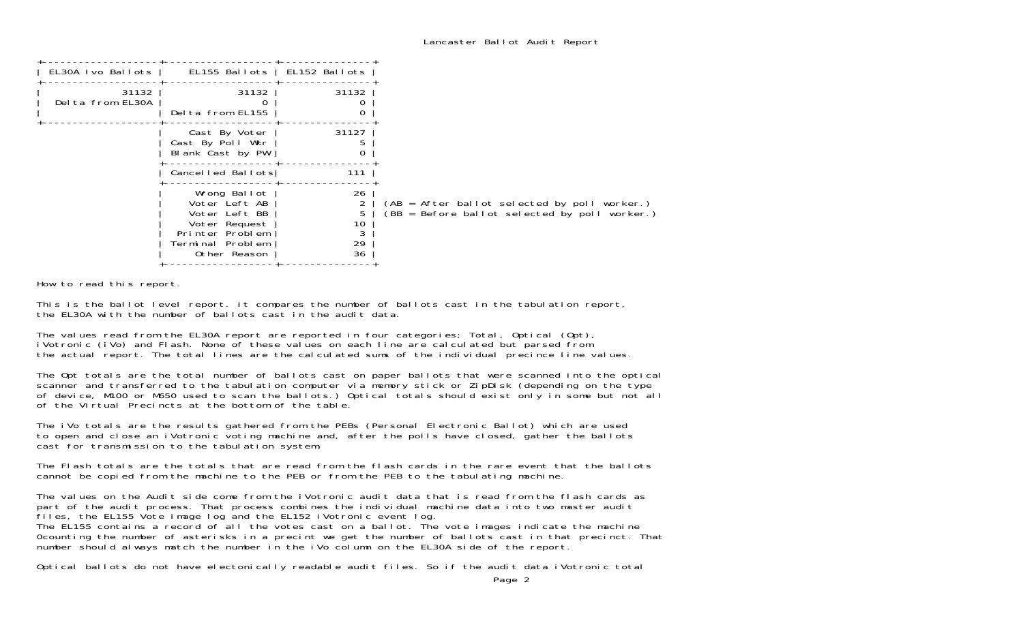| EL155 Ballots   EL152 Ballots<br>31132<br>31132<br>31132<br>Delta from EL155<br>31127<br>Cast By Voter<br>Cast By Poll Wkr<br>Blank Cast by PW<br>Cancelled Ballots<br>111<br>26<br>Wrong Ballot<br>Voter Left AB<br>5<br>Voter Left BB<br>10<br>Voter Request<br>3<br>Printer Problem<br>29<br>Terminal Problem<br>36<br>Other Reason |                   |  |
|----------------------------------------------------------------------------------------------------------------------------------------------------------------------------------------------------------------------------------------------------------------------------------------------------------------------------------------|-------------------|--|
|                                                                                                                                                                                                                                                                                                                                        | EL30A Ivo Ballots |  |
|                                                                                                                                                                                                                                                                                                                                        | Delta from EL30A  |  |
| (AB = After ballot selected by poll worker.)<br>$(BB = Before ballot selected by poll worker.)$                                                                                                                                                                                                                                        |                   |  |
|                                                                                                                                                                                                                                                                                                                                        |                   |  |
|                                                                                                                                                                                                                                                                                                                                        |                   |  |

How to read this report.

This is the ballot level report. It compares the number of ballots cast in the tabulation report, the EL30A with the number of ballots cast in the audit data.

The values read from the EL30A report are reported in four categories; Total, Optical (Opt), iVotronic (iVo) and Flash. None of these values on each line are calculated but parsed from the actual report. The total lines are the calculated sums of the individual precince line values.

The Opt totals are the total number of ballots cast on paper ballots that were scanned into the optical scanner and transferred to the tabulation computer via memory stick or ZipDisk (depending on the type of device, M100 or M650 used to scan the ballots.) Optical totals should exist only in some but not all of the Virtual Precincts at the bottom of the table.

The iVo totals are the results gathered from the PEBs (Personal Electronic Ballot) which are used to open and close an iVotronic voting machine and, after the polls have closed, gather the ballots cast for transmission to the tabulation system.

The Flash totals are the totals that are read from the flash cards in the rare event that the ballots cannot be copied from the machine to the PEB or from the PEB to the tabulating machine.

The values on the Audit side come from the iVotronic audit data that is read from the flash cards as part of the audit process. That process combines the individual machine data into two master audit files, the EL155 Vote image log and the EL152 iVotronic event log. The EL155 contains a record of all the votes cast on a ballot. The vote images indicate the machine 0counting the number of asterisks in a precint we get the number of ballots cast in that precinct. That number should always match the number in the iVo column on the EL30A side of the report.

Optical ballots do not have electonically readable audit files. So if the audit data iVotronic total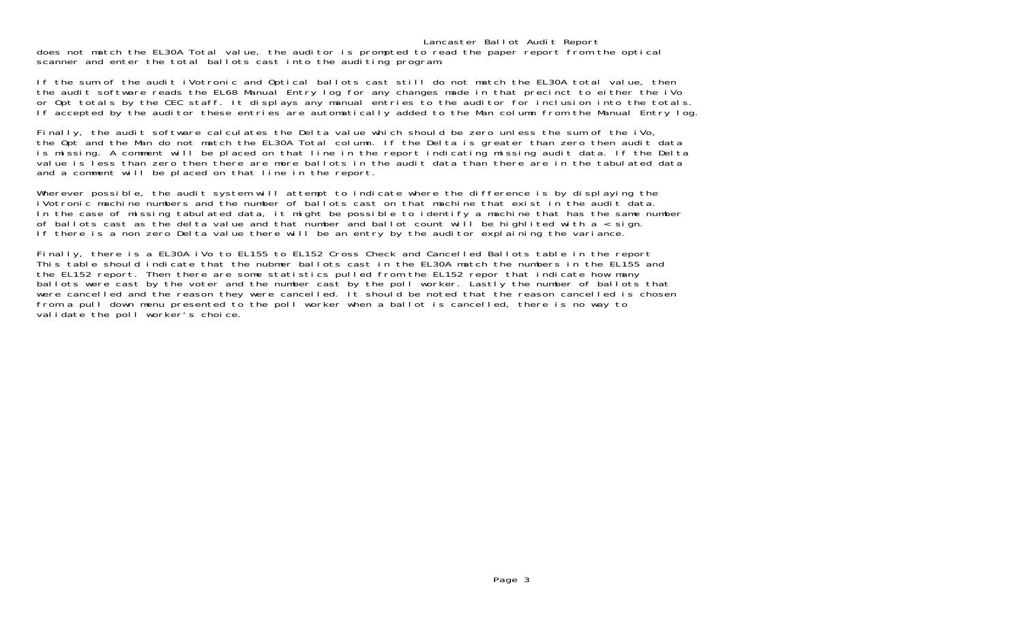Lancaster Ballot Audit Report does not match the EL30A Total value, the auditor is prompted to read the paper report from the optical scanner and enter the total ballots cast into the auditing program.

If the sum of the audit iVotronic and Optical ballots cast still do not match the EL30A total value, then the audit software reads the EL68 Manual Entry log for any changes made in that precinct to either the iVo or Opt totals by the CEC staff. It displays any manual entries to the auditor for inclusion into the totals. If accepted by the auditor these entries are automatically added to the Man column from the Manual Entry log.

Finally, the audit software calculates the Delta value which should be zero unless the sum of the iVo, the Opt and the Man do not match the EL30A Total column. If the Delta is greater than zero then audit data is missing. A comment will be placed on that line in the report indicating missing audit data. If the Delta value is less than zero then there are more ballots in the audit data than there are in the tabulated data and a comment will be placed on that line in the report.

Wherever possible, the audit system will attempt to indicate where the difference is by displaying the iVotronic machine numbers and the number of ballots cast on that machine that exist in the audit data. In the case of missing tabulated data, it might be possible to identify a machine that has the same number of ballots cast as the delta value and that number and ballot count will be highlited with a < sign. If there is a non zero Delta value there will be an entry by the auditor explaining the variance.

Finally, there is a EL30A iVo to EL155 to EL152 Cross Check and Cancelled Ballots table in the report This table should indicate that the nubmer ballots cast in the EL30A match the numbers in the EL155 and the EL152 report. Then there are some statistics pulled from the EL152 repor that indicate how many ballots were cast by the voter and the number cast by the poll worker. Lastly the number of ballots that were cancelled and the reason they were cancelled. It should be noted that the reason cancelled is chosen from a pull down menu presented to the poll worker when a ballot is cancelled, there is no way to validate the poll worker's choice.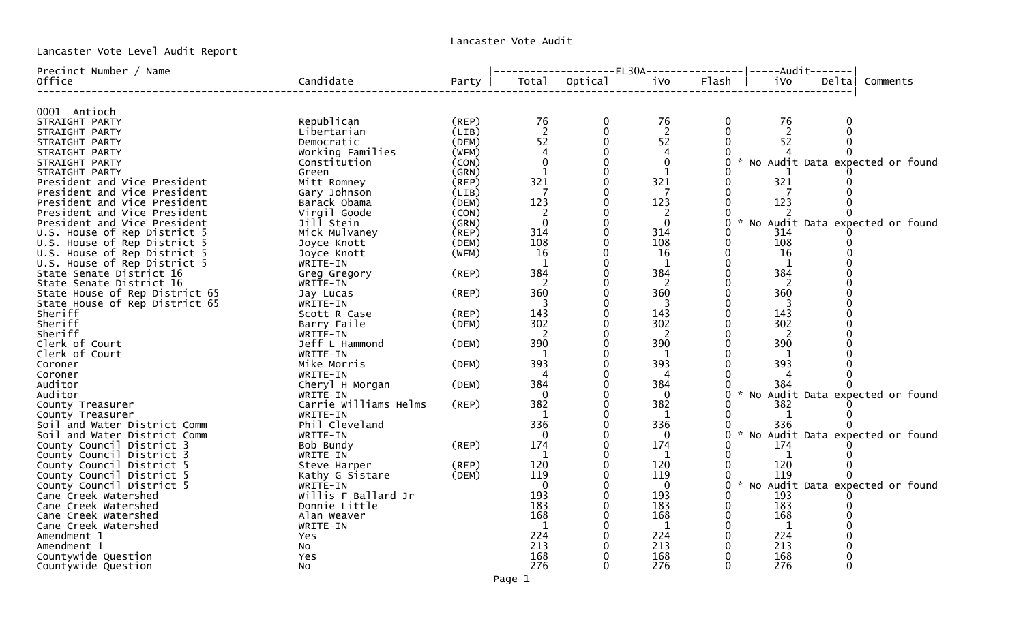Lancaster Vote Level Audit Report

| Precinct Number / Name              |                       |       |                | --------------EL30A---------------- ----Audit------- |                |              |                |        |                                     |
|-------------------------------------|-----------------------|-------|----------------|------------------------------------------------------|----------------|--------------|----------------|--------|-------------------------------------|
| Office                              | Candidate             | Party |                | Total Optical                                        | iVo            | Flash        | ivo            | Deltal | Comments                            |
| 0001 Antioch                        |                       |       |                |                                                      |                |              |                |        |                                     |
| STRAIGHT PARTY                      | Republican            | (REP) | 76             | 0                                                    | 76             | $\bf{0}$     | 76             | 0      |                                     |
| STRAIGHT PARTY                      | Libertarian           | (LIB) | $\overline{2}$ |                                                      | $\overline{2}$ |              | $\overline{2}$ |        |                                     |
| STRAIGHT PARTY                      | Democratic            | (DEM) | 52             |                                                      | 52             | $\Omega$     | 52             |        |                                     |
| STRAIGHT PARTY                      | Working Families      | (WFM) |                |                                                      |                |              |                |        |                                     |
| STRAIGHT PARTY                      | Constitution          | (CON) |                |                                                      | $\Omega$       |              |                |        | * No Audit Data expected or found   |
| STRAIGHT PARTY                      | Green                 | (GRN) |                |                                                      | 1              |              |                |        |                                     |
| President and Vice President        | Mitt Romney           | (REP) | 321            |                                                      | 321            | 0            | 321            |        |                                     |
| President and Vice President        | Gary Johnson          | (LIB) | -7             |                                                      |                |              |                |        |                                     |
| President and Vice President        | Barack Obama          | (DEM) | 123            |                                                      | 123            | $\Omega$     | 123            |        |                                     |
| President and Vice President        | Virgil Goode          | (CON) |                |                                                      | 2              |              |                |        |                                     |
| President and Vice President        | Jill Stein            | (GRN) | $\Omega$       |                                                      | $\Omega$       | $\Omega$     |                |        | * No Audit Data expected or found   |
| U.S. House of Rep District 5        | Mick Mulvaney         | (REF) | 314            |                                                      | 314            |              | 314            |        |                                     |
| U.S. House of Rep District 5        | Joyce Knott           | (DEM) | 108            |                                                      | 108            | 0            | 108            |        |                                     |
| U.S. House of Rep District 5        | Joyce Knott           | (WFM) | 16             |                                                      | 16             |              | 16             |        |                                     |
| U.S. House of Rep District 5        | WRITE-IN              |       | $\mathbf{1}$   |                                                      | 1              |              | 1              |        |                                     |
| State Senate District 16            | Greg Gregory          | (REP) | 384            |                                                      | 384            |              | 384            |        |                                     |
| State Senate District 16            | WRITE-IN              |       | $\overline{2}$ |                                                      | 2              |              | 2              |        |                                     |
| State House of Rep District 65      | Jay Lucas             | (REP) | 360            |                                                      | 360            |              | 360            |        |                                     |
| State House of Rep District 65      | WRITE-IN              |       |                |                                                      | 3              |              |                |        |                                     |
| Sheriff                             | Scott R Case          | (REF) | 143            |                                                      | 143            |              | 143            |        |                                     |
| Sheriff                             | Barry Faile           | (DEM) | 302            |                                                      | 302            |              | 302            |        |                                     |
| Sheriff                             | WRITE-IN              |       | <sup>2</sup>   |                                                      | 2              |              | <sup>2</sup>   |        |                                     |
| Clerk of Court                      | Jeff L Hammond        | (DEM) | 390            |                                                      | 390            |              | 390            |        |                                     |
| Clerk of Court                      | WRITE-IN              |       |                |                                                      |                |              |                |        |                                     |
| Coroner                             | Mike Morris           | (DEM) | 393            |                                                      | 393            |              | 393            |        |                                     |
| Coroner                             | WRITE-IN              |       |                |                                                      |                |              |                |        |                                     |
| Auditor                             | Cheryl H Morgan       | (DEM) | 384            |                                                      | 384            |              | 384            |        |                                     |
| Auditor                             | WRITE-IN              |       | $\Omega$       |                                                      | - 0            |              |                |        | * No Audit Data expected or found   |
| County Treasurer                    | Carrie Williams Helms | (REP) | 382            |                                                      | 382            |              | 382            |        |                                     |
| County Treasurer                    | WRITE-IN              |       |                |                                                      | 1              |              | -1             |        |                                     |
| Soil and Water District Comm        | Phil Cleveland        |       | 336            |                                                      | 336            |              | 336            |        |                                     |
| Soil and Water District Comm        | WRITE-IN              |       | -0             |                                                      | - 0            |              |                |        | * No Audit Data expected or found   |
| County Council District 3           | Bob Bundy             | (REP) | 174            |                                                      | 174            |              | 174            |        |                                     |
| County Council District 3           | WRITE-IN              |       | $\mathbf{1}$   |                                                      | 1              |              | 1              |        |                                     |
| County Council District 5           | Steve Harper          | (REP) | 120            |                                                      | 120            |              | 120            |        |                                     |
| County Council District 5           | Kathy G Sistare       | (DEM) | 119            |                                                      | 119            |              | 119            |        |                                     |
| County Council District 5           | WRITE-IN              |       | $\overline{0}$ |                                                      | 0              |              |                |        | 0 * No Audit Data expected or found |
| Cane Creek Watershed                | Willis F Ballard Jr   |       | 193            |                                                      | 193            | 0            | 193            |        |                                     |
| Cane Creek Watershed                | Donnie Little         |       | 183            |                                                      | 183            | $\mathbf{0}$ | 183            |        |                                     |
| Cane Creek Watershed                | Alan Weaver           |       | 168            |                                                      | 168            | $\mathbf{0}$ | 168            |        |                                     |
| Cane Creek Watershed<br>Amendment 1 | WRITE-IN              |       | -1<br>224      |                                                      | 1<br>224       | $\mathbf{0}$ | 1<br>224       |        |                                     |
| Amendment 1                         | Yes                   |       | 213            |                                                      | 213            |              | 213            |        |                                     |
| Countywide Question                 | No                    |       | 168            |                                                      | 168            |              | 168            |        |                                     |
| Countywide Question                 | Yes<br>NO.            |       | 276            |                                                      | 276            | $\Omega$     | 276            |        |                                     |
|                                     |                       |       |                |                                                      |                |              |                |        |                                     |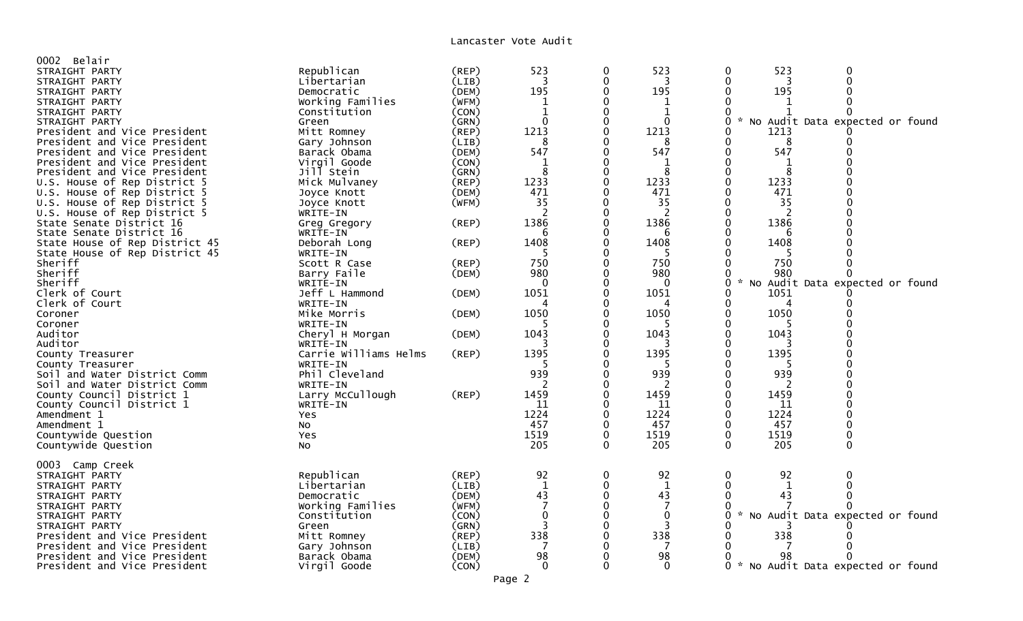| 0002 Belair                    |                       |             |              |              |              |                                                  |
|--------------------------------|-----------------------|-------------|--------------|--------------|--------------|--------------------------------------------------|
| STRAIGHT PARTY                 | Republican            | (REP)       | 523          | 0            | 523          | 523<br>0<br>0                                    |
| STRAIGHT PARTY                 | Libertarian           | (LIB)       | 3            | 0            | 3            | 3                                                |
| STRAIGHT PARTY                 | Democratic            | (DEM)       | 195          | O            | 195          | 195                                              |
| STRAIGHT PARTY                 | Working Families      | (WFM)       | 1            |              |              |                                                  |
|                                |                       | (CON)       | $\mathbf{1}$ |              |              |                                                  |
| STRAIGHT PARTY                 | Constitution          |             | $\Omega$     |              | $\Omega$     |                                                  |
| STRAIGHT PARTY                 | Green                 | (GRN)       |              |              |              | * No Audit Data expected or found                |
| President and Vice President   | Mitt Romney           | (REP)       | 1213         |              | 1213         | 1213                                             |
| President and Vice President   | Gary Johnson          | (LIB)       | 8            |              | 8            | 8                                                |
| President and Vice President   | Barack Obama          | (DEM)       | 547          |              | 547          | 547                                              |
| President and Vice President   | Virgil Goode          | (CON)       | 1            |              |              |                                                  |
| President and Vice President   | Jill Stein            | (GRN)       | 8            | 0            | 8            | 8                                                |
| U.S. House of Rep District 5   | Mick Mulvaney         | (REP)       | 1233         |              | 1233         | 1233                                             |
| U.S. House of Rep District 5   | Joyce Knott           | (DEM)       | 471          |              | 471          | 471                                              |
| U.S. House of Rep District 5   | Joyce Knott           | (WFM)       | 35           |              | 35           | 35                                               |
| U.S. House of Rep District 5   | WRITE-IN              |             |              |              | 2            |                                                  |
| State Senate District 16       | Greg Gregory          | (REP)       | 1386         |              | 1386         | 1386                                             |
| State Senate District 16       | WRITE-IN              |             | 6            |              | 6            | 6                                                |
| State House of Rep District 45 | Deborah Long          | (REP)       | 1408         | 0            | 1408         | 1408                                             |
| State House of Rep District 45 | WRITE-IN              |             |              |              |              |                                                  |
| Sheriff                        | Scott R Case          | $($ REP $)$ | 750          |              | 750          | 750                                              |
| Sheriff                        | Barry Faile           | (DEM)       | 980          |              | 980          | 980                                              |
| Sheriff                        |                       |             | $\mathbf{0}$ |              | $\mathbf{0}$ |                                                  |
|                                | WRITE-IN              |             |              |              |              | No Audit Data expected or found                  |
| Clerk of Court                 | Jeff L Hammond        | (DEM)       | 1051         |              | 1051         | 1051                                             |
| Clerk of Court                 | WRITE-IN              |             | 4            |              | 4            | 4                                                |
| Coroner                        | Mike Morris           | (DEM)       | 1050         | 0            | 1050         | 1050                                             |
| Coroner                        | WRITE-IN              |             |              |              |              |                                                  |
| Auditor                        | Cheryl H Morgan       | (DEM)       | 1043         |              | 1043         | 1043                                             |
| Auditor                        | WRITE-IN              |             |              |              |              |                                                  |
| County Treasurer               | Carrie Williams Helms | (REP)       | 1395         | 0            | 1395         | 1395                                             |
| County Treasurer               | WRITE-IN              |             |              |              |              |                                                  |
| Soil and Water District Comm   | Phil Cleveland        |             | 939          |              | 939          | 939                                              |
| Soil and Water District Comm   | WRITE-IN              |             |              |              |              |                                                  |
| County Council District 1      | Larry McCullough      | (REP)       | 1459         |              | 1459         | 1459                                             |
| County Council District 1      | WRITE-IN              |             | 11           |              | 11           | 11                                               |
| Amendment 1                    | Yes                   |             | 1224         | 0            | 1224         | 1224                                             |
| Amendment 1                    | NO.                   |             | 457          | 0            | 457          | 457                                              |
| Countywide Question            | Yes                   |             | 1519         | 0            | 1519         | 1519                                             |
| Countywide Question            | <b>NO</b>             |             | 205          | $\mathbf{0}$ | 205          | 205<br>$\mathbf 0$<br>$\mathbf{0}$               |
|                                |                       |             |              |              |              |                                                  |
| 0003 Camp Creek                |                       |             |              |              |              |                                                  |
|                                |                       |             | 92           | 0            | 92           | 92<br>0<br>$\Omega$                              |
| STRAIGHT PARTY                 | Republican            | $($ REP $)$ |              |              |              |                                                  |
| STRAIGHT PARTY                 | Libertarian           | (LIB)       | $\mathbf{1}$ | 0            | 1            | 1                                                |
| STRAIGHT PARTY                 | Democratic            | (DEM)       | 43           | $\Omega$     | 43           | 43                                               |
| STRAIGHT PARTY                 | Working Families      | (WFM)       | 7            | 0            |              |                                                  |
| STRAIGHT PARTY                 | Constitution          | (CON)       | $\mathbf{0}$ | 0            | $\mathbf{0}$ | No Audit Data expected or found<br>$\mathcal{H}$ |
| STRAIGHT PARTY                 | Green                 | (GRN)       |              |              |              |                                                  |
| President and Vice President   | Mitt Romney           | $($ REP $)$ | 338          |              | 338          | 338                                              |
| President and Vice President   | Gary Johnson          | (LIB)       |              |              |              |                                                  |
| President and Vice President   | Barack Obama          | (DEM)       | 98           |              | 98           | 98                                               |
| President and Vice President   | Virgil Goode          | (CON)       | $\mathbf{0}$ | 0            | 0            | $\mathcal{H}$<br>No Audit Data expected or found |
|                                |                       |             |              |              |              |                                                  |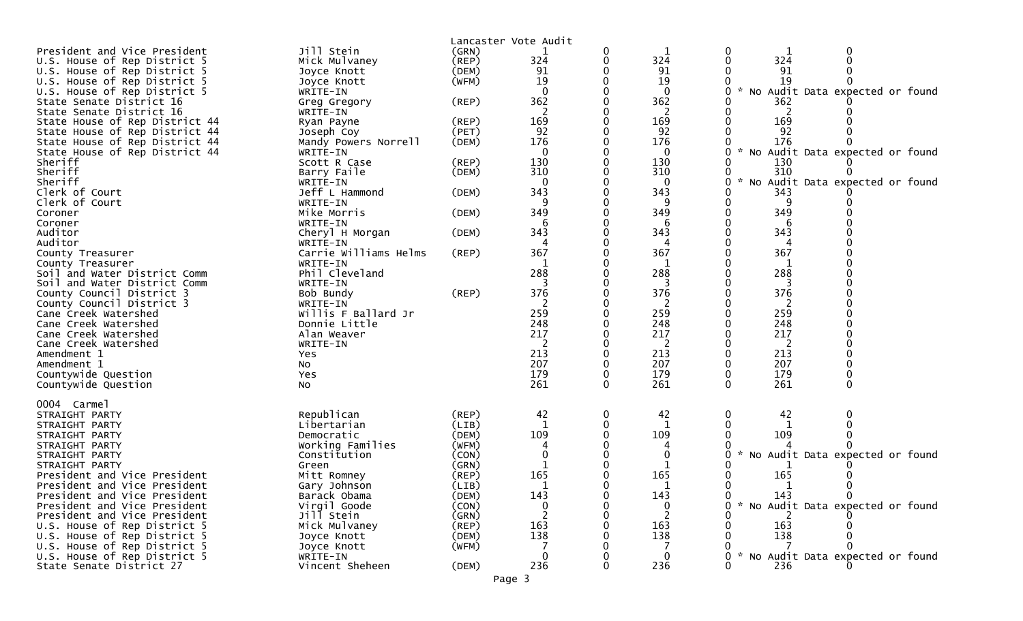| (GRN)<br>1<br>0<br>0<br>324<br>324<br>324<br>U.S. House of Rep District 5<br>Mick Mulvaney<br>$($ REP $)$<br>0<br>91<br>91<br>U.S. House of Rep District 5<br>(DEM)<br>91<br>Joyce Knott<br>19<br>19<br>19<br>(WFM)<br>U.S. House of Rep District 5<br>Joyce Knott<br>$\Omega$<br>$\mathbf{0}$<br>No Audit Data expected or found<br>U.S. House of Rep District 5<br>WRITE-IN<br>362<br>362<br>State Senate District 16<br>362<br>(REP)<br>Greg Gregory<br>2<br>2<br>State Senate District 16<br>WRITE-IN<br>2<br>169<br>169<br>169<br>State House of Rep District 44<br>(REP)<br>Ryan Payne<br>92<br>State House of Rep District 44<br>(PET)<br>92<br>92<br>Joseph Coy<br>176<br>176<br>176<br>State House of Rep District 44<br>Mandy Powers Norrell<br>(DEM)<br>State House of Rep District 44<br>$\mathbf 0$<br>$\mathbf 0$<br>0<br>* No Audit Data expected or found<br>WRITE-IN<br>Sheriff<br>130<br>130<br>130<br>Scott R Case<br>(REP)<br>310<br>Sheriff<br>310<br>310<br>(DEM)<br>Barry Faile<br>Sheriff<br>$\mathcal{H}^{\mathcal{A}}$<br>No Audit Data expected or found<br>0<br>0<br>WRITE-IN<br>$\Omega$<br>343<br>Jeff L Hammond<br>343<br>Clerk of Court<br>(DEM)<br>343<br>9<br>9<br>Clerk of Court<br>WRITE-IN<br>349<br>349<br>349<br>Mike Morris<br>(DEM)<br>Coroner<br>WRITE-IN<br>Coroner<br>6<br>6<br>343<br>343<br>343<br>Auditor<br>(DEM)<br>Cheryl H Morgan<br>Auditor<br>WRITE-IN<br>4<br>367<br>367<br>367<br>Carrie Williams Helms<br>$($ REP $)$<br>County Treasurer<br>WRITE-IN<br>1<br>1<br>County Treasurer<br>288<br>288<br>288<br>Phil Cleveland<br>Soil and Water District Comm<br>WRITE-IN<br>Soil and Water District Comm<br>376<br>376<br>376<br>(REP)<br>County Council District 3<br>Bob Bundy<br>County Council District 3<br>2<br>2<br>WRITE-IN<br>259<br>Willis F Ballard Jr<br>259<br>259<br>Cane Creek Watershed<br>248<br>248<br>248<br>Cane Creek Watershed<br>Donnie Little<br>217<br>217<br>217<br>Cane Creek Watershed<br>Alan Weaver<br>Cane Creek Watershed<br>WRITE-IN<br>2<br>2<br>213<br>213<br>213<br>Amendment 1<br>Yes<br>207<br>207<br>207<br>Amendment 1<br><b>NO</b><br>179<br>179<br>179<br>Countywide Question<br>$\Omega$<br>Yes<br>261<br>261<br>261<br>$\mathbf 0$<br>$\Omega$<br>$\Omega$<br>Countywide Question<br>N <sub>O</sub><br>0004 Carmel<br>Republican<br>42<br>0<br>42<br>42<br>0<br>STRAIGHT PARTY<br>$($ REP $)$<br>0<br>(LIB)<br>Libertarian<br>1<br>1<br>STRAIGHT PARTY<br>109<br>109<br>109<br>Democratic<br>(DEM)<br>STRAIGHT PARTY<br>Working Families<br>(WFM)<br>STRAIGHT PARTY<br>4<br>No Audit Data expected or found<br>STRAIGHT PARTY<br>(CON)<br>0<br>0<br>Constitution<br>(GRN)<br>STRAIGHT PARTY<br>Green<br>165<br>165<br>165<br>President and Vice President<br>Mitt Romney<br>$($ REP $)$<br>1<br>1<br>0<br>1<br>President and Vice President<br>Gary Johnson<br>(LIB)<br>President and Vice President<br>Barack Obama<br>(DEM)<br>143<br>143<br>143<br>Virgil Goode<br>President and Vice President<br>* No Audit Data expected or found<br>(CON)<br>0<br>0<br>0<br>Jill Stein<br>President and Vice President<br>(GRN)<br>163<br>163<br>163<br>U.S. House of Rep District 5<br>Mick Mulvaney<br>(REP)<br>138<br>138<br>138<br>U.S. House of Rep District 5<br>(DEM)<br>Joyce Knott<br>U.S. House of Rep District 5<br>(WFM)<br>Joyce Knott<br>U.S. House of Rep District 5<br>0<br>No Audit Data expected or found<br>WRITE-IN<br>236<br>236<br>State Senate District 27<br>Vincent Sheheen<br>(DEM)<br>236 |                              |            | Lancaster Vote Audit |  |  |
|---------------------------------------------------------------------------------------------------------------------------------------------------------------------------------------------------------------------------------------------------------------------------------------------------------------------------------------------------------------------------------------------------------------------------------------------------------------------------------------------------------------------------------------------------------------------------------------------------------------------------------------------------------------------------------------------------------------------------------------------------------------------------------------------------------------------------------------------------------------------------------------------------------------------------------------------------------------------------------------------------------------------------------------------------------------------------------------------------------------------------------------------------------------------------------------------------------------------------------------------------------------------------------------------------------------------------------------------------------------------------------------------------------------------------------------------------------------------------------------------------------------------------------------------------------------------------------------------------------------------------------------------------------------------------------------------------------------------------------------------------------------------------------------------------------------------------------------------------------------------------------------------------------------------------------------------------------------------------------------------------------------------------------------------------------------------------------------------------------------------------------------------------------------------------------------------------------------------------------------------------------------------------------------------------------------------------------------------------------------------------------------------------------------------------------------------------------------------------------------------------------------------------------------------------------------------------------------------------------------------------------------------------------------------------------------------------------------------------------------------------------------------------------------------------------------------------------------------------------------------------------------------------------------------------------------------------------------------------------------------------------------------------------------------------------------------------------------------------------------------------------------------------------------------------------------------------------------------------------------------------------------------------------------------------------------------------------------------------------------------------------------------------------------------------------------------------------------------------------------------------------------|------------------------------|------------|----------------------|--|--|
|                                                                                                                                                                                                                                                                                                                                                                                                                                                                                                                                                                                                                                                                                                                                                                                                                                                                                                                                                                                                                                                                                                                                                                                                                                                                                                                                                                                                                                                                                                                                                                                                                                                                                                                                                                                                                                                                                                                                                                                                                                                                                                                                                                                                                                                                                                                                                                                                                                                                                                                                                                                                                                                                                                                                                                                                                                                                                                                                                                                                                                                                                                                                                                                                                                                                                                                                                                                                                                                                                                               | President and Vice President | Jill Stein |                      |  |  |
|                                                                                                                                                                                                                                                                                                                                                                                                                                                                                                                                                                                                                                                                                                                                                                                                                                                                                                                                                                                                                                                                                                                                                                                                                                                                                                                                                                                                                                                                                                                                                                                                                                                                                                                                                                                                                                                                                                                                                                                                                                                                                                                                                                                                                                                                                                                                                                                                                                                                                                                                                                                                                                                                                                                                                                                                                                                                                                                                                                                                                                                                                                                                                                                                                                                                                                                                                                                                                                                                                                               |                              |            |                      |  |  |
|                                                                                                                                                                                                                                                                                                                                                                                                                                                                                                                                                                                                                                                                                                                                                                                                                                                                                                                                                                                                                                                                                                                                                                                                                                                                                                                                                                                                                                                                                                                                                                                                                                                                                                                                                                                                                                                                                                                                                                                                                                                                                                                                                                                                                                                                                                                                                                                                                                                                                                                                                                                                                                                                                                                                                                                                                                                                                                                                                                                                                                                                                                                                                                                                                                                                                                                                                                                                                                                                                                               |                              |            |                      |  |  |
|                                                                                                                                                                                                                                                                                                                                                                                                                                                                                                                                                                                                                                                                                                                                                                                                                                                                                                                                                                                                                                                                                                                                                                                                                                                                                                                                                                                                                                                                                                                                                                                                                                                                                                                                                                                                                                                                                                                                                                                                                                                                                                                                                                                                                                                                                                                                                                                                                                                                                                                                                                                                                                                                                                                                                                                                                                                                                                                                                                                                                                                                                                                                                                                                                                                                                                                                                                                                                                                                                                               |                              |            |                      |  |  |
|                                                                                                                                                                                                                                                                                                                                                                                                                                                                                                                                                                                                                                                                                                                                                                                                                                                                                                                                                                                                                                                                                                                                                                                                                                                                                                                                                                                                                                                                                                                                                                                                                                                                                                                                                                                                                                                                                                                                                                                                                                                                                                                                                                                                                                                                                                                                                                                                                                                                                                                                                                                                                                                                                                                                                                                                                                                                                                                                                                                                                                                                                                                                                                                                                                                                                                                                                                                                                                                                                                               |                              |            |                      |  |  |
|                                                                                                                                                                                                                                                                                                                                                                                                                                                                                                                                                                                                                                                                                                                                                                                                                                                                                                                                                                                                                                                                                                                                                                                                                                                                                                                                                                                                                                                                                                                                                                                                                                                                                                                                                                                                                                                                                                                                                                                                                                                                                                                                                                                                                                                                                                                                                                                                                                                                                                                                                                                                                                                                                                                                                                                                                                                                                                                                                                                                                                                                                                                                                                                                                                                                                                                                                                                                                                                                                                               |                              |            |                      |  |  |
|                                                                                                                                                                                                                                                                                                                                                                                                                                                                                                                                                                                                                                                                                                                                                                                                                                                                                                                                                                                                                                                                                                                                                                                                                                                                                                                                                                                                                                                                                                                                                                                                                                                                                                                                                                                                                                                                                                                                                                                                                                                                                                                                                                                                                                                                                                                                                                                                                                                                                                                                                                                                                                                                                                                                                                                                                                                                                                                                                                                                                                                                                                                                                                                                                                                                                                                                                                                                                                                                                                               |                              |            |                      |  |  |
|                                                                                                                                                                                                                                                                                                                                                                                                                                                                                                                                                                                                                                                                                                                                                                                                                                                                                                                                                                                                                                                                                                                                                                                                                                                                                                                                                                                                                                                                                                                                                                                                                                                                                                                                                                                                                                                                                                                                                                                                                                                                                                                                                                                                                                                                                                                                                                                                                                                                                                                                                                                                                                                                                                                                                                                                                                                                                                                                                                                                                                                                                                                                                                                                                                                                                                                                                                                                                                                                                                               |                              |            |                      |  |  |
|                                                                                                                                                                                                                                                                                                                                                                                                                                                                                                                                                                                                                                                                                                                                                                                                                                                                                                                                                                                                                                                                                                                                                                                                                                                                                                                                                                                                                                                                                                                                                                                                                                                                                                                                                                                                                                                                                                                                                                                                                                                                                                                                                                                                                                                                                                                                                                                                                                                                                                                                                                                                                                                                                                                                                                                                                                                                                                                                                                                                                                                                                                                                                                                                                                                                                                                                                                                                                                                                                                               |                              |            |                      |  |  |
|                                                                                                                                                                                                                                                                                                                                                                                                                                                                                                                                                                                                                                                                                                                                                                                                                                                                                                                                                                                                                                                                                                                                                                                                                                                                                                                                                                                                                                                                                                                                                                                                                                                                                                                                                                                                                                                                                                                                                                                                                                                                                                                                                                                                                                                                                                                                                                                                                                                                                                                                                                                                                                                                                                                                                                                                                                                                                                                                                                                                                                                                                                                                                                                                                                                                                                                                                                                                                                                                                                               |                              |            |                      |  |  |
|                                                                                                                                                                                                                                                                                                                                                                                                                                                                                                                                                                                                                                                                                                                                                                                                                                                                                                                                                                                                                                                                                                                                                                                                                                                                                                                                                                                                                                                                                                                                                                                                                                                                                                                                                                                                                                                                                                                                                                                                                                                                                                                                                                                                                                                                                                                                                                                                                                                                                                                                                                                                                                                                                                                                                                                                                                                                                                                                                                                                                                                                                                                                                                                                                                                                                                                                                                                                                                                                                                               |                              |            |                      |  |  |
|                                                                                                                                                                                                                                                                                                                                                                                                                                                                                                                                                                                                                                                                                                                                                                                                                                                                                                                                                                                                                                                                                                                                                                                                                                                                                                                                                                                                                                                                                                                                                                                                                                                                                                                                                                                                                                                                                                                                                                                                                                                                                                                                                                                                                                                                                                                                                                                                                                                                                                                                                                                                                                                                                                                                                                                                                                                                                                                                                                                                                                                                                                                                                                                                                                                                                                                                                                                                                                                                                                               |                              |            |                      |  |  |
|                                                                                                                                                                                                                                                                                                                                                                                                                                                                                                                                                                                                                                                                                                                                                                                                                                                                                                                                                                                                                                                                                                                                                                                                                                                                                                                                                                                                                                                                                                                                                                                                                                                                                                                                                                                                                                                                                                                                                                                                                                                                                                                                                                                                                                                                                                                                                                                                                                                                                                                                                                                                                                                                                                                                                                                                                                                                                                                                                                                                                                                                                                                                                                                                                                                                                                                                                                                                                                                                                                               |                              |            |                      |  |  |
|                                                                                                                                                                                                                                                                                                                                                                                                                                                                                                                                                                                                                                                                                                                                                                                                                                                                                                                                                                                                                                                                                                                                                                                                                                                                                                                                                                                                                                                                                                                                                                                                                                                                                                                                                                                                                                                                                                                                                                                                                                                                                                                                                                                                                                                                                                                                                                                                                                                                                                                                                                                                                                                                                                                                                                                                                                                                                                                                                                                                                                                                                                                                                                                                                                                                                                                                                                                                                                                                                                               |                              |            |                      |  |  |
|                                                                                                                                                                                                                                                                                                                                                                                                                                                                                                                                                                                                                                                                                                                                                                                                                                                                                                                                                                                                                                                                                                                                                                                                                                                                                                                                                                                                                                                                                                                                                                                                                                                                                                                                                                                                                                                                                                                                                                                                                                                                                                                                                                                                                                                                                                                                                                                                                                                                                                                                                                                                                                                                                                                                                                                                                                                                                                                                                                                                                                                                                                                                                                                                                                                                                                                                                                                                                                                                                                               |                              |            |                      |  |  |
|                                                                                                                                                                                                                                                                                                                                                                                                                                                                                                                                                                                                                                                                                                                                                                                                                                                                                                                                                                                                                                                                                                                                                                                                                                                                                                                                                                                                                                                                                                                                                                                                                                                                                                                                                                                                                                                                                                                                                                                                                                                                                                                                                                                                                                                                                                                                                                                                                                                                                                                                                                                                                                                                                                                                                                                                                                                                                                                                                                                                                                                                                                                                                                                                                                                                                                                                                                                                                                                                                                               |                              |            |                      |  |  |
|                                                                                                                                                                                                                                                                                                                                                                                                                                                                                                                                                                                                                                                                                                                                                                                                                                                                                                                                                                                                                                                                                                                                                                                                                                                                                                                                                                                                                                                                                                                                                                                                                                                                                                                                                                                                                                                                                                                                                                                                                                                                                                                                                                                                                                                                                                                                                                                                                                                                                                                                                                                                                                                                                                                                                                                                                                                                                                                                                                                                                                                                                                                                                                                                                                                                                                                                                                                                                                                                                                               |                              |            |                      |  |  |
|                                                                                                                                                                                                                                                                                                                                                                                                                                                                                                                                                                                                                                                                                                                                                                                                                                                                                                                                                                                                                                                                                                                                                                                                                                                                                                                                                                                                                                                                                                                                                                                                                                                                                                                                                                                                                                                                                                                                                                                                                                                                                                                                                                                                                                                                                                                                                                                                                                                                                                                                                                                                                                                                                                                                                                                                                                                                                                                                                                                                                                                                                                                                                                                                                                                                                                                                                                                                                                                                                                               |                              |            |                      |  |  |
|                                                                                                                                                                                                                                                                                                                                                                                                                                                                                                                                                                                                                                                                                                                                                                                                                                                                                                                                                                                                                                                                                                                                                                                                                                                                                                                                                                                                                                                                                                                                                                                                                                                                                                                                                                                                                                                                                                                                                                                                                                                                                                                                                                                                                                                                                                                                                                                                                                                                                                                                                                                                                                                                                                                                                                                                                                                                                                                                                                                                                                                                                                                                                                                                                                                                                                                                                                                                                                                                                                               |                              |            |                      |  |  |
|                                                                                                                                                                                                                                                                                                                                                                                                                                                                                                                                                                                                                                                                                                                                                                                                                                                                                                                                                                                                                                                                                                                                                                                                                                                                                                                                                                                                                                                                                                                                                                                                                                                                                                                                                                                                                                                                                                                                                                                                                                                                                                                                                                                                                                                                                                                                                                                                                                                                                                                                                                                                                                                                                                                                                                                                                                                                                                                                                                                                                                                                                                                                                                                                                                                                                                                                                                                                                                                                                                               |                              |            |                      |  |  |
|                                                                                                                                                                                                                                                                                                                                                                                                                                                                                                                                                                                                                                                                                                                                                                                                                                                                                                                                                                                                                                                                                                                                                                                                                                                                                                                                                                                                                                                                                                                                                                                                                                                                                                                                                                                                                                                                                                                                                                                                                                                                                                                                                                                                                                                                                                                                                                                                                                                                                                                                                                                                                                                                                                                                                                                                                                                                                                                                                                                                                                                                                                                                                                                                                                                                                                                                                                                                                                                                                                               |                              |            |                      |  |  |
|                                                                                                                                                                                                                                                                                                                                                                                                                                                                                                                                                                                                                                                                                                                                                                                                                                                                                                                                                                                                                                                                                                                                                                                                                                                                                                                                                                                                                                                                                                                                                                                                                                                                                                                                                                                                                                                                                                                                                                                                                                                                                                                                                                                                                                                                                                                                                                                                                                                                                                                                                                                                                                                                                                                                                                                                                                                                                                                                                                                                                                                                                                                                                                                                                                                                                                                                                                                                                                                                                                               |                              |            |                      |  |  |
|                                                                                                                                                                                                                                                                                                                                                                                                                                                                                                                                                                                                                                                                                                                                                                                                                                                                                                                                                                                                                                                                                                                                                                                                                                                                                                                                                                                                                                                                                                                                                                                                                                                                                                                                                                                                                                                                                                                                                                                                                                                                                                                                                                                                                                                                                                                                                                                                                                                                                                                                                                                                                                                                                                                                                                                                                                                                                                                                                                                                                                                                                                                                                                                                                                                                                                                                                                                                                                                                                                               |                              |            |                      |  |  |
|                                                                                                                                                                                                                                                                                                                                                                                                                                                                                                                                                                                                                                                                                                                                                                                                                                                                                                                                                                                                                                                                                                                                                                                                                                                                                                                                                                                                                                                                                                                                                                                                                                                                                                                                                                                                                                                                                                                                                                                                                                                                                                                                                                                                                                                                                                                                                                                                                                                                                                                                                                                                                                                                                                                                                                                                                                                                                                                                                                                                                                                                                                                                                                                                                                                                                                                                                                                                                                                                                                               |                              |            |                      |  |  |
|                                                                                                                                                                                                                                                                                                                                                                                                                                                                                                                                                                                                                                                                                                                                                                                                                                                                                                                                                                                                                                                                                                                                                                                                                                                                                                                                                                                                                                                                                                                                                                                                                                                                                                                                                                                                                                                                                                                                                                                                                                                                                                                                                                                                                                                                                                                                                                                                                                                                                                                                                                                                                                                                                                                                                                                                                                                                                                                                                                                                                                                                                                                                                                                                                                                                                                                                                                                                                                                                                                               |                              |            |                      |  |  |
|                                                                                                                                                                                                                                                                                                                                                                                                                                                                                                                                                                                                                                                                                                                                                                                                                                                                                                                                                                                                                                                                                                                                                                                                                                                                                                                                                                                                                                                                                                                                                                                                                                                                                                                                                                                                                                                                                                                                                                                                                                                                                                                                                                                                                                                                                                                                                                                                                                                                                                                                                                                                                                                                                                                                                                                                                                                                                                                                                                                                                                                                                                                                                                                                                                                                                                                                                                                                                                                                                                               |                              |            |                      |  |  |
|                                                                                                                                                                                                                                                                                                                                                                                                                                                                                                                                                                                                                                                                                                                                                                                                                                                                                                                                                                                                                                                                                                                                                                                                                                                                                                                                                                                                                                                                                                                                                                                                                                                                                                                                                                                                                                                                                                                                                                                                                                                                                                                                                                                                                                                                                                                                                                                                                                                                                                                                                                                                                                                                                                                                                                                                                                                                                                                                                                                                                                                                                                                                                                                                                                                                                                                                                                                                                                                                                                               |                              |            |                      |  |  |
|                                                                                                                                                                                                                                                                                                                                                                                                                                                                                                                                                                                                                                                                                                                                                                                                                                                                                                                                                                                                                                                                                                                                                                                                                                                                                                                                                                                                                                                                                                                                                                                                                                                                                                                                                                                                                                                                                                                                                                                                                                                                                                                                                                                                                                                                                                                                                                                                                                                                                                                                                                                                                                                                                                                                                                                                                                                                                                                                                                                                                                                                                                                                                                                                                                                                                                                                                                                                                                                                                                               |                              |            |                      |  |  |
|                                                                                                                                                                                                                                                                                                                                                                                                                                                                                                                                                                                                                                                                                                                                                                                                                                                                                                                                                                                                                                                                                                                                                                                                                                                                                                                                                                                                                                                                                                                                                                                                                                                                                                                                                                                                                                                                                                                                                                                                                                                                                                                                                                                                                                                                                                                                                                                                                                                                                                                                                                                                                                                                                                                                                                                                                                                                                                                                                                                                                                                                                                                                                                                                                                                                                                                                                                                                                                                                                                               |                              |            |                      |  |  |
|                                                                                                                                                                                                                                                                                                                                                                                                                                                                                                                                                                                                                                                                                                                                                                                                                                                                                                                                                                                                                                                                                                                                                                                                                                                                                                                                                                                                                                                                                                                                                                                                                                                                                                                                                                                                                                                                                                                                                                                                                                                                                                                                                                                                                                                                                                                                                                                                                                                                                                                                                                                                                                                                                                                                                                                                                                                                                                                                                                                                                                                                                                                                                                                                                                                                                                                                                                                                                                                                                                               |                              |            |                      |  |  |
|                                                                                                                                                                                                                                                                                                                                                                                                                                                                                                                                                                                                                                                                                                                                                                                                                                                                                                                                                                                                                                                                                                                                                                                                                                                                                                                                                                                                                                                                                                                                                                                                                                                                                                                                                                                                                                                                                                                                                                                                                                                                                                                                                                                                                                                                                                                                                                                                                                                                                                                                                                                                                                                                                                                                                                                                                                                                                                                                                                                                                                                                                                                                                                                                                                                                                                                                                                                                                                                                                                               |                              |            |                      |  |  |
|                                                                                                                                                                                                                                                                                                                                                                                                                                                                                                                                                                                                                                                                                                                                                                                                                                                                                                                                                                                                                                                                                                                                                                                                                                                                                                                                                                                                                                                                                                                                                                                                                                                                                                                                                                                                                                                                                                                                                                                                                                                                                                                                                                                                                                                                                                                                                                                                                                                                                                                                                                                                                                                                                                                                                                                                                                                                                                                                                                                                                                                                                                                                                                                                                                                                                                                                                                                                                                                                                                               |                              |            |                      |  |  |
|                                                                                                                                                                                                                                                                                                                                                                                                                                                                                                                                                                                                                                                                                                                                                                                                                                                                                                                                                                                                                                                                                                                                                                                                                                                                                                                                                                                                                                                                                                                                                                                                                                                                                                                                                                                                                                                                                                                                                                                                                                                                                                                                                                                                                                                                                                                                                                                                                                                                                                                                                                                                                                                                                                                                                                                                                                                                                                                                                                                                                                                                                                                                                                                                                                                                                                                                                                                                                                                                                                               |                              |            |                      |  |  |
|                                                                                                                                                                                                                                                                                                                                                                                                                                                                                                                                                                                                                                                                                                                                                                                                                                                                                                                                                                                                                                                                                                                                                                                                                                                                                                                                                                                                                                                                                                                                                                                                                                                                                                                                                                                                                                                                                                                                                                                                                                                                                                                                                                                                                                                                                                                                                                                                                                                                                                                                                                                                                                                                                                                                                                                                                                                                                                                                                                                                                                                                                                                                                                                                                                                                                                                                                                                                                                                                                                               |                              |            |                      |  |  |
|                                                                                                                                                                                                                                                                                                                                                                                                                                                                                                                                                                                                                                                                                                                                                                                                                                                                                                                                                                                                                                                                                                                                                                                                                                                                                                                                                                                                                                                                                                                                                                                                                                                                                                                                                                                                                                                                                                                                                                                                                                                                                                                                                                                                                                                                                                                                                                                                                                                                                                                                                                                                                                                                                                                                                                                                                                                                                                                                                                                                                                                                                                                                                                                                                                                                                                                                                                                                                                                                                                               |                              |            |                      |  |  |
|                                                                                                                                                                                                                                                                                                                                                                                                                                                                                                                                                                                                                                                                                                                                                                                                                                                                                                                                                                                                                                                                                                                                                                                                                                                                                                                                                                                                                                                                                                                                                                                                                                                                                                                                                                                                                                                                                                                                                                                                                                                                                                                                                                                                                                                                                                                                                                                                                                                                                                                                                                                                                                                                                                                                                                                                                                                                                                                                                                                                                                                                                                                                                                                                                                                                                                                                                                                                                                                                                                               |                              |            |                      |  |  |
|                                                                                                                                                                                                                                                                                                                                                                                                                                                                                                                                                                                                                                                                                                                                                                                                                                                                                                                                                                                                                                                                                                                                                                                                                                                                                                                                                                                                                                                                                                                                                                                                                                                                                                                                                                                                                                                                                                                                                                                                                                                                                                                                                                                                                                                                                                                                                                                                                                                                                                                                                                                                                                                                                                                                                                                                                                                                                                                                                                                                                                                                                                                                                                                                                                                                                                                                                                                                                                                                                                               |                              |            |                      |  |  |
|                                                                                                                                                                                                                                                                                                                                                                                                                                                                                                                                                                                                                                                                                                                                                                                                                                                                                                                                                                                                                                                                                                                                                                                                                                                                                                                                                                                                                                                                                                                                                                                                                                                                                                                                                                                                                                                                                                                                                                                                                                                                                                                                                                                                                                                                                                                                                                                                                                                                                                                                                                                                                                                                                                                                                                                                                                                                                                                                                                                                                                                                                                                                                                                                                                                                                                                                                                                                                                                                                                               |                              |            |                      |  |  |
|                                                                                                                                                                                                                                                                                                                                                                                                                                                                                                                                                                                                                                                                                                                                                                                                                                                                                                                                                                                                                                                                                                                                                                                                                                                                                                                                                                                                                                                                                                                                                                                                                                                                                                                                                                                                                                                                                                                                                                                                                                                                                                                                                                                                                                                                                                                                                                                                                                                                                                                                                                                                                                                                                                                                                                                                                                                                                                                                                                                                                                                                                                                                                                                                                                                                                                                                                                                                                                                                                                               |                              |            |                      |  |  |
|                                                                                                                                                                                                                                                                                                                                                                                                                                                                                                                                                                                                                                                                                                                                                                                                                                                                                                                                                                                                                                                                                                                                                                                                                                                                                                                                                                                                                                                                                                                                                                                                                                                                                                                                                                                                                                                                                                                                                                                                                                                                                                                                                                                                                                                                                                                                                                                                                                                                                                                                                                                                                                                                                                                                                                                                                                                                                                                                                                                                                                                                                                                                                                                                                                                                                                                                                                                                                                                                                                               |                              |            |                      |  |  |
|                                                                                                                                                                                                                                                                                                                                                                                                                                                                                                                                                                                                                                                                                                                                                                                                                                                                                                                                                                                                                                                                                                                                                                                                                                                                                                                                                                                                                                                                                                                                                                                                                                                                                                                                                                                                                                                                                                                                                                                                                                                                                                                                                                                                                                                                                                                                                                                                                                                                                                                                                                                                                                                                                                                                                                                                                                                                                                                                                                                                                                                                                                                                                                                                                                                                                                                                                                                                                                                                                                               |                              |            |                      |  |  |
|                                                                                                                                                                                                                                                                                                                                                                                                                                                                                                                                                                                                                                                                                                                                                                                                                                                                                                                                                                                                                                                                                                                                                                                                                                                                                                                                                                                                                                                                                                                                                                                                                                                                                                                                                                                                                                                                                                                                                                                                                                                                                                                                                                                                                                                                                                                                                                                                                                                                                                                                                                                                                                                                                                                                                                                                                                                                                                                                                                                                                                                                                                                                                                                                                                                                                                                                                                                                                                                                                                               |                              |            |                      |  |  |
|                                                                                                                                                                                                                                                                                                                                                                                                                                                                                                                                                                                                                                                                                                                                                                                                                                                                                                                                                                                                                                                                                                                                                                                                                                                                                                                                                                                                                                                                                                                                                                                                                                                                                                                                                                                                                                                                                                                                                                                                                                                                                                                                                                                                                                                                                                                                                                                                                                                                                                                                                                                                                                                                                                                                                                                                                                                                                                                                                                                                                                                                                                                                                                                                                                                                                                                                                                                                                                                                                                               |                              |            |                      |  |  |
|                                                                                                                                                                                                                                                                                                                                                                                                                                                                                                                                                                                                                                                                                                                                                                                                                                                                                                                                                                                                                                                                                                                                                                                                                                                                                                                                                                                                                                                                                                                                                                                                                                                                                                                                                                                                                                                                                                                                                                                                                                                                                                                                                                                                                                                                                                                                                                                                                                                                                                                                                                                                                                                                                                                                                                                                                                                                                                                                                                                                                                                                                                                                                                                                                                                                                                                                                                                                                                                                                                               |                              |            |                      |  |  |
|                                                                                                                                                                                                                                                                                                                                                                                                                                                                                                                                                                                                                                                                                                                                                                                                                                                                                                                                                                                                                                                                                                                                                                                                                                                                                                                                                                                                                                                                                                                                                                                                                                                                                                                                                                                                                                                                                                                                                                                                                                                                                                                                                                                                                                                                                                                                                                                                                                                                                                                                                                                                                                                                                                                                                                                                                                                                                                                                                                                                                                                                                                                                                                                                                                                                                                                                                                                                                                                                                                               |                              |            |                      |  |  |
|                                                                                                                                                                                                                                                                                                                                                                                                                                                                                                                                                                                                                                                                                                                                                                                                                                                                                                                                                                                                                                                                                                                                                                                                                                                                                                                                                                                                                                                                                                                                                                                                                                                                                                                                                                                                                                                                                                                                                                                                                                                                                                                                                                                                                                                                                                                                                                                                                                                                                                                                                                                                                                                                                                                                                                                                                                                                                                                                                                                                                                                                                                                                                                                                                                                                                                                                                                                                                                                                                                               |                              |            |                      |  |  |
|                                                                                                                                                                                                                                                                                                                                                                                                                                                                                                                                                                                                                                                                                                                                                                                                                                                                                                                                                                                                                                                                                                                                                                                                                                                                                                                                                                                                                                                                                                                                                                                                                                                                                                                                                                                                                                                                                                                                                                                                                                                                                                                                                                                                                                                                                                                                                                                                                                                                                                                                                                                                                                                                                                                                                                                                                                                                                                                                                                                                                                                                                                                                                                                                                                                                                                                                                                                                                                                                                                               |                              |            |                      |  |  |
|                                                                                                                                                                                                                                                                                                                                                                                                                                                                                                                                                                                                                                                                                                                                                                                                                                                                                                                                                                                                                                                                                                                                                                                                                                                                                                                                                                                                                                                                                                                                                                                                                                                                                                                                                                                                                                                                                                                                                                                                                                                                                                                                                                                                                                                                                                                                                                                                                                                                                                                                                                                                                                                                                                                                                                                                                                                                                                                                                                                                                                                                                                                                                                                                                                                                                                                                                                                                                                                                                                               |                              |            |                      |  |  |
|                                                                                                                                                                                                                                                                                                                                                                                                                                                                                                                                                                                                                                                                                                                                                                                                                                                                                                                                                                                                                                                                                                                                                                                                                                                                                                                                                                                                                                                                                                                                                                                                                                                                                                                                                                                                                                                                                                                                                                                                                                                                                                                                                                                                                                                                                                                                                                                                                                                                                                                                                                                                                                                                                                                                                                                                                                                                                                                                                                                                                                                                                                                                                                                                                                                                                                                                                                                                                                                                                                               |                              |            |                      |  |  |
|                                                                                                                                                                                                                                                                                                                                                                                                                                                                                                                                                                                                                                                                                                                                                                                                                                                                                                                                                                                                                                                                                                                                                                                                                                                                                                                                                                                                                                                                                                                                                                                                                                                                                                                                                                                                                                                                                                                                                                                                                                                                                                                                                                                                                                                                                                                                                                                                                                                                                                                                                                                                                                                                                                                                                                                                                                                                                                                                                                                                                                                                                                                                                                                                                                                                                                                                                                                                                                                                                                               |                              |            |                      |  |  |
|                                                                                                                                                                                                                                                                                                                                                                                                                                                                                                                                                                                                                                                                                                                                                                                                                                                                                                                                                                                                                                                                                                                                                                                                                                                                                                                                                                                                                                                                                                                                                                                                                                                                                                                                                                                                                                                                                                                                                                                                                                                                                                                                                                                                                                                                                                                                                                                                                                                                                                                                                                                                                                                                                                                                                                                                                                                                                                                                                                                                                                                                                                                                                                                                                                                                                                                                                                                                                                                                                                               |                              |            |                      |  |  |
|                                                                                                                                                                                                                                                                                                                                                                                                                                                                                                                                                                                                                                                                                                                                                                                                                                                                                                                                                                                                                                                                                                                                                                                                                                                                                                                                                                                                                                                                                                                                                                                                                                                                                                                                                                                                                                                                                                                                                                                                                                                                                                                                                                                                                                                                                                                                                                                                                                                                                                                                                                                                                                                                                                                                                                                                                                                                                                                                                                                                                                                                                                                                                                                                                                                                                                                                                                                                                                                                                                               |                              |            |                      |  |  |
|                                                                                                                                                                                                                                                                                                                                                                                                                                                                                                                                                                                                                                                                                                                                                                                                                                                                                                                                                                                                                                                                                                                                                                                                                                                                                                                                                                                                                                                                                                                                                                                                                                                                                                                                                                                                                                                                                                                                                                                                                                                                                                                                                                                                                                                                                                                                                                                                                                                                                                                                                                                                                                                                                                                                                                                                                                                                                                                                                                                                                                                                                                                                                                                                                                                                                                                                                                                                                                                                                                               |                              |            |                      |  |  |
|                                                                                                                                                                                                                                                                                                                                                                                                                                                                                                                                                                                                                                                                                                                                                                                                                                                                                                                                                                                                                                                                                                                                                                                                                                                                                                                                                                                                                                                                                                                                                                                                                                                                                                                                                                                                                                                                                                                                                                                                                                                                                                                                                                                                                                                                                                                                                                                                                                                                                                                                                                                                                                                                                                                                                                                                                                                                                                                                                                                                                                                                                                                                                                                                                                                                                                                                                                                                                                                                                                               |                              |            |                      |  |  |
|                                                                                                                                                                                                                                                                                                                                                                                                                                                                                                                                                                                                                                                                                                                                                                                                                                                                                                                                                                                                                                                                                                                                                                                                                                                                                                                                                                                                                                                                                                                                                                                                                                                                                                                                                                                                                                                                                                                                                                                                                                                                                                                                                                                                                                                                                                                                                                                                                                                                                                                                                                                                                                                                                                                                                                                                                                                                                                                                                                                                                                                                                                                                                                                                                                                                                                                                                                                                                                                                                                               |                              |            |                      |  |  |

Page 3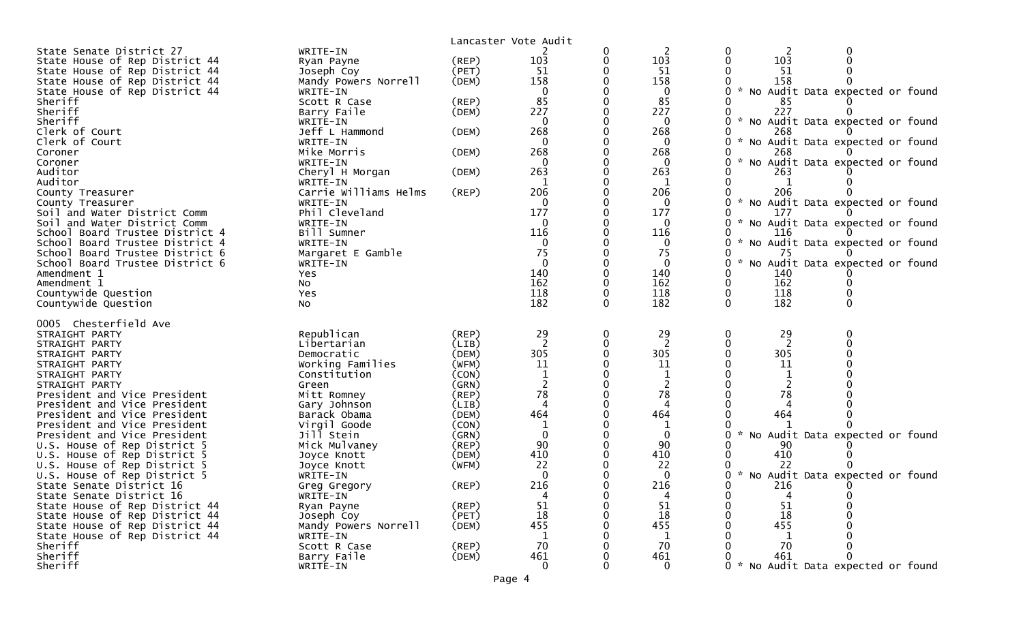|                                                          |                          | Lancaster Vote Audit |                        |   |                 |                                                  |
|----------------------------------------------------------|--------------------------|----------------------|------------------------|---|-----------------|--------------------------------------------------|
| State Senate District 27                                 | WRITE-IN                 |                      |                        | 0 | 2               |                                                  |
| State House of Rep District 44                           | Ryan Payne               | (REP)                | 103                    | 0 | 103             | 103                                              |
| State House of Rep District 44                           | Joseph Coy               | (PET)                | 51                     |   | 51              | 51                                               |
| State House of Rep District 44                           | Mandy Powers Norrell     | (DEM)                | 158                    |   | 158             | 158                                              |
| State House of Rep District 44                           | WRITE-IN                 |                      | $\mathbf 0$            |   | $\mathbf{0}$    | * No Audit Data expected or found                |
| Sheriff                                                  | Scott R Case             | $($ REP $)$          | 85                     |   | 85              | 85                                               |
| Sheriff                                                  | Barry Faile              | (DEM)                | 227                    |   | 227             | 227                                              |
| Sheriff                                                  | WRITE-IN                 |                      | $\mathbf{0}$           |   | $\mathbf{0}$    | * No Audit Data expected or found                |
| Clerk of Court<br>Clerk of Court                         | Jeff L Hammond           | (DEM)                | 268<br>$\Omega$        |   | 268<br>$\Omega$ | 268                                              |
| Coroner                                                  | WRITE-IN<br>Mike Morris  | (DEM)                | 268                    |   | 268             | No Audit Data expected or found<br>268           |
| Coroner                                                  | WRITE-IN                 |                      | $\Omega$               |   |                 | No Audit Data expected or found                  |
| Auditor                                                  | Cheryl H Morgan          | (DEM)                | 263                    |   | 263             | 263                                              |
| Auditor                                                  | WRITE-IN                 |                      | 1                      |   | 1               | 1                                                |
| County Treasurer                                         | Carrie Williams Helms    | (REP)                | 206                    |   | 206             | 206                                              |
| County Treasurer                                         | WRITE-IN                 |                      | $\mathbf{0}$           |   | $\mathbf{0}$    | * No Audit Data expected or found                |
| Soil and Water District Comm                             | Phil Cleveland           |                      | 177                    |   | 177             | 177                                              |
| Soil and Water District Comm                             | WRITE-IN                 |                      | $\Omega$               |   | 0               | $\mathcal{H}$<br>No Audit Data expected or found |
| School Board Trustee District 4                          | Bill Sumner              |                      | 116                    |   | 116             | 116                                              |
| School Board Trustee District 4                          | WRITE-IN                 |                      | 0                      |   | 0               | No Audit Data expected or found                  |
| School Board Trustee District 6                          | Margaret E Gamble        |                      | 75                     |   | 75              | 75                                               |
| School Board Trustee District 6                          | WRITE-IN                 |                      | $\mathbf 0$            |   | $\mathbf 0$     | No Audit Data expected or found                  |
| Amendment 1                                              | Yes                      |                      | 140                    |   | 140             | 140                                              |
| Amendment 1                                              | NO.                      |                      | 162                    |   | 162             | 162                                              |
| Countywide Question                                      | Yes                      |                      | 118                    | 0 | 118             | 118                                              |
| Countywide Question                                      | No                       |                      | 182                    |   | 182             | 182                                              |
| 0005 Chesterfield Ave                                    |                          |                      |                        |   |                 |                                                  |
| STRAIGHT PARTY                                           | Republican               | (REP)                | 29                     | 0 | 29              | 0<br>29                                          |
| STRAIGHT PARTY                                           | Libertarian              | (LIB)                | 2                      | 0 | 2               |                                                  |
| STRAIGHT PARTY                                           | Democratic               | (DEM)                | 305                    |   | 305             | 305                                              |
| STRAIGHT PARTY                                           | Working Families         | (WFM)                | 11                     |   | 11              | 11                                               |
| STRAIGHT PARTY                                           | Constitution             | (CON)                |                        |   |                 |                                                  |
| STRAIGHT PARTY                                           | Green                    | (GRN)                |                        |   |                 | 2                                                |
| President and Vice President                             | Mitt Romney              | $($ REP $)$          | 78                     |   | 78              | 78                                               |
| President and Vice President                             | Gary Johnson             | (LIB)                | $\boldsymbol{\Lambda}$ |   |                 |                                                  |
| President and Vice President                             | Barack Obama             | (DEM)                | 464                    |   | 464             | 464                                              |
| President and Vice President                             | Virgil Goode             | (CON)                | 1                      |   |                 |                                                  |
| President and Vice President                             | Jill Stein               | (GRN)                | $\mathbf{0}$           |   | $\mathbf{0}$    | Audit Data expected or found<br>NO               |
| U.S. House of Rep District 5                             | Mick Mulvaney            | (REP)                | 90                     |   | 90              | 90                                               |
| U.S. House of Rep District 5                             | Joyce Knott              | (DEM)                | 410                    |   | 410             | 410                                              |
| U.S. House of Rep District 5                             | Joyce Knott              | (WFM)                | 22                     |   | 22              | 22                                               |
| U.S. House of Rep District 5<br>State Senate District 16 | WRITE-IN                 | (REP)                | $\Omega$<br>216        |   | 0<br>216        | * No Audit Data expected or found<br>216         |
| State Senate District 16                                 | Greg Gregory<br>WRITE-IN |                      |                        | 0 |                 |                                                  |
| State House of Rep District 44                           | Ryan Payne               | (REP)                | 51                     |   | 51              | 51                                               |
| State House of Rep District 44                           | Joseph Coy               | (PET)                | 18                     |   | 18              | 18                                               |
| State House of Rep District 44                           | Mandy Powers Norrell     | (DEM)                | 455                    |   | 455             | 455                                              |
| State House of Rep District 44                           | WRITE-IN                 |                      | 1                      |   | 1               | 1                                                |
| Sheriff                                                  | Scott R Case             | (REP)                | 70                     |   | 70              | 70                                               |
| Sheriff                                                  | Barry Faile              | (DEM)                | 461                    |   | 461             | 461                                              |
| Sheriff                                                  | WRITE-IN                 |                      | $\mathbf{0}$           |   | $\mathbf{0}$    | * No Audit Data expected or found                |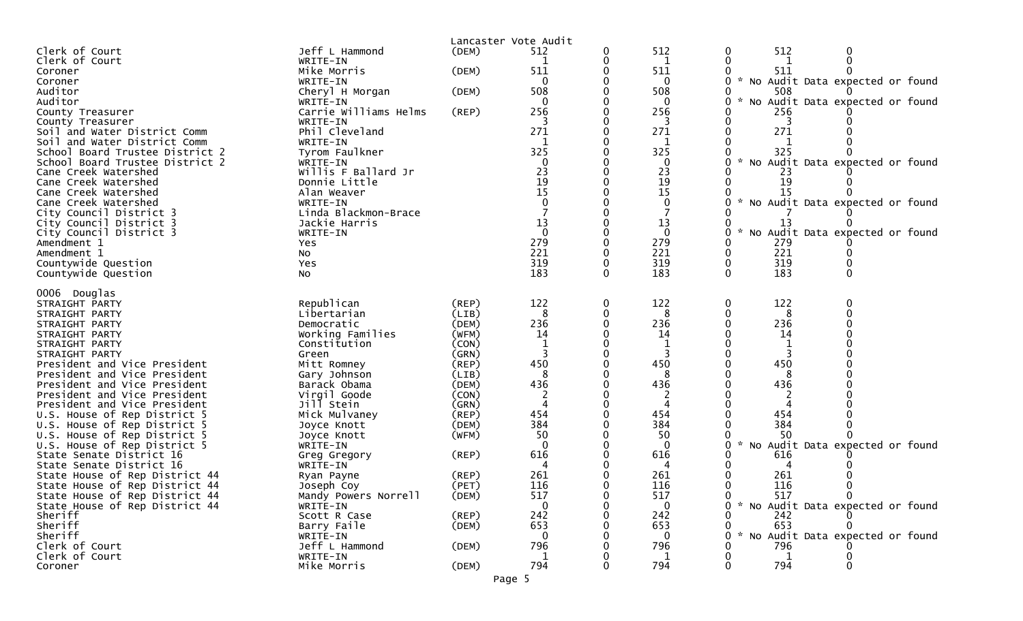|                                                              |                            | Lancaster Vote Audit |              |   |              |                      |                                   |
|--------------------------------------------------------------|----------------------------|----------------------|--------------|---|--------------|----------------------|-----------------------------------|
| Clerk of Court                                               | Jeff L Hammond             | (DEM)                | 512          |   | 512          | 512<br>0             | 0                                 |
| Clerk of Court                                               | WRITE-IN                   |                      |              |   | 1            | 0                    |                                   |
| Coroner                                                      | Mike Morris                | (DEM)                | 511          |   | 511          | 511                  |                                   |
| Coroner                                                      | WRITE-IN                   |                      | 0            |   | 0            |                      | * No Audit Data expected or found |
| Auditor                                                      | Cheryl H Morgan            | (DEM)                | 508          |   | 508          | 508                  |                                   |
| Auditor                                                      | WRITE-IN                   |                      | $\Omega$     |   | $\Omega$     | $\mathcal{H}$<br>0.  | No Audit Data expected or found   |
| County Treasurer                                             | Carrie Williams Helms      | (REP)                | 256          |   | 256          | 256                  |                                   |
| County Treasurer                                             | WRITE-IN<br>Phil Cleveland |                      | 271          |   | 3<br>271     | 3<br>271             |                                   |
| Soil and Water District Comm<br>Soil and Water District Comm | WRITE-IN                   |                      | 1            |   |              |                      |                                   |
| School Board Trustee District 2                              | Tyrom Faulkner             |                      | 325          |   | 325          | 325                  |                                   |
| School Board Trustee District 2                              | WRITE-IN                   |                      | $\mathbf{0}$ |   | 0            | 0                    | No Audit Data expected or found   |
| Cane Creek Watershed                                         | Willis F Ballard Jr        |                      | 23           |   | 23           | 23                   |                                   |
| Cane Creek Watershed                                         | Donnie Little              |                      | 19           |   | 19           | 19                   |                                   |
| Cane Creek Watershed                                         | Alan Weaver                |                      | 15           |   | 15           | 15                   |                                   |
| Cane Creek Watershed                                         | WRITE-IN                   |                      |              |   | 0            | $\sim$               | No Audit Data expected or found   |
| City Council District 3                                      | Linda Blackmon-Brace       |                      |              |   |              |                      |                                   |
| City Council District 3                                      | Jackie Harris              |                      | 13           |   | 13           | 13                   |                                   |
| City Council District 3                                      | WRITE-IN                   |                      |              |   | $\mathbf{0}$ |                      | No Audit Data expected or found   |
| Amendment 1                                                  | Yes                        |                      | 279          |   | 279          | 279                  |                                   |
| Amendment 1                                                  | No.                        |                      | 221          |   | 221          | 221                  |                                   |
| Countywide Question                                          | Yes                        |                      | 319          |   | 319          | 319<br>0<br>$\Omega$ |                                   |
| Countywide Question                                          | <b>NO</b>                  |                      | 183          |   | 183          | 183                  |                                   |
| 0006 Douglas                                                 |                            |                      |              |   |              |                      |                                   |
| STRAIGHT PARTY                                               | Republican                 | $($ REP $)$          | 122          | 0 | 122          | 122<br>0             | 0                                 |
| STRAIGHT PARTY                                               | Libertarian                | (LIB)                | 8            |   | 8            | 8                    |                                   |
| STRAIGHT PARTY                                               | Democratic                 | (DEM)                | 236          |   | 236          | 236                  |                                   |
| STRAIGHT PARTY                                               | Working Families           | (WFM)                | 14           |   | 14           | 14                   |                                   |
| STRAIGHT PARTY                                               | Constitution               | (CON)                |              |   |              | 1                    |                                   |
| STRAIGHT PARTY                                               | Green                      | (GRN)                |              |   |              |                      |                                   |
| President and Vice President                                 | Mitt Romney                | (REP)                | 450          |   | 450          | 450                  |                                   |
| President and Vice President                                 | Gary Johnson               | (LIB)                | 8            |   | 8            | 8                    |                                   |
| President and Vice President                                 | Barack Obama               | (DEM)                | 436          |   | 436          | 436                  |                                   |
| President and Vice President                                 | Virgil Goode<br>Jill Stein | (CON)                |              |   | 4            |                      |                                   |
| President and Vice President<br>U.S. House of Rep District 5 | Mick Mulvaney              | (GRN)<br>$($ REP $)$ | 454          |   | 454          | 454                  |                                   |
| U.S. House of Rep District 5                                 | Joyce Knott                | (DEM)                | 384          |   | 384          | 384                  |                                   |
| U.S. House of Rep District 5                                 | Joyce Knott                | (WFM)                | 50           |   | 50           | 50                   |                                   |
| U.S. House of Rep District 5                                 | WRITE-IN                   |                      |              |   | $\Omega$     |                      | No Audit Data expected or found   |
| State Senate District 16                                     | Greg Gregory               | (REP)                | 616          |   | 616          | 616                  |                                   |
| State Senate District 16                                     | WRITE-IN                   |                      |              |   |              |                      |                                   |
| State House of Rep District 44                               | Ryan Payne                 | (REP)                | 261          |   | 261          | 261                  |                                   |
| State House of Rep District 44                               | Joseph Coy                 | (PET)                | 116          |   | 116          | 116                  |                                   |
| State House of Rep District 44                               | Mandy Powers Norrell       | (DEM)                | 517          |   | 517          | 517                  | $\mathbf{0}$                      |
| State House of Rep District 44                               | WRITE-IN                   |                      |              |   | 0            |                      | * No Audit Data expected or found |
| Sheriff                                                      | Scott R Case               | $($ REP $)$          | 242          |   | 242          | 242                  |                                   |
| Sheriff                                                      | Barry Faile                | (DEM)                | 653          |   | 653          | 653                  |                                   |
| Sheriff                                                      | WRITE-IN                   |                      |              |   | $\Omega$     |                      | No Audit Data expected or found   |
| Clerk of Court<br>Clerk of Court                             | Jeff L Hammond<br>WRITE-IN | (DEM)                | 796<br>1     |   | 796<br>1     | 796<br>1             |                                   |
| Coroner                                                      | Mike Morris                | (DEM)                | 794          |   | 794          | 794                  | 0                                 |
|                                                              |                            |                      |              |   |              |                      |                                   |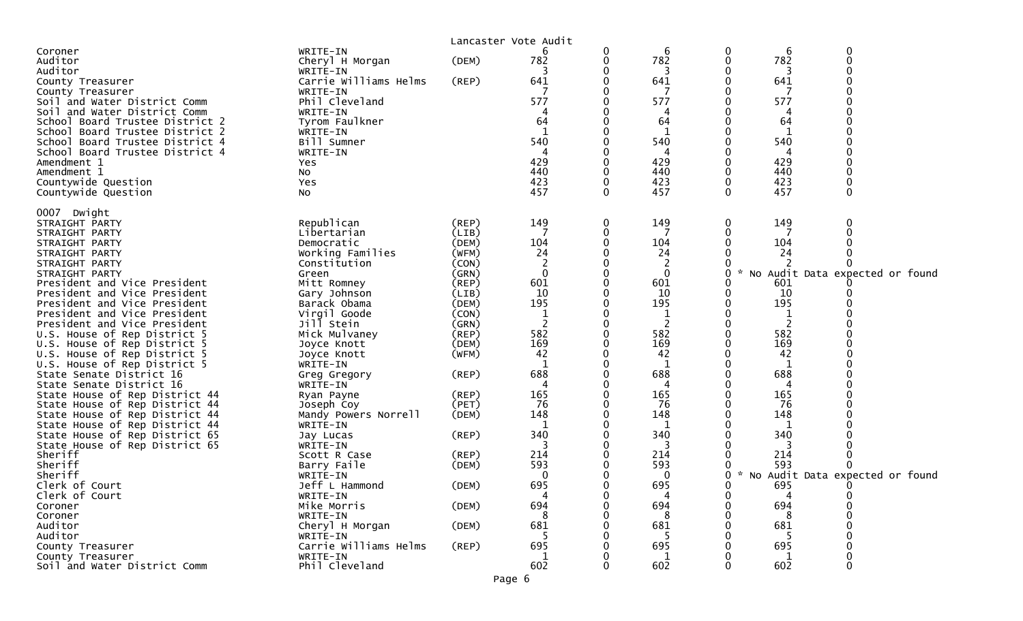|                                                                  |                                    |                      | Lancaster Vote Audit |   |              |                  |          |             |                                   |
|------------------------------------------------------------------|------------------------------------|----------------------|----------------------|---|--------------|------------------|----------|-------------|-----------------------------------|
| Coroner                                                          | WRITE-IN                           |                      |                      | 0 | 6            | 0                | 6        | $\mathbf 0$ |                                   |
| Auditor                                                          | Cheryl H Morgan                    | (DEM)                | 782                  | 0 | 782          | $\boldsymbol{0}$ | 782      | $\Omega$    |                                   |
| Auditor                                                          | WRITE-IN                           |                      | 3                    |   | 3            |                  | 3        |             |                                   |
| County Treasurer                                                 | Carrie Williams Helms              | (REP)                | 641                  | 0 | 641          |                  | 641      |             |                                   |
| County Treasurer                                                 | WRITE-IN                           |                      |                      |   | 7            |                  | 7        |             |                                   |
| Soil and Water District Comm                                     | Phil Cleveland                     |                      | 577                  |   | 577          |                  | 577      |             |                                   |
| Soil and Water District Comm                                     | WRITE-IN                           |                      |                      |   | 4            |                  |          |             |                                   |
| School Board Trustee District 2                                  | Tyrom Faulkner                     |                      | 64                   |   | 64           |                  | 64       |             |                                   |
| School Board Trustee District 2                                  | WRITE-IN                           |                      |                      |   |              |                  |          |             |                                   |
| School Board Trustee District 4                                  | Bill Sumner                        |                      | 540                  |   | 540          |                  | 540      |             |                                   |
| School Board Trustee District 4                                  | WRITE-IN                           |                      | 429                  |   | 4<br>429     |                  | 4<br>429 |             |                                   |
| Amendment 1<br>Amendment 1                                       | Yes<br><b>NO</b>                   |                      | 440                  |   | 440          |                  | 440      |             |                                   |
| Countywide Question                                              | Yes                                |                      | 423                  | 0 | 423          | $\mathbf 0$      | 423      |             |                                   |
| Countywide Question                                              | No                                 |                      | 457                  | 0 | 457          | $\Omega$         | 457      | $\Omega$    |                                   |
|                                                                  |                                    |                      |                      |   |              |                  |          |             |                                   |
| 0007 Dwight                                                      |                                    |                      |                      |   |              |                  |          |             |                                   |
| STRAIGHT PARTY                                                   | Republican                         | $($ REP $)$          | 149                  | 0 | 149          | 0                | 149      |             |                                   |
| STRAIGHT PARTY                                                   | Libertarian                        | (LIB)                |                      | 0 | 7            | 0                | 7        |             |                                   |
| STRAIGHT PARTY                                                   | Democratic                         | (DEM)                | 104                  | 0 | 104          |                  | 104      |             |                                   |
| STRAIGHT PARTY                                                   | Working Families                   | (WFM)                | 24                   |   | 24           |                  | 24       |             |                                   |
| STRAIGHT PARTY                                                   | Constitution                       | (CON)                | 2                    |   | 2            |                  |          |             |                                   |
| STRAIGHT PARTY                                                   | Green                              | (GRN)                | $\mathbf{0}$         |   | $\mathbf{0}$ | 0                |          |             | No Audit Data expected or found   |
| President and Vice President                                     | Mitt Romney                        | (REP)                | 601                  | 0 | 601          |                  | 601      |             |                                   |
| President and Vice President                                     | Gary Johnson                       | (LIB)                | 10                   | 0 | 10           |                  | 10       |             |                                   |
| President and Vice President                                     | Barack Obama                       | (DEM)                | 195                  |   | 195          |                  | 195      |             |                                   |
| President and Vice President                                     | Virgil Goode                       | (CON)                |                      |   |              |                  |          |             |                                   |
| President and Vice President                                     | Jill Stein                         | (GRN)                | 2                    | 0 | 2            |                  |          |             |                                   |
| U.S. House of Rep District 5                                     | Mick Mulvaney                      | $($ REP $)$          | 582                  |   | 582          |                  | 582      |             |                                   |
| U.S. House of Rep District 5                                     | Joyce Knott                        | (DEM)                | 169                  | 0 | 169          |                  | 169      |             |                                   |
| U.S. House of Rep District 5                                     | Joyce Knott                        | (WFM)                | 42                   |   | 42           |                  | 42       |             |                                   |
| U.S. House of Rep District 5                                     | WRITE-IN                           |                      |                      |   | 1            |                  | 1        |             |                                   |
| State Senate District 16                                         | Greg Gregory                       | (REP)                | 688                  |   | 688          |                  | 688      |             |                                   |
| State Senate District 16                                         | WRITE-IN                           |                      | 4<br>165             |   | 4<br>165     |                  | 4<br>165 |             |                                   |
| State House of Rep District 44<br>State House of Rep District 44 | Ryan Payne                         | $($ REP $)$<br>(PET) | 76                   | 0 | 76           |                  | 76       |             |                                   |
| State House of Rep District 44                                   | Joseph Coy<br>Mandy Powers Norrell | (DEM)                | 148                  |   | 148          |                  | 148      |             |                                   |
| State House of Rep District 44                                   | WRITE-IN                           |                      | 1                    |   | 1            |                  | -1       |             |                                   |
| State House of Rep District 65                                   | Jay Lucas                          | $($ REP $)$          | 340                  |   | 340          |                  | 340      |             |                                   |
| State House of Rep District 65                                   | WRITE-IN                           |                      | 3                    |   | 3            |                  | 3        |             |                                   |
| Sheriff                                                          | Scott R Case                       | $($ REP $)$          | 214                  |   | 214          |                  | 214      |             |                                   |
| Sheriff                                                          | Barry Faile                        | (DEM)                | 593                  |   | 593          |                  | 593      |             |                                   |
| Sheriff                                                          | WRITE-IN                           |                      | $\mathbf{0}$         |   | $\mathbf{0}$ | 0                |          |             | * No Audit Data expected or found |
| Clerk of Court                                                   | Jeff L Hammond                     | (DEM)                | 695                  |   | 695          | ∩                | 695      | $\Omega$    |                                   |
| Clerk of Court                                                   | WRITE-IN                           |                      |                      | 0 | 4            | 0                |          |             |                                   |
| Coroner                                                          | Mike Morris                        | (DEM)                | 694                  |   | 694          |                  | 694      |             |                                   |
| Coroner                                                          | WRITE-IN                           |                      | 8                    |   | 8            |                  | -8       |             |                                   |
| Auditor                                                          | Cheryl H Morgan                    | (DEM)                | 681                  |   | 681          |                  | 681      |             |                                   |
| Auditor                                                          | WRITE-IN                           |                      |                      |   |              |                  |          |             |                                   |
| County Treasurer                                                 | Carrie Williams Helms              | (REP)                | 695                  |   | 695          |                  | 695      |             |                                   |
| County Treasurer                                                 | WRITE-IN                           |                      |                      |   | 1            |                  |          |             |                                   |
| Soil and Water District Comm                                     | Phil Cleveland                     |                      | 602                  |   | 602          |                  | 602      |             |                                   |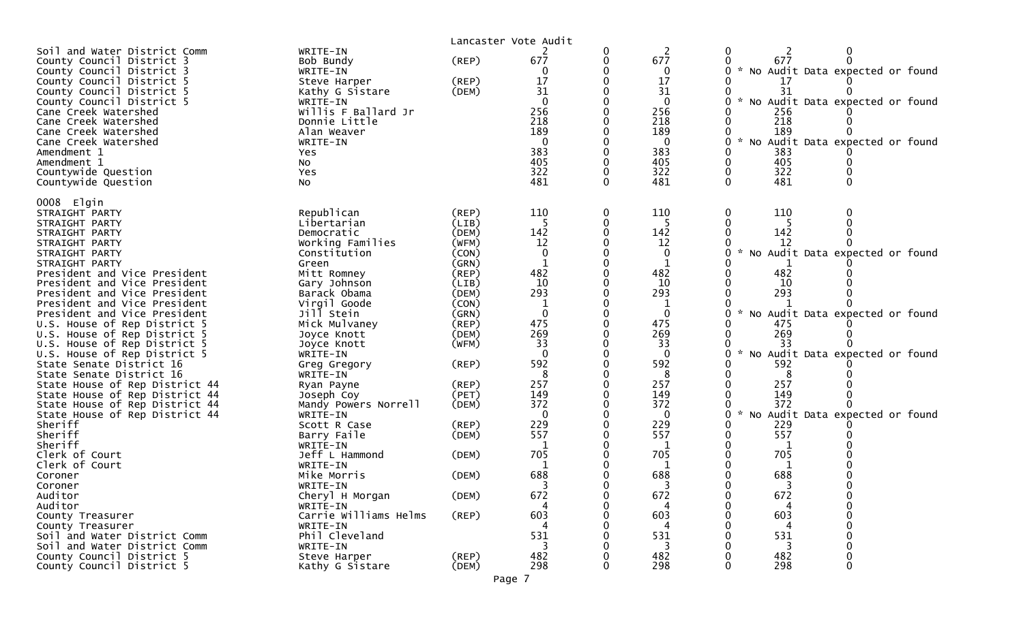|                                                                                                                                                                                                                                                                                                                                                           |                                                                                                                                                                                       |                                                 | Lancaster Vote Audit                                                                                |   |                                                                                                                               |                                                                                                                                                                                                            |
|-----------------------------------------------------------------------------------------------------------------------------------------------------------------------------------------------------------------------------------------------------------------------------------------------------------------------------------------------------------|---------------------------------------------------------------------------------------------------------------------------------------------------------------------------------------|-------------------------------------------------|-----------------------------------------------------------------------------------------------------|---|-------------------------------------------------------------------------------------------------------------------------------|------------------------------------------------------------------------------------------------------------------------------------------------------------------------------------------------------------|
| Soil and Water District Comm<br>County Council District 3<br>County Council District 3<br>County Council District 5<br>County Council District 5<br>County Council District 5<br>Cane Creek Watershed<br>Cane Creek Watershed<br>Cane Creek Watershed<br>Cane Creek Watershed<br>Amendment 1<br>Amendment 1<br>Countywide Question<br>Countywide Question | WRITE-IN<br>Bob Bundy<br>WRITE-IN<br>Steve Harper<br>Kathy G Sistare<br>WRITE-IN<br>Willis F Ballard Jr<br>Donnie Little<br>Alan Weaver<br>WRITE-IN<br>Yes.<br>No<br>Yes<br><b>NO</b> | $($ REP $)$<br>$($ REP $)$<br>(DEM)             | 677<br>0<br>17<br>31<br>$\Omega$<br>256<br>218<br>189<br>$\overline{0}$<br>383<br>405<br>322<br>481 |   | $\overline{2}$<br>677<br>$\Omega$<br>17<br>31<br>$\mathbf{0}$<br>256<br>218<br>189<br>$\mathbf 0$<br>383<br>405<br>322<br>481 | 0<br>677<br>* No Audit Data expected or found<br>0<br>17<br>31<br>* No Audit Data expected or found<br>256<br>218<br>189<br>* No Audit Data expected or found<br>0<br>383<br>405<br>322<br>481<br>$\Omega$ |
| 0008 Elgin<br>STRAIGHT PARTY<br>STRAIGHT PARTY<br>STRAIGHT PARTY<br>STRAIGHT PARTY<br>STRAIGHT PARTY                                                                                                                                                                                                                                                      | Republican<br>Libertarian<br>Democratic<br>Working Families<br>Constitution                                                                                                           | (REP)<br>(LIB)<br>(DEM)<br>(WFM)<br>(CON)       | 110<br>5<br>142<br>12<br>$\mathbf 0$                                                                |   | 110<br>-5<br>142<br>12<br>$\mathbf 0$                                                                                         | 110<br>0<br>142<br>12<br>* No Audit Data expected or found                                                                                                                                                 |
| STRAIGHT PARTY<br>President and Vice President<br>President and Vice President<br>President and Vice President<br>President and Vice President                                                                                                                                                                                                            | Green<br>Mitt Romney<br>Gary Johnson<br>Barack Obama<br>Virgil Goode                                                                                                                  | (GRN)<br>$($ REP $)$<br>(LIB)<br>(DEM)<br>(CON) | 482<br>10<br>293                                                                                    |   | 1<br>482<br>10<br>293                                                                                                         | 482<br>10<br>293                                                                                                                                                                                           |
| President and Vice President<br>U.S. House of Rep District 5<br>U.S. House of Rep District 5<br>U.S. House of Rep District 5<br>U.S. House of Rep District 5                                                                                                                                                                                              | Jill Stein<br>Mick Mulvaney<br>Joyce Knott<br>Joyce Knott<br>WRITE-IN                                                                                                                 | (GRN)<br>$($ REP $)$<br>(DEM)<br>(WFM)          | $\mathbf 0$<br>475<br>269<br>33<br>$\Omega$                                                         |   | $\mathbf{0}$<br>475<br>269<br>33<br>0                                                                                         | * No Audit Data expected or found<br>475<br>269<br>33<br>No Audit Data expected or found<br>$\mathcal{R}$                                                                                                  |
| State Senate District 16<br>State Senate District 16<br>State House of Rep District 44<br>State House of Rep District 44<br>State House of Rep District 44                                                                                                                                                                                                | Greg Gregory<br>WRITE-IN<br>Ryan Payne<br>Joseph Coy<br>Mandy Powers Norrell                                                                                                          | $($ REP $)$<br>$($ REP $)$<br>(PET)<br>(DEM)    | 592<br>8<br>257<br>149<br>372                                                                       |   | 592<br>8<br>257<br>149<br>372                                                                                                 | 592<br>8<br>257<br>149<br>372                                                                                                                                                                              |
| State House of Rep District 44<br>Sheriff<br>Sheriff<br>Sheriff<br>Clerk of Court                                                                                                                                                                                                                                                                         | WRITE-IN<br>Scott R Case<br>Barry Faile<br>WRITE-IN<br>Jeff L Hammond                                                                                                                 | $($ REP $)$<br>(DEM)<br>(DEM)                   | $\Omega$<br>229<br>557<br>705                                                                       |   | $\Omega$<br>229<br>557<br>1<br>705                                                                                            | No Audit Data expected or found<br>$\mathcal{H}$<br>229<br>557<br>705                                                                                                                                      |
| Clerk of Court<br>Coroner<br>Coroner<br>Auditor<br>Auditor                                                                                                                                                                                                                                                                                                | WRITE-IN<br>Mike Morris<br>WRITE-IN<br>Cheryl H Morgan<br>WRITE-IN                                                                                                                    | (DEM)<br>(DEM)                                  | 688<br>672                                                                                          | 0 | 1<br>688<br>672                                                                                                               | 1<br>688<br>672<br>0                                                                                                                                                                                       |
| County Treasurer<br>County Treasurer<br>Soil and Water District Comm<br>Soil and Water District Comm<br>County Council District 5                                                                                                                                                                                                                         | Carrie Williams Helms<br>WRITE-IN<br>Phil Cleveland<br>WRITE-IN                                                                                                                       | (REP)                                           | 603<br>531<br>3                                                                                     |   | 603<br>531<br>3<br>482                                                                                                        | 603<br>531<br>3<br>482                                                                                                                                                                                     |
| County Council District 5                                                                                                                                                                                                                                                                                                                                 | Steve Harper<br>Kathy G Sistare                                                                                                                                                       | $($ REP $)$<br>(DEM)                            | 482<br>298                                                                                          |   | 298                                                                                                                           | 298<br>$\Omega$                                                                                                                                                                                            |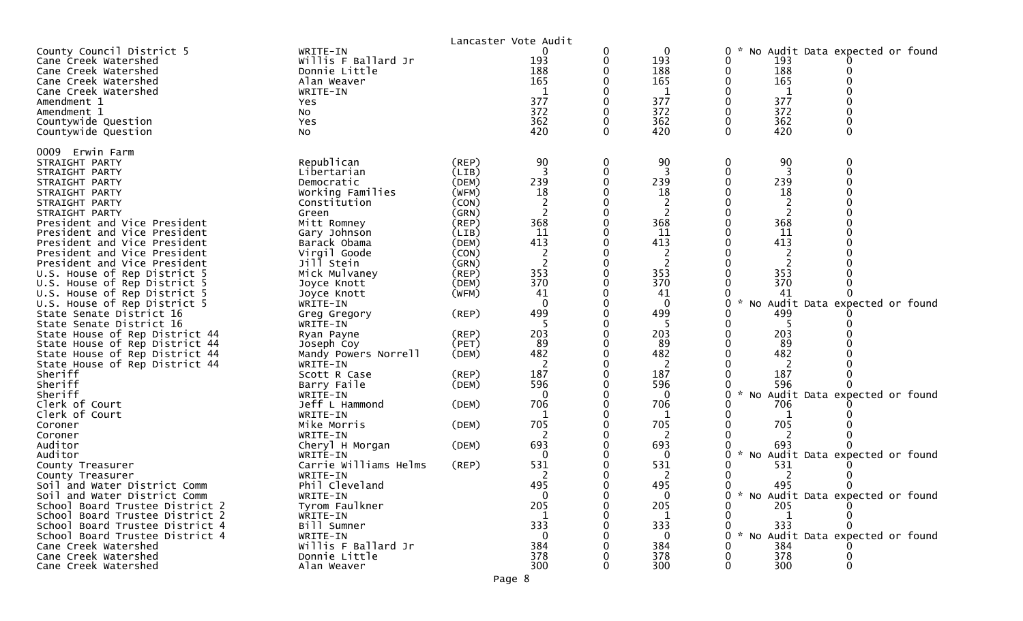|                                                                                                                                                                                                                                                                                                                                                                                                                                                                                                                                                                                                                                                                                                                                                                                                                                                                                         |                                                                                                                                                                                                                                                                                                                                                                                                                                                                                                                                                  |                                                                                                                                                                                                                                  | Lancaster Vote Audit                                                                                                                                                                                                                                       |                                                             |                                                                                                                                                                                                                                                                       |                                                                                                                                                                                                                                                                                                                                                                                                            |
|-----------------------------------------------------------------------------------------------------------------------------------------------------------------------------------------------------------------------------------------------------------------------------------------------------------------------------------------------------------------------------------------------------------------------------------------------------------------------------------------------------------------------------------------------------------------------------------------------------------------------------------------------------------------------------------------------------------------------------------------------------------------------------------------------------------------------------------------------------------------------------------------|--------------------------------------------------------------------------------------------------------------------------------------------------------------------------------------------------------------------------------------------------------------------------------------------------------------------------------------------------------------------------------------------------------------------------------------------------------------------------------------------------------------------------------------------------|----------------------------------------------------------------------------------------------------------------------------------------------------------------------------------------------------------------------------------|------------------------------------------------------------------------------------------------------------------------------------------------------------------------------------------------------------------------------------------------------------|-------------------------------------------------------------|-----------------------------------------------------------------------------------------------------------------------------------------------------------------------------------------------------------------------------------------------------------------------|------------------------------------------------------------------------------------------------------------------------------------------------------------------------------------------------------------------------------------------------------------------------------------------------------------------------------------------------------------------------------------------------------------|
| County Council District 5<br>Cane Creek Watershed<br>Cane Creek Watershed<br>Cane Creek Watershed<br>Cane Creek Watershed<br>Amendment 1<br>Amendment 1<br>Countywide Question<br>Countywide Question                                                                                                                                                                                                                                                                                                                                                                                                                                                                                                                                                                                                                                                                                   | WRITE-IN<br>Willis F Ballard Jr<br>Donnie Little<br>Alan Weaver<br>WRITE-IN<br>Yes<br><b>NO</b><br>Yes<br><b>NO</b>                                                                                                                                                                                                                                                                                                                                                                                                                              |                                                                                                                                                                                                                                  | 0<br>193<br>188<br>165<br>377<br>372<br>362<br>420                                                                                                                                                                                                         | 0<br>0<br>0<br>0                                            | 0<br>193<br>188<br>165<br>1<br>377<br>372<br>362<br>420                                                                                                                                                                                                               | No Audit Data expected or found<br>0<br>193<br>0<br>188<br>0<br>165<br>377<br>0<br>372<br>362<br>420<br>0<br>0                                                                                                                                                                                                                                                                                             |
| 0009 Erwin Farm<br>STRAIGHT PARTY<br>STRAIGHT PARTY<br>STRAIGHT PARTY<br>STRAIGHT PARTY<br>STRAIGHT PARTY<br>STRAIGHT PARTY<br>President and Vice President<br>President and Vice President<br>President and Vice President<br>President and Vice President<br>President and Vice President<br>U.S. House of Rep District 5<br>U.S. House of Rep District 5<br>U.S. House of Rep District 5<br>U.S. House of Rep District 5<br>State Senate District 16<br>State Senate District 16<br>State House of Rep District 44<br>State House of Rep District 44<br>State House of Rep District 44<br>State House of Rep District 44<br>Sheriff<br>Sheriff<br>Sheriff<br>Clerk of Court<br>Clerk of Court<br>Coroner<br>Coroner<br>Auditor<br>Auditor<br>County Treasurer<br>County Treasurer<br>Soil and Water District Comm<br>Soil and Water District Comm<br>School Board Trustee District 2 | Republican<br>Libertarian<br>Democratic<br>Working Families<br>Constitution<br>Green<br>Mitt Romney<br>Gary Johnson<br>Barack Obama<br>Virgil Goode<br>Jill Stein<br>Mick Mulvaney<br>Joyce Knott<br>Joyce Knott<br>WRITE-IN<br>Greg Gregory<br>WRITE-IN<br>Ryan Payne<br>Joseph Coy<br>Mandy Powers Norrell<br>WRITE-IN<br>Scott R Case<br>Barry Faile<br>WRITE-IN<br>Jeff L Hammond<br>WRITE-IN<br>Mike Morris<br>WRITE-IN<br>Cheryl H Morgan<br>WRITE-IN<br>Carrie Williams Helms<br>WRITE-IN<br>Phil Cleveland<br>WRITE-IN<br>Tyrom Faulkner | $($ REP $)$<br>(LIB)<br>(DEM)<br>(WFM)<br>(CON)<br>(GRN)<br>$($ REP $)$<br>(LIB)<br>(DEM)<br>(CON)<br>(GRN)<br>(REP)<br>(DEM)<br>(WFM)<br>(REP)<br>(REP)<br>(PET)<br>(DEM)<br>(REP)<br>(DEM)<br>(DEM)<br>(DEM)<br>(DEM)<br>(REP) | 90<br>$\overline{3}$<br>239<br>18<br>$\overline{2}$<br>368<br>11<br>413<br>2<br>2<br>353<br>370<br>41<br>$\Omega$<br>499<br>203<br>89<br>482<br>2<br>187<br>596<br>$\Omega$<br>706<br>1<br>705<br>2<br>693<br>$\Omega$<br>531<br>495<br>$\mathbf 0$<br>205 | 0<br>0<br>$\Omega$<br>0<br>$\Omega$<br>$\Omega$<br>$\Omega$ | 90<br>$\overline{3}$<br>239<br>18<br>-2<br>2<br>368<br>11<br>413<br>2<br>2<br>353<br>370<br>41<br>$\mathbf 0$<br>499<br>5<br>203<br>89<br>482<br>2<br>187<br>596<br>$\mathbf{0}$<br>706<br>1<br>705<br>$\overline{2}$<br>693<br>0<br>531<br>495<br>$\mathbf 0$<br>205 | 90<br>0<br>0<br>$\mathbf 0$<br>-3<br>239<br>18<br>$\overline{2}$<br>368<br>11<br>413<br>2<br>353<br>370<br>41<br>Audit Data expected or found<br>0<br>No<br>499<br>203<br>89<br>482<br>2<br>187<br>596<br>0<br>No Audit Data expected or found<br>706<br>0<br>1<br>705<br>2<br>693<br>$\sim$<br>Audit Data expected or found<br>0<br>No<br>531<br>-2<br>495<br>No Audit Data expected or found<br>0<br>205 |
| School Board Trustee District 2<br>School Board Trustee District 4<br>School Board Trustee District 4<br>Cane Creek Watershed<br>Cane Creek Watershed<br>Cane Creek Watershed                                                                                                                                                                                                                                                                                                                                                                                                                                                                                                                                                                                                                                                                                                           | WRITE-IN<br>Bill Sumner<br>WRITE-IN<br>Willis F Ballard Jr<br>Donnie Little<br>Alan Weaver                                                                                                                                                                                                                                                                                                                                                                                                                                                       |                                                                                                                                                                                                                                  | -1<br>333<br>$\Omega$<br>384<br>378<br>300                                                                                                                                                                                                                 | 0                                                           | -1<br>333<br>0<br>384<br>378<br>300                                                                                                                                                                                                                                   | 333<br>No Audit Data expected or found<br>384<br>378<br>300<br>0<br>0                                                                                                                                                                                                                                                                                                                                      |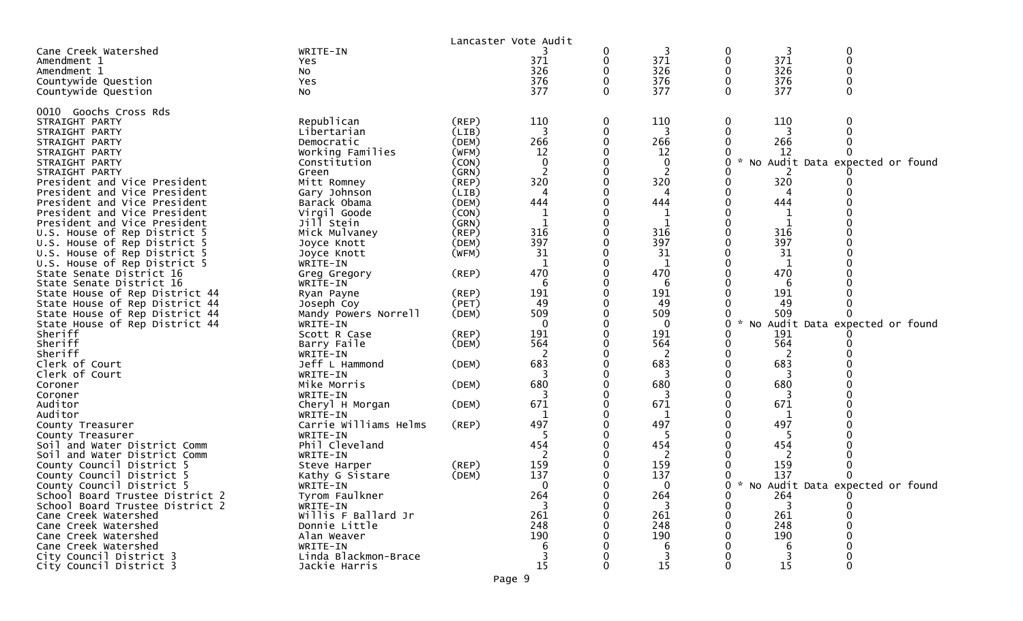|                                                              |                                 |                | Lancaster Vote Audit        |          |              |   |          |          |                                     |
|--------------------------------------------------------------|---------------------------------|----------------|-----------------------------|----------|--------------|---|----------|----------|-------------------------------------|
| Cane Creek Watershed                                         | WRITE-IN                        |                |                             | 0        | 3            | 0 | 3        | 0        |                                     |
| Amendment 1                                                  | Yes                             |                | 371                         | 0        | 371          | 0 | 371      | 0        |                                     |
| Amendment 1                                                  | NO.                             |                | 326                         | 0        | 326          |   | 326      | 0        |                                     |
| Countywide Question                                          | Yes                             |                | 376                         | $\Omega$ | 376          | 0 | 376      | $\Omega$ |                                     |
| Countywide Question                                          | NO.                             |                | 377                         | 0        | 377          | 0 | 377      | 0        |                                     |
|                                                              |                                 |                |                             |          |              |   |          |          |                                     |
| 0010 Goochs Cross Rds                                        |                                 |                |                             |          |              |   |          |          |                                     |
| STRAIGHT PARTY                                               | Republican                      | (REP)          | 110                         | 0        | 110          | 0 | 110      | 0        |                                     |
| STRAIGHT PARTY                                               | Libertarian                     | (LIB)          | 3                           | 0        | 3            | 0 | 3        | 0        |                                     |
| STRAIGHT PARTY                                               | Democratic                      | (DEM)          | 266                         | 0        | 266          |   | 266      |          |                                     |
| STRAIGHT PARTY                                               | Working Families                | (WFM)          | 12                          |          | 12           |   | 12       |          |                                     |
| STRAIGHT PARTY                                               | Constitution                    | (CON)          | $\mathbf 0$                 |          | 0            | 0 | No       |          | Audit Data expected or found        |
| STRAIGHT PARTY                                               | Green                           | (GRN)          | 2                           |          | 2            |   |          |          |                                     |
| President and Vice President                                 | Mitt Romney                     | (REP)          | 320<br>4                    |          | 320          |   | 320      |          |                                     |
| President and Vice President                                 | Gary Johnson                    | (LIB)          | 444                         |          | 4<br>444     |   | 4<br>444 |          |                                     |
| President and Vice President                                 | Barack Obama                    | (DEM)          |                             |          |              |   | 1        |          |                                     |
| President and Vice President<br>President and Vice President | Virgil Goode<br>Jill Stein      | (CON)<br>(GRN) | $\mathbf 1$<br>$\mathbf{1}$ |          | 1<br>1       |   |          |          |                                     |
|                                                              | Mick Mulvaney                   | (REP)          | 316                         | 0        | 316          |   | 316      |          |                                     |
| U.S. House of Rep District 5<br>U.S. House of Rep District 5 | Joyce Knott                     | (DEM)          | 397                         |          | 397          |   | 397      |          |                                     |
| U.S. House of Rep District 5                                 | Joyce Knott                     | (WFM)          | 31                          |          | 31           |   | 31       |          |                                     |
| U.S. House of Rep District 5                                 | WRITE-IN                        |                | -1                          |          | 1            |   | 1        |          |                                     |
| State Senate District 16                                     | Greg Gregory                    | $($ REP $)$    | 470                         |          | 470          |   | 470      |          |                                     |
| State Senate District 16                                     | WRITE-IN                        |                | 6                           |          | 6            |   | 6        |          |                                     |
| State House of Rep District 44                               | Ryan Payne                      | (REP)          | 191                         |          | 191          |   | 191      |          |                                     |
| State House of Rep District 44                               | Joseph Coy                      | (PET)          | 49                          |          | 49           |   | 49       |          |                                     |
| State House of Rep District 44                               | Mandy Powers Norrell            | (DEM)          | 509                         | ∩        | 509          | 0 | 509      |          |                                     |
| State House of Rep District 44                               | WRITE-IN                        |                | $\Omega$                    |          | $\mathbf{0}$ | 0 | No       |          | Audit Data expected or found        |
| Sheriff                                                      | Scott R Case                    | $($ REP $)$    | 191                         |          | 191          |   | 191      |          |                                     |
| Sheriff                                                      | Barry Faile                     | (DEM)          | 564                         |          | 564          |   | 564      |          |                                     |
| Sheriff                                                      | WRITE-IN                        |                | 2                           |          | 2            |   | 2        |          |                                     |
| Clerk of Court                                               | Jeff L Hammond                  | (DEM)          | 683                         |          | 683          |   | 683      |          |                                     |
| Clerk of Court                                               | WRITE-IN                        |                |                             |          | 3            |   |          |          |                                     |
| Coroner                                                      | Mike Morris                     | (DEM)          | 680                         |          | 680          |   | 680      |          |                                     |
| Coroner                                                      | WRITE-IN                        |                |                             |          | 3            |   |          |          |                                     |
| Auditor                                                      | Cheryl H Morgan                 | (DEM)          | 671                         |          | 671          |   | 671      |          |                                     |
| Auditor                                                      | WRITE-IN                        |                | -1                          |          | 1            |   | 1        |          |                                     |
| County Treasurer                                             | Carrie Williams Helms           | $($ REP $)$    | 497                         |          | 497          |   | 497      |          |                                     |
| County Treasurer                                             | WRITE-IN                        |                | .5                          |          |              |   | 5        |          |                                     |
| Soil and Water District Comm                                 | Phil Cleveland                  |                | 454                         |          | 454          |   | 454      |          |                                     |
| Soil and Water District Comm                                 | WRITE-IN                        |                | 159                         |          | 2<br>159     |   | 159      |          |                                     |
| County Council District 5<br>County Council District 5       | Steve Harper<br>Kathy G Sistare | (REP)<br>(DEM) | 137                         |          | 137          |   | 137      | 0        |                                     |
| County Council District 5                                    | WRITE-IN                        |                | $\Omega$                    |          | $\mathbf{0}$ |   |          |          | 0 * No Audit Data expected or found |
| School Board Trustee District 2                              | Tyrom Faulkner                  |                | 264                         |          | 264          |   | 264      |          |                                     |
| School Board Trustee District 2                              | WRITE-IN                        |                |                             |          |              |   | 3        |          |                                     |
| Cane Creek Watershed                                         | Willis F Ballard Jr             |                | 261                         |          | 261          |   | 261      |          |                                     |
| Cane Creek Watershed                                         | Donnie Little                   |                | 248                         |          | 248          |   | 248      |          |                                     |
| Cane Creek Watershed                                         | Alan Weaver                     |                | 190                         |          | 190          |   | 190      |          |                                     |
| Cane Creek Watershed                                         | WRITE-IN                        |                | 6                           |          | 6            |   |          |          |                                     |
| City Council District 3                                      | Linda Blackmon-Brace            |                |                             |          |              |   |          |          |                                     |
| City Council District 3                                      | Jackie Harris                   |                | 15                          |          | 15           |   | 15       |          |                                     |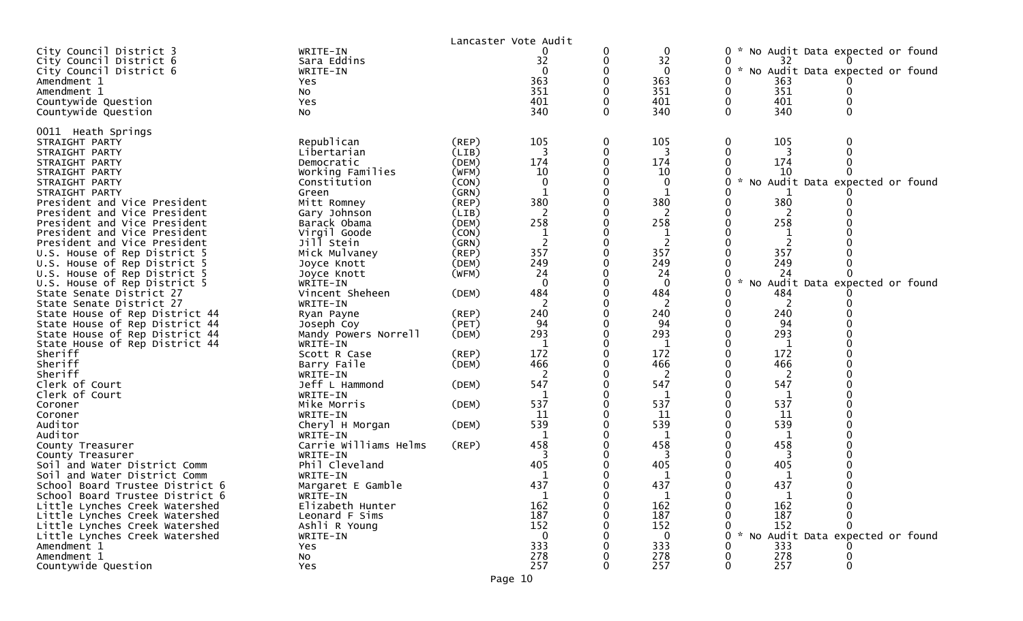|                                                                               |                                     |                | Lancaster Vote Audit          |             |                         |                                                                                         |
|-------------------------------------------------------------------------------|-------------------------------------|----------------|-------------------------------|-------------|-------------------------|-----------------------------------------------------------------------------------------|
| City Council District 3<br>City Council District 6<br>City Council District 6 | WRITE-IN<br>Sara Eddins<br>WRITE-IN |                | 0<br>32<br>$\Omega$           | 0<br>0<br>0 | 0<br>32<br>$\mathbf{0}$ | 0<br>No Audit Data expected or found<br>0<br>32<br>No Audit Data expected or found<br>0 |
| Amendment 1                                                                   | Yes                                 |                | 363                           |             | 363                     | 363                                                                                     |
| Amendment 1<br>Countywide Question                                            | No<br>Yes                           |                | 351<br>401                    | 0           | 351<br>401              | 351<br>0<br>401<br>0                                                                    |
| Countywide Question                                                           | No                                  |                | 340                           | 0           | 340                     | 340<br>0<br>0                                                                           |
|                                                                               |                                     |                |                               |             |                         |                                                                                         |
| 0011 Heath Springs<br>STRAIGHT PARTY                                          | Republican                          | $($ REP $)$    | 105                           | 0           | 105                     | 0<br>105<br>0                                                                           |
| STRAIGHT PARTY                                                                | Libertarian                         | (LIB)          | 3                             | 0           | 3                       | 0<br>0                                                                                  |
| STRAIGHT PARTY                                                                | Democratic                          | (DEM)          | 174                           | 0           | 174                     | 174<br>0                                                                                |
| STRAIGHT PARTY                                                                | Working Families                    | (WFM)          | 10                            |             | 10                      | 10                                                                                      |
| STRAIGHT PARTY                                                                | Constitution                        | (CON)          | $\mathbf{0}$                  | 0           | 0                       | 0<br>Audit Data expected or found<br>No                                                 |
| STRAIGHT PARTY                                                                | Green                               | (GRN)          | 1                             | 0           | 1                       |                                                                                         |
| President and Vice President                                                  | Mitt Romney                         | $($ REP $)$    | 380                           |             | 380                     | 380                                                                                     |
| President and Vice President                                                  | Gary Johnson                        | (LIB)          |                               |             |                         |                                                                                         |
| President and Vice President                                                  | Barack Obama<br>Virgil Goode        | (DEM)<br>(CON) | 258                           |             | 258                     | 258<br>0                                                                                |
| President and Vice President<br>President and Vice President                  | Jill Stein                          | (GRN)          | $\mathbf 1$<br>$\overline{2}$ | 0           | 2                       | 0                                                                                       |
| U.S. House of Rep District 5                                                  | Mick Mulvaney                       | $($ REP $)$    | 357                           |             | 357                     | 357                                                                                     |
| U.S. House of Rep District 5                                                  | Joyce Knott                         | (DEM)          | 249                           |             | 249                     | 249                                                                                     |
| U.S. House of Rep District 5                                                  | Joyce Knott                         | (WFM)          | 24                            |             | 24                      | 24                                                                                      |
| U.S. House of Rep District 5                                                  | WRITE-IN                            |                | $\mathbf{0}$                  |             | $\mathbf 0$             | 0<br>No<br>Audit Data expected or found                                                 |
| State Senate District 27                                                      | Vincent Sheheen                     | (DEM)          | 484                           |             | 484                     | 484                                                                                     |
| State Senate District 27                                                      | WRITE-IN                            |                |                               | 0           | 2                       | 2<br>0                                                                                  |
| State House of Rep District 44                                                | Ryan Payne                          | $($ REP $)$    | 240                           |             | 240                     | 240                                                                                     |
| State House of Rep District 44                                                | Joseph Coy                          | (PET)          | 94                            |             | 94                      | 94                                                                                      |
| State House of Rep District 44                                                | Mandy Powers Norrell<br>WRITE-IN    | (DEM)          | 293<br>-1                     | 0           | 293<br>1                | 293<br>1                                                                                |
| State House of Rep District 44<br>Sheriff                                     | Scott R Case                        | (REP)          | 172                           |             | 172                     | 172                                                                                     |
| Sheriff                                                                       | Barry Faile                         | (DEM)          | 466                           |             | 466                     | 466                                                                                     |
| Sheriff                                                                       | WRITE-IN                            |                | 2                             |             | $\overline{2}$          | 2                                                                                       |
| Clerk of Court                                                                | Jeff L Hammond                      | (DEM)          | 547                           |             | 547                     | 547                                                                                     |
| Clerk of Court                                                                | WRITE-IN                            |                |                               |             |                         |                                                                                         |
| Coroner                                                                       | Mike Morris                         | (DEM)          | 537                           | 0           | 537                     | 537<br>0                                                                                |
| Coroner                                                                       | WRITE-IN                            |                | 11                            |             | 11                      | 11                                                                                      |
| Auditor                                                                       | Cheryl H Morgan                     | (DEM)          | 539                           |             | 539                     | 539                                                                                     |
| Auditor                                                                       | WRITE-IN<br>Carrie Williams Helms   | (REP)          | 1<br>458                      |             | 1<br>458                | 1<br>458                                                                                |
| County Treasurer<br>County Treasurer                                          | WRITE-IN                            |                |                               |             |                         |                                                                                         |
| Soil and Water District Comm                                                  | Phil Cleveland                      |                | 405                           |             | 405                     | 405                                                                                     |
| Soil and Water District Comm                                                  | WRITE-IN                            |                |                               |             |                         |                                                                                         |
| School Board Trustee District 6                                               | Margaret E Gamble                   |                | 437                           |             | 437                     | 437                                                                                     |
| School Board Trustee District 6                                               | WRITE-IN                            |                | $\mathbf{1}$                  | 0           | $\mathbf{1}$            | $\mathbf 1$<br>0                                                                        |
| Little Lynches Creek Watershed                                                | Elizabeth Hunter                    |                | 162                           |             | 162                     | 162                                                                                     |
| Little Lynches Creek Watershed                                                | Leonard F Sims                      |                | 187                           |             | 187                     | 187                                                                                     |
| Little Lynches Creek Watershed                                                | Ashli R Young                       |                | 152                           |             | 152                     | 152                                                                                     |
| Little Lynches Creek Watershed                                                | WRITE-IN                            |                | $\Omega$                      |             | 0                       | No Audit Data expected or found<br>0                                                    |
| Amendment 1<br>Amendment 1                                                    | Yes                                 |                | 333<br>278                    |             | 333<br>278              | 333<br>278                                                                              |
| Countywide Question                                                           | No<br>Yes                           |                | 257                           | 0           | 257                     | 257<br>0<br>0                                                                           |
|                                                                               |                                     |                |                               |             |                         |                                                                                         |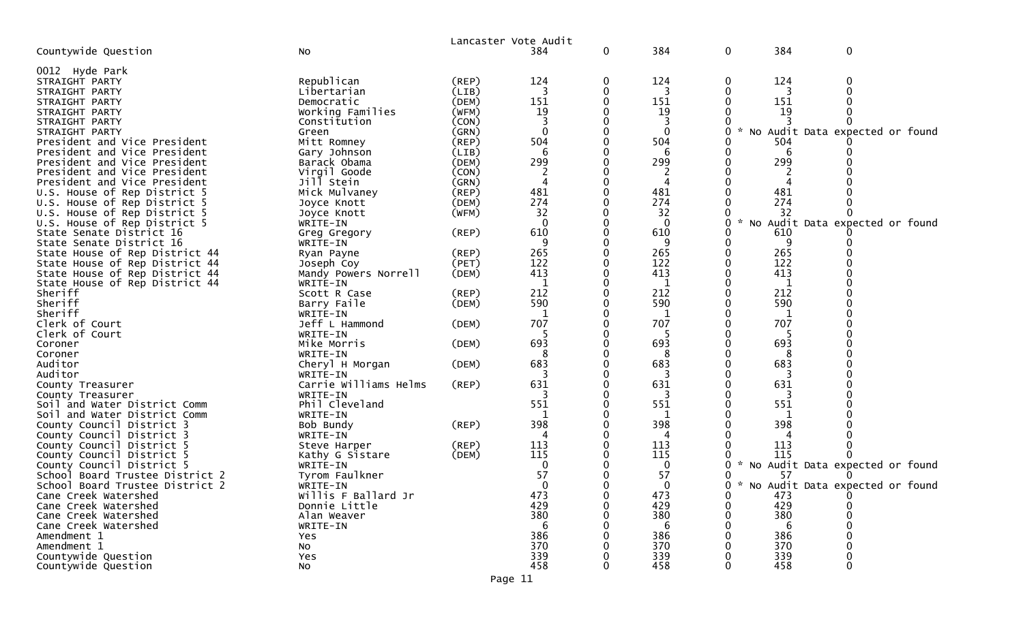|                                 |                       |             | Lancaster Vote Audit |          |              |   |               |                                   |
|---------------------------------|-----------------------|-------------|----------------------|----------|--------------|---|---------------|-----------------------------------|
| Countywide Question             | No                    |             | 384                  | 0        | 384          | 0 | 384           | $\pmb{0}$                         |
| 0012 Hyde Park                  |                       |             |                      |          |              |   |               |                                   |
| STRAIGHT PARTY                  | Republican            | $($ REP $)$ | 124                  |          | 124          |   | 124           |                                   |
| STRAIGHT PARTY                  | Libertarian           | (LIB)       |                      |          | 3            |   |               |                                   |
| STRAIGHT PARTY                  | Democratic            | (DEM)       | 151                  |          | 151          |   | 151           |                                   |
| STRAIGHT PARTY                  | Working Families      | (WFM)       | 19                   |          | 19           |   | 19            |                                   |
| STRAIGHT PARTY                  | Constitution          | (CON)       |                      |          |              |   |               |                                   |
| STRAIGHT PARTY                  | Green                 | (GRN)       | $\mathbf{0}$         |          | $\mathbf{0}$ |   | $\mathcal{H}$ | No Audit Data expected or found   |
| President and Vice President    | Mitt Romney           | $($ REP $)$ | 504                  |          | 504          |   | 504           |                                   |
| President and Vice President    | Gary Johnson          | (LIB)       |                      |          |              |   |               |                                   |
| President and Vice President    | Barack Obama          | (DEM)       | 299                  |          | 299          |   | 299           |                                   |
| President and Vice President    | Virgil Goode          | (CON)       | 2                    |          | 2            |   |               |                                   |
| President and Vice President    | Jill Stein            | (GRN)       |                      |          |              |   |               |                                   |
| U.S. House of Rep District 5    | Mick Mulvaney         | $($ REP $)$ | 481                  |          | 481          |   | 481           |                                   |
| U.S. House of Rep District 5    | Joyce Knott           | (DEM)       | 274                  |          | 274          |   | 274           |                                   |
| U.S. House of Rep District 5    | Joyce Knott           | (WFM)       | 32                   |          | 32           |   | 32            |                                   |
| U.S. House of Rep District 5    | WRITE-IN              |             | $\mathbf{0}$         |          | $\Omega$     |   | NO            | Audit Data expected or found      |
| State Senate District 16        | Greg Gregory          | (REP)       | 610                  |          | 610          |   | 610           |                                   |
| State Senate District 16        | WRITE-IN              |             | 9                    |          |              |   | -9            |                                   |
| State House of Rep District 44  | Ryan Payne            | $($ REP $)$ | 265                  |          | 265          |   | 265           |                                   |
| State House of Rep District 44  | Joseph Coy            | (PET)       | 122                  |          | 122          |   | 122           |                                   |
| State House of Rep District 44  | Mandy Powers Norrell  | (DEM)       | 413                  |          | 413          |   | 413           |                                   |
| State House of Rep District 44  | WRITE-IN              |             | 1                    |          | 1            |   | 1             |                                   |
| Sheriff                         | Scott R Case          | (REP)       | 212                  |          | 212          |   | 212           |                                   |
| Sheriff                         | Barry Faile           | (DEM)       | 590                  |          | 590          |   | 590           |                                   |
| Sheriff                         | WRITE-IN              |             | 1                    |          | $\mathbf 1$  |   | 1             |                                   |
| Clerk of Court                  | Jeff L Hammond        | (DEM)       | 707                  |          | 707          |   | 707           |                                   |
| Clerk of Court                  | WRITE-IN              |             |                      |          |              |   |               |                                   |
| Coroner                         | Mike Morris           | (DEM)       | 693                  |          | 693          |   | 693           |                                   |
| Coroner                         | WRITE-IN              |             |                      |          |              |   |               |                                   |
| Auditor                         | Cheryl H Morgan       | (DEM)       | 683                  |          | 683          |   | 683           |                                   |
| Auditor                         | WRITE-IN              |             | 3                    |          | 3            |   | 3             |                                   |
| County Treasurer                | Carrie Williams Helms | (REP)       | 631                  |          | 631          |   | 631           |                                   |
| County Treasurer                | WRITE-IN              |             |                      |          |              |   |               |                                   |
| Soil and Water District Comm    | Phil Cleveland        |             | 551                  |          | 551          |   | 551           |                                   |
| Soil and Water District Comm    | WRITE-IN              |             |                      |          | 1            |   |               |                                   |
| County Council District 3       | Bob Bundy             | (REP)       | 398                  |          | 398          |   | 398           |                                   |
| County Council District 3       | WRITE-IN              |             | 4                    |          | 4            |   |               |                                   |
| County Council District 5       | Steve Harper          | (REP)       | 113                  |          | 113          |   | 113           |                                   |
| County Council District 5       | Kathy G Sistare       | (DEM)       | 115                  |          | 115          |   | 115           |                                   |
| County Council District 5       | WRITE-IN              |             | 0                    |          | 0            |   |               | * No Audit Data expected or found |
| School Board Trustee District 2 | Tyrom Faulkner        |             | 57                   |          | 57           |   | 57            |                                   |
| School Board Trustee District 2 | WRITE-IN              |             | $\Omega$             |          |              | ∩ |               | * No Audit Data expected or found |
| Cane Creek Watershed            | Willis F Ballard Jr   |             | 473                  | $\Omega$ | 473          |   | 473           | 0                                 |
| Cane Creek Watershed            | Donnie Little         |             | 429                  |          | 429          |   | 429           |                                   |
| Cane Creek Watershed            | Alan Weaver           |             | 380                  |          | 380          |   | 380           |                                   |
| Cane Creek Watershed            | WRITE-IN              |             | 6                    |          | 6            |   | 6             |                                   |
| Amendment 1                     | Yes                   |             | 386                  |          | 386          |   | 386           |                                   |
| Amendment 1                     | No                    |             | 370                  |          | 370          |   | 370           |                                   |
| Countywide Question             | Yes                   |             | 339                  |          | 339          |   | 339           |                                   |
| Countywide Question             | No                    |             | 458                  | 0        | 458          |   | 458           | 0                                 |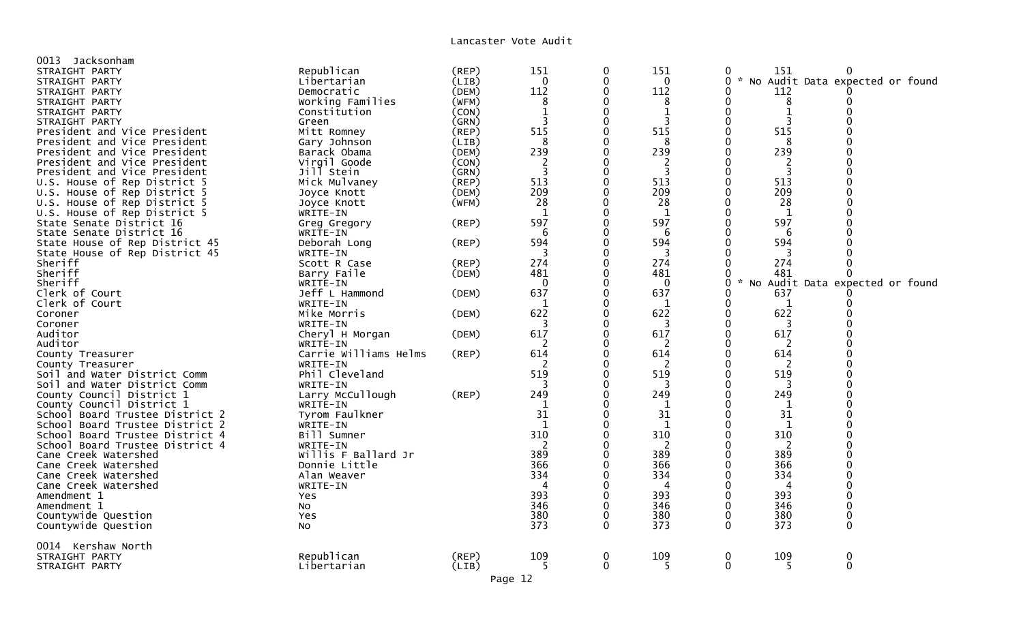| 0013 Jacksonham                 |                       |             |                |              |              |                           |              |                                   |
|---------------------------------|-----------------------|-------------|----------------|--------------|--------------|---------------------------|--------------|-----------------------------------|
| STRAIGHT PARTY                  | Republican            | $($ REP $)$ | 151            | 0            | 151          | 0                         | 151          | 0                                 |
| STRAIGHT PARTY                  | Libertarian           | (LIB)       | $\mathbf 0$    | 0            | $\mathbf 0$  | 0                         |              | * No Audit Data expected or found |
| STRAIGHT PARTY                  | Democratic            | (DEM)       | 112            | $\Omega$     | 112          | 0                         | 112          |                                   |
| STRAIGHT PARTY                  | Working Families      | (WFM)       | 8              | 0            | 8            | 0                         | 8            | 0                                 |
|                                 |                       | (CON)       | $\mathbf{1}$   | 0            |              | 0                         | $\mathbf{1}$ |                                   |
| STRAIGHT PARTY                  | Constitution          |             |                |              | 1            |                           |              |                                   |
| STRAIGHT PARTY                  | Green                 | (GRN)       | 3              | $\Omega$     | 3            | $\Omega$                  | 3            |                                   |
| President and Vice President    | Mitt Romney           | (REP)       | 515            | 0            | 515          | 0                         | 515          |                                   |
| President and Vice President    | Gary Johnson          | (LIB)       | 8              | 0            | 8            | 0                         | 8            |                                   |
| President and Vice President    | Barack Obama          | (DEM)       | 239            | 0            | 239          | 0                         | 239          |                                   |
| President and Vice President    | Virgil Goode          | (CON)       | $\overline{2}$ | 0            | 2            |                           | 2            |                                   |
| President and Vice President    | Jill Stein            | (GRN)       | 3              | 0            | 3            | $\Omega$                  | 3            |                                   |
| U.S. House of Rep District 5    | Mick Mulvaney         | (REP)       | 513            | $\Omega$     | 513          | $\Omega$                  | 513          |                                   |
| U.S. House of Rep District 5    | Joyce Knott           | (DEM)       | 209            | 0            | 209          | $\Omega$                  | 209          |                                   |
| U.S. House of Rep District 5    | Joyce Knott           | (WFM)       | 28             | $\Omega$     | 28           | 0                         | 28           |                                   |
| U.S. House of Rep District 5    | WRITE-IN              |             | 1              | 0            | 1            | 0                         | 1            |                                   |
| State Senate District 16        | Greg Gregory          | $($ REP $)$ | 597            | $\Omega$     | 597          | $\Omega$                  | 597          |                                   |
| State Senate District 16        | WRITE-IN              |             | 6              | 0            | 6            | 0                         | -6           |                                   |
|                                 |                       | (REP)       | 594            | 0            | 594          | 0                         | 594          |                                   |
| State House of Rep District 45  | Deborah Long          |             | 3              | 0            | 3            |                           | 3            |                                   |
| State House of Rep District 45  | WRITE-IN              |             |                |              |              |                           |              |                                   |
| Sheriff                         | Scott R Case          | (REP)       | 274            | 0            | 274          | U                         | 274          |                                   |
| Sheriff                         | Barry Faile           | (DEM)       | 481            | $\Omega$     | 481          | 0                         | 481          |                                   |
| Sheriff                         | WRITE-IN              |             | $\mathbf{0}$   | $\Omega$     | $\mathbf{0}$ | $\Omega$<br>$\mathcal{H}$ |              | No Audit Data expected or found   |
| Clerk of Court                  | Jeff L Hammond        | (DEM)       | 637            | $\Omega$     | 637          | 0                         | 637          |                                   |
| Clerk of Court                  | WRITE-IN              |             | 1              | 0            | 1            | 0                         | 1            |                                   |
| Coroner                         | Mike Morris           | (DEM)       | 622            | $\Omega$     | 622          | $\Omega$                  | 622          |                                   |
| Coroner                         | WRITE-IN              |             | 3              | 0            | 3            | 0                         | 3            |                                   |
| Auditor                         | Cheryl H Morgan       | (DEM)       | 617            | 0            | 617          | 0                         | 617          |                                   |
| Auditor                         | WRITE-IN              |             |                | 0            | 2            | $\Omega$                  | 2            |                                   |
| County Treasurer                | Carrie Williams Helms | (REP)       | 614            | 0            | 614          | 0                         | 614          |                                   |
| County Treasurer                | WRITE-IN              |             | 2              | 0            | 2            | 0                         | 2            |                                   |
| Soil and Water District Comm    | Phil Cleveland        |             | 519            | $\Omega$     | 519          | 0                         | 519          |                                   |
| Soil and Water District Comm    | WRITE-IN              |             |                | $\Omega$     | 3            | O                         | 3            |                                   |
|                                 |                       |             | 249            | $\Omega$     | 249          | 0                         | 249          |                                   |
| County Council District 1       | Larry McCullough      | (REP)       |                | $\Omega$     |              | $\Omega$                  |              |                                   |
| County Council District 1       | WRITE-IN              |             |                |              | 1            |                           | 1            |                                   |
| School Board Trustee District 2 | Tyrom Faulkner        |             | 31             | O            | 31           | $\Omega$                  | 31           |                                   |
| School Board Trustee District 2 | WRITE-IN              |             | 1              | 0            | 1            | 0                         | 1            |                                   |
| School Board Trustee District 4 | Bill Sumner           |             | 310            | 0            | 310          | 0                         | 310          |                                   |
| School Board Trustee District 4 | WRITE-IN              |             | 2              | 0            | 2            | $\Omega$                  | 2            |                                   |
| Cane Creek Watershed            | Willis F Ballard Jr   |             | 389            |              | 389          |                           | 389          |                                   |
| Cane Creek Watershed            | Donnie Little         |             | 366            | 0            | 366          | 0                         | 366          |                                   |
| Cane Creek Watershed            | Alan Weaver           |             | 334            | O            | 334          | O                         | 334          |                                   |
| Cane Creek Watershed            | WRITE-IN              |             | 4              | 0            | 4            | 0                         | 4            |                                   |
| Amendment 1                     | Yes                   |             | 393            | $\Omega$     | 393          | $\Omega$                  | 393          |                                   |
| Amendment 1                     | NO                    |             | 346            | 0            | 346          | 0                         | 346          | 0                                 |
| Countywide Question             | Yes                   |             | 380            | $\mathbf{0}$ | 380          | $\Omega$                  | 380          | $\Omega$                          |
| Countywide Question             | No                    |             | 373            | $\Omega$     | 373          | $\Omega$                  | 373          | 0                                 |
|                                 |                       |             |                |              |              |                           |              |                                   |
| 0014 Kershaw North              |                       |             |                |              |              |                           |              |                                   |
| STRAIGHT PARTY                  | Republican            | (REP)       | 109            | $\mathbf 0$  | 109          | 0                         | 109          | 0                                 |
| STRAIGHT PARTY                  | Libertarian           | (LIB)       | 5              | 0            | 5            | 0                         | 5            | 0                                 |
|                                 |                       |             |                |              |              |                           |              |                                   |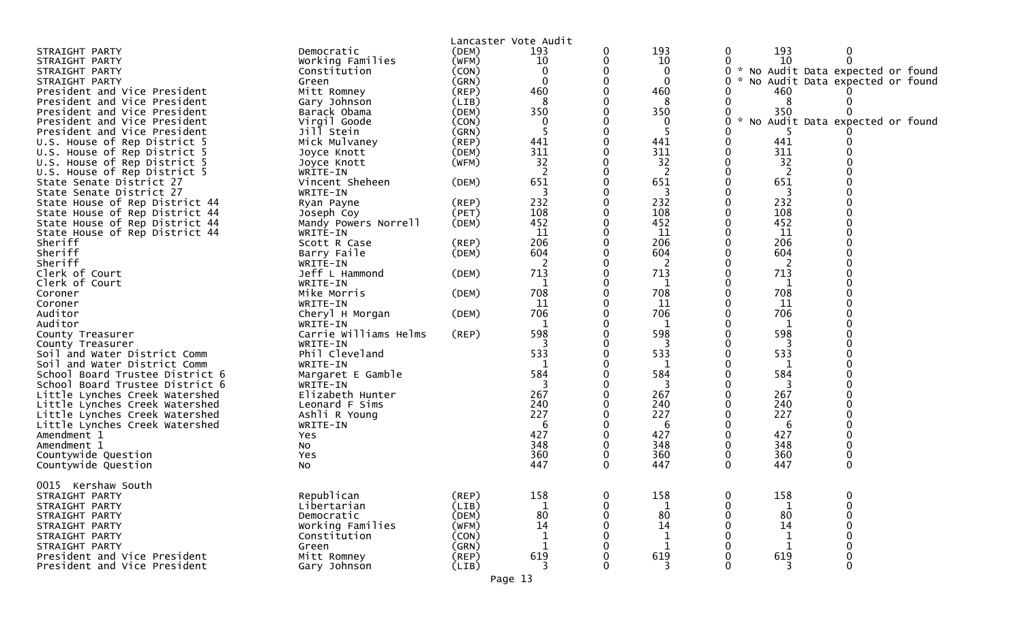| 193<br>193<br>Democratic<br>(DEM)<br>193<br>0<br>0<br>0<br>STRAIGHT PARTY<br>10<br>$\Omega$<br>Working Families<br>(WFM)<br>10<br>0<br>0<br>10<br>STRAIGHT PARTY<br>$\mathbf{0}$<br>$\mathbf{0}$<br>* No Audit Data expected or found<br>Constitution<br>(CON)<br>0<br>STRAIGHT PARTY<br>$\mathbf 0$<br>(GRN)<br>$\mathbf 0$<br>0<br>* No Audit Data expected or found<br>STRAIGHT PARTY<br>Green<br>460<br>President and Vice President<br>Mitt Romney<br>$($ REP $)$<br>460<br>460<br>8<br>(LIB)<br>8<br>President and Vice President<br>Gary Johnson<br>8<br>350<br>350<br>350<br>Barack Obama<br>(DEM)<br>President and Vice President<br>$\sim$<br>No Audit Data expected or found<br>President and Vice President<br>Virgil Goode<br>0<br>(CON)<br>0<br>0<br>5<br>Jill Stein<br>5<br>(GRN)<br>President and Vice President<br>5<br>441<br>441<br>Mick Mulvaney<br>(REP)<br>441<br>U.S. House of Rep District 5<br>311<br>311<br>311<br>U.S. House of Rep District 5<br>(DEM)<br>Joyce Knott<br>32<br>32<br>32<br>(WFM)<br>0<br>U.S. House of Rep District 5<br>0<br>Joyce Knott<br>$\overline{2}$<br>$\overline{2}$<br>2<br>U.S. House of Rep District 5<br>WRITE-IN<br>651<br>651<br>651<br>State Senate District 27<br>Vincent Sheheen<br>(DEM)<br>3<br>3<br>3<br>State Senate District 27<br>WRITE-IN<br>0<br>232<br>232<br>232<br>State House of Rep District 44<br>$($ REP $)$<br>Ryan Payne<br>108<br>108<br>108<br>(PET)<br>∩<br>State House of Rep District 44<br>Joseph Coy<br>452<br>452<br>452<br>Mandy Powers Norrell<br>(DEM)<br>0<br>State House of Rep District 44<br>11<br>11<br>11<br>State House of Rep District 44<br>WRITE-IN<br>Sheriff<br>206<br>206<br>206<br>(REP)<br>Scott R Case<br>604<br>Sheriff<br>604<br>604<br>(DEM)<br>Barry Faile<br>Sheriff<br>2<br>2<br>2<br>WRITE-IN<br>Jeff L Hammond<br>713<br>713<br>Clerk of Court<br>(DEM)<br>713<br>∩<br>0<br>Clerk of Court<br>WRITE-IN<br>$\mathbf 1$<br>1<br>1<br>708<br>708<br>708<br>Mike Morris<br>(DEM)<br>Coroner<br>11<br>WRITE-IN<br>11<br>0<br>11<br>Coroner<br>706<br>706<br>706<br>Auditor<br>Cheryl H Morgan<br>(DEM)<br>Auditor<br>1<br>WRITE-IN<br>1<br>598<br>598<br>598<br>Carrie Williams Helms<br>(REP)<br>County Treasurer<br>WRITE-IN<br>3<br>3<br>County Treasurer<br>533<br>533<br>Phil Cleveland<br>533<br>Soil and Water District Comm<br>0<br>Soil and Water District Comm<br>WRITE-IN<br>∩<br>1<br>1<br>584<br>584<br>584<br>Margaret E Gamble<br>School Board Trustee District 6<br>School Board Trustee District 6<br>3<br>3<br>WRITE-IN<br>3<br>267<br>267<br>Little Lynches Creek Watershed<br>Elizabeth Hunter<br>267<br>∩<br>240<br>240<br>240<br>Little Lynches Creek Watershed<br>Leonard F Sims<br>Ashli R Young<br>227<br>227<br>227<br>Little Lynches Creek Watershed<br>Little Lynches Creek Watershed<br>WRITE-IN<br>6<br>6<br>6<br>427<br>427<br>427<br>Amendment 1<br>Yes<br>348<br>348<br>348<br>Amendment 1<br>No<br>360<br>360<br>360<br>0<br>0<br>Countywide Question<br>Yes<br>447<br>$\Omega$<br>447<br>$\Omega$<br>447<br>$\Omega$<br>Countywide Question<br>No<br>0015 Kershaw South<br>158<br>158<br>158<br>Republican<br>0<br>(REP)<br>0<br>0<br>STRAIGHT PARTY<br>Libertarian<br>(LIB)<br>0<br>STRAIGHT PARTY<br>-1<br>1<br>1<br>80<br>80<br>80<br>Democratic<br>(DEM)<br>$\Omega$<br>STRAIGHT PARTY<br>14<br>14<br>14<br>Working Families<br>(WFM)<br>STRAIGHT PARTY<br>(CON)<br>STRAIGHT PARTY<br>Constitution<br>$\mathbf 1$<br>$\mathbf{1}$<br>$\mathbf{1}$<br>$\mathbf{1}$<br>(GRN)<br>STRAIGHT PARTY<br>Green<br>619<br>619<br>619<br>President and Vice President<br>Mitt Romney<br>(REP)<br>3<br>$\Omega$<br>President and Vice President<br>Gary Johnson<br>(LIB)<br>U<br>3<br>0 |  | Lancaster Vote Audit |  |  |  |
|---------------------------------------------------------------------------------------------------------------------------------------------------------------------------------------------------------------------------------------------------------------------------------------------------------------------------------------------------------------------------------------------------------------------------------------------------------------------------------------------------------------------------------------------------------------------------------------------------------------------------------------------------------------------------------------------------------------------------------------------------------------------------------------------------------------------------------------------------------------------------------------------------------------------------------------------------------------------------------------------------------------------------------------------------------------------------------------------------------------------------------------------------------------------------------------------------------------------------------------------------------------------------------------------------------------------------------------------------------------------------------------------------------------------------------------------------------------------------------------------------------------------------------------------------------------------------------------------------------------------------------------------------------------------------------------------------------------------------------------------------------------------------------------------------------------------------------------------------------------------------------------------------------------------------------------------------------------------------------------------------------------------------------------------------------------------------------------------------------------------------------------------------------------------------------------------------------------------------------------------------------------------------------------------------------------------------------------------------------------------------------------------------------------------------------------------------------------------------------------------------------------------------------------------------------------------------------------------------------------------------------------------------------------------------------------------------------------------------------------------------------------------------------------------------------------------------------------------------------------------------------------------------------------------------------------------------------------------------------------------------------------------------------------------------------------------------------------------------------------------------------------------------------------------------------------------------------------------------------------------------------------------------------------------------------------------------------------------------------------------------------------------------------------------------------------------------------------------------------------------------------------------------------------------------------------------------------------------------------------------------------------------------------------------------------------------------------------------------------|--|----------------------|--|--|--|
|                                                                                                                                                                                                                                                                                                                                                                                                                                                                                                                                                                                                                                                                                                                                                                                                                                                                                                                                                                                                                                                                                                                                                                                                                                                                                                                                                                                                                                                                                                                                                                                                                                                                                                                                                                                                                                                                                                                                                                                                                                                                                                                                                                                                                                                                                                                                                                                                                                                                                                                                                                                                                                                                                                                                                                                                                                                                                                                                                                                                                                                                                                                                                                                                                                                                                                                                                                                                                                                                                                                                                                                                                                                                                                                                 |  |                      |  |  |  |
|                                                                                                                                                                                                                                                                                                                                                                                                                                                                                                                                                                                                                                                                                                                                                                                                                                                                                                                                                                                                                                                                                                                                                                                                                                                                                                                                                                                                                                                                                                                                                                                                                                                                                                                                                                                                                                                                                                                                                                                                                                                                                                                                                                                                                                                                                                                                                                                                                                                                                                                                                                                                                                                                                                                                                                                                                                                                                                                                                                                                                                                                                                                                                                                                                                                                                                                                                                                                                                                                                                                                                                                                                                                                                                                                 |  |                      |  |  |  |
|                                                                                                                                                                                                                                                                                                                                                                                                                                                                                                                                                                                                                                                                                                                                                                                                                                                                                                                                                                                                                                                                                                                                                                                                                                                                                                                                                                                                                                                                                                                                                                                                                                                                                                                                                                                                                                                                                                                                                                                                                                                                                                                                                                                                                                                                                                                                                                                                                                                                                                                                                                                                                                                                                                                                                                                                                                                                                                                                                                                                                                                                                                                                                                                                                                                                                                                                                                                                                                                                                                                                                                                                                                                                                                                                 |  |                      |  |  |  |
|                                                                                                                                                                                                                                                                                                                                                                                                                                                                                                                                                                                                                                                                                                                                                                                                                                                                                                                                                                                                                                                                                                                                                                                                                                                                                                                                                                                                                                                                                                                                                                                                                                                                                                                                                                                                                                                                                                                                                                                                                                                                                                                                                                                                                                                                                                                                                                                                                                                                                                                                                                                                                                                                                                                                                                                                                                                                                                                                                                                                                                                                                                                                                                                                                                                                                                                                                                                                                                                                                                                                                                                                                                                                                                                                 |  |                      |  |  |  |
|                                                                                                                                                                                                                                                                                                                                                                                                                                                                                                                                                                                                                                                                                                                                                                                                                                                                                                                                                                                                                                                                                                                                                                                                                                                                                                                                                                                                                                                                                                                                                                                                                                                                                                                                                                                                                                                                                                                                                                                                                                                                                                                                                                                                                                                                                                                                                                                                                                                                                                                                                                                                                                                                                                                                                                                                                                                                                                                                                                                                                                                                                                                                                                                                                                                                                                                                                                                                                                                                                                                                                                                                                                                                                                                                 |  |                      |  |  |  |
|                                                                                                                                                                                                                                                                                                                                                                                                                                                                                                                                                                                                                                                                                                                                                                                                                                                                                                                                                                                                                                                                                                                                                                                                                                                                                                                                                                                                                                                                                                                                                                                                                                                                                                                                                                                                                                                                                                                                                                                                                                                                                                                                                                                                                                                                                                                                                                                                                                                                                                                                                                                                                                                                                                                                                                                                                                                                                                                                                                                                                                                                                                                                                                                                                                                                                                                                                                                                                                                                                                                                                                                                                                                                                                                                 |  |                      |  |  |  |
|                                                                                                                                                                                                                                                                                                                                                                                                                                                                                                                                                                                                                                                                                                                                                                                                                                                                                                                                                                                                                                                                                                                                                                                                                                                                                                                                                                                                                                                                                                                                                                                                                                                                                                                                                                                                                                                                                                                                                                                                                                                                                                                                                                                                                                                                                                                                                                                                                                                                                                                                                                                                                                                                                                                                                                                                                                                                                                                                                                                                                                                                                                                                                                                                                                                                                                                                                                                                                                                                                                                                                                                                                                                                                                                                 |  |                      |  |  |  |
|                                                                                                                                                                                                                                                                                                                                                                                                                                                                                                                                                                                                                                                                                                                                                                                                                                                                                                                                                                                                                                                                                                                                                                                                                                                                                                                                                                                                                                                                                                                                                                                                                                                                                                                                                                                                                                                                                                                                                                                                                                                                                                                                                                                                                                                                                                                                                                                                                                                                                                                                                                                                                                                                                                                                                                                                                                                                                                                                                                                                                                                                                                                                                                                                                                                                                                                                                                                                                                                                                                                                                                                                                                                                                                                                 |  |                      |  |  |  |
|                                                                                                                                                                                                                                                                                                                                                                                                                                                                                                                                                                                                                                                                                                                                                                                                                                                                                                                                                                                                                                                                                                                                                                                                                                                                                                                                                                                                                                                                                                                                                                                                                                                                                                                                                                                                                                                                                                                                                                                                                                                                                                                                                                                                                                                                                                                                                                                                                                                                                                                                                                                                                                                                                                                                                                                                                                                                                                                                                                                                                                                                                                                                                                                                                                                                                                                                                                                                                                                                                                                                                                                                                                                                                                                                 |  |                      |  |  |  |
|                                                                                                                                                                                                                                                                                                                                                                                                                                                                                                                                                                                                                                                                                                                                                                                                                                                                                                                                                                                                                                                                                                                                                                                                                                                                                                                                                                                                                                                                                                                                                                                                                                                                                                                                                                                                                                                                                                                                                                                                                                                                                                                                                                                                                                                                                                                                                                                                                                                                                                                                                                                                                                                                                                                                                                                                                                                                                                                                                                                                                                                                                                                                                                                                                                                                                                                                                                                                                                                                                                                                                                                                                                                                                                                                 |  |                      |  |  |  |
|                                                                                                                                                                                                                                                                                                                                                                                                                                                                                                                                                                                                                                                                                                                                                                                                                                                                                                                                                                                                                                                                                                                                                                                                                                                                                                                                                                                                                                                                                                                                                                                                                                                                                                                                                                                                                                                                                                                                                                                                                                                                                                                                                                                                                                                                                                                                                                                                                                                                                                                                                                                                                                                                                                                                                                                                                                                                                                                                                                                                                                                                                                                                                                                                                                                                                                                                                                                                                                                                                                                                                                                                                                                                                                                                 |  |                      |  |  |  |
|                                                                                                                                                                                                                                                                                                                                                                                                                                                                                                                                                                                                                                                                                                                                                                                                                                                                                                                                                                                                                                                                                                                                                                                                                                                                                                                                                                                                                                                                                                                                                                                                                                                                                                                                                                                                                                                                                                                                                                                                                                                                                                                                                                                                                                                                                                                                                                                                                                                                                                                                                                                                                                                                                                                                                                                                                                                                                                                                                                                                                                                                                                                                                                                                                                                                                                                                                                                                                                                                                                                                                                                                                                                                                                                                 |  |                      |  |  |  |
|                                                                                                                                                                                                                                                                                                                                                                                                                                                                                                                                                                                                                                                                                                                                                                                                                                                                                                                                                                                                                                                                                                                                                                                                                                                                                                                                                                                                                                                                                                                                                                                                                                                                                                                                                                                                                                                                                                                                                                                                                                                                                                                                                                                                                                                                                                                                                                                                                                                                                                                                                                                                                                                                                                                                                                                                                                                                                                                                                                                                                                                                                                                                                                                                                                                                                                                                                                                                                                                                                                                                                                                                                                                                                                                                 |  |                      |  |  |  |
|                                                                                                                                                                                                                                                                                                                                                                                                                                                                                                                                                                                                                                                                                                                                                                                                                                                                                                                                                                                                                                                                                                                                                                                                                                                                                                                                                                                                                                                                                                                                                                                                                                                                                                                                                                                                                                                                                                                                                                                                                                                                                                                                                                                                                                                                                                                                                                                                                                                                                                                                                                                                                                                                                                                                                                                                                                                                                                                                                                                                                                                                                                                                                                                                                                                                                                                                                                                                                                                                                                                                                                                                                                                                                                                                 |  |                      |  |  |  |
|                                                                                                                                                                                                                                                                                                                                                                                                                                                                                                                                                                                                                                                                                                                                                                                                                                                                                                                                                                                                                                                                                                                                                                                                                                                                                                                                                                                                                                                                                                                                                                                                                                                                                                                                                                                                                                                                                                                                                                                                                                                                                                                                                                                                                                                                                                                                                                                                                                                                                                                                                                                                                                                                                                                                                                                                                                                                                                                                                                                                                                                                                                                                                                                                                                                                                                                                                                                                                                                                                                                                                                                                                                                                                                                                 |  |                      |  |  |  |
|                                                                                                                                                                                                                                                                                                                                                                                                                                                                                                                                                                                                                                                                                                                                                                                                                                                                                                                                                                                                                                                                                                                                                                                                                                                                                                                                                                                                                                                                                                                                                                                                                                                                                                                                                                                                                                                                                                                                                                                                                                                                                                                                                                                                                                                                                                                                                                                                                                                                                                                                                                                                                                                                                                                                                                                                                                                                                                                                                                                                                                                                                                                                                                                                                                                                                                                                                                                                                                                                                                                                                                                                                                                                                                                                 |  |                      |  |  |  |
|                                                                                                                                                                                                                                                                                                                                                                                                                                                                                                                                                                                                                                                                                                                                                                                                                                                                                                                                                                                                                                                                                                                                                                                                                                                                                                                                                                                                                                                                                                                                                                                                                                                                                                                                                                                                                                                                                                                                                                                                                                                                                                                                                                                                                                                                                                                                                                                                                                                                                                                                                                                                                                                                                                                                                                                                                                                                                                                                                                                                                                                                                                                                                                                                                                                                                                                                                                                                                                                                                                                                                                                                                                                                                                                                 |  |                      |  |  |  |
|                                                                                                                                                                                                                                                                                                                                                                                                                                                                                                                                                                                                                                                                                                                                                                                                                                                                                                                                                                                                                                                                                                                                                                                                                                                                                                                                                                                                                                                                                                                                                                                                                                                                                                                                                                                                                                                                                                                                                                                                                                                                                                                                                                                                                                                                                                                                                                                                                                                                                                                                                                                                                                                                                                                                                                                                                                                                                                                                                                                                                                                                                                                                                                                                                                                                                                                                                                                                                                                                                                                                                                                                                                                                                                                                 |  |                      |  |  |  |
|                                                                                                                                                                                                                                                                                                                                                                                                                                                                                                                                                                                                                                                                                                                                                                                                                                                                                                                                                                                                                                                                                                                                                                                                                                                                                                                                                                                                                                                                                                                                                                                                                                                                                                                                                                                                                                                                                                                                                                                                                                                                                                                                                                                                                                                                                                                                                                                                                                                                                                                                                                                                                                                                                                                                                                                                                                                                                                                                                                                                                                                                                                                                                                                                                                                                                                                                                                                                                                                                                                                                                                                                                                                                                                                                 |  |                      |  |  |  |
|                                                                                                                                                                                                                                                                                                                                                                                                                                                                                                                                                                                                                                                                                                                                                                                                                                                                                                                                                                                                                                                                                                                                                                                                                                                                                                                                                                                                                                                                                                                                                                                                                                                                                                                                                                                                                                                                                                                                                                                                                                                                                                                                                                                                                                                                                                                                                                                                                                                                                                                                                                                                                                                                                                                                                                                                                                                                                                                                                                                                                                                                                                                                                                                                                                                                                                                                                                                                                                                                                                                                                                                                                                                                                                                                 |  |                      |  |  |  |
|                                                                                                                                                                                                                                                                                                                                                                                                                                                                                                                                                                                                                                                                                                                                                                                                                                                                                                                                                                                                                                                                                                                                                                                                                                                                                                                                                                                                                                                                                                                                                                                                                                                                                                                                                                                                                                                                                                                                                                                                                                                                                                                                                                                                                                                                                                                                                                                                                                                                                                                                                                                                                                                                                                                                                                                                                                                                                                                                                                                                                                                                                                                                                                                                                                                                                                                                                                                                                                                                                                                                                                                                                                                                                                                                 |  |                      |  |  |  |
|                                                                                                                                                                                                                                                                                                                                                                                                                                                                                                                                                                                                                                                                                                                                                                                                                                                                                                                                                                                                                                                                                                                                                                                                                                                                                                                                                                                                                                                                                                                                                                                                                                                                                                                                                                                                                                                                                                                                                                                                                                                                                                                                                                                                                                                                                                                                                                                                                                                                                                                                                                                                                                                                                                                                                                                                                                                                                                                                                                                                                                                                                                                                                                                                                                                                                                                                                                                                                                                                                                                                                                                                                                                                                                                                 |  |                      |  |  |  |
|                                                                                                                                                                                                                                                                                                                                                                                                                                                                                                                                                                                                                                                                                                                                                                                                                                                                                                                                                                                                                                                                                                                                                                                                                                                                                                                                                                                                                                                                                                                                                                                                                                                                                                                                                                                                                                                                                                                                                                                                                                                                                                                                                                                                                                                                                                                                                                                                                                                                                                                                                                                                                                                                                                                                                                                                                                                                                                                                                                                                                                                                                                                                                                                                                                                                                                                                                                                                                                                                                                                                                                                                                                                                                                                                 |  |                      |  |  |  |
|                                                                                                                                                                                                                                                                                                                                                                                                                                                                                                                                                                                                                                                                                                                                                                                                                                                                                                                                                                                                                                                                                                                                                                                                                                                                                                                                                                                                                                                                                                                                                                                                                                                                                                                                                                                                                                                                                                                                                                                                                                                                                                                                                                                                                                                                                                                                                                                                                                                                                                                                                                                                                                                                                                                                                                                                                                                                                                                                                                                                                                                                                                                                                                                                                                                                                                                                                                                                                                                                                                                                                                                                                                                                                                                                 |  |                      |  |  |  |
|                                                                                                                                                                                                                                                                                                                                                                                                                                                                                                                                                                                                                                                                                                                                                                                                                                                                                                                                                                                                                                                                                                                                                                                                                                                                                                                                                                                                                                                                                                                                                                                                                                                                                                                                                                                                                                                                                                                                                                                                                                                                                                                                                                                                                                                                                                                                                                                                                                                                                                                                                                                                                                                                                                                                                                                                                                                                                                                                                                                                                                                                                                                                                                                                                                                                                                                                                                                                                                                                                                                                                                                                                                                                                                                                 |  |                      |  |  |  |
|                                                                                                                                                                                                                                                                                                                                                                                                                                                                                                                                                                                                                                                                                                                                                                                                                                                                                                                                                                                                                                                                                                                                                                                                                                                                                                                                                                                                                                                                                                                                                                                                                                                                                                                                                                                                                                                                                                                                                                                                                                                                                                                                                                                                                                                                                                                                                                                                                                                                                                                                                                                                                                                                                                                                                                                                                                                                                                                                                                                                                                                                                                                                                                                                                                                                                                                                                                                                                                                                                                                                                                                                                                                                                                                                 |  |                      |  |  |  |
|                                                                                                                                                                                                                                                                                                                                                                                                                                                                                                                                                                                                                                                                                                                                                                                                                                                                                                                                                                                                                                                                                                                                                                                                                                                                                                                                                                                                                                                                                                                                                                                                                                                                                                                                                                                                                                                                                                                                                                                                                                                                                                                                                                                                                                                                                                                                                                                                                                                                                                                                                                                                                                                                                                                                                                                                                                                                                                                                                                                                                                                                                                                                                                                                                                                                                                                                                                                                                                                                                                                                                                                                                                                                                                                                 |  |                      |  |  |  |
|                                                                                                                                                                                                                                                                                                                                                                                                                                                                                                                                                                                                                                                                                                                                                                                                                                                                                                                                                                                                                                                                                                                                                                                                                                                                                                                                                                                                                                                                                                                                                                                                                                                                                                                                                                                                                                                                                                                                                                                                                                                                                                                                                                                                                                                                                                                                                                                                                                                                                                                                                                                                                                                                                                                                                                                                                                                                                                                                                                                                                                                                                                                                                                                                                                                                                                                                                                                                                                                                                                                                                                                                                                                                                                                                 |  |                      |  |  |  |
|                                                                                                                                                                                                                                                                                                                                                                                                                                                                                                                                                                                                                                                                                                                                                                                                                                                                                                                                                                                                                                                                                                                                                                                                                                                                                                                                                                                                                                                                                                                                                                                                                                                                                                                                                                                                                                                                                                                                                                                                                                                                                                                                                                                                                                                                                                                                                                                                                                                                                                                                                                                                                                                                                                                                                                                                                                                                                                                                                                                                                                                                                                                                                                                                                                                                                                                                                                                                                                                                                                                                                                                                                                                                                                                                 |  |                      |  |  |  |
|                                                                                                                                                                                                                                                                                                                                                                                                                                                                                                                                                                                                                                                                                                                                                                                                                                                                                                                                                                                                                                                                                                                                                                                                                                                                                                                                                                                                                                                                                                                                                                                                                                                                                                                                                                                                                                                                                                                                                                                                                                                                                                                                                                                                                                                                                                                                                                                                                                                                                                                                                                                                                                                                                                                                                                                                                                                                                                                                                                                                                                                                                                                                                                                                                                                                                                                                                                                                                                                                                                                                                                                                                                                                                                                                 |  |                      |  |  |  |
|                                                                                                                                                                                                                                                                                                                                                                                                                                                                                                                                                                                                                                                                                                                                                                                                                                                                                                                                                                                                                                                                                                                                                                                                                                                                                                                                                                                                                                                                                                                                                                                                                                                                                                                                                                                                                                                                                                                                                                                                                                                                                                                                                                                                                                                                                                                                                                                                                                                                                                                                                                                                                                                                                                                                                                                                                                                                                                                                                                                                                                                                                                                                                                                                                                                                                                                                                                                                                                                                                                                                                                                                                                                                                                                                 |  |                      |  |  |  |
|                                                                                                                                                                                                                                                                                                                                                                                                                                                                                                                                                                                                                                                                                                                                                                                                                                                                                                                                                                                                                                                                                                                                                                                                                                                                                                                                                                                                                                                                                                                                                                                                                                                                                                                                                                                                                                                                                                                                                                                                                                                                                                                                                                                                                                                                                                                                                                                                                                                                                                                                                                                                                                                                                                                                                                                                                                                                                                                                                                                                                                                                                                                                                                                                                                                                                                                                                                                                                                                                                                                                                                                                                                                                                                                                 |  |                      |  |  |  |
|                                                                                                                                                                                                                                                                                                                                                                                                                                                                                                                                                                                                                                                                                                                                                                                                                                                                                                                                                                                                                                                                                                                                                                                                                                                                                                                                                                                                                                                                                                                                                                                                                                                                                                                                                                                                                                                                                                                                                                                                                                                                                                                                                                                                                                                                                                                                                                                                                                                                                                                                                                                                                                                                                                                                                                                                                                                                                                                                                                                                                                                                                                                                                                                                                                                                                                                                                                                                                                                                                                                                                                                                                                                                                                                                 |  |                      |  |  |  |
|                                                                                                                                                                                                                                                                                                                                                                                                                                                                                                                                                                                                                                                                                                                                                                                                                                                                                                                                                                                                                                                                                                                                                                                                                                                                                                                                                                                                                                                                                                                                                                                                                                                                                                                                                                                                                                                                                                                                                                                                                                                                                                                                                                                                                                                                                                                                                                                                                                                                                                                                                                                                                                                                                                                                                                                                                                                                                                                                                                                                                                                                                                                                                                                                                                                                                                                                                                                                                                                                                                                                                                                                                                                                                                                                 |  |                      |  |  |  |
|                                                                                                                                                                                                                                                                                                                                                                                                                                                                                                                                                                                                                                                                                                                                                                                                                                                                                                                                                                                                                                                                                                                                                                                                                                                                                                                                                                                                                                                                                                                                                                                                                                                                                                                                                                                                                                                                                                                                                                                                                                                                                                                                                                                                                                                                                                                                                                                                                                                                                                                                                                                                                                                                                                                                                                                                                                                                                                                                                                                                                                                                                                                                                                                                                                                                                                                                                                                                                                                                                                                                                                                                                                                                                                                                 |  |                      |  |  |  |
|                                                                                                                                                                                                                                                                                                                                                                                                                                                                                                                                                                                                                                                                                                                                                                                                                                                                                                                                                                                                                                                                                                                                                                                                                                                                                                                                                                                                                                                                                                                                                                                                                                                                                                                                                                                                                                                                                                                                                                                                                                                                                                                                                                                                                                                                                                                                                                                                                                                                                                                                                                                                                                                                                                                                                                                                                                                                                                                                                                                                                                                                                                                                                                                                                                                                                                                                                                                                                                                                                                                                                                                                                                                                                                                                 |  |                      |  |  |  |
|                                                                                                                                                                                                                                                                                                                                                                                                                                                                                                                                                                                                                                                                                                                                                                                                                                                                                                                                                                                                                                                                                                                                                                                                                                                                                                                                                                                                                                                                                                                                                                                                                                                                                                                                                                                                                                                                                                                                                                                                                                                                                                                                                                                                                                                                                                                                                                                                                                                                                                                                                                                                                                                                                                                                                                                                                                                                                                                                                                                                                                                                                                                                                                                                                                                                                                                                                                                                                                                                                                                                                                                                                                                                                                                                 |  |                      |  |  |  |
|                                                                                                                                                                                                                                                                                                                                                                                                                                                                                                                                                                                                                                                                                                                                                                                                                                                                                                                                                                                                                                                                                                                                                                                                                                                                                                                                                                                                                                                                                                                                                                                                                                                                                                                                                                                                                                                                                                                                                                                                                                                                                                                                                                                                                                                                                                                                                                                                                                                                                                                                                                                                                                                                                                                                                                                                                                                                                                                                                                                                                                                                                                                                                                                                                                                                                                                                                                                                                                                                                                                                                                                                                                                                                                                                 |  |                      |  |  |  |
|                                                                                                                                                                                                                                                                                                                                                                                                                                                                                                                                                                                                                                                                                                                                                                                                                                                                                                                                                                                                                                                                                                                                                                                                                                                                                                                                                                                                                                                                                                                                                                                                                                                                                                                                                                                                                                                                                                                                                                                                                                                                                                                                                                                                                                                                                                                                                                                                                                                                                                                                                                                                                                                                                                                                                                                                                                                                                                                                                                                                                                                                                                                                                                                                                                                                                                                                                                                                                                                                                                                                                                                                                                                                                                                                 |  |                      |  |  |  |
|                                                                                                                                                                                                                                                                                                                                                                                                                                                                                                                                                                                                                                                                                                                                                                                                                                                                                                                                                                                                                                                                                                                                                                                                                                                                                                                                                                                                                                                                                                                                                                                                                                                                                                                                                                                                                                                                                                                                                                                                                                                                                                                                                                                                                                                                                                                                                                                                                                                                                                                                                                                                                                                                                                                                                                                                                                                                                                                                                                                                                                                                                                                                                                                                                                                                                                                                                                                                                                                                                                                                                                                                                                                                                                                                 |  |                      |  |  |  |
|                                                                                                                                                                                                                                                                                                                                                                                                                                                                                                                                                                                                                                                                                                                                                                                                                                                                                                                                                                                                                                                                                                                                                                                                                                                                                                                                                                                                                                                                                                                                                                                                                                                                                                                                                                                                                                                                                                                                                                                                                                                                                                                                                                                                                                                                                                                                                                                                                                                                                                                                                                                                                                                                                                                                                                                                                                                                                                                                                                                                                                                                                                                                                                                                                                                                                                                                                                                                                                                                                                                                                                                                                                                                                                                                 |  |                      |  |  |  |
|                                                                                                                                                                                                                                                                                                                                                                                                                                                                                                                                                                                                                                                                                                                                                                                                                                                                                                                                                                                                                                                                                                                                                                                                                                                                                                                                                                                                                                                                                                                                                                                                                                                                                                                                                                                                                                                                                                                                                                                                                                                                                                                                                                                                                                                                                                                                                                                                                                                                                                                                                                                                                                                                                                                                                                                                                                                                                                                                                                                                                                                                                                                                                                                                                                                                                                                                                                                                                                                                                                                                                                                                                                                                                                                                 |  |                      |  |  |  |
|                                                                                                                                                                                                                                                                                                                                                                                                                                                                                                                                                                                                                                                                                                                                                                                                                                                                                                                                                                                                                                                                                                                                                                                                                                                                                                                                                                                                                                                                                                                                                                                                                                                                                                                                                                                                                                                                                                                                                                                                                                                                                                                                                                                                                                                                                                                                                                                                                                                                                                                                                                                                                                                                                                                                                                                                                                                                                                                                                                                                                                                                                                                                                                                                                                                                                                                                                                                                                                                                                                                                                                                                                                                                                                                                 |  |                      |  |  |  |
|                                                                                                                                                                                                                                                                                                                                                                                                                                                                                                                                                                                                                                                                                                                                                                                                                                                                                                                                                                                                                                                                                                                                                                                                                                                                                                                                                                                                                                                                                                                                                                                                                                                                                                                                                                                                                                                                                                                                                                                                                                                                                                                                                                                                                                                                                                                                                                                                                                                                                                                                                                                                                                                                                                                                                                                                                                                                                                                                                                                                                                                                                                                                                                                                                                                                                                                                                                                                                                                                                                                                                                                                                                                                                                                                 |  |                      |  |  |  |
|                                                                                                                                                                                                                                                                                                                                                                                                                                                                                                                                                                                                                                                                                                                                                                                                                                                                                                                                                                                                                                                                                                                                                                                                                                                                                                                                                                                                                                                                                                                                                                                                                                                                                                                                                                                                                                                                                                                                                                                                                                                                                                                                                                                                                                                                                                                                                                                                                                                                                                                                                                                                                                                                                                                                                                                                                                                                                                                                                                                                                                                                                                                                                                                                                                                                                                                                                                                                                                                                                                                                                                                                                                                                                                                                 |  |                      |  |  |  |
|                                                                                                                                                                                                                                                                                                                                                                                                                                                                                                                                                                                                                                                                                                                                                                                                                                                                                                                                                                                                                                                                                                                                                                                                                                                                                                                                                                                                                                                                                                                                                                                                                                                                                                                                                                                                                                                                                                                                                                                                                                                                                                                                                                                                                                                                                                                                                                                                                                                                                                                                                                                                                                                                                                                                                                                                                                                                                                                                                                                                                                                                                                                                                                                                                                                                                                                                                                                                                                                                                                                                                                                                                                                                                                                                 |  |                      |  |  |  |
|                                                                                                                                                                                                                                                                                                                                                                                                                                                                                                                                                                                                                                                                                                                                                                                                                                                                                                                                                                                                                                                                                                                                                                                                                                                                                                                                                                                                                                                                                                                                                                                                                                                                                                                                                                                                                                                                                                                                                                                                                                                                                                                                                                                                                                                                                                                                                                                                                                                                                                                                                                                                                                                                                                                                                                                                                                                                                                                                                                                                                                                                                                                                                                                                                                                                                                                                                                                                                                                                                                                                                                                                                                                                                                                                 |  |                      |  |  |  |
|                                                                                                                                                                                                                                                                                                                                                                                                                                                                                                                                                                                                                                                                                                                                                                                                                                                                                                                                                                                                                                                                                                                                                                                                                                                                                                                                                                                                                                                                                                                                                                                                                                                                                                                                                                                                                                                                                                                                                                                                                                                                                                                                                                                                                                                                                                                                                                                                                                                                                                                                                                                                                                                                                                                                                                                                                                                                                                                                                                                                                                                                                                                                                                                                                                                                                                                                                                                                                                                                                                                                                                                                                                                                                                                                 |  |                      |  |  |  |
|                                                                                                                                                                                                                                                                                                                                                                                                                                                                                                                                                                                                                                                                                                                                                                                                                                                                                                                                                                                                                                                                                                                                                                                                                                                                                                                                                                                                                                                                                                                                                                                                                                                                                                                                                                                                                                                                                                                                                                                                                                                                                                                                                                                                                                                                                                                                                                                                                                                                                                                                                                                                                                                                                                                                                                                                                                                                                                                                                                                                                                                                                                                                                                                                                                                                                                                                                                                                                                                                                                                                                                                                                                                                                                                                 |  |                      |  |  |  |
|                                                                                                                                                                                                                                                                                                                                                                                                                                                                                                                                                                                                                                                                                                                                                                                                                                                                                                                                                                                                                                                                                                                                                                                                                                                                                                                                                                                                                                                                                                                                                                                                                                                                                                                                                                                                                                                                                                                                                                                                                                                                                                                                                                                                                                                                                                                                                                                                                                                                                                                                                                                                                                                                                                                                                                                                                                                                                                                                                                                                                                                                                                                                                                                                                                                                                                                                                                                                                                                                                                                                                                                                                                                                                                                                 |  |                      |  |  |  |
|                                                                                                                                                                                                                                                                                                                                                                                                                                                                                                                                                                                                                                                                                                                                                                                                                                                                                                                                                                                                                                                                                                                                                                                                                                                                                                                                                                                                                                                                                                                                                                                                                                                                                                                                                                                                                                                                                                                                                                                                                                                                                                                                                                                                                                                                                                                                                                                                                                                                                                                                                                                                                                                                                                                                                                                                                                                                                                                                                                                                                                                                                                                                                                                                                                                                                                                                                                                                                                                                                                                                                                                                                                                                                                                                 |  |                      |  |  |  |
|                                                                                                                                                                                                                                                                                                                                                                                                                                                                                                                                                                                                                                                                                                                                                                                                                                                                                                                                                                                                                                                                                                                                                                                                                                                                                                                                                                                                                                                                                                                                                                                                                                                                                                                                                                                                                                                                                                                                                                                                                                                                                                                                                                                                                                                                                                                                                                                                                                                                                                                                                                                                                                                                                                                                                                                                                                                                                                                                                                                                                                                                                                                                                                                                                                                                                                                                                                                                                                                                                                                                                                                                                                                                                                                                 |  |                      |  |  |  |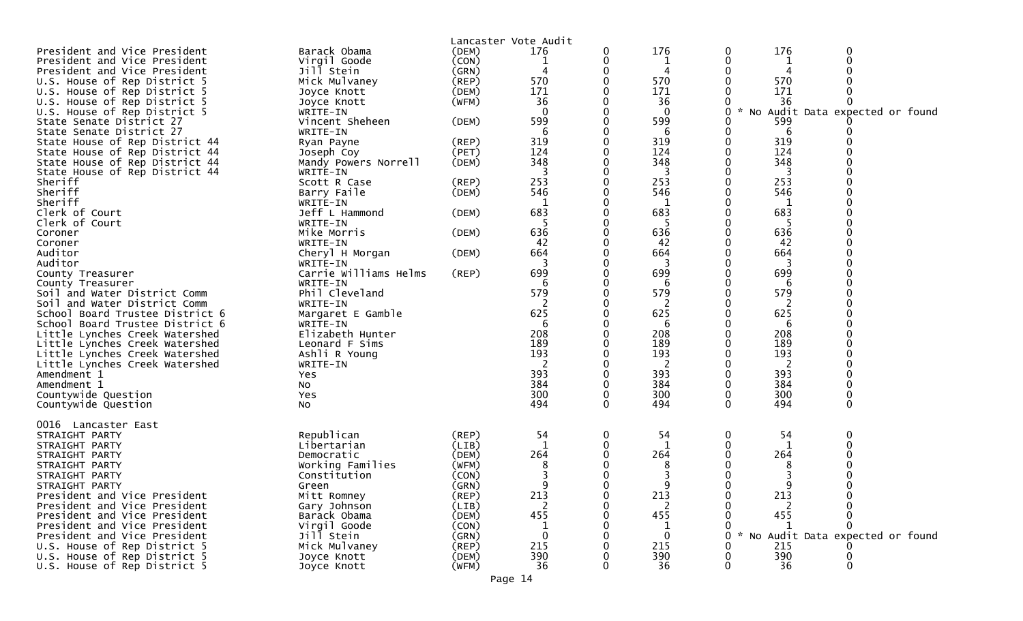| President and Vice President                                 | Barack Obama                      | (DEM)          | Lancaster Vote Audit<br>176 | 0        | 176        | 0 | 176                         |                                   |
|--------------------------------------------------------------|-----------------------------------|----------------|-----------------------------|----------|------------|---|-----------------------------|-----------------------------------|
| President and Vice President                                 | Virgil Goode                      | (CON)          |                             | 0        | 1          |   |                             |                                   |
| President and Vice President                                 | Jill Stein                        | (GRN)          |                             |          | 4          |   | 4                           |                                   |
| U.S. House of Rep District 5                                 | Mick Mulvaney                     | (REP)          | 570                         |          | 570        |   | 570                         |                                   |
| U.S. House of Rep District 5                                 | Joyce Knott                       | (DEM)          | 171                         |          | 171        |   | 171                         |                                   |
| U.S. House of Rep District 5                                 |                                   | (WFM)          | 36                          |          | 36         |   | 36                          |                                   |
|                                                              | Joyce Knott                       |                | $\Omega$                    |          | $\Omega$   |   | $\mathcal{H}_{\mathcal{A}}$ |                                   |
| U.S. House of Rep District 5                                 | WRITE-IN<br>Vincent Sheheen       |                | 599                         |          | 599        |   | 599                         | No Audit Data expected or found   |
| State Senate District 27                                     |                                   | (DEM)          |                             |          |            |   |                             |                                   |
| State Senate District 27                                     | WRITE-IN                          |                | 6                           |          | 6          |   | 6                           |                                   |
| State House of Rep District 44                               | Ryan Payne                        | (REP)<br>(PET) | 319<br>124                  |          | 319<br>124 |   | 319<br>124                  |                                   |
| State House of Rep District 44                               | Joseph Coy                        |                |                             |          |            |   |                             |                                   |
| State House of Rep District 44                               | Mandy Powers Norrell              | (DEM)          | 348<br>3                    |          | 348<br>3   |   | 348                         |                                   |
| State House of Rep District 44                               | WRITE-IN                          |                |                             |          |            |   |                             |                                   |
| Sheriff<br>Sheriff                                           | Scott R Case                      | (REP)          | 253<br>546                  |          | 253        |   | 253<br>546                  |                                   |
|                                                              | Barry Faile                       | (DEM)          |                             |          | 546        |   |                             |                                   |
| Sheriff                                                      | WRITE-IN                          |                | 1<br>683                    |          | 1<br>683   |   | 1<br>683                    |                                   |
| Clerk of Court                                               | Jeff L Hammond                    | (DEM)          |                             |          |            |   |                             |                                   |
| Clerk of Court                                               | WRITE-IN                          |                |                             |          | -5         |   | 5                           |                                   |
| Coroner                                                      | Mike Morris                       | (DEM)          | 636                         |          | 636        |   | 636                         |                                   |
| Coroner                                                      | WRITE-IN                          |                | 42                          |          | 42         |   | 42                          |                                   |
| Auditor<br>Auditor                                           | Cheryl H Morgan                   | (DEM)          | 664<br>3                    |          | 664<br>3   |   | 664<br>3                    |                                   |
|                                                              | WRITE-IN<br>Carrie Williams Helms |                | 699                         |          |            |   | 699                         |                                   |
| County Treasurer                                             |                                   | (REP)          |                             |          | 699        |   |                             |                                   |
| County Treasurer                                             | WRITE-IN<br>Phil Cleveland        |                | h<br>579                    |          | 6<br>579   |   | 6<br>579                    |                                   |
| Soil and Water District Comm<br>Soil and Water District Comm |                                   |                | 2                           |          | 2          |   | 2                           |                                   |
| School Board Trustee District 6                              | WRITE-IN<br>Margaret E Gamble     |                | 625                         |          | 625        |   | 625                         |                                   |
| School Board Trustee District 6                              | WRITE-IN                          |                | 6                           |          | 6          |   | 6                           |                                   |
| Little Lynches Creek Watershed                               | Elizabeth Hunter                  |                | 208                         |          | 208        |   | 208                         |                                   |
| Little Lynches Creek Watershed                               | Leonard F Sims                    |                | 189                         |          | 189        |   | 189                         |                                   |
| Little Lynches Creek Watershed                               | Ashli R Young                     |                | 193                         |          | 193        |   | 193                         |                                   |
| Little Lynches Creek Watershed                               | WRITE-IN                          |                |                             |          | 2          |   | 2                           |                                   |
| Amendment 1                                                  | Yes                               |                | 393                         |          | 393        |   | 393                         |                                   |
| Amendment 1                                                  | NO.                               |                | 384                         |          | 384        |   | 384                         |                                   |
| Countywide Question                                          | Yes                               |                | 300                         |          | 300        |   | 300                         |                                   |
| Countywide Question                                          | No                                |                | 494                         | $\Omega$ | 494        |   | 494                         | $\Omega$                          |
|                                                              |                                   |                |                             |          |            |   |                             |                                   |
| 0016 Lancaster East                                          |                                   |                |                             |          |            |   |                             |                                   |
| STRAIGHT PARTY                                               | Republican                        | (REP)          | 54                          | 0        | 54         | 0 | 54                          |                                   |
| STRAIGHT PARTY                                               | Libertarian                       | (LIB)          | 1                           |          | 1          |   | 1                           |                                   |
| STRAIGHT PARTY                                               | Democratic                        | (DEM)          | 264                         |          | 264        |   | 264                         |                                   |
| STRAIGHT PARTY                                               | Working Families                  | (WFM)          |                             |          |            |   |                             |                                   |
| STRAIGHT PARTY                                               | Constitution                      | (CON)          |                             |          |            |   |                             |                                   |
| STRAIGHT PARTY                                               | Green                             | (GRN)          | ∩                           |          |            |   | ∩                           |                                   |
| President and Vice President                                 | Mitt Romney                       | (REP)          | 213                         |          | 213        |   | 213                         |                                   |
| President and Vice President                                 | Gary Johnson                      | (LIB)          | 2                           |          |            |   |                             |                                   |
| President and Vice President                                 | Barack Obama                      | (DEM)          | 455                         |          | 455        |   | 455                         |                                   |
| President and Vice President                                 | Virgil Goode                      | (CON)          |                             |          |            |   |                             |                                   |
| President and Vice President                                 | Jill Stein                        | (GRN)          | $\Omega$                    |          | $\Omega$   |   |                             | * No Audit Data expected or found |
| U.S. House of Rep District 5                                 | Mick Mulvaney                     | (REP)          | 215                         |          | 215        |   | 215                         |                                   |
| U.S. House of Rep District 5                                 | Joyce Knott                       | (DEM)          | 390                         |          | 390        |   | 390                         |                                   |
| U.S. House of Rep District 5                                 | Joyce Knott                       | (WFM)          | 36                          |          | 36         |   | 36                          | $\Omega$                          |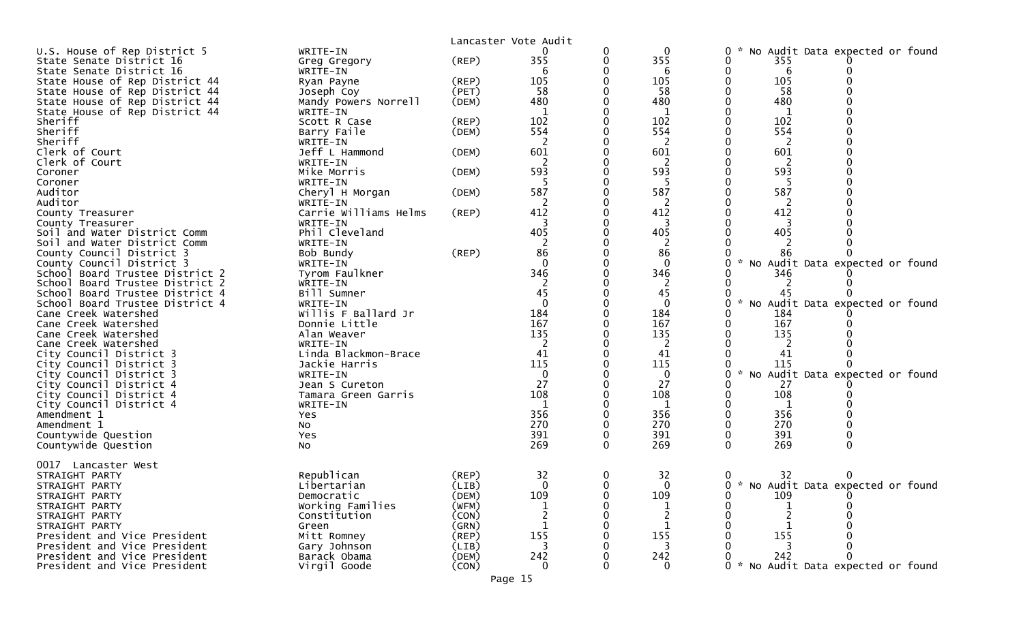|                                                              |                              |                | Lancaster Vote Audit |          |                     |                                     |                                   |  |
|--------------------------------------------------------------|------------------------------|----------------|----------------------|----------|---------------------|-------------------------------------|-----------------------------------|--|
| U.S. House of Rep District 5                                 | WRITE-IN                     |                | 0                    | 0        | $\mathbf{0}$        | 0                                   | No Audit Data expected or found   |  |
| State Senate District 16                                     | Greg Gregory                 | (REP)          | 355                  | 0        | 355                 | 355<br>0                            |                                   |  |
| State Senate District 16                                     | WRITE-IN                     |                | 6                    |          | 6                   | 0<br>6                              |                                   |  |
| State House of Rep District 44                               | Ryan Payne                   | (REP)          | 105                  |          | 105                 | 105                                 |                                   |  |
| State House of Rep District 44                               | Joseph Coy                   | (PET)          | 58                   |          | 58                  | 58                                  |                                   |  |
| State House of Rep District 44                               | Mandy Powers Norrell         | (DEM)          | 480                  | 0        | 480                 | 480                                 |                                   |  |
| State House of Rep District 44                               | WRITE-IN                     |                | 1                    |          | 1                   | 1                                   |                                   |  |
| Sheriff                                                      | Scott R Case                 | (REP)          | 102                  |          | 102                 | 102                                 |                                   |  |
| Sheriff                                                      | Barry Faile                  | (DEM)          | 554                  |          | 554                 | 554                                 |                                   |  |
| Sheriff                                                      | WRITE-IN                     |                | $\overline{2}$       |          | $\overline{2}$      | $\overline{2}$                      |                                   |  |
| Clerk of Court                                               | Jeff L Hammond               | (DEM)          | 601                  | 0        | 601                 | 601                                 |                                   |  |
| Clerk of Court                                               | WRITE-IN                     |                | 2                    |          | 2                   | 2                                   |                                   |  |
| Coroner                                                      | Mike Morris                  | (DEM)          | 593                  |          | 593                 | 593                                 |                                   |  |
| Coroner                                                      | WRITE-IN                     |                | 5                    |          | 5                   | 5                                   |                                   |  |
| Auditor                                                      | Cheryl H Morgan              | (DEM)          | 587                  |          | 587                 | 587                                 |                                   |  |
| Auditor                                                      | WRITE-IN                     |                | 2                    |          | 2                   | 2                                   |                                   |  |
| County Treasurer                                             | Carrie Williams Helms        | (REP)          | 412                  | 0        | 412                 | 412<br>0                            |                                   |  |
| County Treasurer                                             | WRITE-IN                     |                | 3                    |          | 3                   | 3                                   |                                   |  |
| Soil and Water District Comm                                 | Phil Cleveland               |                | 405                  |          | 405                 | 405                                 |                                   |  |
| Soil and Water District Comm                                 | WRITE-IN                     |                | 2                    |          | 2                   |                                     |                                   |  |
| County Council District 3                                    | Bob Bundy                    | (REP)          | 86<br>$\Omega$       |          | 86<br>$\Omega$      | 86<br>$\sim$                        |                                   |  |
| County Council District 3<br>School Board Trustee District 2 | WRITE-IN                     |                | 346                  |          | 346                 | 346                                 | No Audit Data expected or found   |  |
| School Board Trustee District 2                              | Tyrom Faulkner<br>WRITE-IN   |                | 2                    |          | 2                   | 2                                   |                                   |  |
| School Board Trustee District 4                              | Bill Sumner                  |                | 45                   |          | 45                  | 45                                  |                                   |  |
| School Board Trustee District 4                              | WRITE-IN                     |                | $\mathbf 0$          |          | $\mathbf{0}$        | 0                                   | No Audit Data expected or found   |  |
| Cane Creek Watershed                                         | Willis F Ballard Jr          |                | 184                  |          | 184                 | 184                                 |                                   |  |
| Cane Creek Watershed                                         | Donnie Little                |                | 167                  |          | 167                 | 167                                 |                                   |  |
| Cane Creek Watershed                                         | Alan Weaver                  |                | 135                  |          | 135                 | 135                                 |                                   |  |
| Cane Creek Watershed                                         | WRITE-IN                     |                | 2                    |          | $\overline{2}$      | 2                                   |                                   |  |
| City Council District 3                                      | Linda Blackmon-Brace         |                | 41                   |          | 41                  | 41                                  |                                   |  |
| City Council District 3                                      | Jackie Harris                |                | 115                  |          | 115                 | 115                                 |                                   |  |
| City Council District 3                                      | WRITE-IN                     |                | $\mathbf{0}$         |          | $\mathbf{0}$        | 0                                   | * No Audit Data expected or found |  |
| City Council District 4                                      | Jean S Cureton               |                | 27                   |          | 27                  | 27                                  |                                   |  |
| City Council District 4                                      | Tamara Green Garris          |                | 108                  |          | 108                 | 108                                 |                                   |  |
| City Council District 4                                      | WRITE-IN                     |                | 1                    |          | 1                   | 1                                   |                                   |  |
| Amendment 1                                                  | Yes                          |                | 356                  |          | 356                 | 356                                 |                                   |  |
| Amendment 1                                                  | No                           |                | 270                  |          | 270                 | 270                                 |                                   |  |
| Countywide Question                                          | Yes                          |                | 391                  | 0        | 391                 | 391<br>0                            | 0                                 |  |
| Countywide Question                                          | No                           |                | 269                  | 0        | 269                 | 269<br>0                            | 0                                 |  |
|                                                              |                              |                |                      |          |                     |                                     |                                   |  |
| 0017 Lancaster West                                          |                              |                |                      |          |                     |                                     |                                   |  |
| STRAIGHT PARTY                                               | Republican                   | $($ REP $)$    | 32                   | 0        | 32                  | 0<br>32                             | 0                                 |  |
| STRAIGHT PARTY                                               | Libertarian                  | (LIB)          | $\Omega$             | $\Omega$ | $\Omega$            | 0 * No Audit Data expected or found |                                   |  |
| STRAIGHT PARTY                                               | Democratic                   | (DEM)          | 109                  | 0        | 109                 | 109<br>0                            | 0                                 |  |
| STRAIGHT PARTY                                               | Working Families             | (WFM)          |                      |          |                     | 0                                   |                                   |  |
| STRAIGHT PARTY                                               | Constitution                 | (CON)          |                      |          |                     |                                     |                                   |  |
| STRAIGHT PARTY<br>President and Vice President               | Green                        | (GRN)          | $\mathbf{1}$<br>155  |          | $\mathbf{1}$<br>155 | $\mathbf{1}$<br>155                 |                                   |  |
| President and Vice President                                 | Mitt Romney                  | (REP)          | 3                    |          | 3                   |                                     |                                   |  |
| President and Vice President                                 | Gary Johnson<br>Barack Obama | (LIB)<br>(DEM) | 242                  |          | 242                 | 242                                 |                                   |  |
| President and Vice President                                 | Virgil Goode                 | (CON)          | 0                    | 0        | 0                   | 0                                   | No Audit Data expected or found   |  |
|                                                              |                              |                |                      |          |                     |                                     |                                   |  |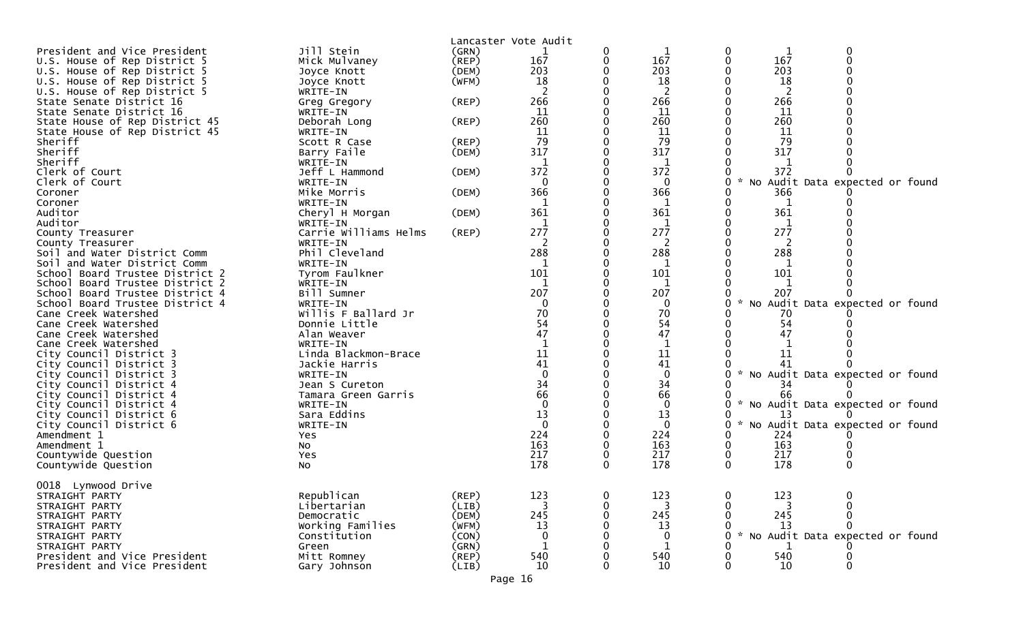|                                                    |                                   |                | Lancaster Vote Audit |          |              |          |                                   |
|----------------------------------------------------|-----------------------------------|----------------|----------------------|----------|--------------|----------|-----------------------------------|
| President and Vice President                       | Jill Stein                        | (GRN)          |                      | 0        |              |          |                                   |
| U.S. House of Rep District 5                       | Mick Mulvaney                     | $($ REP $)$    | 167                  | 0        | 167          | 167      |                                   |
| U.S. House of Rep District 5                       | Joyce Knott                       | (DEM)          | 203                  |          | 203          | 203      |                                   |
| U.S. House of Rep District 5                       | Joyce Knott                       | (WFM)          | 18                   |          | 18           | 18       |                                   |
| U.S. House of Rep District 5                       | WRITE-IN                          |                | 2                    |          | 2            | 2        |                                   |
| State Senate District 16                           | Greg Gregory                      | $($ REP $)$    | 266                  |          | 266          | 266      |                                   |
| State Senate District 16                           | WRITE-IN                          |                | 11                   |          | 11           | 11       |                                   |
| State House of Rep District 45                     | Deborah Long                      | (REP)          | 260                  |          | 260          | 260      |                                   |
| State House of Rep District 45                     | WRITE-IN                          |                | 11                   |          | 11           | 11       |                                   |
| Sheriff                                            | Scott R Case                      | $($ REP $)$    | 79                   |          | 79           | 79       |                                   |
| Sheriff                                            | Barry Faile                       | (DEM)          | 317                  |          | 317          | 317      |                                   |
| Sheriff                                            | WRITE-IN                          |                |                      |          | 1            |          |                                   |
| Clerk of Court                                     | Jeff L Hammond                    | (DEM)          | 372                  |          | 372          | 372      |                                   |
| Clerk of Court                                     | WRITE-IN                          |                | $\mathbf{0}$         |          | $\mathbf{0}$ |          | * No Audit Data expected or found |
| Coroner                                            | Mike Morris                       | (DEM)          | 366                  |          | 366          | 366      |                                   |
| Coroner<br>Auditor                                 | WRITE-IN                          |                | 1<br>361             |          | 1<br>361     | 1<br>361 |                                   |
| Auditor                                            | Cheryl H Morgan                   | (DEM)          |                      |          |              |          |                                   |
| County Treasurer                                   | WRITE-IN<br>Carrie Williams Helms | $($ REP $)$    | 277                  |          | 1<br>277     | 277      |                                   |
| County Treasurer                                   | WRITE-IN                          |                | 2                    |          | 2            | 2        |                                   |
| Soil and Water District Comm                       | Phil Cleveland                    |                | 288                  |          | 288          | 288      |                                   |
| Soil and Water District Comm                       | WRITE-IN                          |                | 1                    |          | 1            | 1        |                                   |
| School Board Trustee District 2                    | Tyrom Faulkner                    |                | 101                  |          | 101          | 101      |                                   |
| School Board Trustee District 2                    | WRITE-IN                          |                |                      |          | 1            |          |                                   |
| School Board Trustee District 4                    | Bill Sumner                       |                | 207                  |          | 207          | 207      |                                   |
| School Board Trustee District 4                    | WRITE-IN                          |                | $\mathbf 0$          |          | $\mathbf{0}$ |          | * No Audit Data expected or found |
| Cane Creek Watershed                               | Willis F Ballard Jr               |                | 70                   |          | 70           | 70       |                                   |
| Cane Creek Watershed                               | Donnie Little                     |                | 54                   |          | 54           | 54       |                                   |
| Cane Creek Watershed                               | Alan Weaver                       |                | 47                   |          | 47           | 47       |                                   |
| Cane Creek Watershed                               | WRITE-IN                          |                |                      |          |              |          |                                   |
| City Council District 3                            | Linda Blackmon-Brace              |                | 11                   |          | 11           | 11       |                                   |
| City Council District 3                            | Jackie Harris                     |                | 41                   |          | 41           | 41       |                                   |
| City Council District 3                            | WRITE-IN                          |                | $\Omega$             |          | $\mathbf{0}$ |          | * No Audit Data expected or found |
| City Council District 4                            | Jean S Cureton                    |                | 34                   |          | 34           | 34       |                                   |
| City Council District 4                            | Tamara Green Garris               |                | 66<br>$\Omega$       |          | 66           | 66       |                                   |
| City Council District 4                            | WRITE-IN<br>Sara Eddins           |                | 13                   |          | 0<br>13      | 13       | * No Audit Data expected or found |
| City Council District 6<br>City Council District 6 | WRITE-IN                          |                | $\mathbf{0}$         |          | $\Omega$     |          | * No Audit Data expected or found |
| Amendment 1                                        | Yes                               |                | 224                  |          | 224          | 224      |                                   |
| Amendment 1                                        | NO                                |                | 163                  |          | 163          | 163      |                                   |
| Countywide Question                                | Yes                               |                | 217                  |          | 217          | 217      |                                   |
| Countywide Question                                | NO.                               |                | 178                  | $\Omega$ | 178          | 178<br>0 |                                   |
|                                                    |                                   |                |                      |          |              |          |                                   |
| 0018 Lynwood Drive                                 |                                   |                |                      |          |              |          |                                   |
| STRAIGHT PARTY                                     | Republican                        | (REP)          | 123                  | 0        | 123          | 123      |                                   |
| STRAIGHT PARTY                                     | Libertarian                       | (LIB)          | 3                    | 0        | 3            |          |                                   |
| STRAIGHT PARTY                                     | Democratic                        | (DEM)          | 245                  |          | 245          | 245      |                                   |
| STRAIGHT PARTY                                     | Working Families                  | (WFM)          | 13                   |          | 13           | 13       | No Audit Data expected or found   |
| STRAIGHT PARTY                                     | Constitution                      | (CON)<br>(GRN) | 0                    |          | 0<br>1       |          |                                   |
| STRAIGHT PARTY<br>President and Vice President     | Green<br>Mitt Romney              | (REP)          | 540                  |          | 540          | 540      |                                   |
| President and Vice President                       | Gary Johnson                      | (LIB)          | 10                   |          | 10           | 10       | 0                                 |
|                                                    |                                   |                |                      |          |              |          |                                   |
|                                                    |                                   |                | Page 16              |          |              |          |                                   |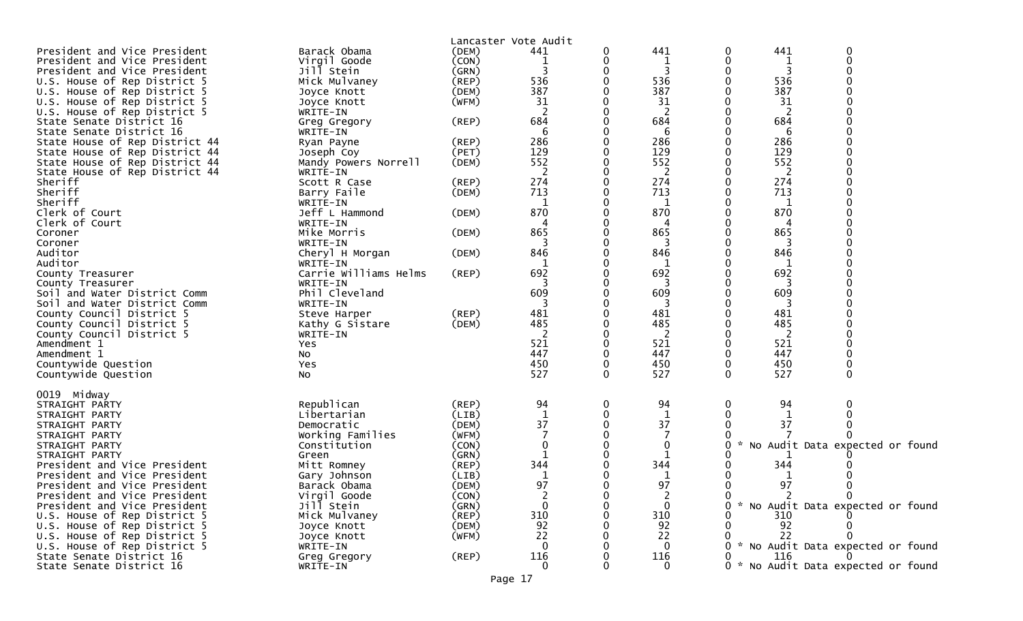| President and Vice President<br>President and Vice President<br>President and Vice President<br>U.S. House of Rep District 5<br>U.S. House of Rep District 5<br>U.S. House of Rep District 5                                                            | Barack Obama<br>Virgil Goode<br>Jill Stein<br>Mick Mulvaney<br>Joyce Knott<br>Joyce Knott                                                           | (DEM)<br>(CON)<br>(GRN)<br>(REP)<br>(DEM)<br>(WFM)                                           | Lancaster Vote Audit<br>441<br>536<br>387<br>31              | 0             | 441<br>1<br>3<br>536<br>387<br>31                                 | 0<br>0<br>0           | 441<br>3<br>536<br>387<br>31 | 0<br>$\Omega$                                                                                                 |  |
|---------------------------------------------------------------------------------------------------------------------------------------------------------------------------------------------------------------------------------------------------------|-----------------------------------------------------------------------------------------------------------------------------------------------------|----------------------------------------------------------------------------------------------|--------------------------------------------------------------|---------------|-------------------------------------------------------------------|-----------------------|------------------------------|---------------------------------------------------------------------------------------------------------------|--|
| U.S. House of Rep District 5<br>State Senate District 16<br>State Senate District 16                                                                                                                                                                    | WRITE-IN<br>Greg Gregory<br>WRITE-IN                                                                                                                | (REP)                                                                                        | 684<br>6                                                     |               | 2<br>684<br>6                                                     |                       | 684<br>6                     |                                                                                                               |  |
| State House of Rep District 44<br>State House of Rep District 44<br>State House of Rep District 44<br>State House of Rep District 44                                                                                                                    | Ryan Payne<br>Joseph Coy<br>Mandy Powers Norrell<br>WRITE-IN                                                                                        | $($ REP $)$<br>(PET)<br>(DEM)                                                                | 286<br>129<br>552<br>2                                       |               | 286<br>129<br>552<br>2                                            | 0                     | 286<br>129<br>552<br>2       |                                                                                                               |  |
| Sheriff<br>Sheriff<br>Sheriff<br>Clerk of Court                                                                                                                                                                                                         | Scott R Case<br>Barry Faile<br>WRITE-IN<br>Jeff L Hammond                                                                                           | (REP)<br>(DEM)<br>(DEM)                                                                      | 274<br>713<br>1<br>870                                       |               | 274<br>713<br>1<br>870                                            |                       | 274<br>713<br>1<br>870       |                                                                                                               |  |
| Clerk of Court<br>Coroner<br>Coroner                                                                                                                                                                                                                    | WRITE-IN<br>Mike Morris<br>WRITE-IN                                                                                                                 | (DEM)                                                                                        | 865                                                          |               | 4<br>865<br>3                                                     |                       | 865<br>3                     |                                                                                                               |  |
| Auditor<br>Auditor<br>County Treasurer<br>County Treasurer                                                                                                                                                                                              | Cheryl H Morgan<br>WRITE-IN<br>Carrie Williams Helms<br>WRITE-IN                                                                                    | (DEM)<br>(REP)                                                                               | 846<br>1<br>692                                              |               | 846<br>$\mathbf{1}$<br>692<br>3                                   |                       | 846<br>-1<br>692<br>3        |                                                                                                               |  |
| Soil and Water District Comm<br>Soil and Water District Comm<br>County Council District 5<br>County Council District 5<br>County Council District 5                                                                                                     | Phil Cleveland<br>WRITE-IN<br>Steve Harper<br>Kathy G Sistare<br>WRITE-IN                                                                           | (REP)<br>(DEM)                                                                               | 609<br>481<br>485<br>2                                       |               | 609<br>481<br>485<br>2                                            |                       | 609<br>3<br>481<br>485<br>2  |                                                                                                               |  |
| Amendment 1<br>Amendment 1<br>Countywide Question<br>Countywide Question                                                                                                                                                                                | Yes<br>No<br>Yes<br>NO.                                                                                                                             |                                                                                              | 521<br>447<br>450<br>527                                     | 0<br>$\Omega$ | 521<br>447<br>450<br>527                                          | 0<br>0<br>$\Omega$    | 521<br>447<br>450<br>527     | $\Omega$                                                                                                      |  |
| 0019 Midway<br>STRAIGHT PARTY<br>STRAIGHT PARTY<br>STRAIGHT PARTY<br>STRAIGHT PARTY<br>STRAIGHT PARTY<br>STRAIGHT PARTY<br>President and Vice President<br>President and Vice President<br>President and Vice President<br>President and Vice President | Republican<br>Libertarian<br>Democratic<br>Working Families<br>Constitution<br>Green<br>Mitt Romney<br>Gary Johnson<br>Barack Obama<br>Virgil Goode | $($ REP $)$<br>(LIB)<br>(DEM)<br>(WFM)<br>(CON)<br>(GRN)<br>(REP)<br>(LIB)<br>(DEM)<br>(CON) | 94<br>1<br>37<br>344<br>$\mathbf{1}$<br>97<br>$\overline{2}$ | 0             | 94<br>1<br>37<br>0<br>344<br>1<br>97<br>2                         | 0<br>0<br>0<br>0<br>0 | 94<br>37<br>344<br>97        | 0<br>No Audit Data expected or found<br>0<br>$\mathbf 0$                                                      |  |
| President and Vice President<br>U.S. House of Rep District 5<br>U.S. House of Rep District 5<br>U.S. House of Rep District 5<br>U.S. House of Rep District 5<br>State Senate District 16<br>State Senate District 16                                    | Jill Stein<br>Mick Mulvaney<br>Joyce Knott<br>Joyce Knott<br>WRITE-IN<br>Greg Gregory<br>WRITE-IN                                                   | (GRN)<br>(REP)<br>(DEM)<br>(WFM)<br>$($ REP $)$                                              | 0<br>310<br>92<br>22<br>0<br>116<br>$\mathbf{0}$             |               | $\mathbf 0$<br>310<br>92<br>22<br>$\bf{0}$<br>116<br>$\mathbf{0}$ | 0                     | 310<br>92<br>22<br>116       | * No Audit Data expected or found<br>* No Audit Data expected or found<br>0 * No Audit Data expected or found |  |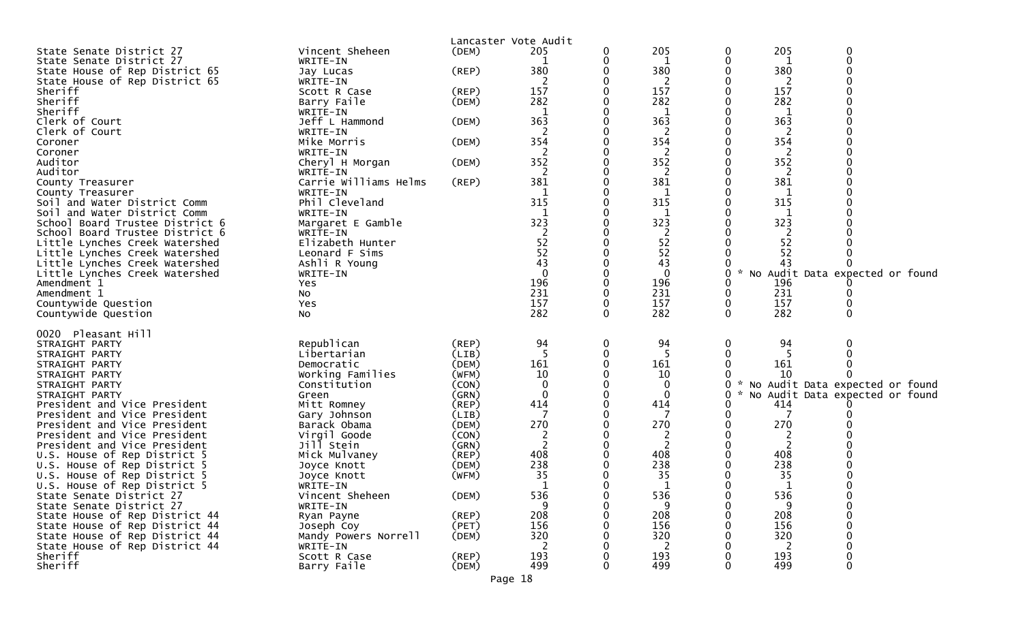|                                                                  |                             | Lancaster Vote Audit |            |          |              |          |                                   |             |  |
|------------------------------------------------------------------|-----------------------------|----------------------|------------|----------|--------------|----------|-----------------------------------|-------------|--|
| State Senate District 27                                         | Vincent Sheheen             | (DEM)                | 205        |          | 205          | 0        | 205                               | 0           |  |
| State Senate District 27                                         | WRITE-IN                    |                      |            |          | 1            | 0        | 1                                 | $\mathbf 0$ |  |
| State House of Rep District 65                                   | Jay Lucas                   | $($ REP $)$          | 380        |          | 380          |          | 380                               |             |  |
| State House of Rep District 65                                   | WRITE-IN                    |                      | 2          |          | 2            |          | 2                                 |             |  |
| Sheriff                                                          | Scott R Case                | (REP)                | 157        |          | 157          |          | 157                               |             |  |
| Sheriff                                                          | Barry Faile                 | (DEM)                | 282        |          | 282          |          | 282                               |             |  |
| Sheriff                                                          | WRITE-IN                    |                      | 1          |          | 1            |          | 1                                 |             |  |
| Clerk of Court                                                   | Jeff L Hammond              | (DEM)                | 363        |          | 363          |          | 363                               |             |  |
| Clerk of Court                                                   | WRITE-IN                    |                      |            |          | 2            |          | 2                                 |             |  |
| Coroner                                                          | Mike Morris                 | (DEM)                | 354        |          | 354          |          | 354                               |             |  |
| Coroner                                                          | WRITE-IN                    |                      |            |          | 2            |          | 2                                 |             |  |
| Auditor                                                          | Cheryl H Morgan             | (DEM)                | 352        |          | 352          |          | 352                               |             |  |
| Auditor                                                          | WRITE-IN                    |                      | 2          |          | 2            |          | 2                                 |             |  |
| County Treasurer                                                 | Carrie Williams Helms       | (REP)                | 381        |          | 381          |          | 381                               |             |  |
| County Treasurer                                                 | WRITE-IN                    |                      |            |          |              |          |                                   |             |  |
| Soil and Water District Comm                                     | Phil Cleveland              |                      | 315        |          | 315          |          | 315                               |             |  |
| Soil and Water District Comm                                     | WRITE-IN                    |                      | 1          |          | 1            |          | 1                                 |             |  |
| School Board Trustee District 6                                  | Margaret E Gamble           |                      | 323        |          | 323          |          | 323                               |             |  |
| School Board Trustee District 6                                  | WRITE-IN                    |                      |            |          | 2            |          | 2                                 |             |  |
| Little Lynches Creek Watershed                                   | Elizabeth Hunter            |                      | 52         |          | 52           |          | 52                                |             |  |
| Little Lynches Creek Watershed                                   | Leonard F Sims              |                      | 52         |          | 52           |          | 52                                |             |  |
| Little Lynches Creek Watershed                                   | Ashli R Young               |                      | 43         |          | 43           |          | 43                                |             |  |
| Little Lynches Creek Watershed                                   | WRITE-IN                    |                      | $\Omega$   |          | $\mathbf 0$  | 0        | No Audit Data expected or found   |             |  |
| Amendment 1                                                      | Yes.                        |                      | 196        |          | 196          |          | 196                               |             |  |
| Amendment 1                                                      | No                          |                      | 231        |          | 231          | 0        | 231                               |             |  |
| Countywide Question                                              | Yes                         |                      | 157        |          | 157          | 0        | 157                               |             |  |
| Countywide Question                                              | NO.                         |                      | 282        | $\Omega$ | 282          | $\Omega$ | 282                               |             |  |
|                                                                  |                             |                      |            |          |              |          |                                   |             |  |
| 0020 Pleasant Hill                                               |                             |                      |            |          |              |          |                                   |             |  |
| STRAIGHT PARTY                                                   | Republican                  | $($ REP $)$          | 94         | 0        | 94           | 0        | 94                                | 0           |  |
| STRAIGHT PARTY                                                   | Libertarian                 | (LIB)                | -5         |          | -5           |          | -5                                |             |  |
| STRAIGHT PARTY                                                   | Democratic                  | (DEM)                | 161        |          | 161          |          | 161                               |             |  |
| STRAIGHT PARTY                                                   | Working Families            | (WFM)                | 10         |          | 10           |          | 10                                |             |  |
| STRAIGHT PARTY                                                   | Constitution                | (CON)                | 0          |          | $\mathbf 0$  | 0        | * No Audit Data expected or found |             |  |
| STRAIGHT PARTY                                                   | Green                       | (GRN)                | $\Omega$   |          | $\mathbf{0}$ | 0        | No Audit Data expected or found   |             |  |
| President and Vice President                                     | Mitt Romney                 | $($ REP $)$          | 414        |          | 414          |          | 414                               |             |  |
| President and Vice President                                     | Gary Johnson                | (LIB)                | 7          |          | 7            |          | 7                                 |             |  |
| President and Vice President                                     | Barack Obama                | (DEM)                | 270        |          | 270          |          | 270                               |             |  |
| President and Vice President                                     | Virgil Goode                | (CON)                |            |          | 2            |          |                                   |             |  |
| President and Vice President                                     | Jill Stein                  | (GRN)                | 2          |          | 2            |          | 2                                 |             |  |
| U.S. House of Rep District 5                                     | Mick Mulvaney               | $($ REP $)$          | 408<br>238 |          | 408<br>238   |          | 408                               |             |  |
| U.S. House of Rep District 5                                     | Joyce Knott                 | (DEM)                |            |          |              |          | 238                               |             |  |
| U.S. House of Rep District 5                                     | Joyce Knott                 | (WFM)                | 35         |          | 35           |          | 35                                |             |  |
| U.S. House of Rep District 5                                     | WRITE-IN<br>Vincent Sheheen | (DEM)                | 1          |          | 1            |          | 1                                 |             |  |
| State Senate District 27<br>State Senate District 27             |                             |                      | 536<br>9   |          | 536<br>9     | 0        | 536<br>9                          | 0           |  |
|                                                                  | WRITE-IN                    | (REP)                | 208        |          | 208          |          | 208                               |             |  |
| State House of Rep District 44<br>State House of Rep District 44 | Ryan Payne<br>Joseph Coy    | (PET)                | 156        |          | 156          |          | 156                               |             |  |
| State House of Rep District 44                                   | Mandy Powers Norrell        | (DEM)                | 320        |          | 320          |          | 320                               |             |  |
| State House of Rep District 44                                   | WRITE-IN                    |                      | 2          |          | 2            |          | 2                                 |             |  |
| Sheriff                                                          | Scott R Case                | (REP)                | 193        |          | 193          |          | 193                               |             |  |
| Sheriff                                                          | Barry Faile                 | (DEM)                | 499        |          | 499          |          | 499                               | 0           |  |
|                                                                  |                             |                      |            |          |              |          |                                   |             |  |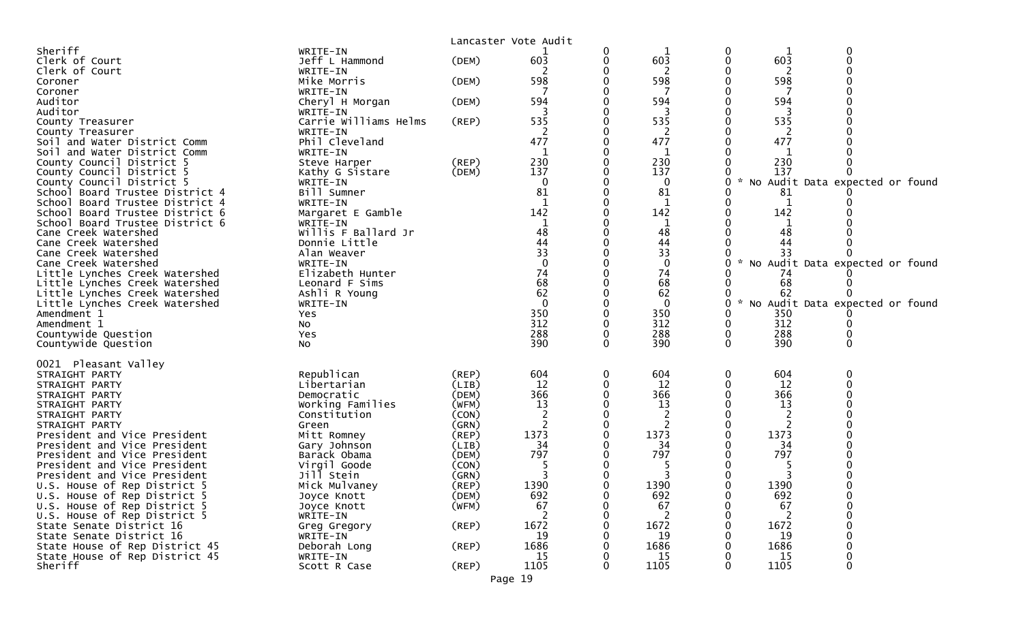|                                                                    |                                    |                      | Lancaster Vote Audit |   |                   |             |             |                                   |  |
|--------------------------------------------------------------------|------------------------------------|----------------------|----------------------|---|-------------------|-------------|-------------|-----------------------------------|--|
| Sheriff<br>Clerk of Court                                          | WRITE-IN<br>Jeff L Hammond         | (DEM)                | 603                  | 0 | 603               | 0<br>0      | 603         | 0                                 |  |
| Clerk of Court                                                     | WRITE-IN                           |                      |                      |   | 2                 |             | 2           |                                   |  |
| Coroner                                                            | Mike Morris                        | (DEM)                | 598                  |   | 598               |             | 598         |                                   |  |
| Coroner                                                            | WRITE-IN                           |                      |                      |   |                   |             |             |                                   |  |
| Auditor<br>Auditor                                                 | Cheryl H Morgan<br>WRITE-IN        | (DEM)                | 594                  |   | 594               |             | 594         |                                   |  |
| County Treasurer                                                   | Carrie Williams Helms              | (REP)                | 535                  |   | 535               |             | 535         |                                   |  |
| County Treasurer                                                   | WRITE-IN                           |                      | 2                    |   | 2                 |             | 2           |                                   |  |
| Soil and Water District Comm                                       | Phil Cleveland                     |                      | 477                  |   | 477               |             | 477         |                                   |  |
| Soil and Water District Comm                                       | WRITE-IN                           |                      | 1<br>230             |   | 1<br>230          |             | 230         |                                   |  |
| County Council District 5<br>County Council District 5             | Steve Harper<br>Kathy G Sistare    | (REP)<br>(DEM)       | 137                  |   | 137               |             | 137         |                                   |  |
| County Council District 5                                          | WRITE-IN                           |                      | $\Omega$             |   | 0                 | 0           |             | No Audit Data expected or found   |  |
| School Board Trustee District 4                                    | Bill Sumner                        |                      | 81                   |   | 81                |             | 81          |                                   |  |
| School Board Trustee District 4                                    | WRITE-IN                           |                      | 1                    |   | $\mathbf{1}$      | 0           | 1           |                                   |  |
| School Board Trustee District 6<br>School Board Trustee District 6 | Margaret E Gamble<br>WRITE-IN      |                      | 142                  |   | 142<br>1          |             | 142         |                                   |  |
| Cane Creek Watershed                                               | Willis F Ballard Jr                |                      | 48                   |   | 48                |             | 48          |                                   |  |
| Cane Creek Watershed                                               | Donnie Little                      |                      | 44                   |   | 44                |             | 44          |                                   |  |
| Cane Creek Watershed                                               | Alan Weaver                        |                      | 33                   |   | 33                |             |             |                                   |  |
| Cane Creek Watershed                                               | WRITE-IN                           |                      | $\Omega$<br>74       |   | $\mathbf 0$<br>74 | 0           |             | * No Audit Data expected or found |  |
| Little Lynches Creek Watershed<br>Little Lynches Creek Watershed   | Elizabeth Hunter<br>Leonard F Sims |                      | 68                   |   | 68                |             | 74<br>68    |                                   |  |
| Little Lynches Creek Watershed                                     | Ashli R Young                      |                      | 62                   |   | 62                |             | 62          |                                   |  |
| Little Lynches Creek Watershed                                     | WRITE-IN                           |                      | $\Omega$             |   | $\mathbf{0}$      | $\Omega$    |             | No Audit Data expected or found   |  |
| Amendment 1                                                        | Yes                                |                      | 350                  |   | 350               |             | 350         |                                   |  |
| Amendment 1<br>Countywide Question                                 | <b>NO</b><br>Yes                   |                      | 312<br>288           |   | 312<br>288        | 0<br>0      | 312<br>288  |                                   |  |
| Countywide Question                                                | N <sub>O</sub>                     |                      | 390                  | 0 | 390               | $\Omega$    | 390         | 0                                 |  |
|                                                                    |                                    |                      |                      |   |                   |             |             |                                   |  |
| 0021 Pleasant Valley                                               |                                    |                      |                      |   |                   |             |             |                                   |  |
| STRAIGHT PARTY<br>STRAIGHT PARTY                                   | Republican<br>Libertarian          | (REP)<br>(LIB)       | 604<br>12            | 0 | 604<br>12         | 0           | 604<br>12   | 0                                 |  |
| STRAIGHT PARTY                                                     | Democratic                         | (DEM)                | 366                  |   | 366               |             | 366         |                                   |  |
| STRAIGHT PARTY                                                     | Working Families                   | (WFM)                | 13                   |   | 13                |             | 13          |                                   |  |
| STRAIGHT PARTY                                                     | Constitution                       | (CON)                | 2                    |   | 2                 |             | 2           |                                   |  |
| STRAIGHT PARTY<br>President and Vice President                     | Green                              | (GRN)<br>(REP)       | 2<br>1373            |   | 2<br>1373         |             | 2<br>1373   |                                   |  |
| President and Vice President                                       | Mitt Romney<br>Gary Johnson        | (LIB)                | 34                   |   | 34                |             | 34          |                                   |  |
| President and Vice President                                       | Barack Obama                       | (DEM)                | 797                  |   | 797               |             | 797         |                                   |  |
| President and Vice President                                       | Virgil Goode                       | (CON)                |                      |   |                   |             |             |                                   |  |
| President and Vice President                                       | Jill Stein                         | (GRN)                |                      |   |                   |             |             |                                   |  |
| U.S. House of Rep District 5<br>U.S. House of Rep District 5       | Mick Mulvaney<br>Joyce Knott       | $($ REP $)$<br>(DEM) | 1390<br>692          |   | 1390<br>692       | $\mathbf 0$ | 1390<br>692 | 0                                 |  |
| U.S. House of Rep District 5                                       | Joyce Knott                        | (WFM)                | 67                   |   | 67                |             | 67          | 0                                 |  |
| U.S. House of Rep District 5                                       | WRITE-IN                           |                      |                      |   |                   |             |             |                                   |  |
| State Senate District 16                                           | Greg Gregory                       | (REP)                | 1672                 |   | 1672              |             | 1672        |                                   |  |
| State Senate District 16                                           | WRITE-IN                           |                      | 19<br>1686           |   | 19<br>1686        |             | 19<br>1686  |                                   |  |
| State House of Rep District 45<br>State House of Rep District 45   | Deborah Long<br>WRITE-IN           | (REP)                | 15                   |   | 15                |             | 15          |                                   |  |
| Sheriff                                                            | Scott R Case                       | $($ REP $)$          | 1105                 |   | 1105              | 0           | 1105        | 0                                 |  |
|                                                                    |                                    |                      | Page 19              |   |                   |             |             |                                   |  |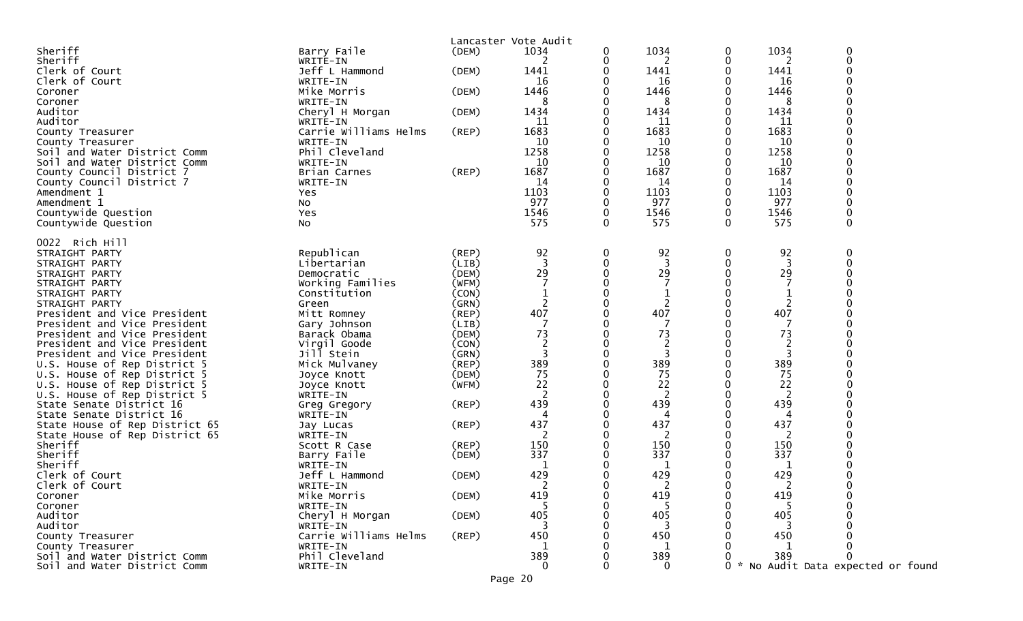|                                                              |                                   |                | Lancaster Vote Audit |   |                |             |            |                                 |
|--------------------------------------------------------------|-----------------------------------|----------------|----------------------|---|----------------|-------------|------------|---------------------------------|
| Sheriff                                                      | Barry Faile                       | (DEM)          | 1034                 | 0 | 1034           | 0           | 1034       | 0                               |
| Sheriff                                                      | WRITE-IN                          |                | 2                    | 0 | 2              | 0           | 2          | $\mathbf 0$                     |
| Clerk of Court                                               | Jeff L Hammond                    | (DEM)          | 1441                 |   | 1441           | 0           | 1441       |                                 |
| Clerk of Court                                               | WRITE-IN                          |                | 16                   | 0 | 16             | 0           | 16         |                                 |
| Coroner                                                      | Mike Morris                       | (DEM)          | 1446                 |   | 1446           | 0           | 1446       |                                 |
| Coroner                                                      | WRITE-IN                          |                | 8                    |   | 8              |             | 8          |                                 |
| Auditor                                                      | Cheryl H Morgan                   | (DEM)          | 1434                 | 0 | 1434           | 0           | 1434       |                                 |
| Auditor                                                      | WRITE-IN<br>Carrie Williams Helms |                | 11<br>1683           | 0 | 11<br>1683     | 0           | 11<br>1683 |                                 |
| County Treasurer                                             | WRITE-IN                          | $($ REP $)$    | 10                   | 0 | 10             | 0           | 10         |                                 |
| County Treasurer<br>Soil and Water District Comm             | Phil Cleveland                    |                | 1258                 |   | 1258           |             | 1258       |                                 |
| Soil and Water District Comm                                 | WRITE-IN                          |                | 10                   |   | 10             |             | 10         |                                 |
| County Council District 7                                    | Brian Carnes                      | $($ REP $)$    | 1687                 | 0 | 1687           |             | 1687       |                                 |
| County Council District 7                                    | WRITE-IN                          |                | 14                   |   | 14             |             | 14         |                                 |
| Amendment 1                                                  | Yes                               |                | 1103                 | 0 | 1103           | 0           | 1103       |                                 |
| Amendment 1                                                  | No                                |                | 977                  | 0 | 977            | 0           | 977        |                                 |
| Countywide Question                                          | Yes                               |                | 1546                 | 0 | 1546           | $\mathbf 0$ | 1546       | $\mathbf 0$                     |
| Countywide Question                                          | No                                |                | 575                  | 0 | 575            | 0           | 575        | $\mathbf 0$                     |
|                                                              |                                   |                |                      |   |                |             |            |                                 |
| 0022 Rich Hill                                               |                                   |                |                      |   |                |             |            |                                 |
| STRAIGHT PARTY                                               | Republican                        | (REP)          | 92                   | 0 | 92             | 0           | 92         | 0                               |
| STRAIGHT PARTY                                               | Libertarian                       | (LIB)          | $\overline{3}$       | 0 | 3              | 0           | 3          | $\Omega$                        |
| STRAIGHT PARTY                                               | Democratic                        | (DEM)          | 29                   | 0 | 29             |             | 29         |                                 |
| STRAIGHT PARTY                                               | Working Families                  | (WFM)          |                      |   |                |             |            |                                 |
| STRAIGHT PARTY                                               | Constitution                      | (CON)          |                      | 0 | 1              |             |            |                                 |
| STRAIGHT PARTY                                               | Green                             | (GRN)          | 2                    | 0 | 2              |             | 2          |                                 |
| President and Vice President                                 | Mitt Romney                       | (REP)          | 407                  |   | 407            |             | 407        |                                 |
| President and Vice President                                 | Gary Johnson                      | (LIB)          |                      |   | 7              |             | -7         |                                 |
| President and Vice President                                 | Barack Obama                      | (DEM)          | 73                   | 0 | 73             |             | 73         |                                 |
| President and Vice President                                 | Virgil Goode                      | (CON)          | $\overline{2}$       |   | 2              |             |            |                                 |
| President and Vice President                                 | Jill Stein                        | (GRN)          | 3                    | 0 | 3              | 0           | 3          |                                 |
| U.S. House of Rep District 5                                 | Mick Mulvaney                     | $($ REP $)$    | 389<br>75            |   | 389<br>75      |             | 389<br>75  |                                 |
| U.S. House of Rep District 5<br>U.S. House of Rep District 5 | Joyce Knott                       | (DEM)<br>(WFM) | 22                   | 0 | 22             | 0           | 22         |                                 |
| U.S. House of Rep District 5                                 | Joyce Knott<br>WRITE-IN           |                | $\overline{2}$       | 0 | $\overline{2}$ |             | 2          |                                 |
| State Senate District 16                                     | Greg Gregory                      | $($ REP $)$    | 439                  | 0 | 439            |             | 439        |                                 |
| State Senate District 16                                     | WRITE-IN                          |                | 4                    | 0 | 4              |             | 4          |                                 |
| State House of Rep District 65                               | Jay Lucas                         | $($ REP $)$    | 437                  | 0 | 437            |             | 437        |                                 |
| State House of Rep District 65                               | WRITE-IN                          |                | 2                    |   | 2              |             | 2          |                                 |
| Sheriff                                                      | Scott R Case                      | (REP)          | 150                  | 0 | 150            |             | 150        |                                 |
| Sheriff                                                      | Barry Faile                       | (DEM)          | 337                  |   | 337            |             | 337        |                                 |
| Sheriff                                                      | WRITE-IN                          |                |                      |   | 1              |             |            |                                 |
| Clerk of Court                                               | Jeff L Hammond                    | (DEM)          | 429                  | 0 | 429            | 0           | 429        |                                 |
| Clerk of Court                                               | WRITE-IN                          |                |                      |   | ົ              | 0           | ົາ         | ∩                               |
| Coroner                                                      | Mike Morris                       | (DEM)          | 419                  | 0 | 419            | 0           | 419        |                                 |
| Coroner                                                      | WRITE-IN                          |                |                      |   |                |             |            |                                 |
| Auditor                                                      | Cheryl H Morgan                   | (DEM)          | 405                  |   | 405            |             | 405        |                                 |
| Auditor                                                      | WRITE-IN                          |                |                      |   |                |             |            |                                 |
| County Treasurer                                             | Carrie Williams Helms             | $($ REP $)$    | 450                  |   | 450            |             | 450        |                                 |
| County Treasurer                                             | WRITE-IN                          |                |                      |   | $\mathbf{1}$   |             |            |                                 |
| Soil and Water District Comm                                 | Phil Cleveland                    |                | 389                  |   | 389            |             | 389        |                                 |
| Soil and Water District Comm                                 | WRITE-IN                          |                | $\Omega$             | O | $\Omega$       | 0           |            | No Audit Data expected or found |
|                                                              |                                   |                | Page 20              |   |                |             |            |                                 |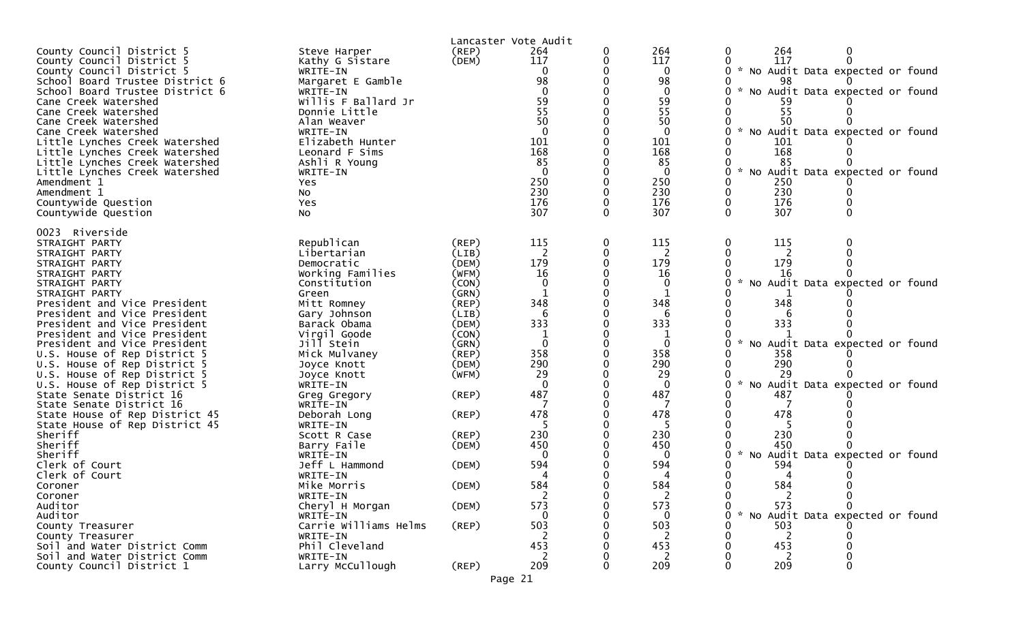| County Council District 5<br>County Council District 5<br>County Council District 5<br>School Board Trustee District 6<br>School Board Trustee District 6<br>Cane Creek Watershed<br>Cane Creek Watershed<br>Cane Creek Watershed<br>Cane Creek Watershed<br>Little Lynches Creek Watershed<br>Little Lynches Creek Watershed<br>Little Lynches Creek Watershed<br>Little Lynches Creek Watershed<br>Amendment 1<br>Amendment 1<br>Countywide Question<br>Countywide Question                                                                          | Steve Harper<br>Kathy G Sistare<br>WRITE-IN<br>Margaret E Gamble<br>WRITE-IN<br>Willis F Ballard Jr<br>Donnie Little<br>Alan Weaver<br>WRITE-IN<br>Elizabeth Hunter<br>Leonard F Sims<br>Ashli R Young<br>WRITE-IN<br>Yes<br><b>NO</b><br>Yes<br>N <sub>O</sub>                      | $($ REP $)$<br>(DEM)                                                                                                                                     | Lancaster Vote Audit<br>264<br>117<br>∩<br>98<br>59<br>55<br>50<br>$\Omega$<br>101<br>168<br>85<br>$\overline{0}$<br>250<br>230<br>176<br>307 |   | 264<br>117<br>$\mathbf 0$<br>98<br>$\mathbf 0$<br>59<br>55<br>50<br>$\Omega$<br>101<br>168<br>85<br>$\Omega$<br>250<br>230<br>176<br>307 | 264<br>0<br>117<br>* No Audit Data expected or found<br>98<br>No Audit Data expected or found<br>$\mathcal{H}$<br>55<br>50<br>No Audit Data expected or found<br>101<br>168<br>85<br>* No Audit Data expected or found<br>250<br>230<br>176<br>0<br>307 |
|--------------------------------------------------------------------------------------------------------------------------------------------------------------------------------------------------------------------------------------------------------------------------------------------------------------------------------------------------------------------------------------------------------------------------------------------------------------------------------------------------------------------------------------------------------|--------------------------------------------------------------------------------------------------------------------------------------------------------------------------------------------------------------------------------------------------------------------------------------|----------------------------------------------------------------------------------------------------------------------------------------------------------|-----------------------------------------------------------------------------------------------------------------------------------------------|---|------------------------------------------------------------------------------------------------------------------------------------------|---------------------------------------------------------------------------------------------------------------------------------------------------------------------------------------------------------------------------------------------------------|
| 0023 Riverside<br>STRAIGHT PARTY<br>STRAIGHT PARTY<br>STRAIGHT PARTY<br>STRAIGHT PARTY<br>STRAIGHT PARTY<br>STRAIGHT PARTY<br>President and Vice President<br>President and Vice President<br>President and Vice President<br>President and Vice President<br>President and Vice President<br>U.S. House of Rep District 5<br>U.S. House of Rep District 5<br>U.S. House of Rep District 5<br>U.S. House of Rep District 5<br>State Senate District 16<br>State Senate District 16<br>State House of Rep District 45<br>State House of Rep District 45 | Republican<br>Libertarian<br>Democratic<br>Working Families<br>Constitution<br>Green<br>Mitt Romney<br>Gary Johnson<br>Barack Obama<br>Virgil Goode<br>Jill Stein<br>Mick Mulvaney<br>Joyce Knott<br>Joyce Knott<br>WRITE-IN<br>Greg Gregory<br>WRITE-IN<br>Deborah Long<br>WRITE-IN | $($ REP $)$<br>(LIB)<br>(DEM)<br>(WFM)<br>(CON)<br>(GRN)<br>(REP)<br>(LIB)<br>(DEM)<br>(CON)<br>(GRN)<br>$($ REP $)$<br>(DEM)<br>(WFM)<br>(REP)<br>(REP) | 115<br>2<br>179<br>16<br>$\mathbf{0}$<br>348<br>6<br>333<br>$\Omega$<br>358<br>290<br>29<br>$\Omega$<br>487<br>478                            | 0 | 115<br>2<br>179<br>16<br>0<br>1<br>348<br>6<br>333<br>$\Omega$<br>358<br>290<br>29<br>$\Omega$<br>487<br>478                             | 115<br>0<br>179<br>16<br>No Audit Data expected or found<br>$\mathcal{H}$<br>348<br>333<br>No Audit Data expected or found<br>$\mathcal{H}$<br>358<br>290<br>29<br>$\sim$<br>No Audit Data expected or found<br>487<br>478                              |
| Sheriff<br>Sheriff<br>Sheriff<br>Clerk of Court<br>Clerk of Court<br>Coroner<br>Coroner<br>Auditor<br>Auditor<br>County Treasurer<br>County Treasurer<br>Soil and Water District Comm<br>Soil and Water District Comm                                                                                                                                                                                                                                                                                                                                  | Scott R Case<br>Barry Faile<br>WRITE-IN<br>Jeff L Hammond<br>WRITE-IN<br>Mike Morris<br>WRITE-IN<br>Cheryl H Morgan<br>WRITE-IN<br>Carrie Williams Helms<br>WRITE-IN<br>Phil Cleveland<br>WRITE-IN                                                                                   | (REP)<br>(DEM)<br>(DEM)<br>(DEM)<br>(DEM)<br>(REP)                                                                                                       | 230<br>450<br>$\Omega$<br>594<br>584<br>$\overline{2}$<br>573<br>0<br>503<br>453<br><sup>2</sup>                                              |   | 230<br>450<br>$\Omega$<br>594<br>584<br>$\overline{2}$<br>573<br>0<br>503<br>453<br>2                                                    | 230<br>450<br>* No Audit Data expected or found<br>594<br>584<br>$\overline{2}$<br>$\mathbf{0}$<br>573<br>* No Audit Data expected or found<br>503<br>2<br>453<br>2                                                                                     |
| County Council District 1                                                                                                                                                                                                                                                                                                                                                                                                                                                                                                                              | Larry McCullough                                                                                                                                                                                                                                                                     | $($ REP $)$                                                                                                                                              | 209                                                                                                                                           |   | 209                                                                                                                                      | 209                                                                                                                                                                                                                                                     |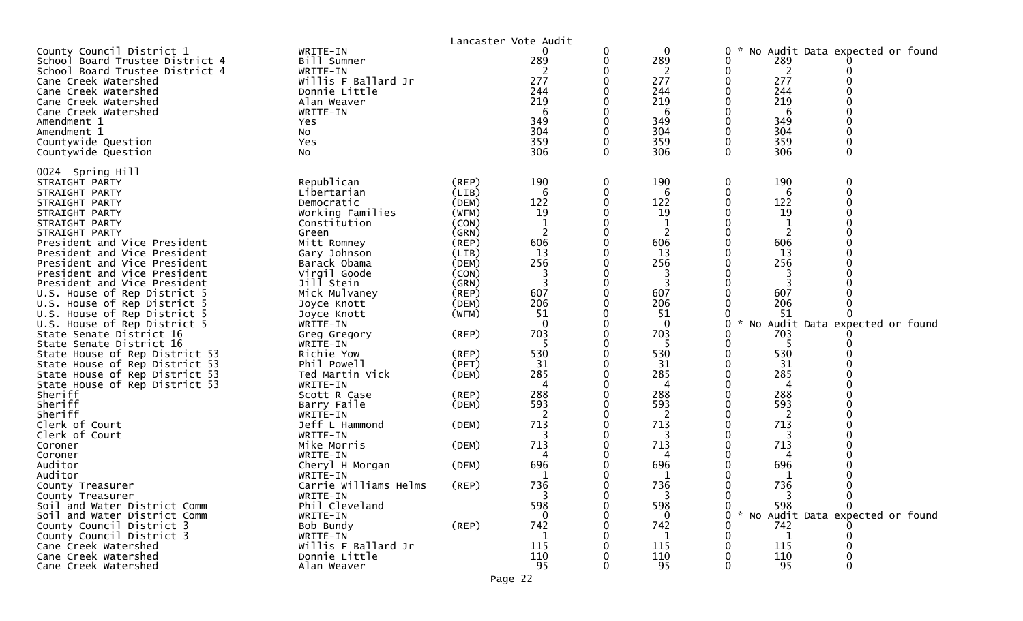|                                 |                       | Lancaster Vote Audit |                |   |                |         |                                 |             |  |
|---------------------------------|-----------------------|----------------------|----------------|---|----------------|---------|---------------------------------|-------------|--|
| County Council District 1       | WRITE-IN              |                      | 0              | 0 | 0              | 0       | No Audit Data expected or found |             |  |
| School Board Trustee District 4 | Bill Sumner           |                      | 289            | 0 | 289            | 0       | 289                             |             |  |
| School Board Trustee District 4 | WRITE-IN              |                      |                |   |                | 0       | 2                               |             |  |
| Cane Creek Watershed            | Willis F Ballard Jr   |                      | 277            |   | 277            |         | 277                             |             |  |
| Cane Creek Watershed            | Donnie Little         |                      | 244            |   | 244            |         | 244                             |             |  |
| Cane Creek Watershed            | Alan Weaver           |                      | 219            |   | 219            |         | 219                             |             |  |
| Cane Creek Watershed            | WRITE-IN              |                      | 6              |   | 6              |         | 6                               |             |  |
| Amendment 1                     | Yes                   |                      | 349            |   | 349            |         | 349                             |             |  |
| Amendment 1                     | No                    |                      | 304            |   | 304            |         | 304                             |             |  |
| Countywide Question             | Yes                   |                      | 359            |   | 359            |         | 359                             |             |  |
| Countywide Question             | No                    |                      | 306            | 0 | 306            | 0       | 306                             | 0           |  |
| 0024 Spring Hill                |                       |                      |                |   |                |         |                                 |             |  |
| STRAIGHT PARTY                  | Republican            | (REP)                | 190            | 0 | 190            | 0       | 190                             | 0           |  |
| STRAIGHT PARTY                  | Libertarian           | (LIB)                | 6              | 0 | 6              | 0       | 6                               | $\mathbf 0$ |  |
| STRAIGHT PARTY                  | Democratic            | (DEM)                | 122            | 0 | 122            | 0       | 122                             | $\mathbf 0$ |  |
| STRAIGHT PARTY                  | Working Families      | (WFM)                | 19             |   | 19             |         | 19                              |             |  |
| STRAIGHT PARTY                  | Constitution          | (CON)                |                | 0 |                | 0       |                                 |             |  |
| STRAIGHT PARTY                  | Green                 | (GRN)                | 2              | 0 | 2              |         | 2                               |             |  |
| President and Vice President    | Mitt Romney           | $($ REP $)$          | 606            |   | 606            |         | 606                             |             |  |
| President and Vice President    | Gary Johnson          | (LIB)                | 13             |   | 13             |         | 13                              |             |  |
| President and Vice President    | Barack Obama          | (DEM)                | 256            |   | 256            |         | 256                             |             |  |
| President and Vice President    | Virgil Goode          | (CON)                |                |   |                |         |                                 |             |  |
| President and Vice President    | Jill Stein            | (GRN)                |                | 0 |                | 0       |                                 |             |  |
| U.S. House of Rep District 5    | Mick Mulvaney         | (REP)                | 607            |   | 607            |         | 607                             |             |  |
| U.S. House of Rep District 5    | Joyce Knott           | (DEM)                | 206            |   | 206            |         | 206                             |             |  |
| U.S. House of Rep District 5    | Joyce Knott           | (WFM)                | 51             | 0 | 51             |         | 51                              |             |  |
| U.S. House of Rep District 5    | WRITE-IN              |                      | $\mathbf{0}$   |   | $\mathbf{0}$   | 0<br>No | Audit Data expected or found    |             |  |
| State Senate District 16        | Greg Gregory          | (REP)                | 703            |   | 703            |         | 703                             |             |  |
| State Senate District 16        | WRITE-IN              |                      |                |   | 5              |         |                                 |             |  |
| State House of Rep District 53  | Richie Yow            | (REP)                | 530            |   | 530            |         | 530                             |             |  |
| State House of Rep District 53  | Phil Powell           | (PET)                | 31             |   | 31             |         | 31                              |             |  |
| State House of Rep District 53  | Ted Martin Vick       | (DEM)                | 285            |   | 285            |         | 285                             |             |  |
| State House of Rep District 53  | WRITE-IN              |                      | $\overline{A}$ |   | 4              |         | 4                               |             |  |
| Sheriff                         | Scott R Case          | (REP)                | 288            |   | 288            |         | 288                             |             |  |
| Sheriff                         | Barry Faile           | (DEM)                | 593            |   | 593            |         | 593                             |             |  |
| Sheriff                         | WRITE-IN              |                      | $\overline{c}$ |   | $\overline{c}$ |         | 2                               |             |  |
| Clerk of Court                  | Jeff L Hammond        | (DEM)                | 713            |   | 713            |         | 713                             |             |  |
| Clerk of Court                  | WRITE-IN              |                      |                |   |                |         |                                 |             |  |
| Coroner                         | Mike Morris           | (DEM)                | 713            | 0 | 713            | 0       | 713                             |             |  |
| Coroner                         | WRITE-IN              |                      | 4              |   | 4              |         | 4                               |             |  |
| Auditor                         | Cheryl H Morgan       | (DEM)                | 696            |   | 696            |         | 696                             |             |  |
| Auditor                         | WRITE-IN              |                      | 1              |   | 1              |         | 1                               |             |  |
| County Treasurer                | Carrie Williams Helms | (REP)                | 736            | 0 | 736            | 0       | 736                             |             |  |
| County Treasurer                | WRITE-IN              |                      | 3              | 0 | 3              | 0       | 3                               | 0           |  |
| Soil and Water District Comm    | Phil Cleveland        |                      | 598            |   | 598            | 0       | 598                             |             |  |
| Soil and Water District Comm    | WRITE-IN              |                      | 0              |   | $\mathbf{0}$   | 0       | No Audit Data expected or found |             |  |
| County Council District 3       | Bob Bundy             | $($ REP $)$          | 742            |   | 742            |         | 742                             |             |  |
| County Council District 3       | WRITE-IN              |                      | 1              |   | 1              |         | 1                               |             |  |
| Cane Creek Watershed            | Willis F Ballard Jr   |                      | 115            |   | 115            |         | 115                             |             |  |
| Cane Creek Watershed            | Donnie Little         |                      | 110            |   | 110            |         | 110                             |             |  |
| Cane Creek Watershed            | Alan Weaver           |                      | 95             | 0 | 95             | 0       | 95                              | 0           |  |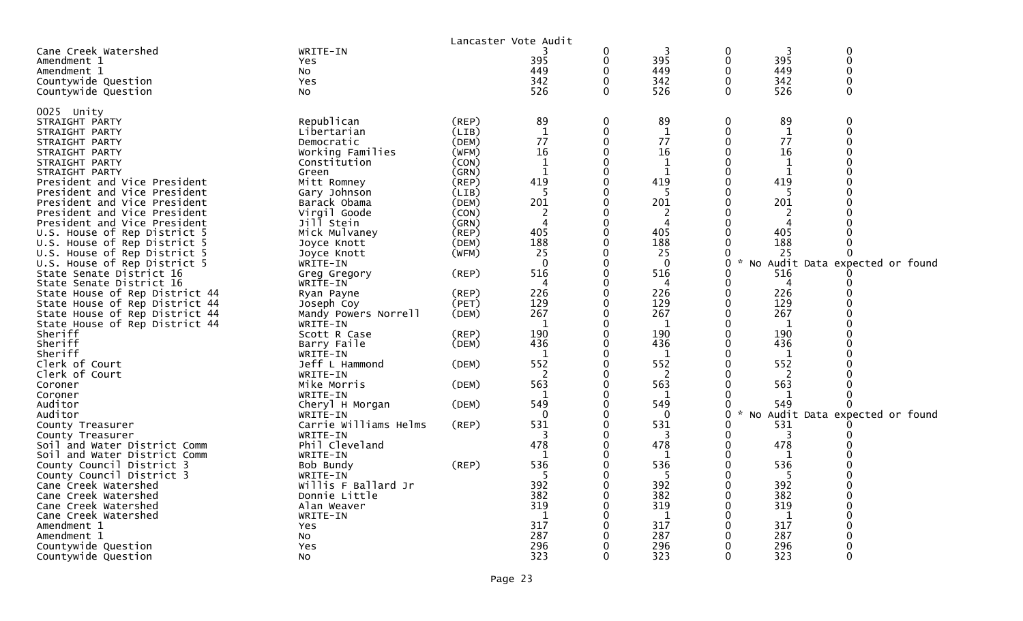|                                |                       |             | Lancaster Vote Audit |                |                |                  |                     |                                 |
|--------------------------------|-----------------------|-------------|----------------------|----------------|----------------|------------------|---------------------|---------------------------------|
| Cane Creek Watershed           | WRITE-IN              |             | 3                    | 0              | 3              | 0                | 3                   | $\mathbf 0$                     |
| Amendment 1                    | Yes                   |             | 395                  | $\Omega$       | 395            | $\mathbf{0}$     | 395                 | $\mathbf 0$                     |
| Amendment 1                    | NO.                   |             | 449                  | $\Omega$       | 449            | $\mathbf 0$      | 449                 | $\mathbf 0$                     |
| Countywide Question            | Yes                   |             | 342                  | $\Omega$       | 342            | 0                | 342                 | $\mathbf 0$                     |
| Countywide Question            | NO.                   |             | 526                  | $\mathbf 0$    | 526            | $\mathbf 0$      | 526                 | $\mathbf 0$                     |
|                                |                       |             |                      |                |                |                  |                     |                                 |
| 0025 Unity                     |                       |             |                      |                |                |                  |                     |                                 |
| STRAIGHT PARTY                 | Republican            | (REP)       | 89                   | 0              | 89             | $\boldsymbol{0}$ | 89                  | $\boldsymbol{0}$                |
| STRAIGHT PARTY                 | Libertarian           | (LIB)       | $\mathbf{1}$         | $\mathbf 0$    | $\mathbf{1}$   | $\mathbf 0$      | $\mathbf{1}$        | $\mathbf 0$                     |
| STRAIGHT PARTY                 | Democratic            | (DEM)       | 77                   | $\mathbf 0$    | 77             | $\mathbf 0$      | 77                  | $\mathbf 0$                     |
| STRAIGHT PARTY                 | Working Families      | (WFM)       | 16                   | $\Omega$       | 16             | $\Omega$         | 16                  | $\Omega$                        |
| STRAIGHT PARTY                 | Constitution          | (CON)       | $\mathbf{1}$         | $\Omega$       | 1              | $\Omega$         | $\mathbf{1}$        |                                 |
| STRAIGHT PARTY                 | Green                 | (GRN)       | $\mathbf{1}$         | $\Omega$       | $\mathbf 1$    | $\Omega$         | $\mathbf 1$         |                                 |
| President and Vice President   | Mitt Romney           | $($ REP $)$ | 419                  | $\Omega$       | 419            | $\Omega$         | 419                 |                                 |
| President and Vice President   |                       | (LIB)       | -5                   | $\mathbf 0$    | -5             | $\mathbf 0$      | -5                  | $\Omega$                        |
|                                | Gary Johnson          |             |                      | $\Omega$       |                | $\Omega$         |                     |                                 |
| President and Vice President   | Barack Obama          | (DEM)       | 201                  | $\mathbf 0$    | 201            | $\mathbf 0$      | 201                 |                                 |
| President and Vice President   | Virgil Goode          | (CON)       | $\overline{2}$       |                | $\overline{2}$ |                  | 2                   |                                 |
| President and Vice President   | Jill Stein            | (GRN)       | $\overline{4}$       | $\Omega$       | 4              | $\Omega$         | 4                   |                                 |
| U.S. House of Rep District 5   | Mick Mulvaney         | (REP)       | 405                  | $\mathbf 0$    | 405            | $\Omega$         | 405                 |                                 |
| U.S. House of Rep District 5   | Joyce Knott           | (DEM)       | 188                  | $\Omega$       | 188            | $\Omega$         | 188                 |                                 |
| U.S. House of Rep District 5   | Joyce Knott           | (WFM)       | 25                   |                | 25             | $\Omega$         | 25                  |                                 |
| U.S. House of Rep District 5   | WRITE-IN              |             | $\overline{0}$       | $\mathbf 0$    | $\mathbf 0$    | 0                | $\mathcal{H}$<br>No | Audit Data expected or found    |
| State Senate District 16       | Greg Gregory          | (REF)       | 516                  | $\Omega$       | 516            | 0                | 516                 |                                 |
| State Senate District 16       | WRITE-IN              |             | $\overline{4}$       | $\mathbf 0$    | $\overline{4}$ | $\mathbf 0$      | $\overline{4}$      |                                 |
| State House of Rep District 44 | Ryan Payne            | (REP)       | 226                  | $\Omega$       | 226            | $\Omega$         | 226                 |                                 |
| State House of Rep District 44 | Joseph Coy            | (PET)       | 129                  | $\mathbf 0$    | 129            | $\mathbf 0$      | 129                 |                                 |
| State House of Rep District 44 | Mandy Powers Norrell  | (DEM)       | 267                  | $\Omega$       | 267            | $\Omega$         | 267                 | $\Omega$                        |
| State House of Rep District 44 | WRITE-IN              |             | 1                    | $\overline{0}$ | 1              | $\Omega$         | 1                   |                                 |
| Sheriff                        | Scott R Case          | (REP)       | 190                  | $\mathbf 0$    | 190            | $\mathbf 0$      | 190                 |                                 |
| Sheriff                        | Barry Faile           | (DEM)       | 436                  | $\Omega$       | 436            | $\Omega$         | 436                 |                                 |
| Sheriff                        | WRITE-IN              |             | $\mathbf 1$          | $\mathbf 0$    | $\mathbf{1}$   | $\mathbf 0$      | 1                   |                                 |
| Clerk of Court                 | Jeff L Hammond        | (DEM)       | 552                  | $\Omega$       | 552            |                  | 552                 |                                 |
| Clerk of Court                 | WRITE-IN              |             | $\overline{2}$       | 0              | $\overline{2}$ | $\mathbf 0$      |                     |                                 |
| Coroner                        | Mike Morris           | (DEM)       | 563                  | $\Omega$       | 563            | $\Omega$         | 563                 |                                 |
| Coroner                        | WRITE-IN              |             | 1                    | $\mathbf 0$    | 1              | $\Omega$         |                     |                                 |
| Auditor                        | Cheryl H Morgan       | (DEM)       | 549                  | $\Omega$       | 549            | $\mathbf 0$      | 549                 |                                 |
| Auditor                        | WRITE-IN              |             | $\Omega$             | $\Omega$       | 0              | $\mathbf{0}$     | $\sim$              | No Audit Data expected or found |
| County Treasurer               | Carrie Williams Helms | (REP)       | 531                  | $\mathbf 0$    | 531            | 0                | 531                 |                                 |
| County Treasurer               | WRITE-IN              |             | 3                    | $\Omega$       | 3              | $\Omega$         | 3                   |                                 |
| Soil and Water District Comm   | Phil Cleveland        |             | 478                  | $\mathbf 0$    | 478            | $\mathbf 0$      | 478                 |                                 |
| Soil and Water District Comm   | WRITE-IN              |             |                      | $\Omega$       | -1             | $\Omega$         |                     |                                 |
| County Council District 3      | Bob Bundy             | (REP)       | 536                  | $\mathbf 0$    | 536            | $\mathbf 0$      | 536                 | $\Omega$                        |
| County Council District 3      | WRITE-IN              |             | -5                   | $\Omega$       | -5             | $\Omega$         | -5                  | $\Omega$                        |
| Cane Creek Watershed           | Willis F Ballard Jr   |             | 392                  | $\Omega$       | 392            | $\Omega$         | 392                 |                                 |
| Cane Creek Watershed           | Donnie Little         |             | 382                  | $\mathbf 0$    | 382            | $\mathbf 0$      | 382                 |                                 |
| Cane Creek Watershed           | Alan Weaver           |             | 319                  |                | 319            |                  | 319                 |                                 |
| Cane Creek Watershed           | WRITE-IN              |             | $\mathbf{1}$         | $\mathbf 0$    | $\mathbf{1}$   | $\mathbf 0$      | $\mathbf 1$         | $\mathbf 0$                     |
| Amendment 1                    | Yes                   |             | 317                  |                | 317            | $\Omega$         | 317                 |                                 |
| Amendment 1                    | No                    |             | 287                  | $\mathbf 0$    | 287            | $\mathbf 0$      | 287                 |                                 |
| Countywide Question            | Yes                   |             | 296                  | $\Omega$       | 296            | $\Omega$         | 296                 |                                 |
| Countywide Question            | NO.                   |             | 323                  | $\Omega$       | 323            | $\Omega$         | 323                 | $\Omega$                        |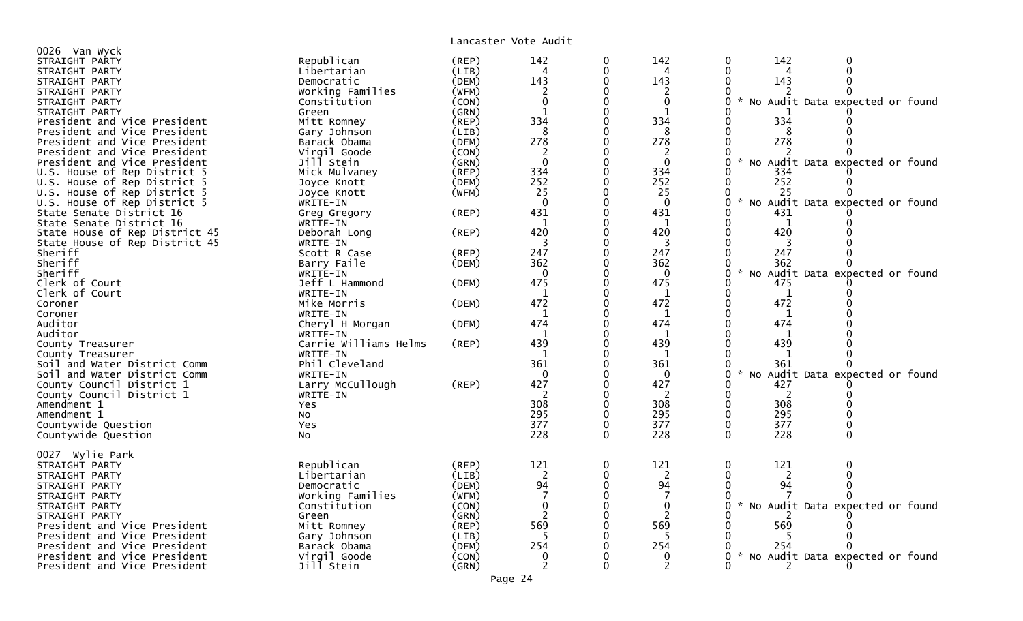| 0026 Van Wyck                  |                       |             |                |              |                |                                                  |
|--------------------------------|-----------------------|-------------|----------------|--------------|----------------|--------------------------------------------------|
| STRAIGHT PARTY                 | Republican            | (REP)       | 142            |              | 142            | 142                                              |
| STRAIGHT PARTY                 | Libertarian           | (LIB)       | Δ              | $\Omega$     |                | $\Omega$                                         |
| STRAIGHT PARTY                 | Democratic            | (DEM)       | 143            | 0            | 143            | 143                                              |
| STRAIGHT PARTY                 | Working Families      | (WFM)       | 2              | 0            | 2              |                                                  |
| STRAIGHT PARTY                 | Constitution          | (CON)       | $\mathbf 0$    |              | 0              | No Audit Data expected or found<br>$\sim$        |
| STRAIGHT PARTY                 | Green                 | (GRN)       | $\mathbf{1}$   | 0            | $\mathbf{1}$   |                                                  |
| President and Vice President   | Mitt Romney           | $($ REP $)$ | 334            |              | 334            | 334                                              |
|                                |                       | (LIB)       | 8              |              | 8              | 8                                                |
| President and Vice President   | Gary Johnson          |             |                |              |                |                                                  |
| President and Vice President   | Barack Obama          | (DEM)       | 278            |              | 278            | 278                                              |
| President and Vice President   | Virgil Goode          | (CON)       | $\overline{c}$ |              |                |                                                  |
| President and Vice President   | Jill Stein            | (GRN)       | $\Omega$       | 0            | $\Omega$       | No Audit Data expected or found                  |
| U.S. House of Rep District 5   | Mick Mulvaney         | $($ REP)    | 334            |              | 334            | 334                                              |
| U.S. House of Rep District 5   | Joyce Knott           | (DEM)       | 252            |              | 252            | 252                                              |
| U.S. House of Rep District 5   | Joyce Knott           | (WFM)       | 25             |              | 25             | 25                                               |
| U.S. House of Rep District 5   | WRITE-IN              |             | $\Omega$       |              | $\Omega$       | * No Audit Data expected or found                |
| State Senate District 16       | Greg Gregory          | (REP)       | 431            |              | 431            | 431                                              |
| State Senate District 16       | WRITE-IN              |             | $\mathbf{1}$   |              | 1              | $\mathbf 1$                                      |
| State House of Rep District 45 | Deborah Long          | (REP)       | 420            |              | 420            | 420                                              |
| State House of Rep District 45 | WRITE-IN              |             |                |              | 3              |                                                  |
| Sheriff                        | Scott R Case          | $($ REP $)$ | 247            | 0            | 247            | 247                                              |
| Sheriff                        | Barry Faile           | (DEM)       | 362            |              | 362            | 362                                              |
|                                |                       |             | $\Omega$       |              |                | $\mathcal{H}$                                    |
| Sheriff                        | WRITE-IN              |             |                |              | $\Omega$       | No Audit Data expected or found                  |
| Clerk of Court                 | Jeff L Hammond        | (DEM)       | 475            |              | 475            | 475                                              |
| Clerk of Court                 | WRITE-IN              |             | $\mathbf{1}$   |              | 1              | $\mathbf{1}$                                     |
| Coroner                        | Mike Morris           | (DEM)       | 472            |              | 472            | 472                                              |
| Coroner                        | WRITE-IN              |             | 1              |              | 1              | 1                                                |
| Auditor                        | Cheryl H Morgan       | (DEM)       | 474            |              | 474            | 474                                              |
| Auditor                        | WRITE-IN              |             | 1              |              | 1              | 1                                                |
| County Treasurer               | Carrie Williams Helms | (REP)       | 439            |              | 439            | 439                                              |
| County Treasurer               | WRITE-IN              |             | -1             |              | -1             |                                                  |
| Soil and Water District Comm   | Phil Cleveland        |             | 361            |              | 361            | 361                                              |
| Soil and Water District Comm   | WRITE-IN              |             | $\Omega$       |              | $\Omega$       | No Audit Data expected or found                  |
| County Council District 1      | Larry McCullough      | (REP)       | 427            |              | 427            | 427                                              |
| County Council District 1      | WRITE-IN              |             |                |              | 2              | 2                                                |
| Amendment 1                    | Yes                   |             | 308            |              | 308            | 308                                              |
| Amendment 1                    | No                    |             | 295            | $\Omega$     | 295            | 295<br>0                                         |
|                                |                       |             | 377            |              | 377            | 377                                              |
| Countywide Question            | Yes                   |             |                |              |                |                                                  |
| Countywide Question            | No                    |             | 228            | $\mathbf{0}$ | 228            | 228<br>$\mathbf{0}$<br>$\Omega$                  |
|                                |                       |             |                |              |                |                                                  |
| 0027 Wylie Park                |                       |             |                |              |                |                                                  |
| STRAIGHT PARTY                 | Republican            | (REP)       | 121            | 0            | 121            | 121<br>0<br>$\Omega$                             |
| STRAIGHT PARTY                 | Libertarian           | (LIB)       | $\overline{c}$ | 0            | $\overline{2}$ | 2                                                |
| STRAIGHT PARTY                 | Democratic            | (DEM)       | 94             | $\Omega$     | 94             | 94<br>0                                          |
| STRAIGHT PARTY                 | Working Families      | (WFM)       |                |              |                |                                                  |
| STRAIGHT PARTY                 | Constitution          | (CON)       | $\mathbf 0$    | 0            | $\mathbf 0$    | $\mathcal{H}$<br>No Audit Data expected or found |
| STRAIGHT PARTY                 | Green                 | (GRN)       |                |              | $\mathcal{L}$  |                                                  |
| President and Vice President   | Mitt Romney           | (REP)       | 569            |              | 569            | 569                                              |
| President and Vice President   | Gary Johnson          | (LIB)       |                |              |                |                                                  |
| President and Vice President   | Barack Obama          | (DEM)       | 254            |              | 254            | 254                                              |
| President and Vice President   | Virgil Goode          | (CON)       |                |              |                | $\sim$<br>No Audit Data expected or found        |
| President and Vice President   | Jill Stein            | (GRN)       | 2              | 0            | 2              | 2                                                |
|                                |                       |             |                |              |                |                                                  |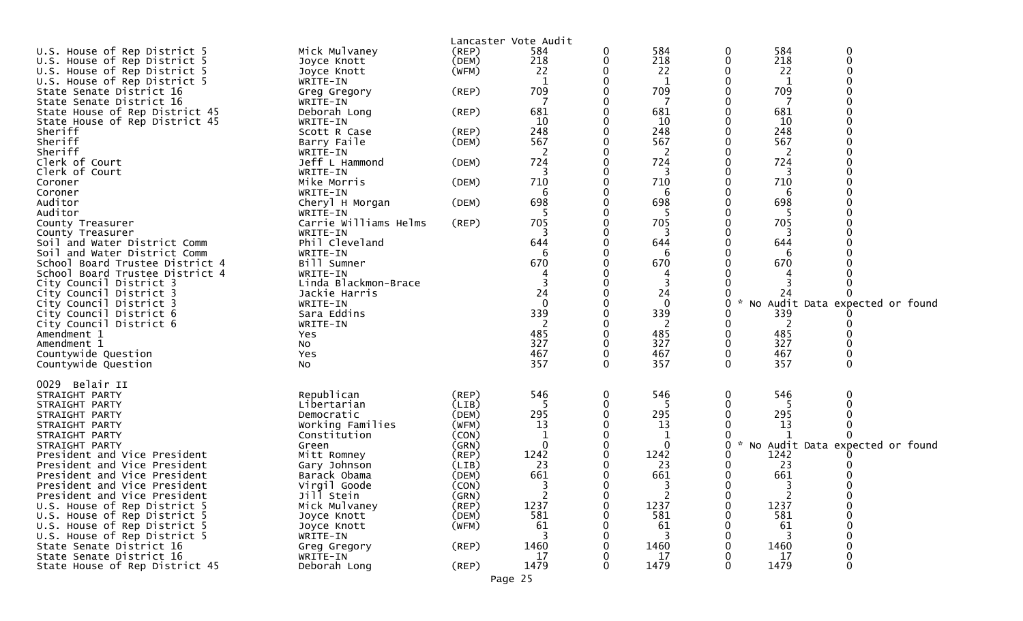| U.S. House of Rep District 5                                 |                              |                | Lancaster Vote Audit<br>584                |          | 584                   | 0        | 584    | $\Omega$                          |
|--------------------------------------------------------------|------------------------------|----------------|--------------------------------------------|----------|-----------------------|----------|--------|-----------------------------------|
| U.S. House of Rep District 5                                 | Mick Mulvaney<br>Joyce Knott | (REP)<br>(DEM) | 218                                        | 0<br>0   | 218                   | 0        | 218    | $\Omega$                          |
| U.S. House of Rep District 5                                 | Joyce Knott                  | (WFM)          | 22                                         |          | 22                    |          | 22     |                                   |
| U.S. House of Rep District 5                                 | WRITE-IN                     |                |                                            |          | 1                     |          | 1      |                                   |
| State Senate District 16                                     | Greg Gregory                 | $($ REP $)$    | 709                                        |          | 709                   |          | 709    |                                   |
| State Senate District 16                                     | WRITE-IN                     |                |                                            |          |                       |          |        |                                   |
| State House of Rep District 45                               | Deborah Long                 | (REP)          | 681                                        |          | 681                   |          | 681    |                                   |
| State House of Rep District 45                               | WRITE-IN                     |                | 10                                         |          | 10                    |          | 10     |                                   |
| Sheriff                                                      | Scott R Case                 | (REP)          | 248                                        |          | 248                   |          | 248    |                                   |
| Sheriff                                                      | Barry Faile                  | (DEM)          | 567                                        |          | 567                   |          | 567    |                                   |
| Sheriff                                                      | WRITE-IN                     |                | 2                                          |          | $\overline{2}$        |          | 2      |                                   |
| Clerk of Court                                               | Jeff L Hammond               | (DEM)          | 724                                        |          | 724                   |          | 724    |                                   |
| Clerk of Court                                               | WRITE-IN                     |                |                                            |          | 3                     |          |        |                                   |
| Coroner                                                      | Mike Morris                  | (DEM)          | 710                                        |          | 710                   |          | 710    |                                   |
| Coroner                                                      | WRITE-IN                     |                | 6                                          |          | 6                     |          | 6      |                                   |
| Auditor                                                      | Cheryl H Morgan              | (DEM)          | 698                                        |          | 698                   |          | 698    |                                   |
| Auditor                                                      | WRITE-IN                     |                | 5                                          |          | 5                     |          | -5     |                                   |
| County Treasurer                                             | Carrie Williams Helms        | (REP)          | 705                                        |          | 705                   |          | 705    |                                   |
| County Treasurer                                             | WRITE-IN                     |                |                                            |          | 3                     |          |        |                                   |
| Soil and Water District Comm                                 | Phil Cleveland               |                | 644                                        |          | 644                   |          | 644    |                                   |
| Soil and Water District Comm                                 | WRITE-IN                     |                |                                            |          | 6                     |          |        |                                   |
| School Board Trustee District 4                              | Bill Sumner                  |                | 670                                        |          | 670                   |          | 670    |                                   |
| School Board Trustee District 4                              | WRITE-IN                     |                |                                            |          |                       |          |        |                                   |
| City Council District 3                                      | Linda Blackmon-Brace         |                |                                            |          |                       |          |        |                                   |
| City Council District 3                                      | Jackie Harris                |                | 24<br>$\Omega$                             |          | 24<br>$\mathbf{0}$    |          | 24     |                                   |
| City Council District 3<br>City Council District 6           | WRITE-IN<br>Sara Eddins      |                | 339                                        |          | 339                   |          | 339    | No Audit Data expected or found   |
| City Council District 6                                      | WRITE-IN                     |                | 2                                          |          | 2                     |          | 2      |                                   |
| Amendment 1                                                  | Yes                          |                | 485                                        |          | 485                   |          | 485    |                                   |
| Amendment 1                                                  | No                           |                | 327                                        |          | 327                   |          | 327    |                                   |
| Countywide Question                                          | Yes                          |                | 467                                        | 0        | 467                   | 0        | 467    |                                   |
| Countywide Question                                          | No                           |                | 357                                        | 0        | 357                   | $\Omega$ | 357    |                                   |
|                                                              |                              |                |                                            |          |                       |          |        |                                   |
| 0029 Belair II                                               |                              |                |                                            |          |                       |          |        |                                   |
| STRAIGHT PARTY                                               | Republican                   | (REP)          | 546                                        | 0        | 546                   | 0        | 546    |                                   |
| STRAIGHT PARTY                                               | Libertarian                  | (LIB)          |                                            |          | 5                     |          |        |                                   |
| STRAIGHT PARTY                                               | Democratic                   | (DEM)          | 295                                        | 0        | 295                   |          | 295    |                                   |
| STRAIGHT PARTY                                               | Working Families             | (WFM)          | 13                                         |          | 13                    |          | 13     |                                   |
| STRAIGHT PARTY                                               | Constitution                 | (CON)          |                                            |          |                       |          |        |                                   |
| STRAIGHT PARTY                                               | Green                        | (GRN)          | 0                                          |          | 0                     | 0        |        | * No Audit Data expected or found |
| President and Vice President                                 | Mitt Romney                  | $($ REP $)$    | 1242                                       |          | 1242                  |          | 1242   |                                   |
| President and Vice President                                 | Gary Johnson                 | (LIB)          | 23                                         | 0        | 23<br>661             | 0        | 23     |                                   |
| President and Vice President<br>President and Vice President | Barack Obama                 | (DEM)          | 661<br>כ                                   |          | $\mathbf{z}$          | 0        | 661    |                                   |
| President and Vice President                                 | Virgil Goode<br>Jill Stein   | (CON)<br>(GRN) | $\overline{\phantom{a}}$<br>$\overline{2}$ | 0        | ر -<br>$\overline{2}$ | 0        | 3<br>2 | 0                                 |
| U.S. House of Rep District 5                                 | Mick Mulvaney                | (REP)          | 1237                                       |          | 1237                  |          | 1237   | $\mathbf 0$                       |
| U.S. House of Rep District 5                                 | Joyce Knott                  | (DEM)          | 581                                        |          | 581                   |          | 581    |                                   |
| U.S. House of Rep District 5                                 | Joyce Knott                  | (WFM)          | 61                                         |          | 61                    |          | 61     |                                   |
| U.S. House of Rep District 5                                 | WRITE-IN                     |                | 3                                          |          | -3                    |          | -3     |                                   |
| State Senate District 16                                     | Greg Gregory                 | $($ REP $)$    | 1460                                       |          | 1460                  |          | 1460   |                                   |
| State Senate District 16                                     | WRITE-IN                     |                | 17                                         |          | 17                    |          | 17     |                                   |
| State House of Rep District 45                               | Deborah Long                 | $($ REP $)$    | 1479                                       | $\Omega$ | 1479                  | $\Omega$ | 1479   | $\mathbf{0}$                      |
|                                                              |                              |                | Page 25                                    |          |                       |          |        |                                   |
|                                                              |                              |                |                                            |          |                       |          |        |                                   |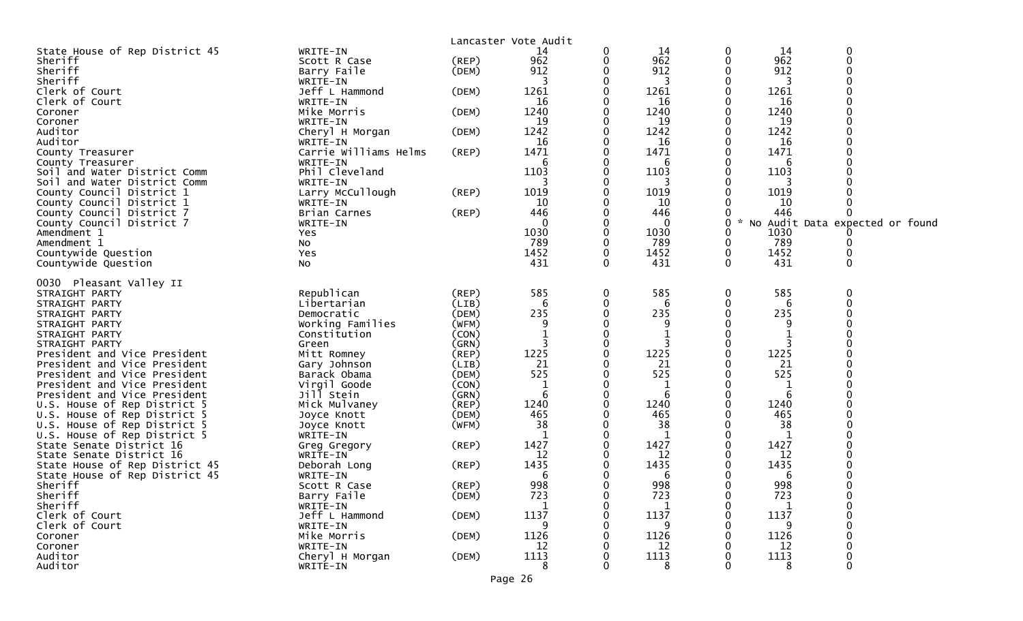| Lancaster Vote Audit<br>State House of Rep District 45<br>14<br>0<br>WRITE-IN<br>14<br>14<br>0<br>0<br>962<br>962<br>962<br>$\mathbf 0$<br>$($ REP $)$<br>0<br>Sheriff<br>Scott R Case<br>0<br>912<br>912<br>Sheriff<br>912<br>Barry Faile<br>(DEM)<br>0<br>Sheriff<br>3<br>WRITE-IN<br>0<br>0<br>3<br>Jeff L Hammond<br>1261<br>1261<br>1261<br>Clerk of Court<br>(DEM)<br>0<br>0<br>Clerk of Court<br>0<br>WRITE-IN<br>16<br>16<br>16<br>Mike Morris<br>1240<br>1240<br>1240<br>(DEM)<br>0<br>0<br>Coroner<br>19<br>19<br>19<br>WRITE-IN<br>0<br>Coroner<br>1242<br>1242<br>1242<br>Auditor<br>Cheryl H Morgan<br>0<br>0<br>(DEM)<br>Auditor<br>16<br>0<br>16<br>WRITE-IN<br>16<br>0<br>Carrie Williams Helms<br>1471<br>1471<br>1471<br>$($ REP $)$<br>County Treasurer<br>County Treasurer<br>WRITE-IN<br>6<br>6<br>6<br>1103<br>Phil Cleveland<br>1103<br>1103<br>Soil and Water District Comm<br>0<br>0<br>3<br>Soil and Water District Comm<br>WRITE-IN<br>3<br>3<br>Larry McCullough<br>$($ REP $)$<br>1019<br>1019<br>1019<br>County Council District 1<br>10<br>County Council District 1<br>WRITE-IN<br>10<br>∩<br>10<br>(REP)<br>446<br>446<br>446<br>County Council District 7<br>Brian Carnes<br>0<br>0<br>$\star$<br>County Council District 7<br>WRITE-IN<br>0<br>0<br>No Audit Data expected or found<br>1030<br>0<br>1030<br>Amendment 1<br>0<br>1030<br>Yes<br>789<br>789<br>789<br>0<br>0<br>Amendment 1<br>0<br><b>NO</b><br>1452<br>0<br>1452<br>0<br>1452<br>Countywide Question<br>Yes<br>431<br>$\Omega$<br>$\Omega$<br>431<br>$\Omega$<br>431<br>Countywide Question<br>NO.<br>0030 Pleasant Valley II<br>Republican<br>585<br>585<br>585<br>$\Omega$<br>$($ REP $)$<br>0<br>0<br>STRAIGHT PARTY<br>Libertarian<br>(LIB)<br>6<br>0<br>STRAIGHT PARTY<br>0<br>6<br>6<br>235<br>235<br>235<br>Democratic<br>(DEM)<br>STRAIGHT PARTY<br>9<br>9<br>-9<br>Working Families<br>(WFM)<br>STRAIGHT PARTY<br>0<br>1<br>STRAIGHT PARTY<br>Constitution<br>(CON)<br>1<br>3<br>3<br>0<br>STRAIGHT PARTY<br>(GRN)<br>Green<br>1225<br>1225<br>1225<br>(REP)<br>0<br>$\mathbf 0$<br>President and Vice President<br>Mitt Romney<br>(LIB)<br>21<br>21<br>0<br>21<br>President and Vice President<br>Gary Johnson<br>0<br>525<br>525<br>525<br>President and Vice President<br>(DEM)<br>Barack Obama<br>0<br>President and Vice President<br>Virgil Goode<br>(CON)<br>1<br>0<br>1<br>0<br>1<br>6<br>6<br>Jill Stein<br>0<br>0<br>6<br>President and Vice President<br>(GRN)<br>U.S. House of Rep District 5<br>1240<br>1240<br>1240<br>Mick Mulvaney<br>(REP)<br>∩<br>0<br>465<br>465<br>465<br>U.S. House of Rep District 5<br>(DEM)<br>Joyce Knott<br>38<br>38<br>38<br>U.S. House of Rep District 5<br>(WFM)<br>Joyce Knott<br>U.S. House of Rep District 5<br>WRITE-IN<br>1<br>0<br>1<br>1427<br>1427<br>0<br>1427<br>State Senate District 16<br>(REP)<br>0<br>Greg Gregory<br>12<br>12<br>State Senate District 16<br>WRITE-IN<br>12<br>1435<br>1435<br>State House of Rep District 45<br>1435<br>Deborah Long<br>(REP)<br>0<br>State House of Rep District 45<br>6<br>0<br>6<br>0<br>6<br>WRITE-IN<br>Sheriff<br>998<br>998<br>998<br>(REP)<br>0<br>0<br>Scott R Case<br>723<br>723<br>723<br>Barry Faile<br>(DEM)<br>$\mathbf 0$<br>$\Omega$<br>Sheriff<br>0<br>Sheriff<br>WRITE-IN<br>$\mathbf{1}$<br>1<br>1137<br>1137<br>1137<br>Clerk of Court<br>Jeff L Hammond<br>(DEM)<br>Clerk of Court<br>WRITE-IN<br>9<br>9<br>9<br>1126<br>1126<br>1126<br>Mike Morris<br>(DEM)<br>Coroner<br>Coroner<br>12<br>12<br>WRITE-IN<br>12<br>Auditor<br>Cheryl H Morgan<br>(DEM)<br>1113<br>1113<br>1113<br>Auditor<br>8<br>$\Omega$<br>WRITE-IN<br>8<br>8 |  |  |  |  |  |
|-------------------------------------------------------------------------------------------------------------------------------------------------------------------------------------------------------------------------------------------------------------------------------------------------------------------------------------------------------------------------------------------------------------------------------------------------------------------------------------------------------------------------------------------------------------------------------------------------------------------------------------------------------------------------------------------------------------------------------------------------------------------------------------------------------------------------------------------------------------------------------------------------------------------------------------------------------------------------------------------------------------------------------------------------------------------------------------------------------------------------------------------------------------------------------------------------------------------------------------------------------------------------------------------------------------------------------------------------------------------------------------------------------------------------------------------------------------------------------------------------------------------------------------------------------------------------------------------------------------------------------------------------------------------------------------------------------------------------------------------------------------------------------------------------------------------------------------------------------------------------------------------------------------------------------------------------------------------------------------------------------------------------------------------------------------------------------------------------------------------------------------------------------------------------------------------------------------------------------------------------------------------------------------------------------------------------------------------------------------------------------------------------------------------------------------------------------------------------------------------------------------------------------------------------------------------------------------------------------------------------------------------------------------------------------------------------------------------------------------------------------------------------------------------------------------------------------------------------------------------------------------------------------------------------------------------------------------------------------------------------------------------------------------------------------------------------------------------------------------------------------------------------------------------------------------------------------------------------------------------------------------------------------------------------------------------------------------------------------------------------------------------------------------------------------------------------------------------------------------------------------------------------------------------------------------------------------------------------------------------------------------------------------------------|--|--|--|--|--|
|                                                                                                                                                                                                                                                                                                                                                                                                                                                                                                                                                                                                                                                                                                                                                                                                                                                                                                                                                                                                                                                                                                                                                                                                                                                                                                                                                                                                                                                                                                                                                                                                                                                                                                                                                                                                                                                                                                                                                                                                                                                                                                                                                                                                                                                                                                                                                                                                                                                                                                                                                                                                                                                                                                                                                                                                                                                                                                                                                                                                                                                                                                                                                                                                                                                                                                                                                                                                                                                                                                                                                                                                                                                                   |  |  |  |  |  |
|                                                                                                                                                                                                                                                                                                                                                                                                                                                                                                                                                                                                                                                                                                                                                                                                                                                                                                                                                                                                                                                                                                                                                                                                                                                                                                                                                                                                                                                                                                                                                                                                                                                                                                                                                                                                                                                                                                                                                                                                                                                                                                                                                                                                                                                                                                                                                                                                                                                                                                                                                                                                                                                                                                                                                                                                                                                                                                                                                                                                                                                                                                                                                                                                                                                                                                                                                                                                                                                                                                                                                                                                                                                                   |  |  |  |  |  |
|                                                                                                                                                                                                                                                                                                                                                                                                                                                                                                                                                                                                                                                                                                                                                                                                                                                                                                                                                                                                                                                                                                                                                                                                                                                                                                                                                                                                                                                                                                                                                                                                                                                                                                                                                                                                                                                                                                                                                                                                                                                                                                                                                                                                                                                                                                                                                                                                                                                                                                                                                                                                                                                                                                                                                                                                                                                                                                                                                                                                                                                                                                                                                                                                                                                                                                                                                                                                                                                                                                                                                                                                                                                                   |  |  |  |  |  |
|                                                                                                                                                                                                                                                                                                                                                                                                                                                                                                                                                                                                                                                                                                                                                                                                                                                                                                                                                                                                                                                                                                                                                                                                                                                                                                                                                                                                                                                                                                                                                                                                                                                                                                                                                                                                                                                                                                                                                                                                                                                                                                                                                                                                                                                                                                                                                                                                                                                                                                                                                                                                                                                                                                                                                                                                                                                                                                                                                                                                                                                                                                                                                                                                                                                                                                                                                                                                                                                                                                                                                                                                                                                                   |  |  |  |  |  |
|                                                                                                                                                                                                                                                                                                                                                                                                                                                                                                                                                                                                                                                                                                                                                                                                                                                                                                                                                                                                                                                                                                                                                                                                                                                                                                                                                                                                                                                                                                                                                                                                                                                                                                                                                                                                                                                                                                                                                                                                                                                                                                                                                                                                                                                                                                                                                                                                                                                                                                                                                                                                                                                                                                                                                                                                                                                                                                                                                                                                                                                                                                                                                                                                                                                                                                                                                                                                                                                                                                                                                                                                                                                                   |  |  |  |  |  |
|                                                                                                                                                                                                                                                                                                                                                                                                                                                                                                                                                                                                                                                                                                                                                                                                                                                                                                                                                                                                                                                                                                                                                                                                                                                                                                                                                                                                                                                                                                                                                                                                                                                                                                                                                                                                                                                                                                                                                                                                                                                                                                                                                                                                                                                                                                                                                                                                                                                                                                                                                                                                                                                                                                                                                                                                                                                                                                                                                                                                                                                                                                                                                                                                                                                                                                                                                                                                                                                                                                                                                                                                                                                                   |  |  |  |  |  |
|                                                                                                                                                                                                                                                                                                                                                                                                                                                                                                                                                                                                                                                                                                                                                                                                                                                                                                                                                                                                                                                                                                                                                                                                                                                                                                                                                                                                                                                                                                                                                                                                                                                                                                                                                                                                                                                                                                                                                                                                                                                                                                                                                                                                                                                                                                                                                                                                                                                                                                                                                                                                                                                                                                                                                                                                                                                                                                                                                                                                                                                                                                                                                                                                                                                                                                                                                                                                                                                                                                                                                                                                                                                                   |  |  |  |  |  |
|                                                                                                                                                                                                                                                                                                                                                                                                                                                                                                                                                                                                                                                                                                                                                                                                                                                                                                                                                                                                                                                                                                                                                                                                                                                                                                                                                                                                                                                                                                                                                                                                                                                                                                                                                                                                                                                                                                                                                                                                                                                                                                                                                                                                                                                                                                                                                                                                                                                                                                                                                                                                                                                                                                                                                                                                                                                                                                                                                                                                                                                                                                                                                                                                                                                                                                                                                                                                                                                                                                                                                                                                                                                                   |  |  |  |  |  |
|                                                                                                                                                                                                                                                                                                                                                                                                                                                                                                                                                                                                                                                                                                                                                                                                                                                                                                                                                                                                                                                                                                                                                                                                                                                                                                                                                                                                                                                                                                                                                                                                                                                                                                                                                                                                                                                                                                                                                                                                                                                                                                                                                                                                                                                                                                                                                                                                                                                                                                                                                                                                                                                                                                                                                                                                                                                                                                                                                                                                                                                                                                                                                                                                                                                                                                                                                                                                                                                                                                                                                                                                                                                                   |  |  |  |  |  |
|                                                                                                                                                                                                                                                                                                                                                                                                                                                                                                                                                                                                                                                                                                                                                                                                                                                                                                                                                                                                                                                                                                                                                                                                                                                                                                                                                                                                                                                                                                                                                                                                                                                                                                                                                                                                                                                                                                                                                                                                                                                                                                                                                                                                                                                                                                                                                                                                                                                                                                                                                                                                                                                                                                                                                                                                                                                                                                                                                                                                                                                                                                                                                                                                                                                                                                                                                                                                                                                                                                                                                                                                                                                                   |  |  |  |  |  |
|                                                                                                                                                                                                                                                                                                                                                                                                                                                                                                                                                                                                                                                                                                                                                                                                                                                                                                                                                                                                                                                                                                                                                                                                                                                                                                                                                                                                                                                                                                                                                                                                                                                                                                                                                                                                                                                                                                                                                                                                                                                                                                                                                                                                                                                                                                                                                                                                                                                                                                                                                                                                                                                                                                                                                                                                                                                                                                                                                                                                                                                                                                                                                                                                                                                                                                                                                                                                                                                                                                                                                                                                                                                                   |  |  |  |  |  |
|                                                                                                                                                                                                                                                                                                                                                                                                                                                                                                                                                                                                                                                                                                                                                                                                                                                                                                                                                                                                                                                                                                                                                                                                                                                                                                                                                                                                                                                                                                                                                                                                                                                                                                                                                                                                                                                                                                                                                                                                                                                                                                                                                                                                                                                                                                                                                                                                                                                                                                                                                                                                                                                                                                                                                                                                                                                                                                                                                                                                                                                                                                                                                                                                                                                                                                                                                                                                                                                                                                                                                                                                                                                                   |  |  |  |  |  |
|                                                                                                                                                                                                                                                                                                                                                                                                                                                                                                                                                                                                                                                                                                                                                                                                                                                                                                                                                                                                                                                                                                                                                                                                                                                                                                                                                                                                                                                                                                                                                                                                                                                                                                                                                                                                                                                                                                                                                                                                                                                                                                                                                                                                                                                                                                                                                                                                                                                                                                                                                                                                                                                                                                                                                                                                                                                                                                                                                                                                                                                                                                                                                                                                                                                                                                                                                                                                                                                                                                                                                                                                                                                                   |  |  |  |  |  |
|                                                                                                                                                                                                                                                                                                                                                                                                                                                                                                                                                                                                                                                                                                                                                                                                                                                                                                                                                                                                                                                                                                                                                                                                                                                                                                                                                                                                                                                                                                                                                                                                                                                                                                                                                                                                                                                                                                                                                                                                                                                                                                                                                                                                                                                                                                                                                                                                                                                                                                                                                                                                                                                                                                                                                                                                                                                                                                                                                                                                                                                                                                                                                                                                                                                                                                                                                                                                                                                                                                                                                                                                                                                                   |  |  |  |  |  |
|                                                                                                                                                                                                                                                                                                                                                                                                                                                                                                                                                                                                                                                                                                                                                                                                                                                                                                                                                                                                                                                                                                                                                                                                                                                                                                                                                                                                                                                                                                                                                                                                                                                                                                                                                                                                                                                                                                                                                                                                                                                                                                                                                                                                                                                                                                                                                                                                                                                                                                                                                                                                                                                                                                                                                                                                                                                                                                                                                                                                                                                                                                                                                                                                                                                                                                                                                                                                                                                                                                                                                                                                                                                                   |  |  |  |  |  |
|                                                                                                                                                                                                                                                                                                                                                                                                                                                                                                                                                                                                                                                                                                                                                                                                                                                                                                                                                                                                                                                                                                                                                                                                                                                                                                                                                                                                                                                                                                                                                                                                                                                                                                                                                                                                                                                                                                                                                                                                                                                                                                                                                                                                                                                                                                                                                                                                                                                                                                                                                                                                                                                                                                                                                                                                                                                                                                                                                                                                                                                                                                                                                                                                                                                                                                                                                                                                                                                                                                                                                                                                                                                                   |  |  |  |  |  |
|                                                                                                                                                                                                                                                                                                                                                                                                                                                                                                                                                                                                                                                                                                                                                                                                                                                                                                                                                                                                                                                                                                                                                                                                                                                                                                                                                                                                                                                                                                                                                                                                                                                                                                                                                                                                                                                                                                                                                                                                                                                                                                                                                                                                                                                                                                                                                                                                                                                                                                                                                                                                                                                                                                                                                                                                                                                                                                                                                                                                                                                                                                                                                                                                                                                                                                                                                                                                                                                                                                                                                                                                                                                                   |  |  |  |  |  |
|                                                                                                                                                                                                                                                                                                                                                                                                                                                                                                                                                                                                                                                                                                                                                                                                                                                                                                                                                                                                                                                                                                                                                                                                                                                                                                                                                                                                                                                                                                                                                                                                                                                                                                                                                                                                                                                                                                                                                                                                                                                                                                                                                                                                                                                                                                                                                                                                                                                                                                                                                                                                                                                                                                                                                                                                                                                                                                                                                                                                                                                                                                                                                                                                                                                                                                                                                                                                                                                                                                                                                                                                                                                                   |  |  |  |  |  |
|                                                                                                                                                                                                                                                                                                                                                                                                                                                                                                                                                                                                                                                                                                                                                                                                                                                                                                                                                                                                                                                                                                                                                                                                                                                                                                                                                                                                                                                                                                                                                                                                                                                                                                                                                                                                                                                                                                                                                                                                                                                                                                                                                                                                                                                                                                                                                                                                                                                                                                                                                                                                                                                                                                                                                                                                                                                                                                                                                                                                                                                                                                                                                                                                                                                                                                                                                                                                                                                                                                                                                                                                                                                                   |  |  |  |  |  |
|                                                                                                                                                                                                                                                                                                                                                                                                                                                                                                                                                                                                                                                                                                                                                                                                                                                                                                                                                                                                                                                                                                                                                                                                                                                                                                                                                                                                                                                                                                                                                                                                                                                                                                                                                                                                                                                                                                                                                                                                                                                                                                                                                                                                                                                                                                                                                                                                                                                                                                                                                                                                                                                                                                                                                                                                                                                                                                                                                                                                                                                                                                                                                                                                                                                                                                                                                                                                                                                                                                                                                                                                                                                                   |  |  |  |  |  |
|                                                                                                                                                                                                                                                                                                                                                                                                                                                                                                                                                                                                                                                                                                                                                                                                                                                                                                                                                                                                                                                                                                                                                                                                                                                                                                                                                                                                                                                                                                                                                                                                                                                                                                                                                                                                                                                                                                                                                                                                                                                                                                                                                                                                                                                                                                                                                                                                                                                                                                                                                                                                                                                                                                                                                                                                                                                                                                                                                                                                                                                                                                                                                                                                                                                                                                                                                                                                                                                                                                                                                                                                                                                                   |  |  |  |  |  |
|                                                                                                                                                                                                                                                                                                                                                                                                                                                                                                                                                                                                                                                                                                                                                                                                                                                                                                                                                                                                                                                                                                                                                                                                                                                                                                                                                                                                                                                                                                                                                                                                                                                                                                                                                                                                                                                                                                                                                                                                                                                                                                                                                                                                                                                                                                                                                                                                                                                                                                                                                                                                                                                                                                                                                                                                                                                                                                                                                                                                                                                                                                                                                                                                                                                                                                                                                                                                                                                                                                                                                                                                                                                                   |  |  |  |  |  |
|                                                                                                                                                                                                                                                                                                                                                                                                                                                                                                                                                                                                                                                                                                                                                                                                                                                                                                                                                                                                                                                                                                                                                                                                                                                                                                                                                                                                                                                                                                                                                                                                                                                                                                                                                                                                                                                                                                                                                                                                                                                                                                                                                                                                                                                                                                                                                                                                                                                                                                                                                                                                                                                                                                                                                                                                                                                                                                                                                                                                                                                                                                                                                                                                                                                                                                                                                                                                                                                                                                                                                                                                                                                                   |  |  |  |  |  |
|                                                                                                                                                                                                                                                                                                                                                                                                                                                                                                                                                                                                                                                                                                                                                                                                                                                                                                                                                                                                                                                                                                                                                                                                                                                                                                                                                                                                                                                                                                                                                                                                                                                                                                                                                                                                                                                                                                                                                                                                                                                                                                                                                                                                                                                                                                                                                                                                                                                                                                                                                                                                                                                                                                                                                                                                                                                                                                                                                                                                                                                                                                                                                                                                                                                                                                                                                                                                                                                                                                                                                                                                                                                                   |  |  |  |  |  |
|                                                                                                                                                                                                                                                                                                                                                                                                                                                                                                                                                                                                                                                                                                                                                                                                                                                                                                                                                                                                                                                                                                                                                                                                                                                                                                                                                                                                                                                                                                                                                                                                                                                                                                                                                                                                                                                                                                                                                                                                                                                                                                                                                                                                                                                                                                                                                                                                                                                                                                                                                                                                                                                                                                                                                                                                                                                                                                                                                                                                                                                                                                                                                                                                                                                                                                                                                                                                                                                                                                                                                                                                                                                                   |  |  |  |  |  |
|                                                                                                                                                                                                                                                                                                                                                                                                                                                                                                                                                                                                                                                                                                                                                                                                                                                                                                                                                                                                                                                                                                                                                                                                                                                                                                                                                                                                                                                                                                                                                                                                                                                                                                                                                                                                                                                                                                                                                                                                                                                                                                                                                                                                                                                                                                                                                                                                                                                                                                                                                                                                                                                                                                                                                                                                                                                                                                                                                                                                                                                                                                                                                                                                                                                                                                                                                                                                                                                                                                                                                                                                                                                                   |  |  |  |  |  |
|                                                                                                                                                                                                                                                                                                                                                                                                                                                                                                                                                                                                                                                                                                                                                                                                                                                                                                                                                                                                                                                                                                                                                                                                                                                                                                                                                                                                                                                                                                                                                                                                                                                                                                                                                                                                                                                                                                                                                                                                                                                                                                                                                                                                                                                                                                                                                                                                                                                                                                                                                                                                                                                                                                                                                                                                                                                                                                                                                                                                                                                                                                                                                                                                                                                                                                                                                                                                                                                                                                                                                                                                                                                                   |  |  |  |  |  |
|                                                                                                                                                                                                                                                                                                                                                                                                                                                                                                                                                                                                                                                                                                                                                                                                                                                                                                                                                                                                                                                                                                                                                                                                                                                                                                                                                                                                                                                                                                                                                                                                                                                                                                                                                                                                                                                                                                                                                                                                                                                                                                                                                                                                                                                                                                                                                                                                                                                                                                                                                                                                                                                                                                                                                                                                                                                                                                                                                                                                                                                                                                                                                                                                                                                                                                                                                                                                                                                                                                                                                                                                                                                                   |  |  |  |  |  |
|                                                                                                                                                                                                                                                                                                                                                                                                                                                                                                                                                                                                                                                                                                                                                                                                                                                                                                                                                                                                                                                                                                                                                                                                                                                                                                                                                                                                                                                                                                                                                                                                                                                                                                                                                                                                                                                                                                                                                                                                                                                                                                                                                                                                                                                                                                                                                                                                                                                                                                                                                                                                                                                                                                                                                                                                                                                                                                                                                                                                                                                                                                                                                                                                                                                                                                                                                                                                                                                                                                                                                                                                                                                                   |  |  |  |  |  |
|                                                                                                                                                                                                                                                                                                                                                                                                                                                                                                                                                                                                                                                                                                                                                                                                                                                                                                                                                                                                                                                                                                                                                                                                                                                                                                                                                                                                                                                                                                                                                                                                                                                                                                                                                                                                                                                                                                                                                                                                                                                                                                                                                                                                                                                                                                                                                                                                                                                                                                                                                                                                                                                                                                                                                                                                                                                                                                                                                                                                                                                                                                                                                                                                                                                                                                                                                                                                                                                                                                                                                                                                                                                                   |  |  |  |  |  |
|                                                                                                                                                                                                                                                                                                                                                                                                                                                                                                                                                                                                                                                                                                                                                                                                                                                                                                                                                                                                                                                                                                                                                                                                                                                                                                                                                                                                                                                                                                                                                                                                                                                                                                                                                                                                                                                                                                                                                                                                                                                                                                                                                                                                                                                                                                                                                                                                                                                                                                                                                                                                                                                                                                                                                                                                                                                                                                                                                                                                                                                                                                                                                                                                                                                                                                                                                                                                                                                                                                                                                                                                                                                                   |  |  |  |  |  |
|                                                                                                                                                                                                                                                                                                                                                                                                                                                                                                                                                                                                                                                                                                                                                                                                                                                                                                                                                                                                                                                                                                                                                                                                                                                                                                                                                                                                                                                                                                                                                                                                                                                                                                                                                                                                                                                                                                                                                                                                                                                                                                                                                                                                                                                                                                                                                                                                                                                                                                                                                                                                                                                                                                                                                                                                                                                                                                                                                                                                                                                                                                                                                                                                                                                                                                                                                                                                                                                                                                                                                                                                                                                                   |  |  |  |  |  |
|                                                                                                                                                                                                                                                                                                                                                                                                                                                                                                                                                                                                                                                                                                                                                                                                                                                                                                                                                                                                                                                                                                                                                                                                                                                                                                                                                                                                                                                                                                                                                                                                                                                                                                                                                                                                                                                                                                                                                                                                                                                                                                                                                                                                                                                                                                                                                                                                                                                                                                                                                                                                                                                                                                                                                                                                                                                                                                                                                                                                                                                                                                                                                                                                                                                                                                                                                                                                                                                                                                                                                                                                                                                                   |  |  |  |  |  |
|                                                                                                                                                                                                                                                                                                                                                                                                                                                                                                                                                                                                                                                                                                                                                                                                                                                                                                                                                                                                                                                                                                                                                                                                                                                                                                                                                                                                                                                                                                                                                                                                                                                                                                                                                                                                                                                                                                                                                                                                                                                                                                                                                                                                                                                                                                                                                                                                                                                                                                                                                                                                                                                                                                                                                                                                                                                                                                                                                                                                                                                                                                                                                                                                                                                                                                                                                                                                                                                                                                                                                                                                                                                                   |  |  |  |  |  |
|                                                                                                                                                                                                                                                                                                                                                                                                                                                                                                                                                                                                                                                                                                                                                                                                                                                                                                                                                                                                                                                                                                                                                                                                                                                                                                                                                                                                                                                                                                                                                                                                                                                                                                                                                                                                                                                                                                                                                                                                                                                                                                                                                                                                                                                                                                                                                                                                                                                                                                                                                                                                                                                                                                                                                                                                                                                                                                                                                                                                                                                                                                                                                                                                                                                                                                                                                                                                                                                                                                                                                                                                                                                                   |  |  |  |  |  |
|                                                                                                                                                                                                                                                                                                                                                                                                                                                                                                                                                                                                                                                                                                                                                                                                                                                                                                                                                                                                                                                                                                                                                                                                                                                                                                                                                                                                                                                                                                                                                                                                                                                                                                                                                                                                                                                                                                                                                                                                                                                                                                                                                                                                                                                                                                                                                                                                                                                                                                                                                                                                                                                                                                                                                                                                                                                                                                                                                                                                                                                                                                                                                                                                                                                                                                                                                                                                                                                                                                                                                                                                                                                                   |  |  |  |  |  |
|                                                                                                                                                                                                                                                                                                                                                                                                                                                                                                                                                                                                                                                                                                                                                                                                                                                                                                                                                                                                                                                                                                                                                                                                                                                                                                                                                                                                                                                                                                                                                                                                                                                                                                                                                                                                                                                                                                                                                                                                                                                                                                                                                                                                                                                                                                                                                                                                                                                                                                                                                                                                                                                                                                                                                                                                                                                                                                                                                                                                                                                                                                                                                                                                                                                                                                                                                                                                                                                                                                                                                                                                                                                                   |  |  |  |  |  |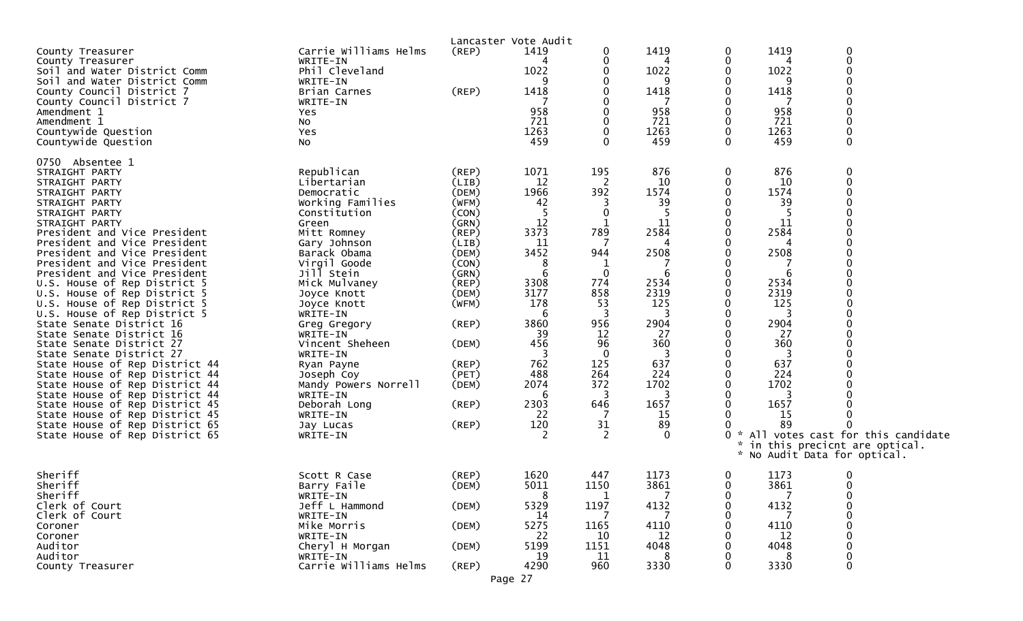| County Treasurer<br>County Treasurer<br>Soil and Water District Comm<br>Soil and Water District Comm<br>County Council District 7<br>County Council District 7<br>Amendment 1<br>Amendment 1<br>Countywide Question<br>Countywide Question                                                                                                                                                                                                                                                                                                                                                                                                                                                                                                                                                                                  | Carrie Williams Helms<br>WRITE-IN<br>Phil Cleveland<br>WRITE-IN<br>Brian Carnes<br>WRITE-IN<br>Yes<br>NO.<br>Yes<br>NO                                                                                                                                                                                                                                                                                       | $($ REP $)$<br>(REF)                                                                                                                                                                                  | Lancaster Vote Audit<br>1419<br>4<br>1022<br>1418<br>958<br>721<br>1263<br>459                                                                        | 0<br>0<br>0<br>0<br>0                                                                                                                                                 | 1419<br>1022<br>1418<br>958<br>721<br>1263<br>459                                                                                               | 0<br>0<br>0<br>0<br>0<br>0<br>0<br>0<br>0<br>0                                                                                        | 1419<br>1022<br>1418<br>958<br>721<br>1263<br>459                                                                                         | $\boldsymbol{0}$<br>$\pmb{0}$<br>$\boldsymbol{0}$<br>$\mathbf 0$<br>$\mathbf 0$<br>$\mathbf 0$<br>$\mathbf 0$<br>$\boldsymbol{0}$<br>$\boldsymbol{0}$<br>$\mathbf 0$                                                                                                                                                                                                    |
|-----------------------------------------------------------------------------------------------------------------------------------------------------------------------------------------------------------------------------------------------------------------------------------------------------------------------------------------------------------------------------------------------------------------------------------------------------------------------------------------------------------------------------------------------------------------------------------------------------------------------------------------------------------------------------------------------------------------------------------------------------------------------------------------------------------------------------|--------------------------------------------------------------------------------------------------------------------------------------------------------------------------------------------------------------------------------------------------------------------------------------------------------------------------------------------------------------------------------------------------------------|-------------------------------------------------------------------------------------------------------------------------------------------------------------------------------------------------------|-------------------------------------------------------------------------------------------------------------------------------------------------------|-----------------------------------------------------------------------------------------------------------------------------------------------------------------------|-------------------------------------------------------------------------------------------------------------------------------------------------|---------------------------------------------------------------------------------------------------------------------------------------|-------------------------------------------------------------------------------------------------------------------------------------------|-------------------------------------------------------------------------------------------------------------------------------------------------------------------------------------------------------------------------------------------------------------------------------------------------------------------------------------------------------------------------|
| 0750 Absentee 1<br>STRAIGHT PARTY<br>STRAIGHT PARTY<br>STRAIGHT PARTY<br>STRAIGHT PARTY<br>STRAIGHT PARTY<br>STRAIGHT PARTY<br>President and Vice President<br>President and Vice President<br>President and Vice President<br>President and Vice President<br>President and Vice President<br>U.S. House of Rep District 5<br>U.S. House of Rep District 5<br>U.S. House of Rep District 5<br>U.S. House of Rep District 5<br>State Senate District 16<br>State Senate District 16<br>State Senate District 27<br>State Senate District 27<br>State House of Rep District 44<br>State House of Rep District 44<br>State House of Rep District 44<br>State House of Rep District 44<br>State House of Rep District 45<br>State House of Rep District 45<br>State House of Rep District 65<br>State House of Rep District 65 | Republican<br>Libertarian<br>Democratic<br>Working Families<br>Constitution<br>Green<br>Mitt Romney<br>Gary Johnson<br>Barack Obama<br>Virgil Goode<br>Jill Stein<br>Mick Mulvaney<br>Joyce Knott<br>Joyce Knott<br>WRITE-IN<br>Greg Gregory<br>WRITE-IN<br>Vincent Sheheen<br>WRITE-IN<br>Ryan Payne<br>Joseph Coy<br>Mandy Powers Norrell<br>WRITE-IN<br>Deborah Long<br>WRITE-IN<br>Jay Lucas<br>WRITE-IN | $($ REP $)$<br>(LIB)<br>(DEM)<br>(WFM)<br>(CON)<br>(GRN)<br>(REP)<br>(LIB)<br>(DEM)<br>(CON)<br>(GRN)<br>(REP)<br>(DEM)<br>(WFM)<br>(REP)<br>(DEM)<br>(REP)<br>(PET)<br>(DEM)<br>$($ REP $)$<br>(REP) | 1071<br>12<br>1966<br>42<br>12<br>3373<br>11<br>3452<br>3308<br>3177<br>178<br>6<br>3860<br>39<br>456<br>762<br>488<br>2074<br>6<br>2303<br>22<br>120 | 195<br>2<br>392<br>3<br>0<br>789<br>7<br>944<br>1<br>$\mathbf{0}$<br>774<br>858<br>53<br>3<br>956<br>12<br>96<br>$\Omega$<br>125<br>264<br>372<br>3<br>646<br>31<br>2 | 876<br>10<br>1574<br>39<br>11<br>2584<br>2508<br>2534<br>2319<br>125<br>2904<br>27<br>360<br>637<br>224<br>1702<br>1657<br>15<br>89<br>$\Omega$ | 0<br>0<br>0<br>0<br>0<br>0<br>$\Omega$<br>0<br>0<br>0<br>0<br>0<br>0<br>0<br>0<br>0<br>0<br>0<br>0<br>0<br>0<br>0<br>0<br>0<br>0<br>O | 876<br>10<br>1574<br>39<br>-5<br>11<br>2584<br>2508<br>2534<br>2319<br>125<br>2904<br>27<br>360<br>637<br>224<br>1702<br>1657<br>15<br>89 | $\boldsymbol{0}$<br>$\pmb{0}$<br>$\mathbf 0$<br>$\mathbf 0$<br>$\mathbf 0$<br>$\mathbf 0$<br>$\Omega$<br>$\mathbf 0$<br>$\mathbf 0$<br>$\mathbf 0$<br>$\mathbf 0$<br>$\Omega$<br>$\pmb{0}$<br>$\mathbf 0$<br>$\boldsymbol{0}$<br>$\mathbf 0$<br>$\mathbf 0$<br>0 * All votes cast for this candidate<br>* in this precicnt are optical.<br>* No Audit Data for optical. |
| Sheriff<br>Sheriff<br>Sheriff<br>Clerk of Court<br>Clerk of Court<br>Coroner<br>Coroner<br>Auditor<br>Auditor<br>County Treasurer                                                                                                                                                                                                                                                                                                                                                                                                                                                                                                                                                                                                                                                                                           | Scott R Case<br>Barry Faile<br>WRITE-IN<br>Jeff L Hammond<br>WRITE-IN<br>Mike Morris<br>WRITE-IN<br>Cheryl H Morgan<br>WRITE-IN<br>Carrie Williams Helms                                                                                                                                                                                                                                                     | (REP)<br>(DEM)<br>(DEM)<br>(DEM)<br>(DEM)<br>(REP)                                                                                                                                                    | 1620<br>5011<br>5329<br>-14<br>5275<br>22<br>5199<br>19<br>4290                                                                                       | 447<br>1150<br>1197<br>1165<br>10<br>1151<br>11<br>960                                                                                                                | 1173<br>3861<br>4132<br>4110<br>12<br>4048<br>3330                                                                                              | 0<br>0<br>0<br>0<br>0<br>0<br>0<br>0<br>$\Omega$                                                                                      | 1173<br>3861<br>4132<br>4110<br>12<br>4048<br>3330                                                                                        | $\mathbf 0$<br>0<br>0<br>0<br>$\boldsymbol{0}$<br>$\boldsymbol{0}$<br>$\boldsymbol{0}$<br>$\mathbf 0$                                                                                                                                                                                                                                                                   |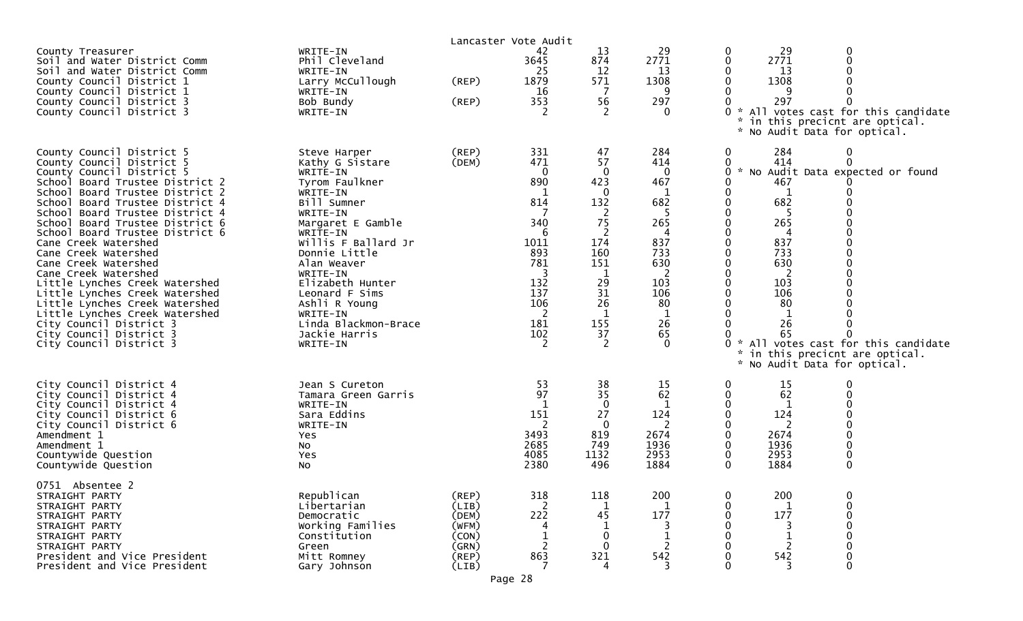|                                                                                                                                                                                                                                                                                                                                                                                                                                                                                                                                                                                                                                |                                                                                                                                                                                                                                                                                                                                  | Lancaster Vote Audit                                                 |                                                                                                                      |                                                                                                                      |                                                                                                                                       |                                                                               |                                                                                                                                      |                                                                                                                       |
|--------------------------------------------------------------------------------------------------------------------------------------------------------------------------------------------------------------------------------------------------------------------------------------------------------------------------------------------------------------------------------------------------------------------------------------------------------------------------------------------------------------------------------------------------------------------------------------------------------------------------------|----------------------------------------------------------------------------------------------------------------------------------------------------------------------------------------------------------------------------------------------------------------------------------------------------------------------------------|----------------------------------------------------------------------|----------------------------------------------------------------------------------------------------------------------|----------------------------------------------------------------------------------------------------------------------|---------------------------------------------------------------------------------------------------------------------------------------|-------------------------------------------------------------------------------|--------------------------------------------------------------------------------------------------------------------------------------|-----------------------------------------------------------------------------------------------------------------------|
| County Treasurer<br>Soil and Water District Comm<br>Soil and Water District Comm<br>County Council District 1<br>County Council District 1<br>County Council District 3<br>County Council District 3                                                                                                                                                                                                                                                                                                                                                                                                                           | WRITE-IN<br>Phil Cleveland<br>WRITE-IN<br>Larry McCullough<br>WRITE-IN<br>Bob Bundy<br>WRITE-IN                                                                                                                                                                                                                                  | (REP)<br>(REP)                                                       | 42<br>3645<br>25<br>1879<br>16<br>353                                                                                | 13<br>874<br>12<br>571<br>-7<br>56<br>2                                                                              | 29<br>2771<br>13<br>1308<br>9<br>297<br>$\Omega$                                                                                      | $\bf{0}$<br>0<br>0<br>0<br>0<br>0<br>$\mathbf{x}$                             | 29<br>2771<br>13<br>1308<br>297<br>No Audit Data for optical.                                                                        | 0<br>* All votes cast for this candidate<br>in this precicnt are optical.                                             |
| County Council District 5<br>County Council District 5<br>County Council District 5<br>School Board Trustee District 2<br>School Board Trustee District 2<br>School Board Trustee District 4<br>School Board Trustee District 4<br>School Board Trustee District 6<br>School Board Trustee District 6<br>Cane Creek Watershed<br>Cane Creek Watershed<br>Cane Creek Watershed<br>Cane Creek Watershed<br>Little Lynches Creek Watershed<br>Little Lynches Creek Watershed<br>Little Lynches Creek Watershed<br>Little Lynches Creek Watershed<br>City Council District 3<br>City Council District 3<br>City Council District 3 | Steve Harper<br>Kathy G Sistare<br>WRITE-IN<br>Tyrom Faulkner<br>WRITE-IN<br>Bill Sumner<br>WRITE-IN<br>Margaret E Gamble<br>WRITE-IN<br>Willis F Ballard Jr<br>Donnie Little<br>Alan Weaver<br>WRITE-IN<br>Elizabeth Hunter<br>Leonard F Sims<br>Ashli R Young<br>WRITE-IN<br>Linda Blackmon-Brace<br>Jackie Harris<br>WRITE-IN | (REP)<br>(DEM)                                                       | 331<br>471<br>$\Omega$<br>890<br>814<br>340<br>-6<br>1011<br>893<br>781<br>132<br>137<br>106<br>2<br>181<br>102<br>2 | 47<br>57<br>0<br>423<br>0<br>132<br>2<br>75<br>2<br>174<br>160<br>151<br>1<br>29<br>31<br>26<br>1<br>155<br>37<br>-2 | 284<br>414<br>$\mathbf 0$<br>467<br>1<br>682<br>-5<br>265<br>837<br>733<br>630<br>2<br>103<br>106<br>80<br>-1<br>26<br>65<br>$\Omega$ | 0<br>0<br>0<br>0<br>0<br>0<br>0<br>0<br>0<br>0<br>0<br>0<br>0<br>0<br>0<br>0. | 284<br>414<br>467<br>1<br>682<br>-5<br>265<br>837<br>733<br>630<br>2<br>103<br>106<br>80<br>26<br>65<br>* No Audit Data for optical. | 0<br>0<br>0 * No Audit Data expected or found<br>* All votes cast for this candidate<br>in this precicnt are optical. |
| City Council District 4<br>City Council District 4<br>City Council District 4<br>City Council District 6<br>City Council District 6<br>Amendment 1<br>Amendment 1<br>Countywide Question<br>Countywide Question                                                                                                                                                                                                                                                                                                                                                                                                                | Jean S Cureton<br>Tamara Green Garris<br>WRITE-IN<br>Sara Eddins<br>WRITE-IN<br>Yes<br>NO.<br>Yes<br>No                                                                                                                                                                                                                          |                                                                      | 53<br>97<br>151<br>2<br>3493<br>2685<br>4085<br>2380                                                                 | 38<br>35<br>0<br>27<br>- 0<br>819<br>749<br>1132<br>496                                                              | 15<br>62<br>124<br>2<br>2674<br>1936<br>2953<br>1884                                                                                  | 0<br>0<br>0<br>0<br>0<br>0<br>0<br>0<br>$\mathbf{0}$                          | 15<br>62<br>124<br>2<br>2674<br>1936<br>2953<br>1884                                                                                 | 0<br>0                                                                                                                |
| 0751 Absentee 2<br>STRAIGHT PARTY<br>STRAIGHT PARTY<br>STRAIGHT PARTY<br>STRAIGHT PARTY<br>STRAIGHT PARTY<br>STRAIGHT PARTY<br>President and Vice President<br>President and Vice President                                                                                                                                                                                                                                                                                                                                                                                                                                    | Republican<br>Libertarian<br>Democratic<br>Working Families<br>Constitution<br>Green<br>Mitt Romney<br>Gary Johnson                                                                                                                                                                                                              | (REP)<br>(LIB)<br>(DEM)<br>(WFM)<br>(CON)<br>(GRN)<br>(REP)<br>(LIB) | 318<br>222<br>863                                                                                                    | 118<br>1<br>45<br>$\mathbf 0$<br>$\Omega$<br>321<br>4                                                                | 200<br>1<br>177<br>542                                                                                                                | 0<br>0<br>0<br>0<br>0<br>0<br>0<br>$\Omega$                                   | 200<br>177<br>542                                                                                                                    | 0<br>0                                                                                                                |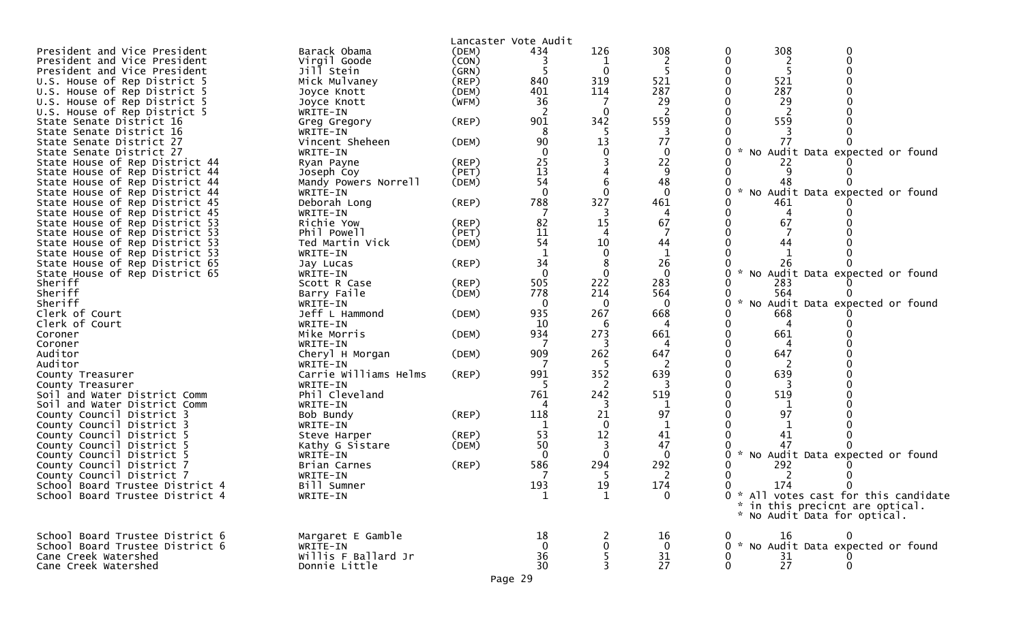|                                 |                       |             | Lancaster Vote Audit |              |              |          |                                       |
|---------------------------------|-----------------------|-------------|----------------------|--------------|--------------|----------|---------------------------------------|
| President and Vice President    | Barack Obama          | (DEM)       | 434                  | 126          | 308          | 308<br>0 |                                       |
| President and Vice President    | Virgil Goode          | (CON)       |                      |              |              | 0        |                                       |
| President and Vice President    | Jill Stein            | (GRN)       |                      | $\Omega$     |              |          |                                       |
| U.S. House of Rep District 5    | Mick Mulvaney         | (REP)       | 840                  | 319          | 521          | 0<br>521 |                                       |
| U.S. House of Rep District 5    | Joyce Knott           | (DEM)       | 401                  | 114          | 287          | 287      |                                       |
| U.S. House of Rep District 5    | Joyce Knott           | (WFM)       | 36                   |              | 29           | 29       |                                       |
| U.S. House of Rep District 5    | WRITE-IN              |             |                      | ∩            |              |          |                                       |
| State Senate District 16        | Greg Gregory          | (REP)       | 901                  | 342          | 559          | 559      |                                       |
| State Senate District 16        | WRITE-IN              |             | 8                    | -5           | -3           |          |                                       |
| State Senate District 27        | Vincent Sheheen       | (DEM)       | 90                   | 13           | 77           | 77       |                                       |
| State Senate District 27        | WRITE-IN              |             | 0                    | 0            | 0            |          | * No Audit Data expected or found     |
| State House of Rep District 44  | Ryan Payne            | (REP)       | 25                   |              | 22           | 22       |                                       |
| State House of Rep District 44  |                       | (PET)       | 13                   |              | 9            |          |                                       |
|                                 | Joseph Coy            |             | 54                   |              | 48           |          |                                       |
| State House of Rep District 44  | Mandy Powers Norrell  | (DEM)       |                      |              |              | 48       |                                       |
| State House of Rep District 44  | WRITE-IN              |             | $\Omega$             | 0            | $\Omega$     | 0        | * No Audit Data expected or found     |
| State House of Rep District 45  | Deborah Long          | (REP)       | 788                  | 327          | 461          | 461      |                                       |
| State House of Rep District 45  | WRITE-IN              |             |                      |              | 4            |          |                                       |
| State House of Rep District 53  | Richie Yow            | $($ REP $)$ | 82                   | 15           | 67           | 67       |                                       |
| State House of Rep District 53  | Phil Powell           | (PET)       | 11                   |              |              |          |                                       |
| State House of Rep District 53  | Ted Martin Vick       | (DEM)       | 54                   | 10           | 44           | 44       |                                       |
| State House of Rep District 53  | WRITE-IN              |             |                      |              |              |          |                                       |
| State House of Rep District 65  | Jay Lucas             | (REP)       | 34                   |              | 26           | 26       |                                       |
| State House of Rep District 65  | WRITE-IN              |             | $\Omega$             | $\Omega$     | $\mathbf{0}$ | 0        | * No Audit Data expected or found     |
| Sheriff                         | Scott R Case          | (REP)       | 505                  | 222          | 283          | 283      |                                       |
|                                 |                       |             |                      |              |              |          |                                       |
| Sheriff                         | Barry Faile           | (DEM)       | 778                  | 214          | 564          | 564      |                                       |
| Sheriff                         | WRITE-IN              |             | $\mathbf 0$          | $\mathbf 0$  | $\mathbf 0$  | 0        | * No Audit Data expected or found     |
| Clerk of Court                  | Jeff L Hammond        | (DEM)       | 935                  | 267          | 668          | 668      |                                       |
| Clerk of Court                  | WRITE-IN              |             | 10                   | 6            |              |          |                                       |
| Coroner                         | Mike Morris           | (DEM)       | 934                  | 273          | 661          | 661      |                                       |
| Coroner                         | WRITE-IN              |             |                      | 3            |              |          |                                       |
| Auditor                         | Cheryl H Morgan       | (DEM)       | 909                  | 262          | 647          | 647      |                                       |
| Auditor                         | WRITE-IN              |             |                      |              |              |          |                                       |
| County Treasurer                | Carrie Williams Helms | (REP)       | 991                  | 352          | 639          | 639      |                                       |
| County Treasurer                | WRITE-IN              |             |                      | 2            |              |          |                                       |
| Soil and Water District Comm    | Phil Cleveland        |             | 761                  | 242          | 519          | 519      |                                       |
| Soil and Water District Comm    | WRITE-IN              |             |                      | 3            |              |          |                                       |
|                                 |                       |             |                      |              | 97           | 97       |                                       |
| County Council District 3       | Bob Bundy             | (REP)       | 118                  | 21           |              |          |                                       |
| County Council District 3       | WRITE-IN              |             |                      | $\Omega$     | 1            |          |                                       |
| County Council District 5       | Steve Harper          | $($ REP $)$ | 53                   | 12           | 41           | 41       |                                       |
| County Council District 5       | Kathy G Sistare       | (DEM)       | 50                   | 3            | 47           | 47       |                                       |
| County Council District 5       | WRITE-IN              |             | - 0                  | $\Omega$     | $\Omega$     |          | * No Audit Data expected or found     |
| County Council District 7       | Brian Carnes          | (REP)       | 586                  | 294          | 292          | 292      |                                       |
| County Council District 7       | WRITE-IN              |             |                      |              |              |          |                                       |
| School Board Trustee District 4 | Bill Sumner           |             | 193                  | 19           | 174          | 174<br>0 |                                       |
| School Board Trustee District 4 | WRITE-IN              |             |                      | $\mathbf{1}$ | $\Omega$     |          | 0 * All votes cast for this candidate |
|                                 |                       |             |                      |              |              |          | * in this precicnt are optical.       |
|                                 |                       |             |                      |              |              |          | * No Audit Data for optical.          |
|                                 |                       |             |                      |              |              |          |                                       |
|                                 |                       |             |                      |              |              |          |                                       |
| School Board Trustee District 6 | Margaret E Gamble     |             | 18                   |              | 16           | 16       |                                       |
| School Board Trustee District 6 | WRITE-IN              |             | -0                   | 0            | $\mathbf 0$  |          | 0 * No Audit Data expected or found   |
| Cane Creek Watershed            | Willis F Ballard Jr   |             | 36                   | 5            | 31           | 31<br>0  |                                       |
| Cane Creek Watershed            | Donnie Little         |             | 30                   | 3            | 27           | 27<br>0  | 0                                     |
|                                 |                       |             | Page 29              |              |              |          |                                       |
|                                 |                       |             |                      |              |              |          |                                       |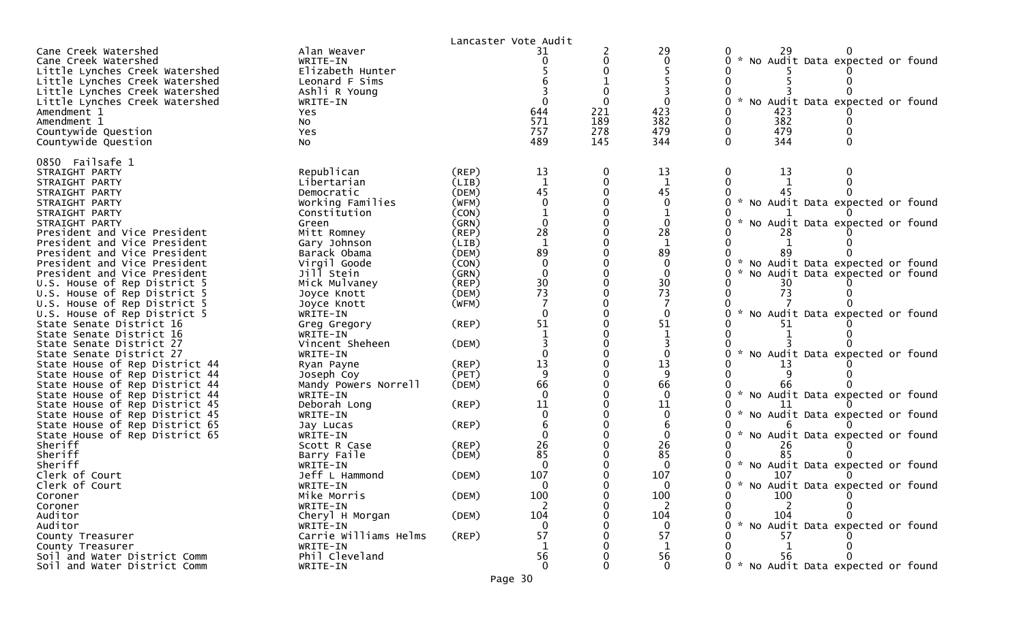|                                                                                |                                             |                | Lancaster Vote Audit |     |                                         |                                                                      |
|--------------------------------------------------------------------------------|---------------------------------------------|----------------|----------------------|-----|-----------------------------------------|----------------------------------------------------------------------|
| Cane Creek Watershed<br>Cane Creek Watershed<br>Little Lynches Creek Watershed | Alan Weaver<br>WRITE-IN<br>Elizabeth Hunter |                |                      |     | 29<br>$\mathbf 0$                       | * No Audit Data expected or found                                    |
| Little Lynches Creek Watershed                                                 | Leonard F Sims                              |                |                      |     |                                         |                                                                      |
| Little Lynches Creek Watershed                                                 | Ashli R Young<br>WRITE-IN                   |                |                      |     |                                         |                                                                      |
| Little Lynches Creek Watershed<br>Amendment 1                                  | Yes                                         |                | 644                  | 221 | 423                                     | No Audit Data expected or found<br>423                               |
| Amendment 1                                                                    | <b>NO</b>                                   |                | 571                  | 189 | 382                                     | 382                                                                  |
| Countywide Question                                                            | Yes                                         |                | 757                  | 278 | 479                                     | 479                                                                  |
| Countywide Question                                                            | NO.                                         |                | 489                  | 145 | 344                                     | 344                                                                  |
| 0850 Failsafe 1                                                                |                                             |                |                      |     |                                         |                                                                      |
| STRAIGHT PARTY<br>STRAIGHT PARTY                                               | Republican<br>Libertarian                   | (REP)<br>(LIB) | 13<br>$\mathbf 1$    |     | 13<br>$\mathbf{1}$                      | 13                                                                   |
| STRAIGHT PARTY                                                                 | Democratic                                  | (DEM)          | 45                   |     | 45                                      |                                                                      |
| STRAIGHT PARTY                                                                 | Working Families                            | (WFM)          |                      |     | $\mathbf{0}$                            | * No Audit Data expected or found                                    |
| STRAIGHT PARTY                                                                 | Constitution                                | (CON)          |                      |     |                                         |                                                                      |
| STRAIGHT PARTY                                                                 | Green                                       | (GRN)          |                      |     |                                         | No Audit Data expected or found                                      |
| President and Vice President                                                   | Mitt Romney                                 | $($ REP $)$    | 28                   |     | 28                                      |                                                                      |
| President and Vice President                                                   | Gary Johnson                                | (LIB)          |                      |     | $\mathbf 1$                             |                                                                      |
| President and Vice President                                                   | Barack Obama                                | (DEM)          | 89                   |     | 89                                      |                                                                      |
| President and Vice President<br>President and Vice President                   | Virgil Goode<br>Jill Stein                  | (CON)<br>(GRN) |                      |     | $\mathbf 0$<br>$\mathbf{0}$             | * No Audit Data expected or found<br>No Audit Data expected or found |
| U.S. House of Rep District 5                                                   | Mick Mulvaney                               | (REP)          |                      |     |                                         |                                                                      |
| U.S. House of Rep District 5                                                   | Joyce Knott                                 | (DEM)          | 30<br>73             |     | $\begin{array}{c} 30 \\ 73 \end{array}$ | 73                                                                   |
| U.S. House of Rep District 5                                                   | Joyce Knott                                 | (WFM)          |                      |     |                                         |                                                                      |
| U.S. House of Rep District 5                                                   | WRITE-IN                                    |                |                      |     | $\mathbf 0$                             | $\sim$<br>No Audit Data expected or found                            |
| State Senate District 16                                                       | Greg Gregory                                | (REP)          | 51                   |     | 51                                      |                                                                      |
| State Senate District 16                                                       | WRITE-IN                                    |                |                      |     | $\mathbf 1$                             |                                                                      |
| State Senate District 27                                                       | Vincent Sheheen                             | (DEM)          |                      |     |                                         |                                                                      |
| State Senate District 27                                                       | WRITE-IN                                    |                |                      |     | $\mathbf 0$                             | * No Audit Data expected or found                                    |
| State House of Rep District 44<br>State House of Rep District 44               | Ryan Payne<br>Joseph Coy                    | (REP)<br>(PET) | 13<br>$\mathsf{q}$   |     | 13                                      | 13                                                                   |
| State House of Rep District 44                                                 | Mandy Powers Norrell                        | (DEM)          | 66                   |     | 66                                      | 66                                                                   |
| State House of Rep District 44                                                 | WRITE-IN                                    |                | $\Omega$             |     | $\Omega$                                | * No Audit Data expected or found                                    |
| State House of Rep District 45                                                 | Deborah Long                                | (REP)          | 11                   |     | 11                                      |                                                                      |
| State House of Rep District 45                                                 | WRITE-IN                                    |                |                      |     | $\mathbf{0}$                            | No Audit Data expected or found                                      |
| State House of Rep District 65                                                 | Jay Lucas                                   | (REP)          |                      |     |                                         |                                                                      |
| State House of Rep District 65                                                 | WRITE-IN                                    |                |                      |     | $\Omega$                                | * No Audit Data expected or found                                    |
| Sheriff                                                                        | Scott R Case                                | (REP)          | 26                   |     | 26                                      | 26                                                                   |
| Sheriff<br>Sheriff                                                             | Barry Faile<br>WRITE-IN                     | (DEM)          | 85                   |     | 85<br>$\Omega$                          | 85<br>No Audit Data expected or found                                |
| Clerk of Court                                                                 | Jeff L Hammond                              | (DEM)          | 107                  |     | 107                                     | 107                                                                  |
| Clerk of Court                                                                 | WRITE-IN                                    |                | 0                    |     | $\Omega$                                | $\mathcal{H}$<br>No Audit Data expected or found                     |
| Coroner                                                                        | Mike Morris                                 | (DEM)          | 100                  |     | 100                                     | 100                                                                  |
| Coroner                                                                        | WRITE-IN                                    |                | 2                    |     | 2                                       | 2                                                                    |
| Auditor                                                                        | Cheryl H Morgan                             | (DEM)          | 104                  |     | 104                                     | 104                                                                  |
| Auditor                                                                        | WRITE-IN                                    |                | ∩                    |     | $\Omega$                                | No Audit Data expected or found                                      |
| County Treasurer                                                               | Carrie Williams Helms                       | (REP)          | 57                   |     | 57                                      | 57                                                                   |
| County Treasurer                                                               | WRITE-IN                                    |                | 1                    |     | 1                                       | 1                                                                    |
| Soil and Water District Comm<br>Soil and Water District Comm                   | Phil Cleveland<br>WRITE-IN                  |                | 56<br>$\mathbf 0$    |     | 56<br>$\mathbf 0$                       | 56<br>* No Audit Data expected or found                              |
|                                                                                |                                             |                |                      |     |                                         |                                                                      |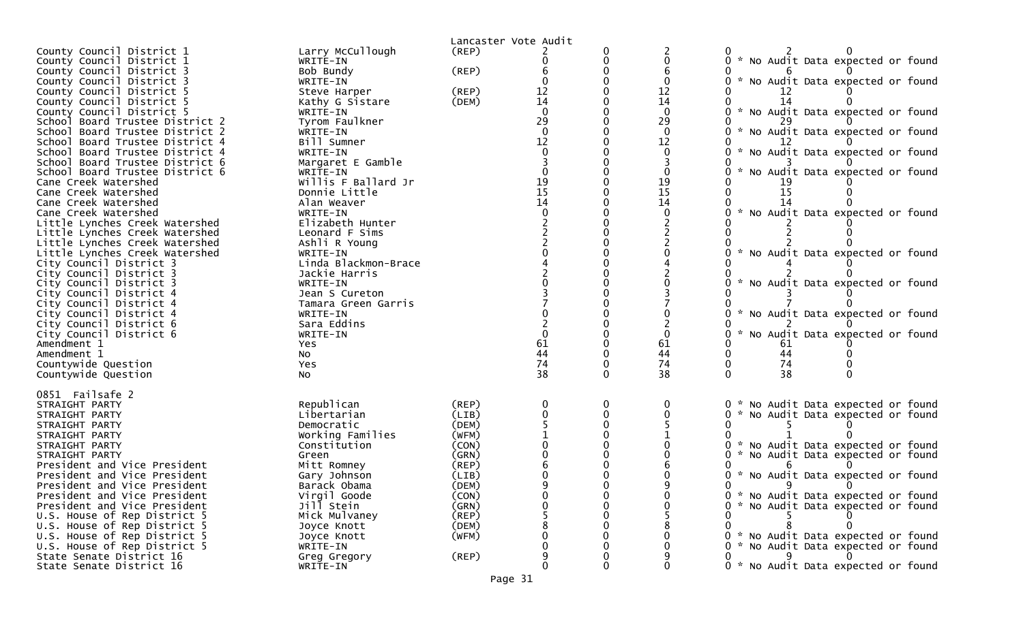|                                 |                         |       | Lancaster Vote Audit                    |   |                                         |                                                  |
|---------------------------------|-------------------------|-------|-----------------------------------------|---|-----------------------------------------|--------------------------------------------------|
| County Council District 1       | Larry McCullough        | (REP) |                                         |   |                                         |                                                  |
| County Council District 1       | WRITE-IN                |       |                                         |   |                                         | * No Audit Data expected or found                |
| County Council District 3       | Bob Bundy               | (REP) |                                         |   |                                         |                                                  |
| County Council District 3       | WRITE-IN                |       |                                         |   |                                         | * No Audit Data expected or found                |
| County Council District 5       | Steve Harper            | (REP) | 12                                      |   | 12                                      |                                                  |
| County Council District 5       | Kathy G Sistare         | (DEM) | 14                                      |   | $\overline{14}$                         | 14                                               |
| County Council District 5       | WRITE-IN                |       |                                         |   | $\mathbf{0}$                            | * No Audit Data expected or found                |
| School Board Trustee District 2 | Tyrom Faulkner          |       | 29                                      |   | 29                                      |                                                  |
|                                 |                         |       | $\Omega$                                |   | $\Omega$                                | * No Audit Data expected or found                |
| School Board Trustee District 2 | WRITE-IN                |       | 12                                      |   |                                         |                                                  |
| School Board Trustee District 4 | Bill Sumner<br>WRITE-IN |       |                                         |   | 12                                      |                                                  |
| School Board Trustee District 4 |                         |       |                                         |   |                                         | * No Audit Data expected or found                |
| School Board Trustee District 6 | Margaret E Gamble       |       |                                         |   |                                         |                                                  |
| School Board Trustee District 6 | WRITE-IN                |       |                                         |   |                                         | * No Audit Data expected or found                |
| Cane Creek Watershed            | Willis F Ballard Jr     |       | $\begin{array}{c} 19 \\ 15 \end{array}$ |   | $\begin{array}{c} 19 \\ 15 \end{array}$ |                                                  |
| Cane Creek Watershed            | Donnie Little           |       |                                         |   |                                         | 15                                               |
| Cane Creek Watershed            | Alan Weaver             |       | 14                                      |   | 14                                      |                                                  |
| Cane Creek Watershed            | WRITE-IN                |       |                                         |   |                                         | * No Audit Data expected or found                |
| Little Lynches Creek Watershed  | Elizabeth Hunter        |       |                                         |   |                                         |                                                  |
| Little Lynches Creek Watershed  | Leonard F Sims          |       |                                         |   |                                         |                                                  |
| Little Lynches Creek Watershed  | Ashli R Young           |       |                                         |   |                                         |                                                  |
| Little Lynches Creek Watershed  | WRITE-IN                |       |                                         |   |                                         | * No Audit Data expected or found                |
| City Council District 3         | Linda Blackmon-Brace    |       |                                         |   |                                         |                                                  |
| City Council District 3         | Jackie Harris           |       |                                         |   |                                         |                                                  |
| City Council District 3         | WRITE-IN                |       |                                         |   |                                         | * No Audit Data expected or found                |
| City Council District 4         | Jean S Cureton          |       |                                         |   |                                         |                                                  |
| City Council District 4         | Tamara Green Garris     |       |                                         |   |                                         |                                                  |
| City Council District 4         | WRITE-IN                |       |                                         |   |                                         | * No Audit Data expected or found                |
| City Council District 6         | Sara Eddins             |       |                                         |   |                                         |                                                  |
| City Council District 6         | WRITE-IN                |       |                                         |   |                                         | $\mathcal{H}$<br>No Audit Data expected or found |
| Amendment 1                     | Yes                     |       | 61                                      |   | 61                                      | 61                                               |
| Amendment 1                     | NO.                     |       | 44                                      |   | 44                                      | 44                                               |
| Countywide Question             | Yes                     |       | 74                                      |   | 74                                      | 74                                               |
| Countywide Question             | No.                     |       | 38                                      |   | 38                                      | 38                                               |
|                                 |                         |       |                                         |   |                                         |                                                  |
| 0851 Failsafe 2                 |                         |       |                                         |   |                                         |                                                  |
| STRAIGHT PARTY                  | Republican              | (REP) |                                         | 0 |                                         | * No Audit Data expected or found                |
| STRAIGHT PARTY                  | Libertarian             | (LIB) |                                         | 0 |                                         | * No Audit Data expected or found<br>0           |
| STRAIGHT PARTY                  | Democratic              | (DEM) |                                         |   |                                         |                                                  |
| STRAIGHT PARTY                  | Working Families        | (WFM) |                                         |   |                                         |                                                  |
| STRAIGHT PARTY                  | Constitution            | (CON) |                                         |   |                                         | * No Audit Data expected or found                |
| STRAIGHT PARTY                  | Green                   | (GRN) |                                         |   |                                         | No Audit Data expected or found<br>*             |
| President and Vice President    | Mitt Romney             | (REP) |                                         |   |                                         |                                                  |
| President and Vice President    | Gary Johnson            | (LIB) |                                         |   |                                         | * No Audit Data expected or found                |
| President and Vice President    | Barack Obama            | (DEM) |                                         |   |                                         |                                                  |
| President and Vice President    | Virgil Goode            | (CON) |                                         |   |                                         | 0 * No Audit Data expected or found              |
| President and Vice President    | Jill Stein              | (GRN) |                                         |   |                                         | * No Audit Data expected or found<br>0           |
| U.S. House of Rep District 5    | Mick Mulvaney           | (REP) |                                         |   |                                         |                                                  |
| U.S. House of Rep District 5    | Joyce Knott             | (DEM) |                                         |   |                                         |                                                  |
| U.S. House of Rep District 5    | Joyce Knott             | (WFM) |                                         |   |                                         | 0 * No Audit Data expected or found              |
| U.S. House of Rep District 5    | WRITE-IN                |       |                                         |   |                                         | * No Audit Data expected or found                |
| State Senate District 16        | Greg Gregory            | (REP) |                                         |   |                                         | 9                                                |
| State Senate District 16        | WRITE-IN                |       | 0                                       |   | 0                                       | 0 * No Audit Data expected or found              |
|                                 |                         |       |                                         |   |                                         |                                                  |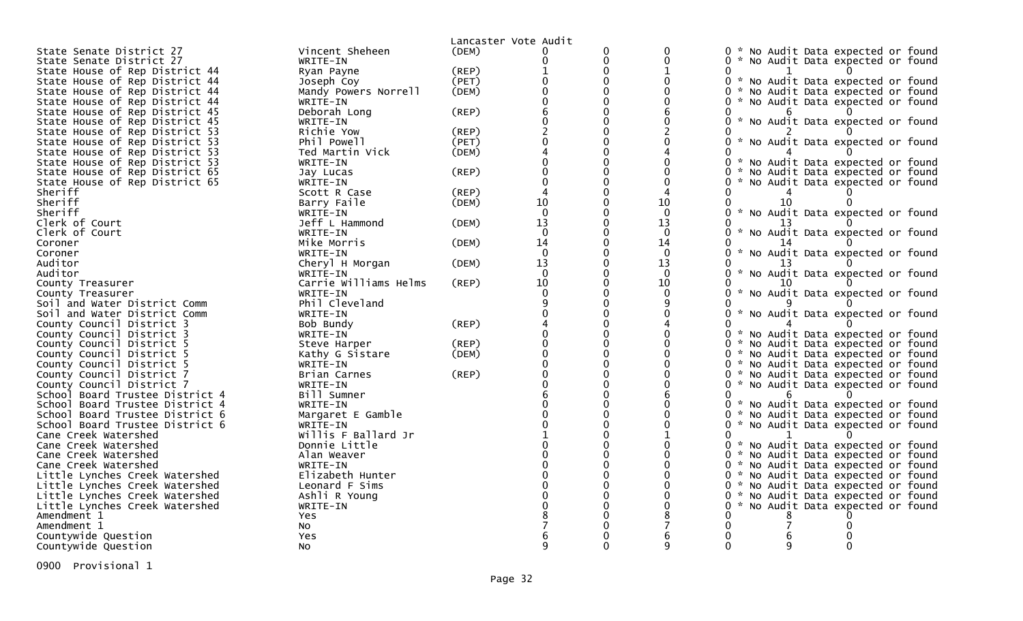|                                                                    |                               | Lancaster Vote Audit |          |                |             |                                                                               |
|--------------------------------------------------------------------|-------------------------------|----------------------|----------|----------------|-------------|-------------------------------------------------------------------------------|
| State Senate District 27                                           | Vincent Sheheen               | (DEM)                |          | 0              | 0           | * No Audit Data expected or found<br>0                                        |
| State Senate District 27                                           | WRITE-IN                      |                      |          | 0              | 0           | 0 * No Audit Data expected or found                                           |
| State House of Rep District 44                                     | Ryan Payne                    | (REP)                |          | $\Omega$       |             |                                                                               |
| State House of Rep District 44                                     | Joseph Coy                    | (PET)                |          | 0              | 0           | 0 * No Audit Data expected or found                                           |
| State House of Rep District 44                                     | Mandy Powers Norrell          | (DEM)                |          | $\Omega$       |             | * No Audit Data expected or found<br>0.                                       |
| State House of Rep District 44                                     | WRITE-IN                      |                      |          |                |             | 0 * No Audit Data expected or found                                           |
| State House of Rep District 45                                     | Deborah Long                  | (REP)                |          | $\Omega$       |             |                                                                               |
| State House of Rep District 45                                     | WRITE-IN                      |                      |          |                |             | * No Audit Data expected or found                                             |
| State House of Rep District 53                                     | Richie Yow                    | (REP)                |          | $\Omega$       |             |                                                                               |
| State House of Rep District 53                                     | Phil Powell                   | (PET)                |          |                |             | * No Audit Data expected or found                                             |
| State House of Rep District 53                                     | Ted Martin Vick               | (DEM)                |          |                |             |                                                                               |
| State House of Rep District 53                                     | WRITE-IN                      |                      |          |                |             | No Audit Data expected or found<br>$\mathcal{H}$                              |
| State House of Rep District 65                                     | Jay Lucas                     | (REP)                |          | 0              | 0           | No Audit Data expected or found<br>0                                          |
| State House of Rep District 65                                     | WRITE-IN                      |                      |          |                | $\Omega$    | * No Audit Data expected or found                                             |
| Sheriff                                                            | Scott R Case                  | (REP)                |          |                | 4           |                                                                               |
| Sheriff                                                            | Barry Faile                   | (DEM)                | 10       |                | 10          | 10                                                                            |
| Sheriff                                                            | WRITE-IN                      |                      | $\Omega$ |                | $\Omega$    | * No Audit Data expected or found                                             |
| Clerk of Court                                                     | Jeff L Hammond                | (DEM)                | 13       | 0              | 13          |                                                                               |
| Clerk of Court                                                     | WRITE-IN                      |                      | $\Omega$ |                | $\mathbf 0$ | * No Audit Data expected or found                                             |
| Coroner                                                            | Mike Morris                   | (DEM)                | 14       | $\Omega$       | 14          |                                                                               |
| Coroner                                                            | WRITE-IN                      |                      | $\Omega$ |                | $\Omega$    | $\mathcal{H}$<br>No Audit Data expected or found                              |
| Auditor                                                            | Cheryl H Morgan               | (DEM)                | 13       | 0              | 13          |                                                                               |
| Auditor                                                            | WRITE-IN                      |                      | $\Omega$ |                | $\Omega$    | No Audit Data expected or found                                               |
| County Treasurer                                                   | Carrie Williams Helms         | (REP)                | 10       |                | 10          | 10                                                                            |
| County Treasurer                                                   | WRITE-IN                      |                      |          |                | $\Omega$    | No Audit Data expected or found                                               |
| Soil and Water District Comm                                       | Phil Cleveland                |                      |          |                | 9           |                                                                               |
| Soil and Water District Comm                                       | WRITE-IN                      |                      |          |                |             | No Audit Data expected or found                                               |
| County Council District 3                                          | Bob Bundy                     | (REP)                |          |                |             |                                                                               |
| County Council District 3                                          | WRITE-IN                      |                      |          | $\Omega$       |             | 0<br>* No Audit Data expected or found                                        |
| County Council District 5                                          |                               | (REP)                |          |                |             | 0<br>* No Audit Data expected or found                                        |
| County Council District 5                                          | Steve Harper                  | (DEM)                |          | 0              | 0           | 0 * No Audit Data expected or found                                           |
| County Council District 5                                          | Kathy G Sistare<br>WRITE-IN   |                      |          |                |             |                                                                               |
| County Council District 7                                          | Brian Carnes                  | (REP)                |          | $\overline{0}$ |             | 0 * No Audit Data expected or found<br>* No Audit Data expected or found<br>0 |
| County Council District 7                                          |                               |                      |          |                |             | * No Audit Data expected or found                                             |
|                                                                    | WRITE-IN                      |                      |          | 0              |             | 0                                                                             |
| School Board Trustee District 4<br>School Board Trustee District 4 | Bill Sumner                   |                      |          |                |             | * No Audit Data expected or found<br>0                                        |
| School Board Trustee District 6                                    | WRITE-IN                      |                      |          |                |             | $\mathcal{H}$<br>No Audit Data expected or found<br>0                         |
| School Board Trustee District 6                                    | Margaret E Gamble<br>WRITE-IN |                      |          |                |             | 0<br>* No Audit Data expected or found                                        |
|                                                                    | Willis F Ballard Jr           |                      |          |                |             | 0                                                                             |
| Cane Creek Watershed                                               |                               |                      |          | $\Omega$       | $\Omega$    |                                                                               |
| Cane Creek Watershed                                               | Donnie Little                 |                      |          |                |             | 0 * No Audit Data expected or found                                           |
| Cane Creek Watershed                                               | Alan Weaver                   |                      |          | 0              | 0           | 0 * No Audit Data expected or found                                           |
| Cane Creek Watershed                                               | WRITE-IN                      |                      |          |                |             | 0 * No Audit Data expected or found                                           |
| Little Lynches Creek Watershed                                     | Elizabeth Hunter              |                      |          |                |             | 0 * No Audit Data expected or found                                           |
| Little Lynches Creek Watershed                                     | Leonard F Sims                |                      |          |                |             | 0 * No Audit Data expected or found                                           |
| Little Lynches Creek Watershed                                     | Ashli R Young                 |                      |          |                |             | 0 * No Audit Data expected or found                                           |
| Little Lynches Creek Watershed                                     | WRITE-IN                      |                      |          |                |             | 0 * No Audit Data expected or found                                           |
| Amendment 1                                                        | <b>Yes</b>                    |                      |          |                |             |                                                                               |
| Amendment 1                                                        | No                            |                      |          |                |             |                                                                               |
| Countywide Question                                                | Yes                           |                      |          |                |             |                                                                               |
| Countywide Question                                                | NO.                           |                      |          |                | q           | 0                                                                             |

0900 Provisional 1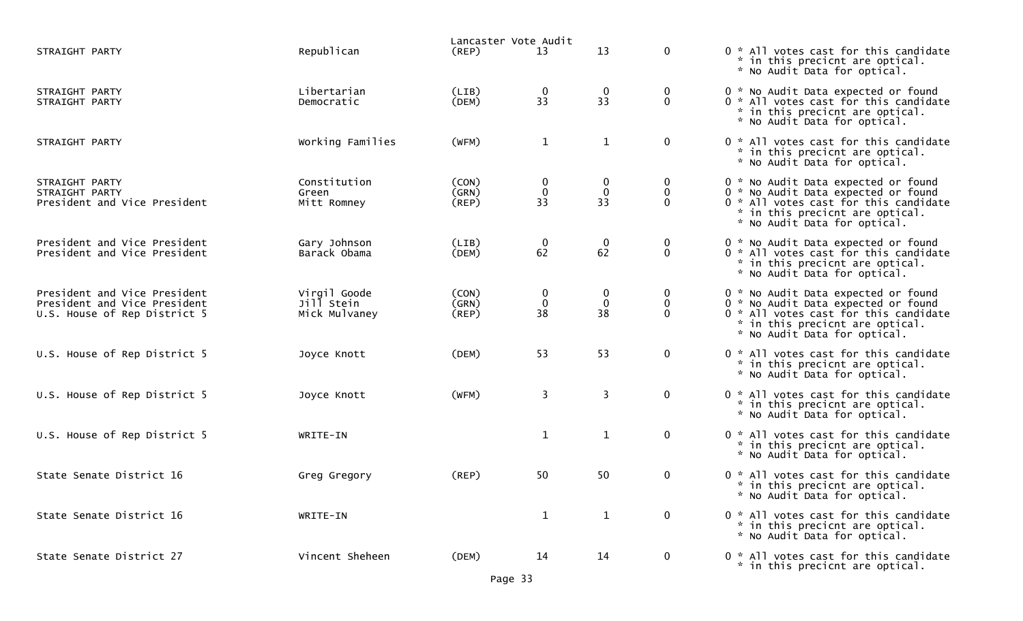|                                                                                              |                                             | Lancaster Vote Audit          |                                  |                                            |                                     |                                                                                                                                                                                        |
|----------------------------------------------------------------------------------------------|---------------------------------------------|-------------------------------|----------------------------------|--------------------------------------------|-------------------------------------|----------------------------------------------------------------------------------------------------------------------------------------------------------------------------------------|
| STRAIGHT PARTY                                                                               | Republican                                  | $($ REP $)$                   | 13                               | 13                                         | $\mathbf 0$                         | 0 * All votes cast for this candidate<br>* in this precicnt are optical.<br>* No Audit Data for optical.                                                                               |
| STRAIGHT PARTY<br>STRAIGHT PARTY                                                             | Libertarian<br>Democratic                   | (LIB)<br>(DEM)                | $\bf{0}$<br>33                   | $\begin{smallmatrix}0\33\end{smallmatrix}$ | $\bf{0}$<br>$\mathbf 0$             | 0 * No Audit Data expected or found<br>0 * All votes cast for this candidate<br>* in this precicnt are optical.<br>* No Audit Data for optical.                                        |
| STRAIGHT PARTY                                                                               | Working Families                            | (WFM)                         | $\mathbf{1}$                     | $\mathbf{1}$                               | $\mathbf 0$                         | 0 * All votes cast for this candidate<br>* in this precicnt are optical.<br>* No Audit Data for optical.                                                                               |
| STRAIGHT PARTY<br>STRAIGHT PARTY<br>President and Vice President                             | Constitution<br>Green<br>Mitt Romney        | (CON)<br>(GRN)<br>$($ REP $)$ | $\mathbf 0$<br>$\mathbf 0$<br>33 | 0<br>$\mathbf 0$<br>33                     | 0<br>0<br>$\Omega$                  | 0 * No Audit Data expected or found<br>0 * No Audit Data expected or found<br>0 * All votes cast for this candidate<br>* in this precicnt are optical.<br>* No Audit Data for optical. |
| President and Vice President<br>President and Vice President                                 | Gary Johnson<br>Barack Obama                | (LIB)<br>(DEM)                | $\mathbf 0$<br>62                | $\mathbf 0$<br>62                          | $\boldsymbol{0}$<br>$\mathbf 0$     | 0 * No Audit Data expected or found<br>0 * All votes cast for this candidate<br>* in this precicnt are optical.<br>* No Audit Data for optical.                                        |
| President and Vice President<br>President and Vice President<br>U.S. House of Rep District 5 | Virgil Goode<br>Jill Stein<br>Mick Mulvaney | (CON)<br>(GRN)<br>(REP)       | $\bf{0}$<br>$\mathbf 0$<br>38    | 0<br>$\mathbf 0$<br>38                     | $\bf{0}$<br>$\mathbf 0$<br>$\Omega$ | 0 * No Audit Data expected or found<br>0 * No Audit Data expected or found<br>0 * All votes cast for this candidate<br>* in this precicnt are optical.<br>* No Audit Data for optical. |
| U.S. House of Rep District 5                                                                 | Joyce Knott                                 | (DEM)                         | 53                               | 53                                         | $\mathbf 0$                         | 0 * All votes cast for this candidate<br>* in this precicnt are optical.<br>* No Audit Data for optical.                                                                               |
| U.S. House of Rep District 5                                                                 | Joyce Knott                                 | (WFM)                         | 3                                | $\mathbf{3}$                               | $\mathbf 0$                         | 0 * All votes cast for this candidate<br>* in this precicnt are optical.<br>* No Audit Data for optical.                                                                               |
| U.S. House of Rep District 5                                                                 | WRITE-IN                                    |                               | $\mathbf{1}$                     | $\mathbf{1}$                               | $\mathbf 0$                         | 0 * All votes cast for this candidate<br>* in this precicnt are optical.<br>* No Audit Data for optical.                                                                               |
| State Senate District 16                                                                     | Greg Gregory                                | (REP)                         | 50                               | 50                                         | $\mathbf 0$                         | 0 * All votes cast for this candidate<br>* in this precicnt are optical.<br>* No Audit Data for optical.                                                                               |
| State Senate District 16                                                                     | WRITE-IN                                    |                               | $\mathbf{1}$                     | $\mathbf{1}$                               | $\mathbf 0$                         | 0 * All votes cast for this candidate<br>* in this precicnt are optical.<br>* No Audit Data for optical.                                                                               |
| State Senate District 27                                                                     | Vincent Sheheen                             | (DEM)                         | 14                               | 14                                         | $\mathbf 0$                         | 0 * All votes cast for this candidate<br>* in this precicnt are optical.                                                                                                               |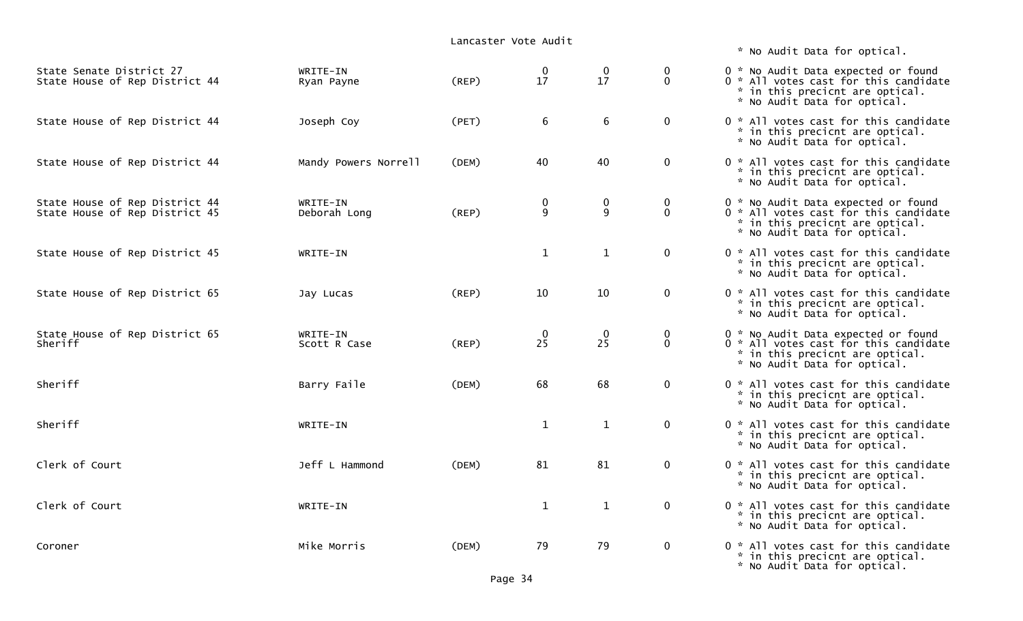\* No Audit Data for optical.

| State Senate District 27<br>State House of Rep District 44       | WRITE-IN<br>Ryan Payne   | (REP) | $\bf{0}$<br>17     | $\mathbf 0$<br>17 | 0<br>$\mathbf{0}$           | 0 * No Audit Data expected or found<br>0 * All votes cast for this candidate<br>* in this precicnt are optical.<br>* No Audit Data for optical. |
|------------------------------------------------------------------|--------------------------|-------|--------------------|-------------------|-----------------------------|-------------------------------------------------------------------------------------------------------------------------------------------------|
| State House of Rep District 44                                   | Joseph Coy               | (PET) | 6                  | 6                 | $\mathbf 0$                 | 0 * All votes cast for this candidate<br>* in this precicnt are optical.<br>* No Audit Data for optical.                                        |
| State House of Rep District 44                                   | Mandy Powers Norrell     | (DEM) | 40                 | 40                | $\mathbf 0$                 | 0 * All votes cast for this candidate<br>* in this precicnt are optical.<br>* No Audit Data for optical.                                        |
| State House of Rep District 44<br>State House of Rep District 45 | WRITE-IN<br>Deborah Long | (REP) | 0<br>9             | $\pmb{0}$<br>9    | $\mathbf 0$<br>$\mathbf{0}$ | 0 * No Audit Data expected or found<br>0 * All votes cast for this candidate<br>* in this precicnt are optical.<br>* No Audit Data for optical. |
| State House of Rep District 45                                   | WRITE-IN                 |       | $\mathbf{1}$       | $\mathbf{1}$      | $\mathbf 0$                 | 0 * All votes cast for this candidate<br>* in this precicnt are optical.<br>* No Audit Data for optical.                                        |
| State House of Rep District 65                                   | Jay Lucas                | (REP) | 10                 | 10                | $\mathbf 0$                 | 0 * All votes cast for this candidate<br>* in this precicnt are optical.<br>* No Audit Data for optical.                                        |
| State House of Rep District 65<br>Sheriff                        | WRITE-IN<br>Scott R Case | (REP) | $\mathbf{0}$<br>25 | $\mathbf 0$<br>25 | 0<br>$\mathbf{0}$           | 0 * No Audit Data expected or found<br>0 * All votes cast for this candidate<br>* in this precicnt are optical.<br>* No Audit Data for optical. |
| Sheriff                                                          | Barry Faile              | (DEM) | 68                 | 68                | $\mathbf 0$                 | 0 * All votes cast for this candidate<br>* in this precicnt are optical.<br>* No Audit Data for optical.                                        |
| Sheriff                                                          | WRITE-IN                 |       | $\mathbf{1}$       | $\mathbf{1}$      | $\mathbf{0}$                | 0 * All votes cast for this candidate<br>* in this precicnt are optical.<br>* No Audit Data for optical.                                        |
| Clerk of Court                                                   | Jeff L Hammond           | (DEM) | 81                 | 81                | $\mathbf 0$                 | 0 * All votes cast for this candidate<br>* in this precicnt are optical.<br>* No Audit Data for optical.                                        |
| Clerk of Court                                                   | WRITE-IN                 |       | $\mathbf{1}$       | $\mathbf{1}$      | $\mathbf{0}$                | 0 * All votes cast for this candidate<br>* in this precicnt are optical.<br>* No Audit Data for optical.                                        |
| Coroner                                                          | Mike Morris              | (DEM) | 79                 | 79                | $\mathbf 0$                 | 0 * All votes cast for this candidate<br>* in this precicnt are optical.<br>* No Audit Data for optical.                                        |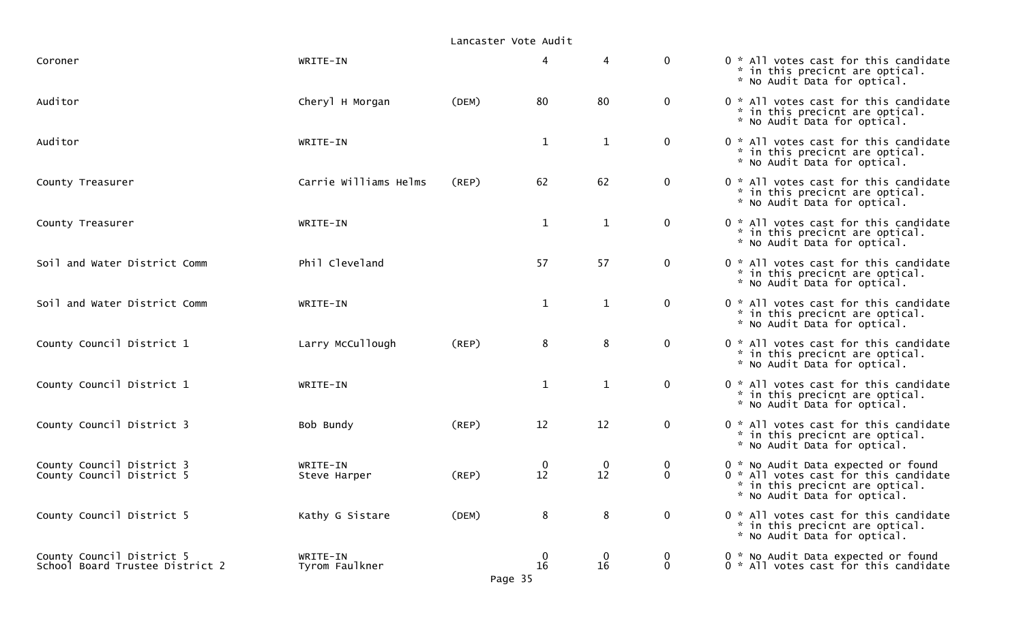| Coroner                                                      | WRITE-IN                   |       | 4                 |                   | $\mathbf 0$             | 0 * All votes cast for this candidate<br>* in this precicnt are optical.<br>* No Audit Data for optical.                                        |
|--------------------------------------------------------------|----------------------------|-------|-------------------|-------------------|-------------------------|-------------------------------------------------------------------------------------------------------------------------------------------------|
| Auditor                                                      | Cheryl H Morgan            | (DEM) | 80                | 80                | $\mathbf 0$             | 0 * All votes cast for this candidate<br>* in this precicnt are optical.<br>* No Audit Data for optical.                                        |
| Auditor                                                      | WRITE-IN                   |       | $\mathbf{1}$      | $\mathbf{1}$      | $\mathbf 0$             | 0 * All votes cast for this candidate<br>* in this precicnt are optical.<br>* No Audit Data for optical.                                        |
| County Treasurer                                             | Carrie Williams Helms      | (REP) | 62                | 62                | $\mathbf 0$             | 0 * All votes cast for this candidate<br>* in this precicnt are optical.<br>* No Audit Data for optical.                                        |
| County Treasurer                                             | WRITE-IN                   |       | $\mathbf{1}$      | $\mathbf{1}$      | $\mathbf 0$             | 0 * All votes cast for this candidate<br>* in this precicnt are optical.<br>* No Audit Data for optical.                                        |
| Soil and Water District Comm                                 | Phil Cleveland             |       | 57                | 57                | $\mathbf 0$             | 0 * All votes cast for this candidate<br>* in this precicnt are optical.<br>* No Audit Data for optical.                                        |
| Soil and Water District Comm                                 | WRITE-IN                   |       | $\mathbf{1}$      | $\mathbf{1}$      | $\mathbf 0$             | 0 * All votes cast for this candidate<br>* in this precicnt are optical.<br>* No Audit Data for optical.                                        |
| County Council District 1                                    | Larry McCullough           | (REP) | 8                 | 8                 | $\mathbf 0$             | 0 * All votes cast for this candidate<br>* in this precicnt are optical.<br>* No Audit Data for optical.                                        |
| County Council District 1                                    | WRITE-IN                   |       | $\mathbf{1}$      | $\mathbf{1}$      | $\mathbf 0$             | 0 * All votes cast for this candidate<br>* in this precicnt are optical.<br>* No Audit Data for optical.                                        |
| County Council District 3                                    | Bob Bundy                  | (REP) | 12                | 12                | $\mathbf 0$             | 0 * All votes cast for this candidate<br>* in this precicnt are optical.<br>* No Audit Data for optical.                                        |
| County Council District 3<br>County Council District 5       | WRITE-IN<br>Steve Harper   | (REP) | $\mathbf 0$<br>12 | $\mathbf 0$<br>12 | $\mathbf 0$<br>$\Omega$ | 0 * No Audit Data expected or found<br>0 * All votes cast for this candidate<br>* in this precicnt are optical.<br>* No Audit Data for optical. |
| County Council District 5                                    | Kathy G Sistare            | (DEM) | 8                 | 8                 | $\mathbf 0$             | 0 * All votes cast for this candidate<br>* in this precicnt are optical.<br>* No Audit Data for optical.                                        |
| County Council District 5<br>School Board Trustee District 2 | WRITE-IN<br>Tyrom Faulkner |       | 0<br>16           | 0<br>16           | 0<br>$\mathbf{0}$       | 0 * No Audit Data expected or found<br>0 * All votes cast for this candidate                                                                    |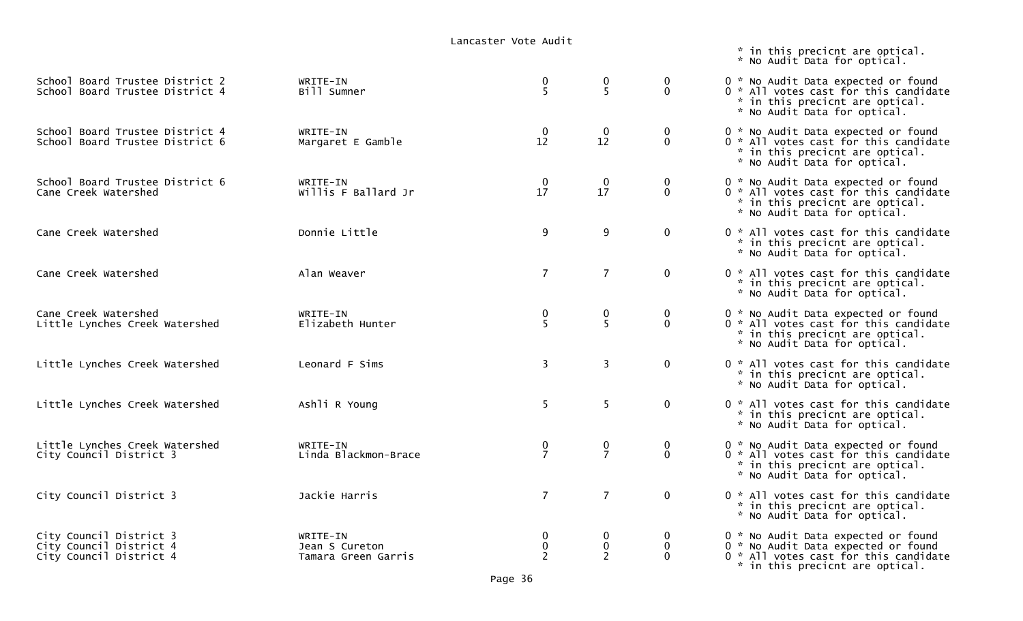|                                                                               |                                                   | Lancabici vocc Addic            |                       |                              | * in this precicnt are optical.<br>* No Audit Data for optical.                                                                                        |
|-------------------------------------------------------------------------------|---------------------------------------------------|---------------------------------|-----------------------|------------------------------|--------------------------------------------------------------------------------------------------------------------------------------------------------|
| School Board Trustee District 2<br>School Board Trustee District 4            | WRITE-IN<br>Bill Sumner                           | $\frac{0}{5}$                   | 0<br>5                | $\mathbf 0$<br>$\mathbf 0$   | 0 * No Audit Data expected or found<br>0 * All votes cast for this candidate<br>* in this precicnt are optical.<br>* No Audit Data for optical.        |
| School Board Trustee District 4<br>School Board Trustee District 6            | WRITE-IN<br>Margaret E Gamble                     | $\mathbf 0$<br>12               | $\mathbf{0}$<br>12    | $\mathbf{0}$<br>$\mathbf{0}$ | 0 * No Audit Data expected or found<br>0 * All votes cast for this candidate<br>* in this precicnt are optical.<br>* No Audit Data for optical.        |
| School Board Trustee District 6<br>Cane Creek Watershed                       | WRITE-IN<br>Willis F Ballard Jr                   | $\overline{0}$<br>$1\bar{7}$    | $\mathbf 0$<br>17     | $\mathbf 0$<br>$\Omega$      | 0 * No Audit Data expected or found<br>0 * All votes cast for this candidate<br>* in this precicnt are optical.<br>* No Audit Data for optical.        |
| Cane Creek Watershed                                                          | Donnie Little                                     | 9                               | 9                     | $\mathbf 0$                  | 0 * All votes cast for this candidate<br>* in this precicnt are optical.<br>* No Audit Data for optical.                                               |
| Cane Creek Watershed                                                          | Alan Weaver                                       | $\overline{7}$                  | $\overline{7}$        | $\mathbf 0$                  | 0 * All votes cast for this candidate<br>* in this precicnt are optical.<br>* No Audit Data for optical.                                               |
| Cane Creek Watershed<br>Little Lynches Creek Watershed                        | WRITE-IN<br>Elizabeth Hunter                      | 0<br>5                          | 0<br>5                | $\mathbf 0$<br>$\mathbf 0$   | 0 * No Audit Data expected or found<br>0 * All votes cast for this candidate<br>* in this precicnt are optical.<br>* No Audit Data for optical.        |
| Little Lynches Creek Watershed                                                | Leonard F Sims                                    | $\overline{3}$                  | 3                     | $\mathbf 0$                  | 0 * All votes cast for this candidate<br>* in this precicnt are optical.<br>* No Audit Data for optical.                                               |
| Little Lynches Creek Watershed                                                | Ashli R Young                                     | 5                               | 5                     | $\mathbf 0$                  | 0 * All votes cast for this candidate<br>* in this precicnt are optical.<br>* No Audit Data for optical.                                               |
| Little Lynches Creek Watershed<br>City Council District 3                     | WRITE-IN<br>Linda Blackmon-Brace                  | $\mathbf 0$<br>$\overline{7}$   | 0<br>$\overline{7}$   | $\mathbf 0$<br>$\Omega$      | 0 * No Audit Data expected or found<br>0 * All votes cast for this candidate<br>* in this precicnt are optical.<br>* No Audit Data for optical.        |
| City Council District 3                                                       | Jackie Harris                                     | $\overline{7}$                  | $\overline{7}$        | $\mathbf 0$                  | 0 * All votes cast for this candidate<br>* in this precicnt are optical.<br>* No Audit Data for optical.                                               |
| City Council District 3<br>City Council District 4<br>City Council District 4 | WRITE-IN<br>Jean S Cureton<br>Tamara Green Garris | $\mathbf 0$<br>$\mathbf 0$<br>2 | 0<br>$\mathbf 0$<br>2 | 0<br>$\mathbf 0$<br>$\Omega$ | 0 * No Audit Data expected or found<br>0 * No Audit Data expected or found<br>0 * All votes cast for this candidate<br>* in this precicnt are optical. |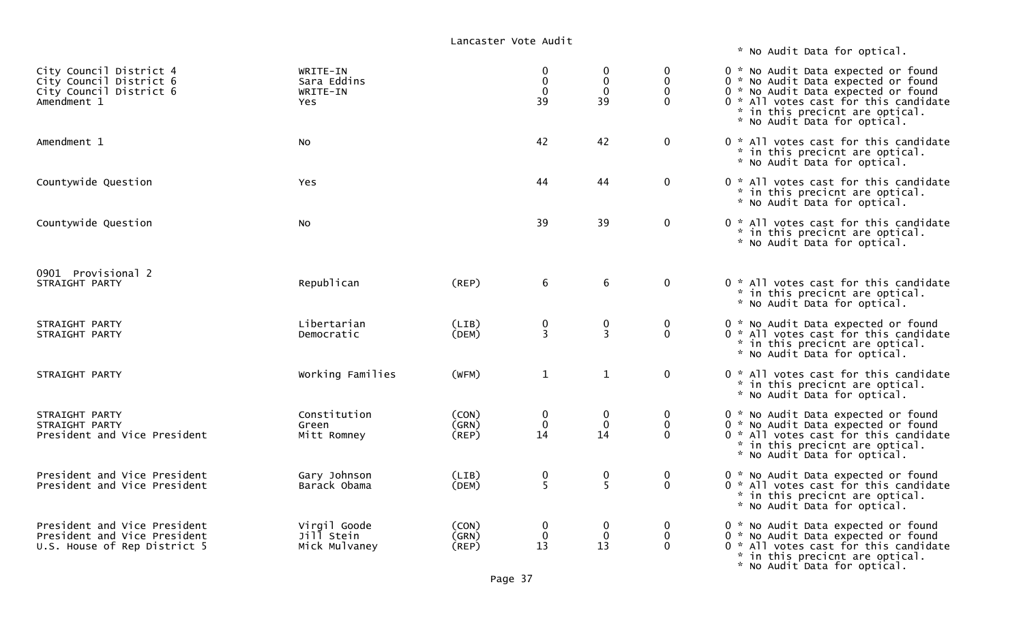\* No Audit Data for optical.

| City Council District 4<br>City Council District 6<br>City Council District 6<br>Amendment 1 | WRITE-IN<br>Sara Eddins<br>WRITE-IN<br>Yes  |                         | 0<br>$\mathbf 0$<br>39 | 0<br>$\mathbf 0$<br>$\mathbf 0$<br>39 | 0<br>$\mathbf 0$<br>$\mathbf 0$<br>$\Omega$  | 0 * No Audit Data expected or found<br>0 * No Audit Data expected or found<br>0 * No Audit Data expected or found<br>0 * All votes cast for this candidate<br>* in this precicnt are optical.<br>* No Audit Data for optical. |
|----------------------------------------------------------------------------------------------|---------------------------------------------|-------------------------|------------------------|---------------------------------------|----------------------------------------------|-------------------------------------------------------------------------------------------------------------------------------------------------------------------------------------------------------------------------------|
| Amendment 1                                                                                  | NO.                                         |                         | 42                     | 42                                    | $\mathbf 0$                                  | 0 * All votes cast for this candidate<br>* in this precicnt are optical.<br>* No Audit Data for optical.                                                                                                                      |
| Countywide Question                                                                          | Yes                                         |                         | 44                     | 44                                    | $\mathbf 0$                                  | 0 * All votes cast for this candidate<br>* in this precicnt are optical.<br>* No Audit Data for optical.                                                                                                                      |
| Countywide Question                                                                          | NO.                                         |                         | 39                     | 39                                    | $\mathbf 0$                                  | 0 * All votes cast for this candidate<br>* in this precicnt are optical.<br>* No Audit Data for optical.                                                                                                                      |
| 0901 Provisional 2<br>STRAIGHT PARTY                                                         | Republican                                  | (REP)                   | 6                      | 6                                     | $\mathbf 0$                                  | 0 * All votes cast for this candidate<br>* in this precicnt are optical.<br>* No Audit Data for optical.                                                                                                                      |
| STRAIGHT PARTY<br>STRAIGHT PARTY                                                             | Libertarian<br>Democratic                   | (LIB)<br>(DEM)          | 0<br>$\overline{3}$    | 0<br>$\overline{3}$                   | $\mathbf 0$<br>$\mathbf{0}$                  | 0 * No Audit Data expected or found<br>0 * All votes cast for this candidate<br>* in this precicnt are optical.<br>* No Audit Data for optical.                                                                               |
| STRAIGHT PARTY                                                                               | Working Families                            | (WFM)                   | $\mathbf 1$            | $\mathbf{1}$                          | $\mathbf 0$                                  | 0 * All votes cast for this candidate<br>* in this precicnt are optical.<br>* No Audit Data for optical.                                                                                                                      |
| STRAIGHT PARTY<br>STRAIGHT PARTY<br>President and Vice President                             | Constitution<br>Green<br>Mitt Romney        | (CON)<br>(GRN)<br>(REP) | 0<br>$\mathbf 0$<br>14 | $\mathbf 0$<br>$\mathbf 0$<br>14      | $\boldsymbol{0}$<br>$\mathbf{0}$<br>$\Omega$ | 0 * No Audit Data expected or found<br>0 * No Audit Data expected or found<br>0 * All votes cast for this candidate<br>* in this precicnt are optical.<br>* No Audit Data for optical.                                        |
| President and Vice President<br>President and Vice President                                 | Gary Johnson<br>Barack Obama                | (LIB)<br>(DEM)          | 0<br>5                 | 0<br>5                                | $\bf{0}$<br>$\mathbf{0}$                     | 0 * No Audit Data expected or found<br>0 * All votes cast for this candidate<br>* in this precicnt are optical.<br>* No Audit Data for optical.                                                                               |
| President and Vice President<br>President and Vice President<br>U.S. House of Rep District 5 | Virgil Goode<br>Jill Stein<br>Mick Mulvaney | (CON)<br>(GRN)<br>(REP) | 0<br>$\mathbf 0$<br>13 | $\mathbf 0$<br>0<br>13                | 0<br>$\mathbf 0$<br>$\Omega$                 | 0 * No Audit Data expected or found<br>0 * No Audit Data expected or found<br>0 * All votes cast for this candidate<br>* in this precicnt are optical.<br>* No Audit Data for optical.                                        |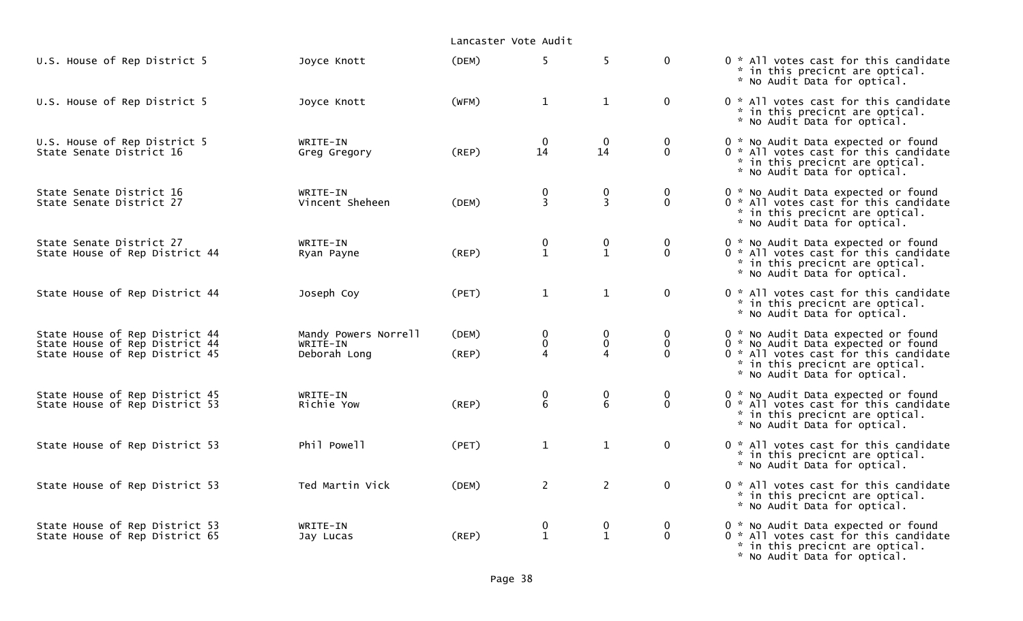|                                                                                                    |                                                  | Lancaster Vote Audit |                                      |                             |                                        |                                                                                                                                                                                        |
|----------------------------------------------------------------------------------------------------|--------------------------------------------------|----------------------|--------------------------------------|-----------------------------|----------------------------------------|----------------------------------------------------------------------------------------------------------------------------------------------------------------------------------------|
| U.S. House of Rep District 5                                                                       | Joyce Knott                                      | (DEM)                | 5 <sup>1</sup>                       | 5                           | $\mathbf 0$                            | 0 * All votes cast for this candidate<br>* in this precicnt are optical.<br>* No Audit Data for optical.                                                                               |
| U.S. House of Rep District 5                                                                       | Joyce Knott                                      | (WFM)                | $\mathbf{1}$                         | $\mathbf{1}$                | $\mathbf 0$                            | 0 * All votes cast for this candidate<br>* in this precicnt are optical.<br>* No Audit Data for optical.                                                                               |
| U.S. House of Rep District 5<br>State Senate District 16                                           | WRITE-IN<br>Greg Gregory                         | (REP)                | $\overline{0}$<br>14                 | $\mathbf{0}$<br>14          | $\mathbf 0$<br>$\mathbf 0$             | 0 * No Audit Data expected or found<br>0 * All votes cast for this candidate<br>* in this precicnt are optical.<br>* No Audit Data for optical.                                        |
| State Senate District 16<br>State Senate District 27                                               | WRITE-IN<br>Vincent Sheheen                      | (DEM)                | $\mathbf 0$<br>$\overline{3}$        | $\pmb{0}$<br>$\overline{3}$ | $\mathbf 0$<br>$\mathbf{0}$            | 0 * No Audit Data expected or found<br>0 * All votes cast for this candidate<br>* in this precicnt are optical.<br>* No Audit Data for optical.                                        |
| State Senate District 27<br>State House of Rep District 44                                         | WRITE-IN<br>Ryan Payne                           | (REP)                | $\pmb{0}$<br>$\mathbf{1}$            | $\pmb{0}$<br>$\mathbf{1}$   | $\mathbf 0$<br>$\mathbf{0}$            | 0 * No Audit Data expected or found<br>0 * All votes cast for this candidate<br>* in this precicnt are optical.<br>* No Audit Data for optical.                                        |
| State House of Rep District 44                                                                     | Joseph Coy                                       | (PET)                | $\mathbf{1}$                         | $\mathbf{1}$                | $\mathbf 0$                            | 0 * All votes cast for this candidate<br>* in this precicnt are optical.<br>* No Audit Data for optical.                                                                               |
| State House of Rep District 44<br>State House of Rep District 44<br>State House of Rep District 45 | Mandy Powers Norrell<br>WRITE-IN<br>Deborah Long | (DEM)<br>(REP)       | 0<br>$\pmb{0}$<br>4                  | 0<br>$\mathbf 0$            | $\mathbf 0$<br>$\mathbf 0$<br>$\Omega$ | 0 * No Audit Data expected or found<br>0 * No Audit Data expected or found<br>0 * All votes cast for this candidate<br>* in this precicnt are optical.<br>* No Audit Data for optical. |
| State House of Rep District 45<br>State House of Rep District 53                                   | WRITE-IN<br>Richie Yow                           | (REP)                | $\begin{matrix} 0 \\ 6 \end{matrix}$ | $\pmb{0}$<br>$\overline{6}$ | $\mathbf 0$<br>$\mathbf{0}$            | 0 * No Audit Data expected or found<br>0 * All votes cast for this candidate<br>* in this precicnt are optical.<br>* No Audit Data for optical.                                        |
| State House of Rep District 53                                                                     | Phil Powell                                      | (PET)                | $\mathbf{1}$                         | $\mathbf{1}$                | $\mathbf 0$                            | 0 * All votes cast for this candidate<br>* in this precicnt are optical.<br>* No Audit Data for optical.                                                                               |
| State House of Rep District 53                                                                     | Ted Martin Vick                                  | (DEM)                | $\overline{2}$                       | $\overline{2}$              | $\mathbf 0$                            | 0 * All votes cast for this candidate<br>* in this precicnt are optical.<br>* No Audit Data for optical.                                                                               |
| State House of Rep District 53<br>State House of Rep District 65                                   | WRITE-IN<br>Jay Lucas                            | (REP)                | 0<br>$\mathbf{1}$                    | $\bf{0}$<br>$\mathbf{1}$    | $\mathbf 0$<br>$\mathbf{0}$            | 0 * No Audit Data expected or found<br>$0 *$ All votes cast for this candidate<br>* in this precicnt are optical.<br>* No Audit Data for optical.                                      |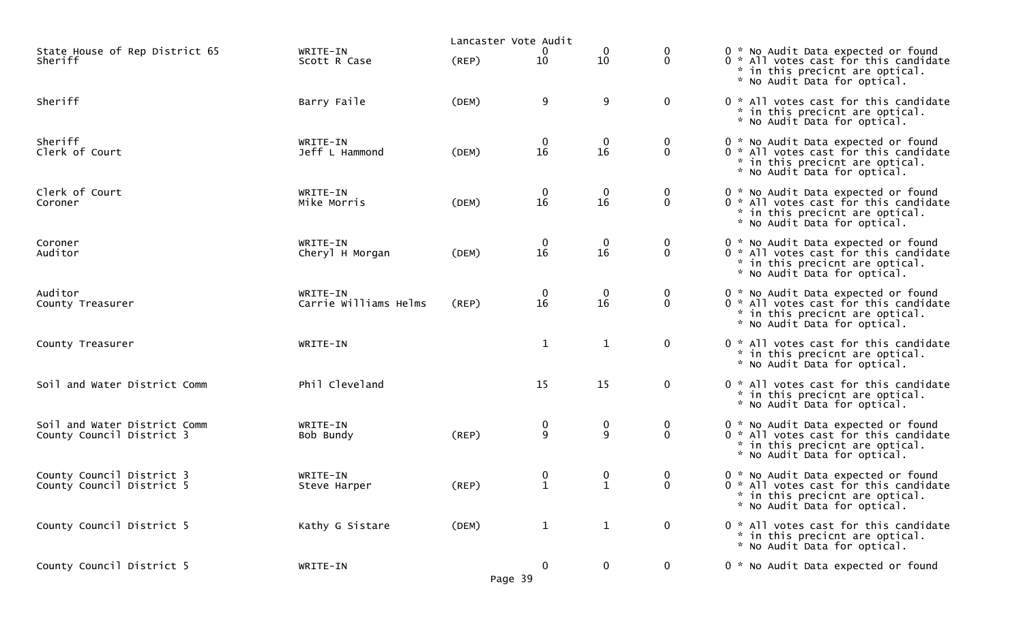|                                                           |                                   | Lancaster Vote Audit |                   |                   |                                 |                                                                                                                                                 |
|-----------------------------------------------------------|-----------------------------------|----------------------|-------------------|-------------------|---------------------------------|-------------------------------------------------------------------------------------------------------------------------------------------------|
| State House of Rep District 65<br>Sheriff                 | WRITE-IN<br>Scott R Case          | $($ REP $)$          | 0<br>10           | 0<br>10           | 0<br>$\mathbf 0$                | 0 * No Audit Data expected or found<br>0 * All votes cast for this candidate<br>* in this precicnt are optical.<br>* No Audit Data for optical. |
| Sheriff                                                   | Barry Faile                       | (DEM)                | 9                 | 9                 | $\mathbf 0$                     | 0 * All votes cast for this candidate<br>* in this precicnt are optical.<br>* No Audit Data for optical.                                        |
| Sheriff<br>Clerk of Court                                 | WRITE-IN<br>Jeff L Hammond        | (DEM)                | 0<br>16           | $\mathbf 0$<br>16 | $\bf{0}$<br>$\mathbf 0$         | 0 * No Audit Data expected or found<br>0 * All votes cast for this candidate<br>* in this precicnt are optical.<br>* No Audit Data for optical. |
| Clerk of Court<br>Coroner                                 | WRITE-IN<br>Mike Morris           | (DEM)                | 0<br>16           | $\mathbf 0$<br>16 | $\mathbf 0$<br>$\mathbf{0}$     | 0 * No Audit Data expected or found<br>0 * All votes cast for this candidate<br>* in this precicnt are optical.<br>* No Audit Data for optical. |
| Coroner<br>Auditor                                        | WRITE-IN<br>Cheryl H Morgan       | (DEM)                | 0<br>16           | $\mathbf 0$<br>16 | $\mathbf 0$<br>$\mathbf 0$      | 0 * No Audit Data expected or found<br>0 * All votes cast for this candidate<br>* in this precicnt are optical.<br>* No Audit Data for optical. |
| Auditor<br>County Treasurer                               | WRITE-IN<br>Carrie Williams Helms | $($ REP $)$          | 0<br>16           | $\mathbf 0$<br>16 | $\boldsymbol{0}$<br>$\mathbf 0$ | 0 * No Audit Data expected or found<br>0 * All votes cast for this candidate<br>* in this precicnt are optical.<br>* No Audit Data for optical. |
| County Treasurer                                          | WRITE-IN                          |                      | $\mathbf 1$       | $\mathbf{1}$      | $\mathbf 0$                     | 0 * All votes cast for this candidate<br>* in this precicnt are optical.<br>* No Audit Data for optical.                                        |
| Soil and Water District Comm                              | Phil Cleveland                    |                      | 15                | 15                | $\mathbf 0$                     | 0 * All votes cast for this candidate<br>* in this precicnt are optical.<br>* No Audit Data for optical.                                        |
| Soil and Water District Comm<br>County Council District 3 | WRITE-IN<br>Bob Bundy             | (REP)                | 0<br>9            | 0<br>9            | $\bf{0}$<br>$\mathbf 0$         | 0 * No Audit Data expected or found<br>0 * All votes cast for this candidate<br>* in this precicnt are optical.<br>* No Audit Data for optical. |
| County Council District 3<br>County Council District 5    | WRITE-IN<br>Steve Harper          | (REP)                | 0<br>$\mathbf{1}$ | 0<br>$\mathbf{1}$ | $\bf{0}$<br>$\mathbf 0$         | 0 * No Audit Data expected or found<br>0 * All votes cast for this candidate<br>* in this precicnt are optical.<br>* No Audit Data for optical. |
| County Council District 5                                 | Kathy G Sistare                   | (DEM)                | $\mathbf{1}$      | $\mathbf{1}$      | $\mathbf 0$                     | 0 * All votes cast for this candidate<br>* in this precicnt are optical.<br>* No Audit Data for optical.                                        |
| County Council District 5                                 | WRITE-IN                          | Page 39              | 0                 | $\bf{0}$          | $\mathbf 0$                     | 0 * No Audit Data expected or found                                                                                                             |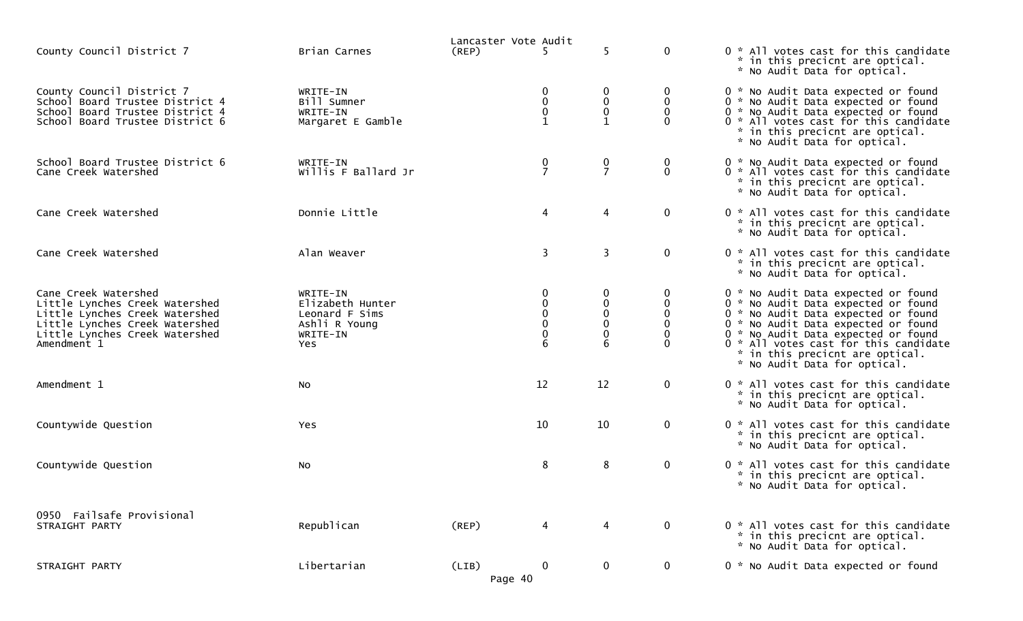|                                                                                                                                                                             |                                                                                    | Lancaster Vote Audit |                            |                                       |                                          |                                                                                                                                                                                                                                                                                                             |
|-----------------------------------------------------------------------------------------------------------------------------------------------------------------------------|------------------------------------------------------------------------------------|----------------------|----------------------------|---------------------------------------|------------------------------------------|-------------------------------------------------------------------------------------------------------------------------------------------------------------------------------------------------------------------------------------------------------------------------------------------------------------|
| County Council District 7                                                                                                                                                   | Brian Carnes                                                                       | (REP)                | 5.                         | 5                                     | $\mathbf 0$                              | 0 * All votes cast for this candidate<br>* in this precicnt are optical.<br>* No Audit Data for optical.                                                                                                                                                                                                    |
| County Council District 7<br>School Board Trustee District 4<br>School Board Trustee District 4<br>School Board Trustee District 6                                          | WRITE-IN<br>Bill Sumner<br>WRITE-IN<br>Margaret E Gamble                           |                      | 0<br>0<br>0<br>$\mathbf 1$ | 0<br>0<br>$\mathbf 0$<br>$\mathbf{1}$ | $\bf{0}$<br>$\mathbf 0$<br>$\Omega$<br>0 | 0 * No Audit Data expected or found<br>0 * No Audit Data expected or found<br>0 * No Audit Data expected or found<br>0 * All votes cast for this candidate<br>* in this precicnt are optical.<br>* No Audit Data for optical.                                                                               |
| School Board Trustee District 6<br>Cane Creek Watershed                                                                                                                     | WRITE-IN<br>Willis F Ballard Jr                                                    |                      | $\frac{0}{7}$              | $\frac{0}{7}$                         | 0<br>$\mathbf{0}$                        | 0 * No Audit Data expected or found<br>0 * All votes cast for this candidate<br>* in this precicnt are optical.<br>* No Audit Data for optical.                                                                                                                                                             |
| Cane Creek Watershed                                                                                                                                                        | Donnie Little                                                                      |                      | $\overline{4}$             | 4                                     | $\mathbf 0$                              | 0 * All votes cast for this candidate<br>* in this precicnt are optical.<br>* No Audit Data for optical.                                                                                                                                                                                                    |
| Cane Creek Watershed                                                                                                                                                        | Alan Weaver                                                                        |                      | 3                          | 3                                     | $\mathbf 0$                              | 0 * All votes cast for this candidate<br>* in this precicnt are optical.<br>* No Audit Data for optical.                                                                                                                                                                                                    |
| Cane Creek Watershed<br>Little Lynches Creek Watershed<br>Little Lynches Creek Watershed<br>Little Lynches Creek Watershed<br>Little Lynches Creek Watershed<br>Amendment 1 | WRITE-IN<br>Elizabeth Hunter<br>Leonard F Sims<br>Ashli R Young<br>WRITE-IN<br>Yes |                      | 0<br>$\Omega$              | 0<br>$\pmb{0}$<br>0<br>0<br>0         | 0<br>$\mathbf{0}$                        | 0 * No Audit Data expected or found<br>0 * No Audit Data expected or found<br>0 * No Audit Data expected or found<br>0 * No Audit Data expected or found<br>0 * No Audit Data expected or found<br>0 * All votes cast for this candidate<br>* in this precicnt are optical.<br>* No Audit Data for optical. |
| Amendment 1                                                                                                                                                                 | <b>NO</b>                                                                          |                      | 12                         | 12                                    | $\mathbf 0$                              | 0 * All votes cast for this candidate<br>* in this precicnt are optical.<br>* No Audit Data for optical.                                                                                                                                                                                                    |
| Countywide Question                                                                                                                                                         | <b>Yes</b>                                                                         |                      | 10                         | 10                                    | $\mathbf 0$                              | 0 * All votes cast for this candidate<br>* in this precicnt are optical.<br>* No Audit Data for optical.                                                                                                                                                                                                    |
| Countywide Question                                                                                                                                                         | No                                                                                 |                      | 8                          | 8                                     | $\mathbf 0$                              | 0 * All votes cast for this candidate<br>* in this precicnt are optical.<br>* No Audit Data for optical.                                                                                                                                                                                                    |
| 0950 Failsafe Provisional<br>STRAIGHT PARTY                                                                                                                                 | Republican                                                                         | (REP)                | 4                          | 4                                     | $\mathbf 0$                              | 0 * All votes cast for this candidate<br>* in this precicnt are optical.<br>* No Audit Data for optical.                                                                                                                                                                                                    |
| STRAIGHT PARTY                                                                                                                                                              | Libertarian                                                                        | (LIB)<br>Page 40     | $\mathbf 0$                | $\mathbf 0$                           | $\mathbf 0$                              | 0 * No Audit Data expected or found                                                                                                                                                                                                                                                                         |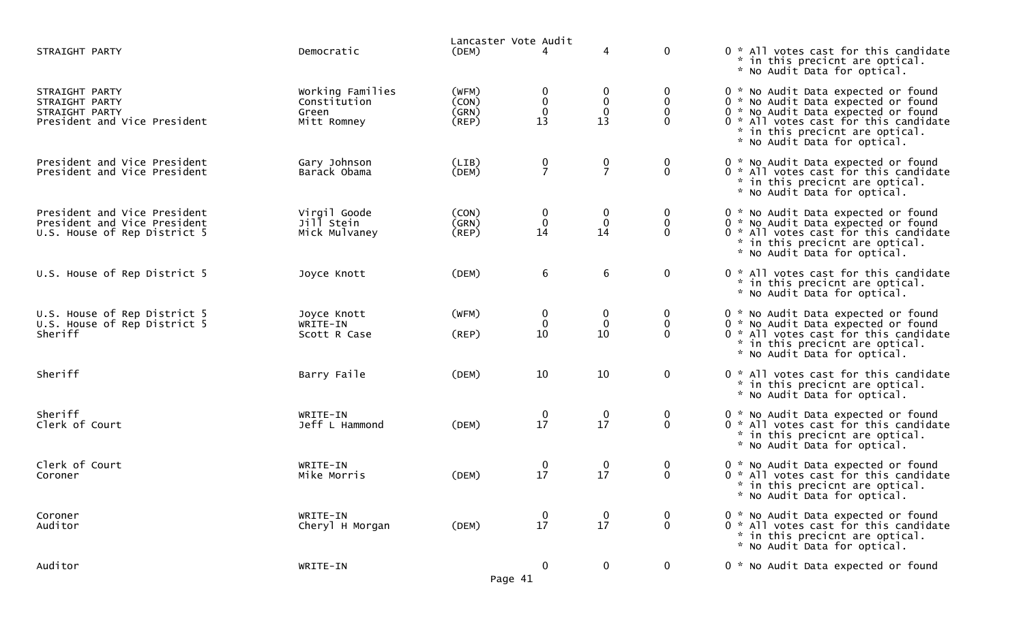|                                                                                              |                                                          | Lancaster Vote Audit                   |                                     |                                       |                                          |                                                                                                                                                                                                                               |
|----------------------------------------------------------------------------------------------|----------------------------------------------------------|----------------------------------------|-------------------------------------|---------------------------------------|------------------------------------------|-------------------------------------------------------------------------------------------------------------------------------------------------------------------------------------------------------------------------------|
| STRAIGHT PARTY                                                                               | Democratic                                               | (DEM)                                  | 4                                   | 4                                     | $\mathbf 0$                              | 0 * All votes cast for this candidate<br>* in this precicnt are optical.<br>* No Audit Data for optical.                                                                                                                      |
| STRAIGHT PARTY<br>STRAIGHT PARTY<br>STRAIGHT PARTY<br>President and Vice President           | Working Families<br>Constitution<br>Green<br>Mitt Romney | (WFM)<br>(CON)<br>(GRN)<br>$($ REP $)$ | 0<br>$\pmb{0}$<br>$\mathbf 0$<br>13 | $\boldsymbol{0}$<br>$\mathbf 0$<br>13 | 0<br>$\mathbf 0$<br>$\Omega$<br>$\Omega$ | 0 * No Audit Data expected or found<br>0 * No Audit Data expected or found<br>0 * No Audit Data expected or found<br>0 * All votes cast for this candidate<br>* in this precicnt are optical.<br>* No Audit Data for optical. |
| President and Vice President<br>President and Vice President                                 | Gary Johnson<br>Barack Obama                             | (LIB)<br>(DEM)                         | $\frac{0}{7}$                       | 0<br>$\overline{7}$                   | $\mathbf 0$<br>$\mathbf{0}$              | 0 * No Audit Data expected or found<br>0 * All votes cast for this candidate<br>* in this precicnt are optical.<br>* No Audit Data for optical.                                                                               |
| President and Vice President<br>President and Vice President<br>U.S. House of Rep District 5 | Virgil Goode<br>Jill Stein<br>Mick Mulvaney              | (CON)<br>(GRN)<br>$($ REP $)$          | $\bf{0}$<br>$\mathbf 0$<br>14       | 0<br>$\mathbf 0$<br>14                | 0<br>$\mathbf 0$<br>$\Omega$             | 0 * No Audit Data expected or found<br>0 * No Audit Data expected or found<br>0 * All votes cast for this candidate<br>* in this precicnt are optical.<br>* No Audit Data for optical.                                        |
| U.S. House of Rep District 5                                                                 | Joyce Knott                                              | (DEM)                                  | 6                                   | 6                                     | $\mathbf 0$                              | 0 * All votes cast for this candidate<br>* in this precicnt are optical.<br>* No Audit Data for optical.                                                                                                                      |
| U.S. House of Rep District 5<br>U.S. House of Rep District 5<br>Sheriff                      | Joyce Knott<br>WRITE-IN<br>Scott R Case                  | (WFM)<br>(REP)                         | 0<br>$\mathbf 0$<br>10              | $\bf{0}$<br>$\mathbf 0$<br>10         | $\bf{0}$<br>$\mathbf 0$<br>$\Omega$      | 0 * No Audit Data expected or found<br>0 * No Audit Data expected or found<br>0 * All votes cast for this candidate<br>* in this precicnt are optical.<br>* No Audit Data for optical.                                        |
| Sheriff                                                                                      | Barry Faile                                              | (DEM)                                  | 10                                  | 10                                    | $\mathbf 0$                              | 0 * All votes cast for this candidate<br>* in this precicnt are optical.<br>* No Audit Data for optical.                                                                                                                      |
| Sheriff<br>Clerk of Court                                                                    | WRITE-IN<br>Jeff L Hammond                               | (DEM)                                  | $\mathbf 0$<br>17                   | $\mathbf 0$<br>17                     | $\mathbf 0$<br>$\mathbf 0$               | 0 * No Audit Data expected or found<br>0 * All votes cast for this candidate<br>* in this precicnt are optical.<br>* No Audit Data for optical.                                                                               |
| Clerk of Court<br>Coroner                                                                    | WRITE-IN<br>Mike Morris                                  | (DEM)                                  | $\bf{0}$<br>17                      | $\bf{0}$<br>17                        | $\bf{0}$<br>$\mathbf 0$                  | 0 * No Audit Data expected or found<br>0 * All votes cast for this candidate<br>* in this precicnt are optical.<br>* No Audit Data for optical.                                                                               |
| Coroner<br>Auditor                                                                           | WRITE-IN<br>Cheryl H Morgan                              | (DEM)                                  | $\bf{0}$<br>17                      | $\bf{0}$<br>17                        | $\bf{0}$<br>$\mathbf 0$                  | 0 * No Audit Data expected or found<br>0 * All votes cast for this candidate<br>* in this precicnt are optical.<br>* No Audit Data for optical.                                                                               |
| Auditor                                                                                      | WRITE-IN                                                 | Page 41                                | $\mathbf 0$                         | $\bf{0}$                              | $\overline{0}$                           | 0 * No Audit Data expected or found                                                                                                                                                                                           |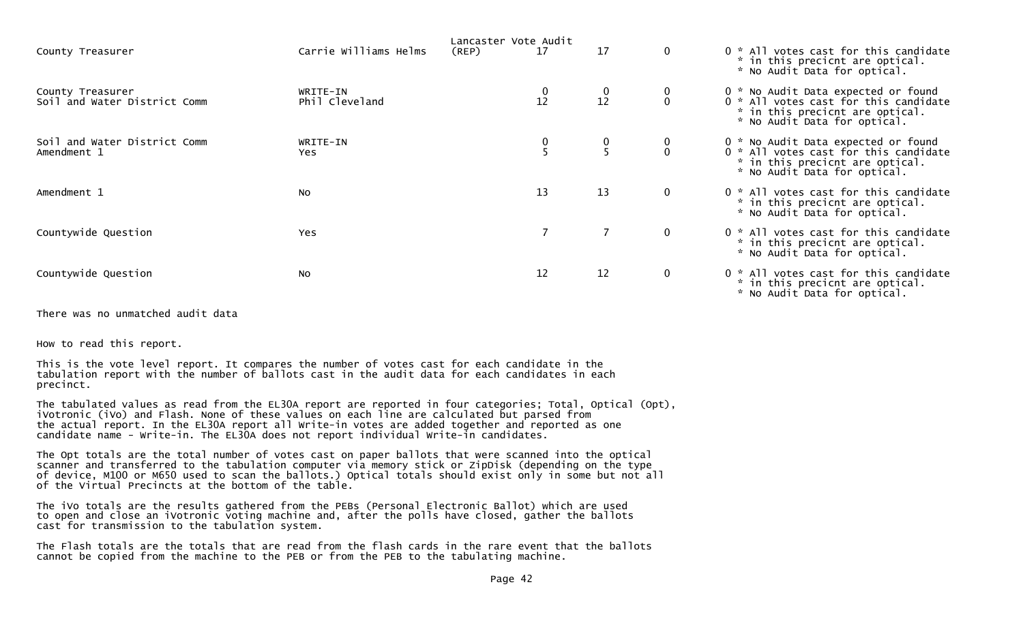| County Treasurer                                 | Carrie Williams Helms      | Lancaster Vote Audit<br>17<br>(REP) | 17                                              | $\mathbf 0$ | 0 * All votes cast for this candidate<br>* in this precicnt are optical.<br>* No Audit Data for optical.                                        |
|--------------------------------------------------|----------------------------|-------------------------------------|-------------------------------------------------|-------------|-------------------------------------------------------------------------------------------------------------------------------------------------|
| County Treasurer<br>Soil and Water District Comm | WRITE-IN<br>Phil Cleveland | 12                                  | $\begin{smallmatrix} 0 \\ 12 \end{smallmatrix}$ |             | 0 * No Audit Data expected or found<br>0 * All votes cast for this candidate<br>* in this precicnt are optical.<br>* No Audit Data for optical. |
| Soil and Water District Comm<br>Amendment 1      | WRITE-IN<br>Yes.           |                                     | 0                                               |             | 0 * No Audit Data expected or found<br>0 * All votes cast for this candidate<br>* in this precicnt are optical.<br>* No Audit Data for optical. |
| Amendment 1                                      | <b>NO</b>                  | 13                                  | 13                                              | $\mathbf 0$ | 0 * All votes cast for this candidate<br>* in this precicnt are optical.<br>* No Audit Data for optical.                                        |
| Countywide Question                              | Yes                        |                                     | $\overline{7}$                                  | $\mathbf 0$ | 0 * All votes cast for this candidate<br>* in this precicnt are optical.<br>* No Audit Data for optical.                                        |
| Countywide Question                              | No                         | 12                                  | 12                                              | $\mathbf 0$ | 0 * All votes cast for this candidate<br>* in this precicnt are optical.<br>* No Audit Data for optical.                                        |

There was no unmatched audit data

How to read this report.

This is the vote level report. It compares the number of votes cast for each candidate in the tabulation report with the number of ballots cast in the audit data for each candidates in each precinct.

The tabulated values as read from the EL30A report are reported in four categories; Total, Optical (Opt), iVotronic (iVo) and Flash. None of these values on each line are calculated but parsed from the actual report. In the EL30A report all Write-in votes are added together and reported as one candidate name - Write-in. The EL30A does not report individual Write-in candidates.

The Opt totals are the total number of votes cast on paper ballots that were scanned into the optical scanner and transferred to the tabulation computer via memory stick or ZipDisk (depending on the type of device, M100 or M650 used to scan the ballots.) Optical totals should exist only in some but not all of the Virtual Precincts at the bottom of the table.

The iVo totals are the results gathered from the PEBs (Personal Electronic Ballot) which are used to open and close an iVotronic voting machine and, after the polls have closed, gather the ballots cast for transmission to the tabulation system.

The Flash totals are the totals that are read from the flash cards in the rare event that the ballotscannot be copied from the machine to the PEB or from the PEB to the tabulating machine.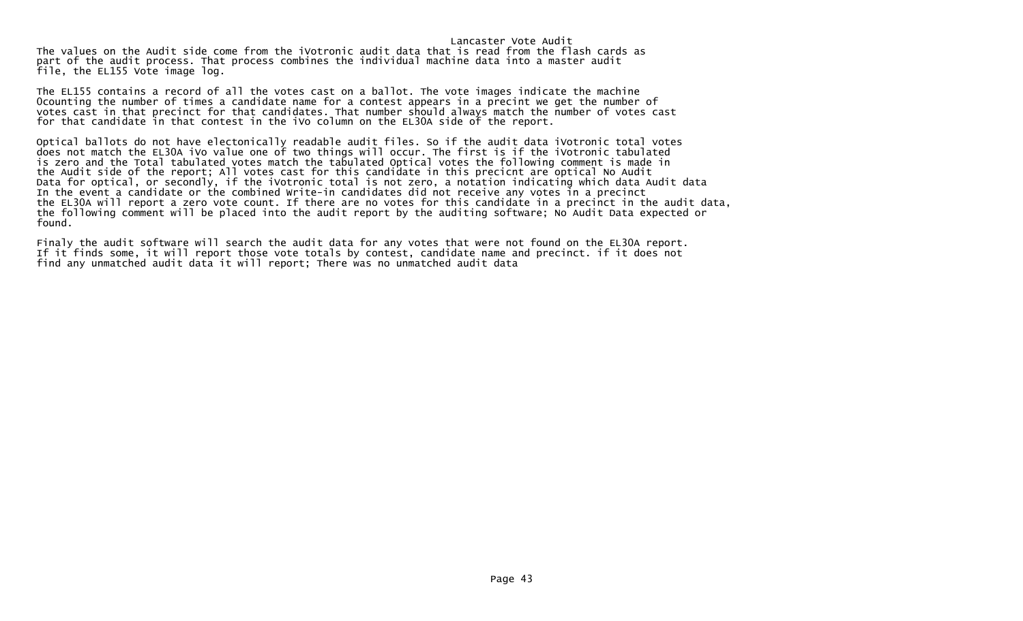Lancaster Vote Audit The values on the Audit side come from the iVotronic audit data that is read from the flash cards as part of the audit process. That process combines the individual machine data into a master audit file, the EL155 Vote image log.

The EL155 contains a record of all the votes cast on a ballot. The vote images indicate the machine 0counting the number of times a candidate name for a contest appears in a precint we get the number of votes cast in that precinct for that candidates. That number should always match the number of votes cast for that candidate in that contest in the iVo column on the EL30A side of the report.

Optical ballots do not have electonically readable audit files. So if the audit data iVotronic total votes does not match the EL30A iVo value one of two things will occur. The first is if the iVotronic tabulated is zero and the Total tabulated votes match the tabulated Optical votes the following comment is made in the Audit side of the report; All votes cast for this candidate in this precicnt are optical No Audit Data for optical, or secondly, if the iVotronic total is not zero, a notation indicating which data Audit data In the event a candidate or the combined Write-in candidates did not receive any votes in a precinct the EL30A will report a zero vote count. If there are no votes for this candidate in a precinct in the audit data, the following comment will be placed into the audit report by the auditing software; No Audit Data expected or found.

Finaly the audit software will search the audit data for any votes that were not found on the EL30A report. If it finds some, it will report those vote totals by contest, candidate name and precinct. if it does not find any unmatched audit data it will report; There was no unmatched audit data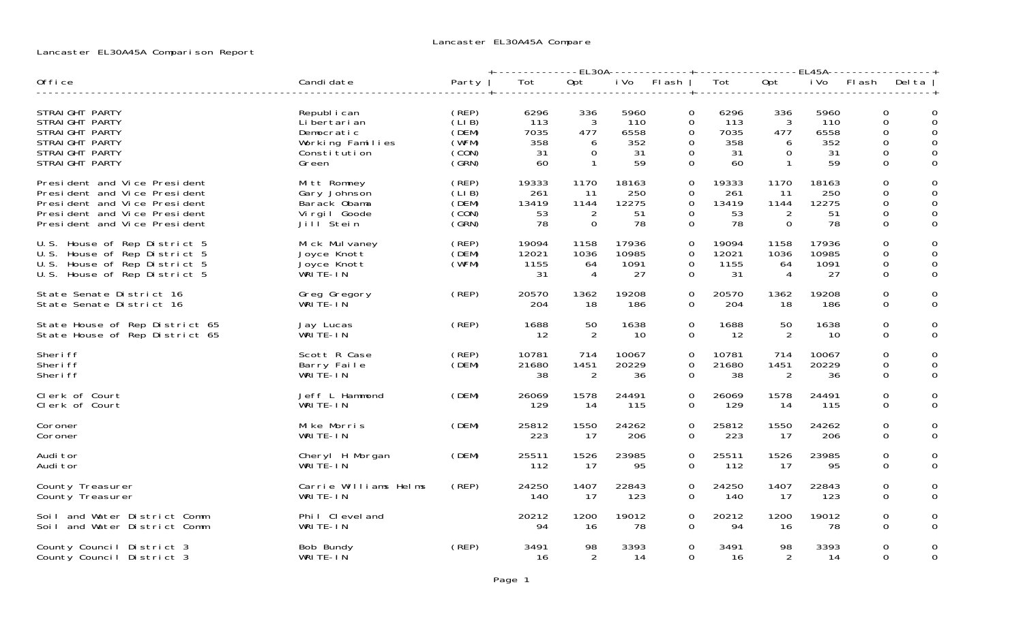# Lancaster EL30A45A Comparison Report

|                                                                                                                                                              |                                                                                          |                                                         | +-------------EL30A------------+------------------EL45A----------------+ |                                                        |                                        |           |                                                                                                  |                                                        |                                          |                                                    |                                   |
|--------------------------------------------------------------------------------------------------------------------------------------------------------------|------------------------------------------------------------------------------------------|---------------------------------------------------------|--------------------------------------------------------------------------|--------------------------------------------------------|----------------------------------------|-----------|--------------------------------------------------------------------------------------------------|--------------------------------------------------------|------------------------------------------|----------------------------------------------------|-----------------------------------|
| Office                                                                                                                                                       | Candi date                                                                               | Party                                                   | Tot                                                                      | Opt                                                    |                                        | iVo Flash | Tot                                                                                              | Opt                                                    | i Vo                                     |                                                    | Flash Delta                       |
| STRAIGHT PARTY<br>STRAIGHT PARTY<br>STRAIGHT PARTY<br>STRAIGHT PARTY<br>STRAIGHT PARTY<br>STRAI GHT PARTY                                                    | Republ i can<br>Li bertari an<br>Democratic<br>Working Families<br>Constitution<br>Green | (REP)<br>(LIB)<br>(DEM)<br>(WFM)<br>(CON)<br>(GRN)      | 6296<br>113<br>7035<br>358<br>31<br>60                                   | 336<br>3<br>477<br>6<br>$\overline{0}$<br>$\mathbf{1}$ | 5960<br>110<br>6558<br>352<br>31<br>59 |           | 6296<br>0<br>0<br>-113<br>7035<br>0<br>$\Omega$<br>358<br>$\overline{0}$<br>31<br>$\Omega$<br>60 | 336<br>3<br>477<br>6<br>$\overline{0}$<br>$\mathbf{1}$ | 5960<br>-110<br>6558<br>352<br>-31<br>59 | $\Omega$<br>$\Omega$<br>0<br>0<br>0<br>$\mathbf 0$ | 0<br>$\Omega$<br>0<br>0<br>0<br>0 |
| President and Vice President<br>President and Vice President<br>President and Vice President<br>President and Vice President<br>President and Vice President | Mitt Romney<br>Gary Johnson<br>Barack Obama<br>Virgil Goode<br>Jill Stein                | (REP)<br>(LIB)<br>(DEM)<br>$\zeta$ CON $\zeta$<br>(GRN) | 19333<br>261<br>13419<br>53<br>78                                        | 1170<br>11<br>1144<br>2<br>$\Omega$                    | 18163<br>250<br>12275<br>51<br>78      |           | $\mathbf{O}$<br>19333<br>261<br>0<br>$\Omega$<br>13419<br>$\mathbf{0}$<br>53<br>$\Omega$<br>78   | 1170<br>11<br>1144<br>2<br>$\Omega$                    | 18163<br>250<br>12275<br>51<br>78        | 0<br>0<br>$\mathsf{O}$<br>0<br>$\Omega$            | 0<br>0<br>0<br>0<br>$\Omega$      |
| U.S. House of Rep District 5<br>U.S. House of Rep District 5<br>U.S. House of Rep District 5<br>U.S. House of Rep District 5                                 | Mick Mulvaney<br>Joyce Knott<br>Joyce Knott<br>WRITE-IN                                  | (REP)<br>(DEM)<br>(WFM)                                 | 19094<br>12021<br>1155<br>-31                                            | 1158<br>1036<br>64<br>4                                | 17936<br>10985<br>1091<br>27           |           | 0<br>19094<br>12021<br>$\mathbf 0$<br>0<br>1155<br>$\Omega$<br>31                                | 1158<br>1036<br>64<br>4                                | 17936<br>10985<br>1091<br>27             | $\mathbf 0$<br>0<br>0<br>$\Omega$                  | 0<br>$\Omega$<br>0<br>0           |
| State Senate District 16<br>State Senate District 16                                                                                                         | Greg Gregory<br>WRITE-IN                                                                 | (REP)                                                   | 20570<br>204                                                             | 1362<br>18                                             | 19208<br>186                           |           | 20570<br>$\mathbf{O}$<br>$\Omega$<br>204                                                         | 1362<br>18                                             | 19208<br>186                             | 0<br>$\Omega$                                      | 0<br>$\Omega$                     |
| State House of Rep District 65<br>State House of Rep District 65                                                                                             | Jay Lucas<br>WRITE-IN                                                                    | (REP)                                                   | 1688<br>-12                                                              | 50<br>2                                                | 1638<br>-10                            |           | $\overline{O}$<br>1688<br>$\Omega$<br>12                                                         | 50<br>2                                                | 1638<br>10                               | 0<br>$\Omega$                                      | $\Omega$<br>$\Omega$              |
| Sheri ff<br>Sheri ff<br>Sheri ff                                                                                                                             | Scott R Case<br>Barry Faile<br>WRITÉ-IN                                                  | (REP)<br>(DEM)                                          | 10781<br>21680<br>38                                                     | 714<br>1451<br>$\overline{2}$                          | 10067<br>20229<br>36                   |           | 0<br>10781<br>0<br>21680<br>$\Omega$<br>38                                                       | 714<br>1451<br>$\overline{2}$                          | 10067<br>20229<br>36                     | 0<br>0<br>$\Omega$                                 | $\Omega$<br>0<br>0                |
| Clerk of Court<br>Clerk of Court                                                                                                                             | Jeff L Hammond<br>WRITE-IN                                                               | (DEM)                                                   | 26069<br>129                                                             | 1578<br>-14                                            | 24491<br>115                           |           | 0<br>26069<br>129<br>0                                                                           | 1578<br>14                                             | 24491<br>115                             | 0                                                  | 0<br>$\Omega$<br>0                |
| Coroner<br>Coroner                                                                                                                                           | Mike Morris<br>WRITE-IN                                                                  | (DEM)                                                   | 25812<br>223                                                             | 1550<br>- 17                                           | 24262<br>206                           |           | 25812<br>$\mathbf{0}$<br>$\Omega$<br>223                                                         | 1550<br>-17                                            | 24262<br>206                             | 0                                                  | 0<br>$\Omega$<br>$\Omega$         |
| Audi tor<br>Audi tor                                                                                                                                         | Cheryl H Morgan<br>WRITÉ-IN                                                              | (DEM)                                                   | 25511<br>112                                                             | 1526<br>-17                                            | 23985<br>95                            |           | 0<br>25511<br>112<br>0                                                                           | 1526<br>17                                             | 23985<br>95                              | 0<br>$\mathbf 0$                                   | 0<br>$\mathbf 0$                  |
| County Treasurer<br>County Treasurer                                                                                                                         | Carrie Williams Helms<br>WRITE-IN                                                        | (REP)                                                   | 24250<br>140                                                             | 1407<br>17                                             | 22843<br>123                           |           | 24250<br>$\Omega$<br>$\Omega$<br>140                                                             | 1407<br>-17                                            | 22843<br>123                             | 0<br>0                                             | 0<br>0                            |
| Soil and Water District Comm<br>Soil and Water District Comm                                                                                                 | Phil Cleveland<br>WRITE-IN                                                               |                                                         | 20212<br>94                                                              | 1200<br>16                                             | 19012<br>78                            |           | 20212<br>$\Omega$<br>$\Omega$<br>94                                                              | 1200<br>16                                             | 19012<br>78                              | 0<br>0                                             | 0<br>$\Omega$                     |
| County Council District 3<br>County Council District 3                                                                                                       | Bob Bundy<br>WRITE-IN                                                                    | (REP)                                                   | 3491<br>16                                                               | 98<br>2                                                | 3393<br>14                             |           | $\Omega$<br>3491<br>$\Omega$<br>16                                                               | 98<br>$\overline{2}$                                   | 3393<br>14                               | $\Omega$<br>$\Omega$                               | 0<br>0                            |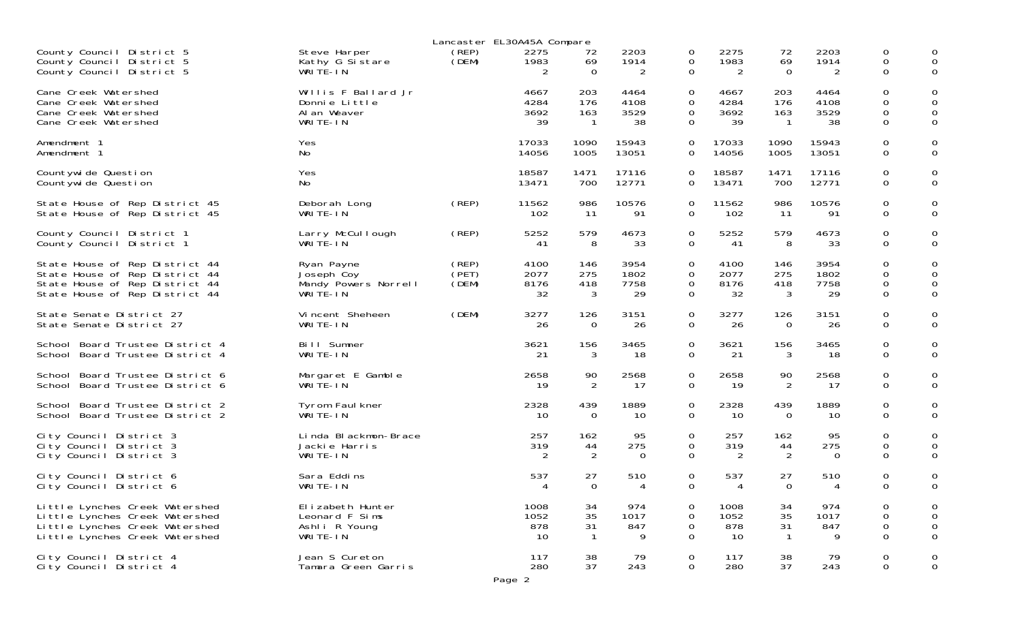|                                                                                                                                      |                                                                  | Lancaster EL30A45A Compare |                            |                                  |                            |                                                           |                            |                                   |                            |                                      |                            |
|--------------------------------------------------------------------------------------------------------------------------------------|------------------------------------------------------------------|----------------------------|----------------------------|----------------------------------|----------------------------|-----------------------------------------------------------|----------------------------|-----------------------------------|----------------------------|--------------------------------------|----------------------------|
| County Council District 5<br>County Council District 5<br>County Council District 5                                                  | Steve Harper<br>Kathy G Sistare<br>WRITE-IN                      | (REP)<br>(DEM)             | 2275<br>1983<br>2          | 72<br>69<br>$\mathbf 0$          | 2203<br>1914<br>2          | 0<br>0<br>$\mathbf 0$                                     | 2275<br>1983<br>2          | 72<br>69<br>$\mathbf{O}$          | 2203<br>1914<br>2          | 0<br>0<br>0                          | 0<br>0<br>0                |
| Cane Creek Watershed<br>Cane Creek Watershed<br>Cane Creek Watershed<br>Cane Creek Watershed                                         | Willis F Ballard Jr<br>Donnie Little<br>Al an Weaver<br>WRITE-IN |                            | 4667<br>4284<br>3692<br>39 | 203<br>176<br>163<br>$\mathbf 1$ | 4464<br>4108<br>3529<br>38 | $\mathbf 0$<br>$\mathbf 0$<br>$\mathbf 0$<br>$\mathbf 0$  | 4667<br>4284<br>3692<br>39 | 203<br>176<br>163<br>$\mathbf{1}$ | 4464<br>4108<br>3529<br>38 | 0<br>0<br>$\mathbf 0$<br>$\mathbf 0$ | 0<br>0<br>0                |
| Amendment 1                                                                                                                          | Yes                                                              |                            | 17033                      | 1090                             | 15943                      | $\mathbf 0$                                               | 17033                      | 1090                              | 15943                      | $\mathbf 0$                          | 0                          |
| Amendment 1                                                                                                                          | No                                                               |                            | 14056                      | 1005                             | 13051                      | $\mathbf 0$                                               | 14056                      | 1005                              | 13051                      | 0                                    | 0                          |
| Countywide Question                                                                                                                  | Yes                                                              |                            | 18587                      | 1471                             | 17116                      | $\Omega$                                                  | 18587                      | 1471                              | 17116                      | $\mathbf 0$                          | 0                          |
| Countywide Question                                                                                                                  | No                                                               |                            | 13471                      | 700                              | 12771                      | $\mathbf 0$                                               | 13471                      | 700                               | 12771                      | $\mathbf 0$                          | $\mathbf 0$                |
| State House of Rep District 45                                                                                                       | Deborah Long                                                     | (REP)                      | 11562                      | 986                              | 10576                      | 0                                                         | 11562                      | 986                               | 10576                      | 0                                    | 0                          |
| State House of Rep District 45                                                                                                       | WRITE-IN                                                         |                            | 102                        | -11                              | 91                         | $\mathbf 0$                                               | 102                        | -11                               | 91                         | $\mathbf 0$                          | 0                          |
| County Council District 1                                                                                                            | Larry McCullough                                                 | (REP)                      | 5252                       | 579                              | 4673                       | $\mathbf 0$                                               | 5252                       | 579                               | 4673                       | 0                                    | 0                          |
| County Council District 1                                                                                                            | WRITE-IN                                                         |                            | -41                        | 8                                | 33                         | $\mathbf 0$                                               | 41                         | 8                                 | 33                         | $\mathbf 0$                          | 0                          |
| State House of Rep District 44<br>State House of Rep District 44<br>State House of Rep District 44<br>State House of Rep District 44 | Ryan Payne<br>Joseph Coy<br>Mandy Powers Norrell<br>WRITE-IN     | (REP)<br>(PET)<br>(DEM)    | 4100<br>2077<br>8176<br>32 | 146<br>275<br>418<br>3           | 3954<br>1802<br>7758<br>29 | $\mathbf 0$<br>$\mathbf 0$<br>$\mathbf 0$<br>$\mathbf{O}$ | 4100<br>2077<br>8176<br>32 | 146<br>275<br>418<br>3            | 3954<br>1802<br>7758<br>29 | 0<br>0<br>0<br>$\mathbf 0$           | 0<br>$\mathbf 0$<br>0<br>0 |
| State Senate District 27                                                                                                             | Vincent Sheheen                                                  | (DEM)                      | 3277                       | 126                              | 3151                       | 0                                                         | 3277                       | 126                               | 3151                       | 0                                    | 0                          |
| State Senate District 27                                                                                                             | WRITE-IN                                                         |                            | 26                         | $\overline{O}$                   | 26                         | $\mathbf{O}$                                              | 26                         | $\overline{0}$                    | 26                         | $\mathbf 0$                          | 0                          |
| School Board Trustee District 4                                                                                                      | Bill Sumner                                                      |                            | 3621                       | 156                              | 3465                       | $\mathbf 0$                                               | 3621                       | 156                               | 3465                       | $\mathbf 0$                          | 0                          |
| School Board Trustee District 4                                                                                                      | WRITE-IN                                                         |                            | 21                         | 3                                | 18                         | $\mathbf 0$                                               | 21                         | 3                                 | 18                         | $\mathbf 0$                          | $\overline{0}$             |
| School Board Trustee District 6                                                                                                      | Margaret E Gamble                                                |                            | 2658                       | 90                               | 2568                       | 0                                                         | 2658                       | 90                                | 2568                       | 0                                    | 0                          |
| School Board Trustee District 6                                                                                                      | WRITE-IN                                                         |                            | 19                         | 2                                | 17                         | 0                                                         | 19                         | 2                                 | 17                         | $\mathbf 0$                          | $\Omega$                   |
| School Board Trustee District 2                                                                                                      | Tyrom Faul kner                                                  |                            | 2328                       | 439                              | 1889                       | 0                                                         | 2328                       | 439                               | 1889                       | 0                                    | 0                          |
| School Board Trustee District 2                                                                                                      | WRITE-IN                                                         |                            | 10                         | $\mathbf 0$                      | 10                         | 0                                                         | 10                         | $\mathbf 0$                       | 10                         | $\mathbf 0$                          | $\overline{0}$             |
| City Council District 3                                                                                                              | Linda Blackmon-Brace                                             |                            | 257                        | 162                              | 95                         | 0                                                         | 257                        | 162                               | 95                         | 0                                    | 0                          |
| City Council District 3                                                                                                              | Jackie Harris                                                    |                            | 319                        | 44                               | 275                        | 0                                                         | 319                        | 44                                | 275                        | 0                                    | 0                          |
| City Council District 3                                                                                                              | WRITE-IN                                                         |                            | 2                          | $\overline{2}$                   | $\Omega$                   | $\Omega$                                                  | 2                          | 2                                 | $\Omega$                   | $\Omega$                             | $\Omega$                   |
| City Council District 6                                                                                                              | Sara Eddins                                                      |                            | 537                        | 27                               | 510                        | 0                                                         | 537                        | 27                                | 510                        | 0                                    | 0                          |
| City Council District 6                                                                                                              | WRITE-IN                                                         |                            | $\overline{4}$             | $\Omega$                         | 4                          | $\Omega$                                                  | 4                          | $\Omega$                          | 4                          | 0                                    | 0                          |
| Little Lynches Creek Watershed                                                                                                       | El i zabeth Hunter                                               |                            | 1008                       | 34                               | 974                        | $\mathbf 0$                                               | 1008                       | 34                                | 974                        | 0                                    | 0                          |
| Little Lynches Creek Watershed                                                                                                       | Leonard F Sims                                                   |                            | 1052                       | 35                               | 1017                       | $\mathbf 0$                                               | 1052                       | 35                                | 1017                       | $\mathbf 0$                          | $\mathbf 0$                |
| Little Lynches Creek Watershed                                                                                                       | Ashli R Young                                                    |                            | 878                        | 31                               | 847                        | $\mathbf 0$                                               | 878                        | 31                                | 847                        | $\mathsf{O}\xspace$                  | 0                          |
| Little Lynches Creek Watershed                                                                                                       | WRITE-IN                                                         |                            | 10                         | $\mathbf{1}$                     | 9                          | $\overline{0}$                                            | 10                         | $\overline{1}$                    | 9                          | $\mathbf 0$                          | $\Omega$                   |
| City Council District 4                                                                                                              | Jean S Cureton                                                   |                            | 117                        | 38                               | 79                         | $\mathbf 0$                                               | 117                        | 38                                | 79                         | $\mathbf 0$                          | $\mathbf 0$                |
| City Council District 4                                                                                                              | Tamara Green Garris                                              |                            | 280                        | 37                               | 243                        | $\mathbf 0$                                               | 280                        | 37                                | 243                        | $\mathsf{O}\xspace$                  | 0                          |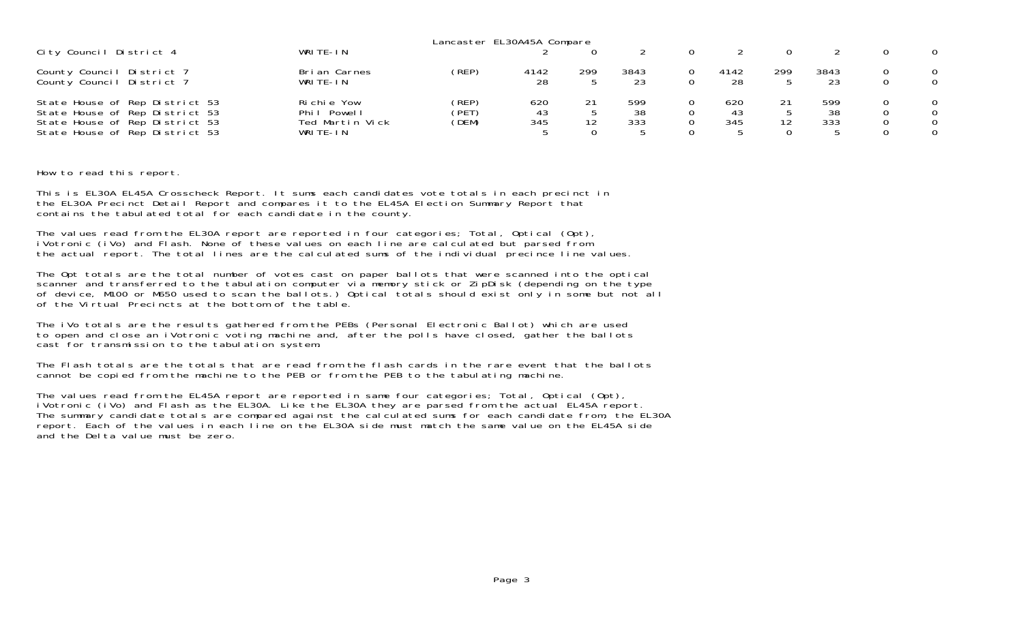|                                                                                                                                      |                                                               | Lancaster EL30A45A Compare |                  |     |                  |                  |     |                  |                                |
|--------------------------------------------------------------------------------------------------------------------------------------|---------------------------------------------------------------|----------------------------|------------------|-----|------------------|------------------|-----|------------------|--------------------------------|
| City Council District 4                                                                                                              | WRITE-IN                                                      |                            |                  |     |                  |                  |     |                  | $\Omega$                       |
| County Council District 7<br>County Council District 7                                                                               | Bri an Carnes<br>WRITE-IN                                     | (REP)                      | 4142<br>28       | 299 | 3843<br>23       | 4142<br>28       | 299 | 3843<br>23       | $\Omega$<br>0                  |
| State House of Rep District 53<br>State House of Rep District 53<br>State House of Rep District 53<br>State House of Rep District 53 | Richie Yow<br>Phi I<br>Powel I<br>Ted Martin Vick<br>WRITE-IN | (REP)<br>'PET)<br>(DEM)    | 620<br>43<br>345 | 12  | 599<br>38<br>333 | 620<br>43<br>345 |     | 599<br>38<br>333 | $\Omega$<br>0<br>0<br>$\Omega$ |

How to read this report.

This is EL30A EL45A Crosscheck Report. It sums each candidates vote totals in each precinct in the EL30A Precinct Detail Report and compares it to the EL45A Election Summary Report that contains the tabulated total for each candidate in the county.

The values read from the EL30A report are reported in four categories; Total, Optical (Opt), iVotronic (iVo) and Flash. None of these values on each line are calculated but parsed from the actual report. The total lines are the calculated sums of the individual precince line values.

The Opt totals are the total number of votes cast on paper ballots that were scanned into the optical scanner and transferred to the tabulation computer via memory stick or ZipDisk (depending on the type of device, M100 or M650 used to scan the ballots.) Optical totals should exist only in some but not all of the Virtual Precincts at the bottom of the table.

The iVo totals are the results gathered from the PEBs (Personal Electronic Ballot) which are used to open and close an iVotronic voting machine and, after the polls have closed, gather the ballots cast for transmission to the tabulation system.

The Flash totals are the totals that are read from the flash cards in the rare event that the ballots cannot be copied from the machine to the PEB or from the PEB to the tabulating machine.

The values read from the EL45A report are reported in same four categories; Total, Optical (Opt),<br>iVotronic (iVo) and Flash as the EL30A. Like the EL30A they are parsed from the actual EL45A report. The summary candidate totals are compared against the calculated sums for each candidate from, the EL30A report. Each of the values in each line on the EL30A side must match the same value on the EL45A side and the Delta value must be zero.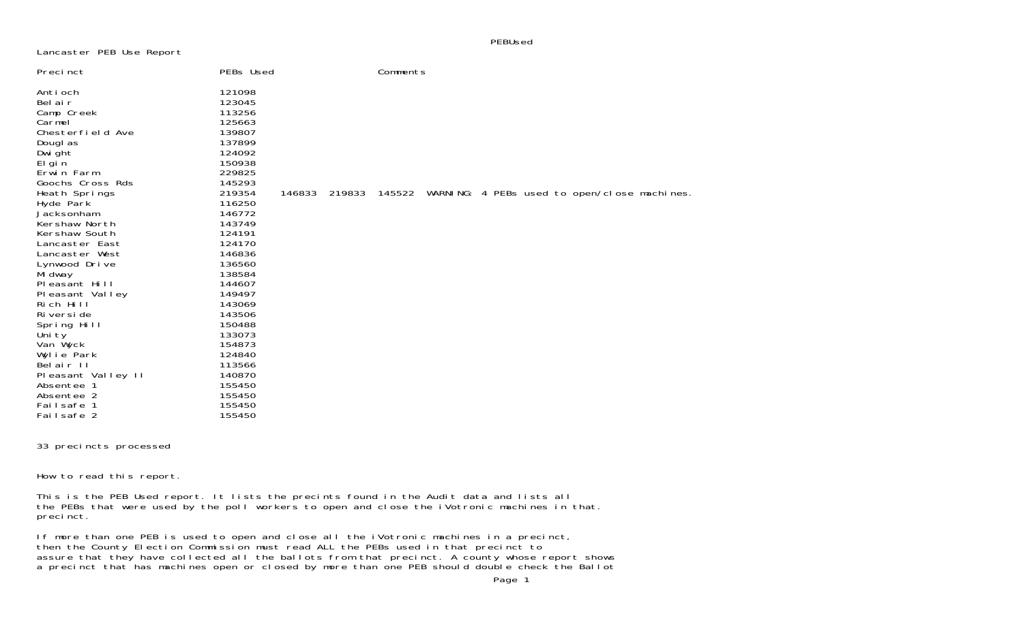PEBUsed

Lancaster PEB Use Report

| Precinct                                                                                                                                                                                                                                                                                                                                                                                                                    | PEBs Used                                                                                                                                                                                                                                                                                      | Comments                                                     |
|-----------------------------------------------------------------------------------------------------------------------------------------------------------------------------------------------------------------------------------------------------------------------------------------------------------------------------------------------------------------------------------------------------------------------------|------------------------------------------------------------------------------------------------------------------------------------------------------------------------------------------------------------------------------------------------------------------------------------------------|--------------------------------------------------------------|
| Antioch<br>Bel air<br>Camp Creek<br>Carmel<br>Chesterfield Ave<br>Dougl as<br>Dwi ght<br>El gi n<br>Erwin Farm<br>Goochs Cross Rds<br>Heath Springs<br>Hyde Park<br>Jacksonham<br>Kershaw North<br>Kershaw South<br>Lancaster East<br>Lancaster West<br>Lynwood Drive<br>Mi dway<br>Pleasant Hill<br>Pleasant Valley<br>Rich Hill<br>Ri versi de<br>Spring Hill<br>Uni ty<br>Van Wyck<br>Wylie Park<br>Belair <sub>II</sub> | 121098<br>123045<br>113256<br>125663<br>139807<br>137899<br>124092<br>150938<br>229825<br>145293<br>219354<br>146833<br>116250<br>146772<br>143749<br>124191<br>124170<br>146836<br>136560<br>138584<br>144607<br>149497<br>143069<br>143506<br>150488<br>133073<br>154873<br>124840<br>113566 | 145522 WARNING: 4 PEBs used to open/close machines<br>219833 |
| Pleasant Valley II                                                                                                                                                                                                                                                                                                                                                                                                          | 140870                                                                                                                                                                                                                                                                                         |                                                              |
| Absentee 1                                                                                                                                                                                                                                                                                                                                                                                                                  | 155450                                                                                                                                                                                                                                                                                         |                                                              |
| Absentee 2                                                                                                                                                                                                                                                                                                                                                                                                                  | 155450                                                                                                                                                                                                                                                                                         |                                                              |
| Failsafe 1                                                                                                                                                                                                                                                                                                                                                                                                                  | 155450                                                                                                                                                                                                                                                                                         |                                                              |
| Failsafe 2                                                                                                                                                                                                                                                                                                                                                                                                                  | 155450                                                                                                                                                                                                                                                                                         |                                                              |

33 precincts processed

How to read this report.

This is the PEB Used report. It lists the precints found in the Audit data and lists all the PEBs that were used by the poll workers to open and close the iVotronic machines in that. precinct.

If more than one PEB is used to open and close all the iVotronic machines in a precinct, then the County Election Commission must read ALL the PEBs used in that precinct to assure that they have collected all the ballots from that precinct. A county whose report shows a precinct that has machines open or closed by more than one PEB should double check the Ballot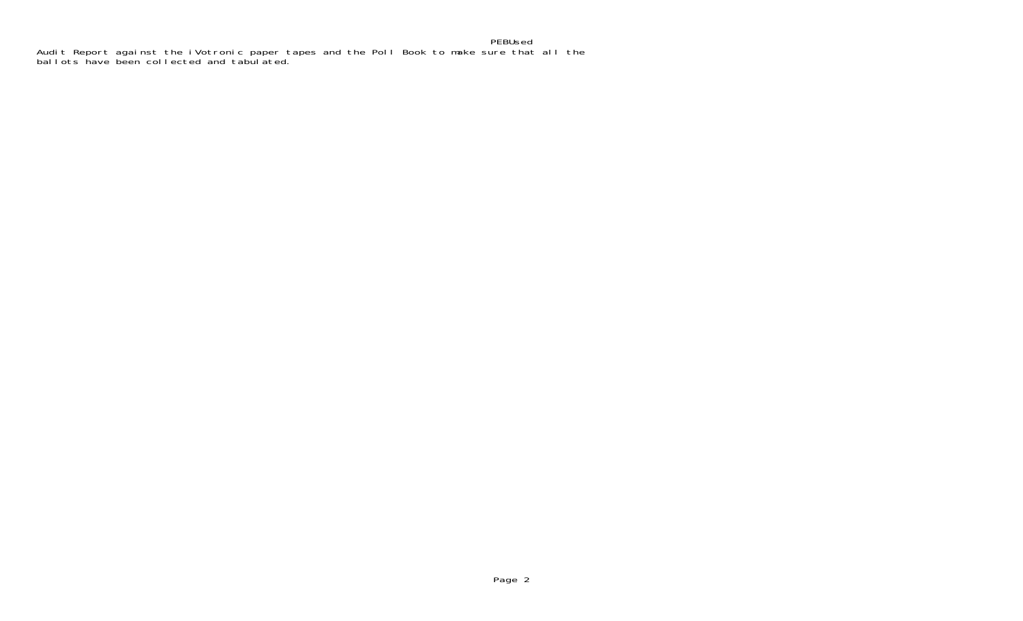# PEBUsedAudit Report against the iVotronic paper tapes and the Poll Book to make sure that all the ballots have been collected and tabulated.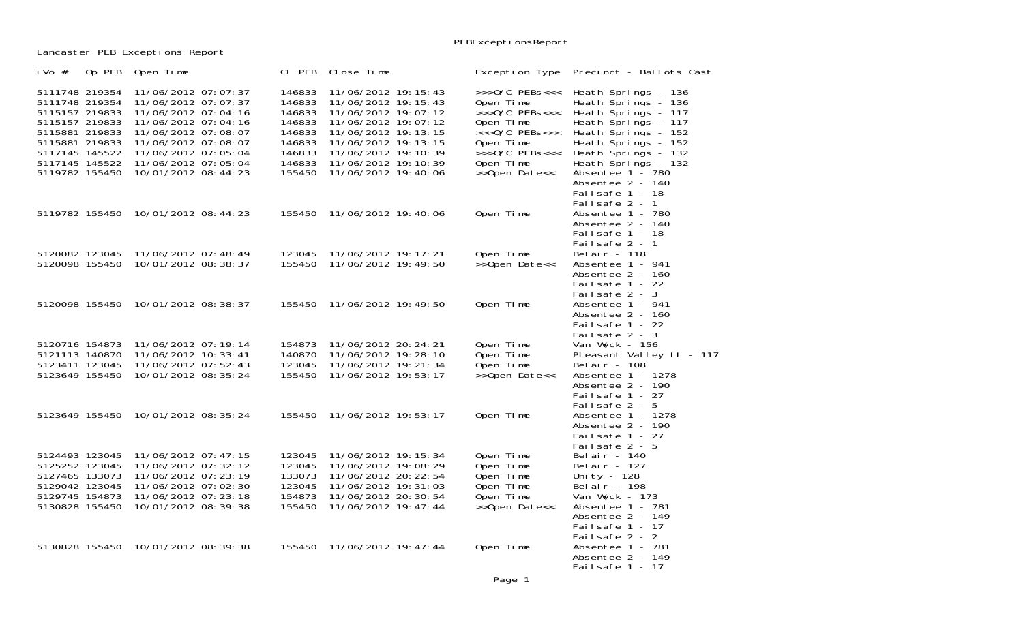Lancaster PEB Exceptions Report

| i Vo $#$<br>Op PEB                                                                                                                                             | Open Time                                                                                                                                                                                                   | CI PEB                                                                                 | Close Time                                                                                                                                                                                                              | Exception Type                                                                                                                                                | Precinct - Ballots Cast                                                                                                                                                                                                                         |
|----------------------------------------------------------------------------------------------------------------------------------------------------------------|-------------------------------------------------------------------------------------------------------------------------------------------------------------------------------------------------------------|----------------------------------------------------------------------------------------|-------------------------------------------------------------------------------------------------------------------------------------------------------------------------------------------------------------------------|---------------------------------------------------------------------------------------------------------------------------------------------------------------|-------------------------------------------------------------------------------------------------------------------------------------------------------------------------------------------------------------------------------------------------|
| 5111748 219354<br>5111748 219354<br>5115157 219833<br>5115157 219833<br>5115881 219833<br>5115881 219833<br>5117145 145522<br>5117145 145522<br>5119782 155450 | 11/06/2012 07:07:37<br>11/06/2012 07:07:37<br>11/06/2012 07:04:16<br>11/06/2012 07:04:16<br>11/06/2012 07:08:07<br>11/06/2012 07:08:07<br>11/06/2012 07:05:04<br>11/06/2012 07:05:04<br>10/01/2012 08:44:23 | 146833<br>146833<br>146833<br>146833<br>146833<br>146833<br>146833<br>146833<br>155450 | 11/06/2012 19: 15: 43<br>11/06/2012 19: 15: 43<br>11/06/2012 19:07:12<br>11/06/2012 19:07:12<br>11/06/2012 19: 13: 15<br>11/06/2012 19: 13: 15<br>11/06/2012 19: 10: 39<br>11/06/2012 19: 10: 39<br>11/06/2012 19:40:06 | $>>$ >0/C PEBs<<<<br>Open Time<br>$>>0/C$ PEBs<<<<br>Open Time<br>$>>$ >0/C PEBs<<<<br>Open Time<br>$>>0/C$ PEBs<<<<br>Open Time<br>$\rightarrow$ Open Date<< | Heath Springs - 136<br>Heath Springs - 136<br>Heath Springs - 117<br>Heath Springs - 117<br>Heath Springs - 152<br>Heath Springs - 152<br>Heath Springs - 132<br>Heath Springs - 132<br>Absentee 1 - 780<br>Absentee 2 - 140<br>Failsafe 1 - 18 |
| 5119782 155450                                                                                                                                                 | 10/01/2012 08:44:23                                                                                                                                                                                         | 155450                                                                                 | 11/06/2012 19:40:06                                                                                                                                                                                                     | Open Time                                                                                                                                                     | Failsafe 2 - 1<br>Absentee 1 - 780<br>Absentee 2 - 140<br>Failsafe 1 - 18<br>Failsafe 2 - 1                                                                                                                                                     |
| 5120082 123045<br>5120098 155450                                                                                                                               | 11/06/2012 07:48:49<br>10/01/2012 08:38:37                                                                                                                                                                  | 123045<br>155450                                                                       | 11/06/2012 19: 17: 21<br>11/06/2012 19: 49: 50                                                                                                                                                                          | Open Time<br>>>Open Date<<                                                                                                                                    | Bel ai r - 118<br>Absentee 1 - 941<br>Absentee 2 - 160<br>Failsafe 1 - 22                                                                                                                                                                       |
|                                                                                                                                                                | 5120098 155450 10/01/2012 08:38:37                                                                                                                                                                          |                                                                                        | 155450 11/06/2012 19:49:50                                                                                                                                                                                              | Open Time                                                                                                                                                     | Failsafe 2 - 3<br>Absentee 1 - 941<br>Absentee 2 - 160<br>Failsafe 1 - 22<br>Failsafe 2 - 3                                                                                                                                                     |
| 5120716 154873<br>5121113 140870<br>5123411 123045<br>5123649 155450                                                                                           | 11/06/2012 07:19:14<br>11/06/2012 10: 33: 41<br>11/06/2012 07:52:43<br>10/01/2012 08: 35: 24                                                                                                                | 154873<br>140870<br>123045<br>155450                                                   | 11/06/2012 20: 24: 21<br>11/06/2012 19:28:10<br>11/06/2012 19: 21: 34<br>11/06/2012 19:53:17                                                                                                                            | Open Time<br>Open Time<br>Open Time<br>>>Open Date<<                                                                                                          | Van Wyck - 156<br>Pleasant Valley II - 117<br>Bel ai r - 108<br>Absentee 1 - 1278<br>Absentee 2 - 190<br>Failsafe 1 - 27                                                                                                                        |
|                                                                                                                                                                | 5123649 155450 10/01/2012 08:35:24                                                                                                                                                                          | 155450                                                                                 | 11/06/2012 19:53:17                                                                                                                                                                                                     | Open Time                                                                                                                                                     | Failsafe 2 - 5<br>Absentee 1 - 1278<br>Absentee 2 - 190<br>Failsafe 1 - 27                                                                                                                                                                      |
| 5124493 123045<br>5125252 123045<br>5127465 133073<br>5129042 123045<br>5129745 154873<br>5130828 155450                                                       | 11/06/2012 07:47:15<br>11/06/2012 07: 32: 12<br>11/06/2012 07: 23: 19<br>11/06/2012 07:02:30<br>11/06/2012 07: 23: 18<br>10/01/2012 08:39:38                                                                | 123045<br>123045<br>133073<br>123045<br>154873<br>155450                               | 11/06/2012 19: 15: 34<br>11/06/2012 19:08:29<br>11/06/2012 20: 22: 54<br>11/06/2012 19: 31: 03<br>11/06/2012 20: 30: 54<br>11/06/2012 19: 47: 44                                                                        | Open Time<br>Open Time<br>Open Time<br>Open Time<br>Open Time<br>>>Open Date<<                                                                                | Failsafe 2 - 5<br>Belair - $140$<br>Bel ai r - 127<br>Unity - 128<br>Belair - 198<br>Van Wyck - 173<br>Absentee 1 - 781<br>Absentee 2 - 149<br>Failsafe $1 - 17$                                                                                |
| 5130828 155450                                                                                                                                                 | 10/01/2012 08:39:38                                                                                                                                                                                         | 155450                                                                                 | 11/06/2012 19: 47: 44                                                                                                                                                                                                   | Open Time                                                                                                                                                     | Failsafe 2 - 2<br>Absentee 1 - 781<br>Absentee 2 - 149<br>Failsafe 1 - 17                                                                                                                                                                       |